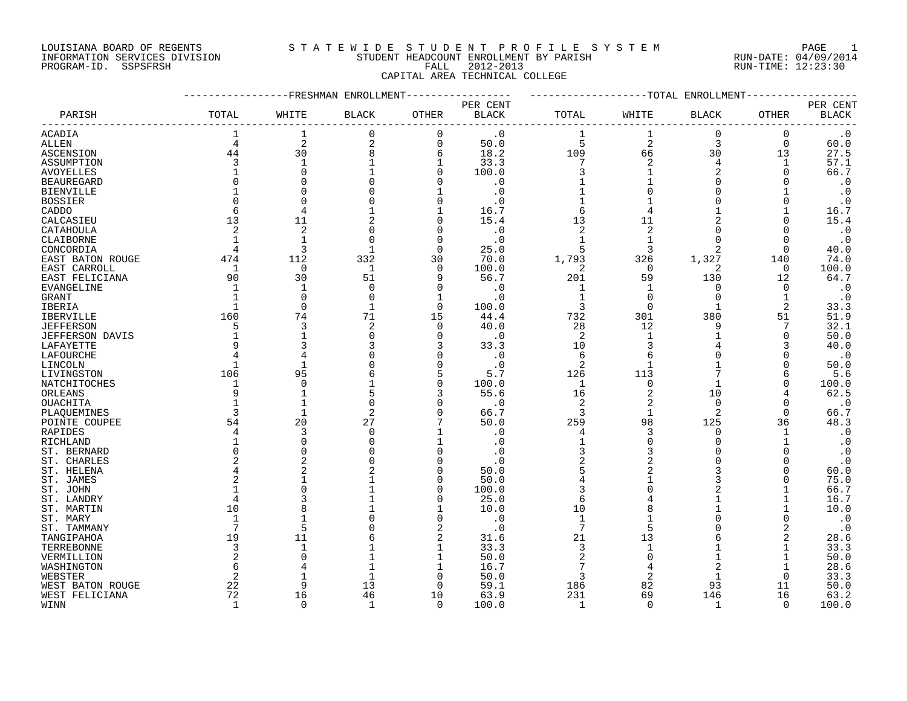PROGRAM-ID. SSPSFRSH FALL 2012-2013 RUN-TIME: 12:23:30

#### LOUISIANA BOARD OF REGENTS S T A T E W I D E S T U D E N T P R O F I L E S Y S T E M PAGE 1 INFORMATION SERVICES DIVISION STUDENT HEADCOUNT ENROLLMENT BY PARISH RUN-DATE: 04/09/2014

CAPITAL AREA TECHNICAL COLLEGE

#### -----------------FRESHMAN ENROLLMENT----------------- -------------------TOTAL ENROLLMENT------------------ PER CENT PER CENT PARISH TOTAL WHITE BLACK OTHER BLACK TOTAL WHITE BLACK OTHER BLACK ------------------------------------------------------------------------------------------------------------------------------------ ACADIA 1 1 0 0 .0 1 1 0 0 .0 ALLEN 4 2 2 0 50.0 5 2 3 0 60.0 ASCENSION 44 30 8 6 18.2 109 66 30 13 27.5 ASSUMPTION 3 1 1 1 33.3 7 2 4 1 57.1 AVOYELLES 1 0 1 0 100 .0 3 1 2 0 66 .7 BEAUREGARD 0 0 0 0 .0 1 1 0 0 .0 BIENVILLE 1 0 0 1 .0 1 0 0 1 .0 BOSSIER 0 0 0 0 .0 1 1 0 0 .0 CADDO 6 4 1 16.7 6 4 1 16.7 1 1 CALCASIEU 13 11 2 0 15.4 13 11 2 0 15.4 CATAHOULA 2 2 0 0 .0 2 2 0 0 .0 CLAIBORNE 1 1 0 0 .0 1 1 0 0 .0 CONCORDIA 4 3 1 0 25.0 5 3 2 0 40.0 EAST BATON ROUGE 474 112 332 30 70.0 1,793 326 1,327 140 74.0 EAST CARROLL 1 0 1 0 100.0 2 0 2 0 100.0 EAST FELICIANA 90 30 51 9 56.7 201 59 130 12 64.7 EVANGELINE 1 1 0 0 .0 1 1 0 0 .0 GRANT 1 0 0 1 .0 1 0 0 1 .0 IBERIA 1 0 1 0 100.0 3 0 1 2 33.3 IBERVILLE 160 74 71 15 44.4 732 301 380 51 51.9 JEFFERSON 5 3 2 0 40.0 28 12 9 7 32.1 JEFFERSON DAVIS 1 1 0 0 .0 2 1 1 0 50.0 LAFAYETTE 9 3 3 3 33.3 10 3 4 3 40.0 LAFOURCHE 4 4 0 0 .0 6 6 0 0 .0 LINCOLN 1 1 0 0 .0 2 1 1 0 50.0 LIVINGSTON 106 95 6 5 5.7 126 113 7 6 5.6 NATCHITOCHES 1 0 1 0 100.0 1 0 1 0 100.0 ORLEANS 9 1 5 3 55.6 16 2 10 4 62.5 OUACHITA 1 1 0 0 .0 2 2 0 0 .0 PLAQUEMINES 3 1 2 0 66.7 3 1 2 0 66.7 POINTE COUPEE 54 20 27 7 50.0 259 98 125 36 48.3 RAPIDES 4 3 0 1 .0 4 3 0 1 .0 RICHLAND 1 0 0 1 .0 1 0 0 1 .0 ST. BERNARD 0 0 0 0 .0 3 3 0 0 .0 ST. CHARLES 2 2 0 0 .0 2 2 0 0 .0 ST. HELENA 4 2 2 0 50.0 5 2 3 0 60.0 ST. JAMES 2 1 1 0 50.0 4 1 3 0 75.0  $\overline{S}$ T. JOHN 1 0 100.0 3 0 2 1 66.7 ST. LANDRY 4 3 1 0 25.0 6 4 1 1 16.7 ST. MARTIN 10 8 1 1 10.0 10 8 1 1 10.0 ST. MARY 1 1 0 0 .0 1 1 0 0 .0 ST. TAMMANY 7 5 0 2 .0 7 5 0 2 .0 TANGIPAHOA 19 11 6 2 31.6 21 13 6 2 28.6 TERREBONNE 3 1 1 1 33.3 3 1 1 1 33.3 VERMILLION 2 0 1 1 50.0 2 0 1 1 50.0 WASHINGTON 6 4 1 1 16.7 7 4 2 1 28.6 WEBSTER 2 1 1 0 50.0 3 2 1 0 33.3 WEST BATON ROUGE 22 9 13 0 59.1 186 82 93 11 50.0 WEST FELICIANA 72 16 46 10 63.9 231 69 146 16 63.2

WINN 1 0 1 0 100.0 1 0 1 0 100.0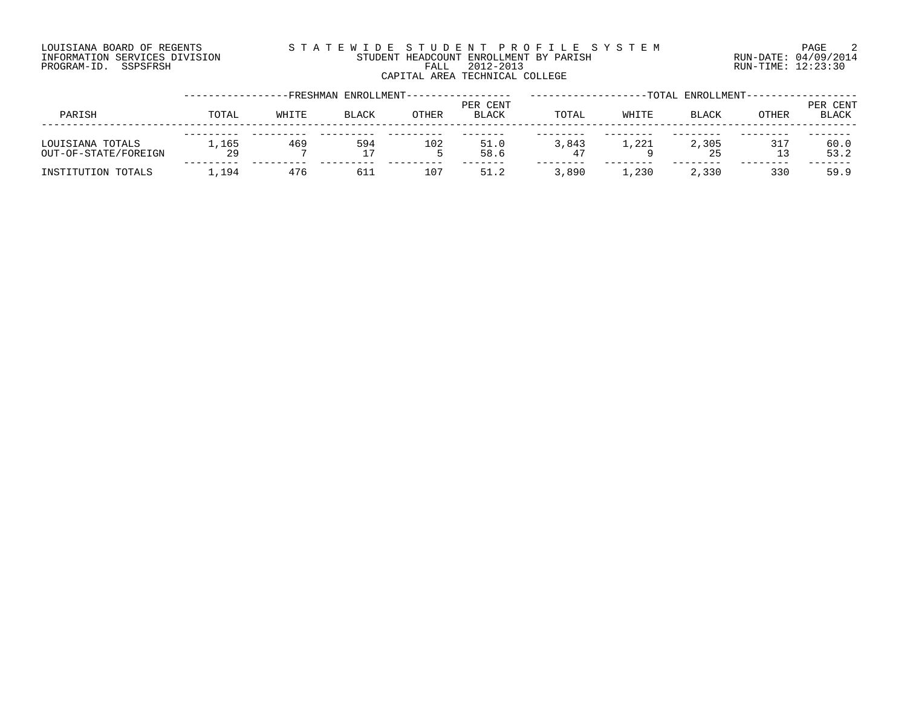#### LOUISIANA BOARD OF REGENTS S T A T E W I D E S T U D E N T P R O F I L E S Y S T E M PAGE 2 INFORMATION SERVICES DIVISION STUDENT HEADCOUNT ENROLLMENT BY PARISH RUN-DATE: 04/09/2014 PROGRAM-ID. SSPSFRSH FALL 2012-2013 RUN-TIME: 12:23:30 CAPITAL AREA TECHNICAL COLLEGE

|                                          |             |       | -FRESHMAN ENROLLMENT- |              |                          |             |       | -TOTAL ENROLLMENT- |           |                   |
|------------------------------------------|-------------|-------|-----------------------|--------------|--------------------------|-------------|-------|--------------------|-----------|-------------------|
| PARISH                                   | TOTAL       | WHITE | <b>BLACK</b>          | <b>OTHER</b> | PER CENT<br><b>BLACK</b> | TOTAL       | WHITE | <b>BLACK</b>       | OTHER     | PER CENT<br>BLACK |
| LOUISIANA TOTALS<br>OUT-OF-STATE/FOREIGN | 1,165<br>29 | 469   | 594                   | 102          | 51.0<br>58.6             | 3,843<br>47 | 1,221 | 2,305<br>25        | 317<br>13 | 60.0<br>53.2      |
| INSTITUTION TOTALS                       | 1,194       | 476   | 611                   | 107          | 51.2                     | 3,890       | ⊥,230 | 2,330              | 330       | 59.9              |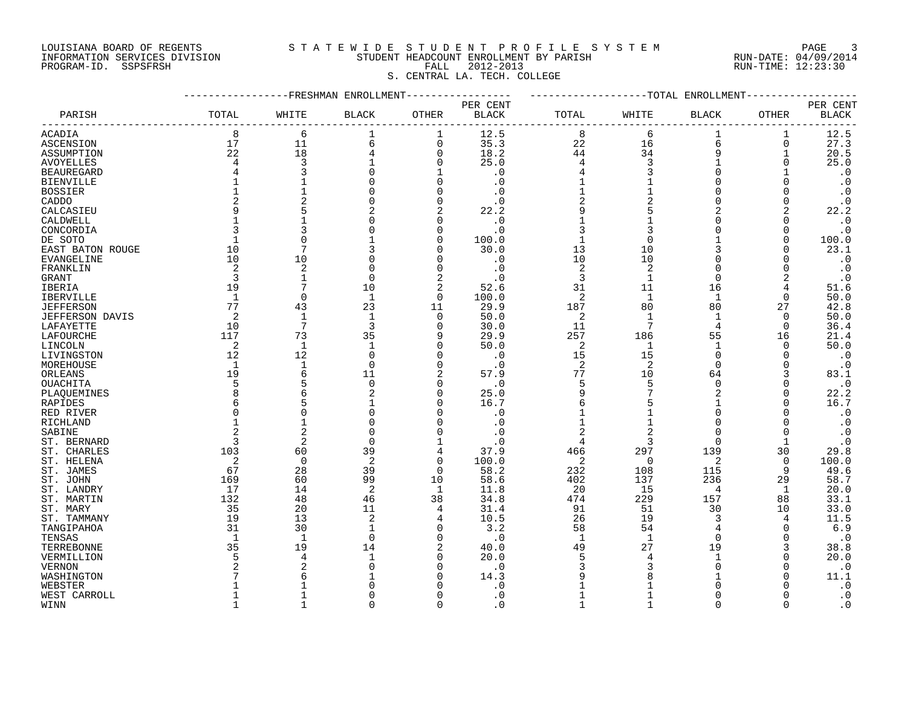## LOUISIANA BOARD OF REGENTS S T A T E W I D E S T U D E N T P R O F I L E S Y S T E M PAGE 3 INFORMATION SERVICES DIVISION STUDENT HEADCOUNT ENROLLMENT BY PARISH RUN-DATE: 04/09/2014 PROGRAM-ID. SSPSFRSH FALL 2012-2013 RUN-TIME: 12:23:30

## S. CENTRAL LA. TECH. COLLEGE

|                        |                | -FRESHMAN    | ENROLLMENT     |                |                          |                |                | -TOTAL ENROLLMENT |              |                          |
|------------------------|----------------|--------------|----------------|----------------|--------------------------|----------------|----------------|-------------------|--------------|--------------------------|
| PARISH                 | TOTAL          | WHITE        | <b>BLACK</b>   | OTHER          | PER CENT<br><b>BLACK</b> | TOTAL          | WHITE          | <b>BLACK</b>      | OTHER        | PER CENT<br><b>BLACK</b> |
| ACADIA                 | 8              | 6            |                | 1              | 12.5                     | 8              | 6              | 1                 | 1            | 12.5                     |
| ASCENSION              | 17             | 11           | 6              | 0              | 35.3                     | 22             | 16             | 6                 | 0            | 27.3                     |
| ASSUMPTION             | 22             | 18           |                | 0              | 18.2                     | 44             | 34             | 9                 | 1            | 20.5                     |
| AVOYELLES              | 4              | 3            |                | 0              | 25.0                     | 4              | 3              |                   | N            | 25.0                     |
| <b>BEAUREGARD</b>      |                | 3            |                |                | $\cdot$ 0                | 4              |                | O                 |              | $\cdot$ 0                |
| <b>BIENVILLE</b>       |                | 1            |                | 0              | . 0                      | 1              |                | O                 |              | $\cdot$ 0                |
| <b>BOSSIER</b>         |                | 1            |                | O              | . 0                      | $\mathbf 1$    |                | O                 |              | $\cdot$ 0                |
| CADDO                  |                | 2            |                | 0              | $\cdot$ 0                | 2              |                | 0                 | O            | $\cdot$ 0                |
| CALCASIEU              |                | 5            |                | 2              | 22.2                     | 9              |                | 2                 |              | 22.2                     |
| CALDWELL               |                | 1            |                | O              | $\cdot$ 0                | 1              |                | O                 |              | $\cdot$ 0                |
| CONCORDIA              |                | 3            |                | 0              | . 0                      | 3              | 3              | U                 | N            | $\cdot$ 0                |
| DE SOTO                | 1              | $\Omega$     |                | 0              | 100.0                    | $\mathbf{1}$   | $\Omega$       |                   | O            | 100.0                    |
| EAST BATON ROUGE       | 10             | 7            |                | 0              | 30.0                     | 13             | 10             | 3                 | N            | 23.1                     |
|                        | 10             | 10           |                | O              | $\cdot$ 0                | 10             | 10             | U                 |              | $\cdot$ 0                |
| EVANGELINE             |                |              | C              | O              |                          |                |                | U                 |              |                          |
| FRANKLIN               | 2              | 2            |                |                | . 0                      | 2              | 2              | $\Omega$          |              | $\cdot$ 0                |
| GRANT                  | 3              | $\mathbf{1}$ | $\Omega$       | $\overline{2}$ | . 0                      | 3              | 1              |                   | 2            | $\cdot$ 0                |
| IBERIA                 | 19             | 7            | 10             | 2              | 52.6                     | 31             | 11             | 16                | 4            | 51.6                     |
| <b>IBERVILLE</b>       | $\mathbf{1}$   | 0            | $\mathbf{1}$   | $\mathbf 0$    | 100.0                    | $\overline{2}$ | 1              | 1                 | $\Omega$     | 50.0                     |
| <b>JEFFERSON</b>       | 77             | 43           | 23             | 11             | 29.9                     | 187            | 80             | 80                | 27           | 42.8                     |
| <b>JEFFERSON DAVIS</b> | $\overline{2}$ | $\mathbf{1}$ | $\mathbf{1}$   | 0              | 50.0                     | 2              | $\overline{1}$ | 1                 | $\Omega$     | 50.0                     |
| LAFAYETTE              | 10             | 7            | 3              | $\Omega$       | 30.0                     | 11             | 7              | $\overline{4}$    | $\Omega$     | 36.4                     |
| LAFOURCHE              | 117            | 73           | 35             | 9              | 29.9                     | 257            | 186            | 55                | 16           | 21.4                     |
| LINCOLN                | 2              | $\mathbf{1}$ | $\mathbf{1}$   | 0              | 50.0                     | 2              | $\mathbf{1}$   | 1                 | $\Omega$     | 50.0                     |
| LIVINGSTON             | 12             | 12           | $\Omega$       | 0              | $\cdot$ 0                | 15             | 15             | 0                 | N            | $\cdot$ 0                |
| MOREHOUSE              | 1              | $\mathbf 1$  | $\Omega$       | 0              | . 0                      | 2              | 2              | $\Omega$          | N            | $\cdot$ 0                |
| ORLEANS                | 19             | 6            | 11             | 2              | 57.9                     | 77             | 10             | 64                | 3            | 83.1                     |
| OUACHITA               |                | 5            | 0              | 0              | . 0                      | 5              | 5              | 0                 | N            | $\cdot$ 0                |
| PLAQUEMINES            |                | 6            | 2              | 0              | 25.0                     | 9              |                | 2                 | N            | 22.2                     |
| RAPIDES                |                | 5            |                | 0              | 16.7                     | 6              |                | 1                 | N            | 16.7                     |
| RED RIVER              |                | $\Omega$     |                | O              | $\cdot$ 0                |                |                | U                 |              | $\cdot$ 0                |
| RICHLAND               |                | 1            |                | O              | . 0                      | 1              |                | $\Omega$          |              | $\cdot$ 0                |
| SABINE                 |                | 2            | O              | O              | . 0                      | 2              |                | $\Omega$          | O            | $\cdot$ 0                |
| ST. BERNARD            | 3              | 2            | $\Omega$       |                | $\cdot$ 0                | 4              | 3              | $\Omega$          |              | $\cdot$ 0                |
| ST. CHARLES            | 103            | 60           | 39             | 4              | 37.9                     | 466            | 297            | 139               | 30           | 29.8                     |
| ST. HELENA             | 2              | 0            | $\overline{c}$ | 0              | 100.0                    | 2              | 0              | 2                 | 0            | 100.0                    |
| ST. JAMES              | 67             | 28           | 39             | $\mathbf 0$    | 58.2                     | 232            | 108            | 115               | 9            | 49.6                     |
| ST. JOHN               | 169            | 60           | 99             | 10             | 58.6                     | 402            | 137            | 236               | 29           | 58.7                     |
| ST. LANDRY             | 17             | 14           | $\overline{2}$ | 1              | 11.8                     | 20             | 15             | 4                 | $\mathbf{1}$ | 20.0                     |
| ST. MARTIN             | 132            | 48           | 46             | 38             | 34.8                     | 474            | 229            | 157               | 88           | 33.1                     |
| ST. MARY               | 35             | 20           | 11             | 4              | 31.4                     | 91             | 51             | 30                | 10           | 33.0                     |
| ST. TAMMANY            | 19             | 13           | $\overline{2}$ | 4              | 10.5                     | 26             | 19             | 3                 | 4            | 11.5                     |
| TANGIPAHOA             | 31             | 30           | -1             | 0              | 3.2                      | 58             | 54             | 4                 | O            | 6.9                      |
| TENSAS                 | $\overline{1}$ | $\mathbf{1}$ | $\Omega$       | $\Omega$       | $\cdot$ 0                | $\mathbf{1}$   | $\mathbf{1}$   | $\Omega$          |              | $\cdot$ 0                |
| TERREBONNE             | 35             | 19           | 14             | 2              | 40.0                     | 49             | 27             | 19                | 3            | 38.8                     |
| VERMILLION             |                | 4            |                | 0              | 20.0                     | 5              |                | 1                 | U            | 20.0                     |
| VERNON                 |                | 2            |                | O              | . 0                      | 3              |                | U                 | N            | $\cdot$ 0                |
| WASHINGTON             |                | 6            |                | O              | 14.3                     | 9              |                |                   |              | 11.1                     |
|                        |                |              |                |                |                          |                |                |                   |              |                          |
| WEBSTER                |                |              |                |                | . 0                      | 1              |                | U                 |              | $\cdot$ 0                |
| WEST CARROLL           |                |              |                | N<br>∩         | . 0<br>$\cap$            |                |                | U                 |              | $\cdot$ 0<br>$\Omega$    |
| <b>WTNN</b>            |                |              |                |                |                          |                |                |                   |              |                          |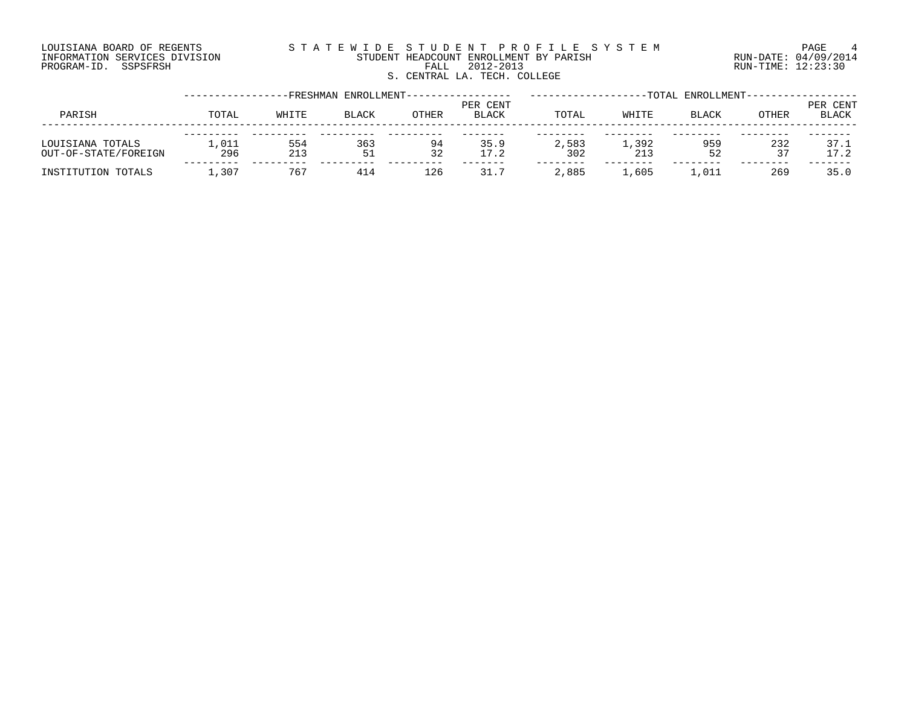#### LOUISIANA BOARD OF REGENTS S T A T E W I D E S T U D E N T P R O F I L E S Y S T E M PAGE 4 INFORMATION SERVICES DIVISION STUDENT HEADCOUNT ENROLLMENT BY PARISH RUN-DATE: 04/09/2014 DOUISIANA BOARD OF REGENTS (SIAILE WILE SIALE SICH ARE AN ITALY INFORMATION SERVICES DIVISION SILATE SIAILE WI<br>INFORMATION SERVICES DIVISION STUDENT HEADCOUNT ENROLLMENT BY PARISH (RUN-DATE: 04/09/2014<br>PROGRAM-ID. SSPSFRS S. CENTRAL LA. TECH. COLLEGE

|                                          |              |            | -FRESHMAN ENROLLMENT- |              |                          |              |              | -TOTAL ENROLLMENT- |           |                   |
|------------------------------------------|--------------|------------|-----------------------|--------------|--------------------------|--------------|--------------|--------------------|-----------|-------------------|
| PARISH                                   | TOTAL        | WHITE      | <b>BLACK</b>          | <b>OTHER</b> | PER CENT<br><b>BLACK</b> | TOTAL        | WHITE        | <b>BLACK</b>       | OTHER     | PER CENT<br>BLACK |
| LOUISIANA TOTALS<br>OUT-OF-STATE/FOREIGN | '.011<br>296 | 554<br>213 | 363<br>51             | 94<br>32     | 35.9<br>17.2             | 2,583<br>302 | 1,392<br>213 | 959<br>52          | 232<br>37 | 37.1<br>17.2      |
| INSTITUTION TOTALS                       | ⊥,307        | 767        | 414                   | 126          | 31.7                     | 2,885        | 1,605        | 1,011              | 269       | 35.0              |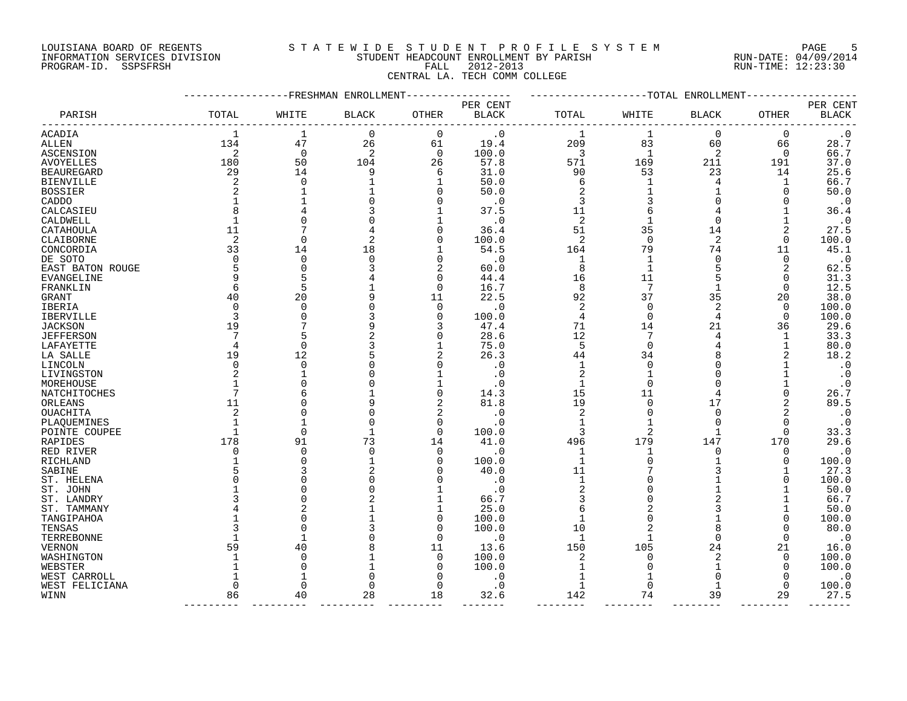### LOUISIANA BOARD OF REGENTS S T A T E W I D E S T U D E N T P R O F I L E S Y S T E M PAGE 5 INFORMATION SERVICES DIVISION STUDENT HEADCOUNT ENROLLMENT BY PARISH RUN-DATE: 04/09/2014

PARISH TOTAL WHITE BLACK OTHER BLACK TOTAL WHITE BLACK OTHER BLACK ------------------------------------------------------------------------------------------------------------------------------------ ACADIA 1 1 0 0 .0 1 1 0 0 .0

## PROGRAM-ID. SSPSFRSH FALL 2012-2013 RUN-TIME: 12:23:30 CENTRAL LA. TECH COMM COLLEGE

-----------------FRESHMAN ENROLLMENT----------------- -------------------TOTAL ENROLLMENT------------------

PER CENT PER CENT

ALLEN 134 47 26 61 19.4 209 83 60 66 28.7 ASCENSION 2 0 2 0 100.0 3 1 2 0 66.7 AVOYELLES 180 50 104 26 57.8 571 169 211 191 37.0 BEAUREGARD 29 14 9 6 31.0 90 53 23 14 25.6 BIENVILLE 2 0 1 1 50.0 6 1 4 1 66.7 BOSSIER 2 1 1 0 50.0 2 1 1 0 50.0 CADDO 1 1 0 0 .0 3 3 0 0 .0 CALCASIEU 8 4 3 1 37.5 11 6 4 1 36.4 CALDWELL 1 0 0 1 .0 2 1 0 1 .0 CATAHOULA 11 7 4 0 36.4 51 35 14 2 27.5 CLAIBORNE 2 0 2 0 100.0 2 0 2 0 100.0 CONCORDIA 33 14 18 1 54.5 164 79 74 11 45.1 DE SOTO 0 0 0 0 .0 1 1 0 0 .0 EAST BATON ROUGE 5 0 3 2 60.0 8 1 5 2 62.5 EVANGELINE 9 5 4 0 44.4 16 11 5 0 31.3 FRANKLIN 6 5 1 0 16.7 8 7 1 0 12.5 GRANT 40 20 9 11 22.5 92 37 35 20 38.0 IBERIA 0 0 0 0 .0 2 0 2 0 100.0 IBERVILLE 3 0 3 0 100.0 4 0 4 0 100.0 JACKSON 19 7 9 3 47.4 71 14 21 36 29.6 JEFFERSON 7 5 2 0 28.6 12 7 4 1 33.3 LAFAYETTE 4 0 3 1 75.0 5 0 4 1 80.0 LA SALLE 19 12 5 2 26.3 44 34 8 2 18.2 LINCOLN 0 0 0 0 .0 1 0 0 1 .0 LIVINGSTON 2 1 0 1 .0 2 1 0 1 .0 MOREHOUSE 1 0 0 1 .0 1 0 0 1 .0 NATCHITOCHES 7 6 1 0 14.3 15 11 4 0 26.7 ORLEANS 11 0 9 2 81.8 19 0 17 2 89.5 OUACHITA 2 0 0 2 .0 2 0 0 2 .0 PLAQUEMINES 1 1 0 0 .0 1 1 0 0 .0 POINTE COUPEE 1 0 1 0 100.0 3 2 1 0 33.3 RAPIDES 178 91 73 14 41.0 496 179 147 170 29.6 RED RIVER 0 0 0 0 .0 1 1 0 0 .0 RICHLAND 1 0 1 0 100.0 1 0 100.0<br>
SABINE 5 3 2 0 40.0 11 7 3 1 27.3<br>
ST. HELENA 0 0 0 0 0 0 100.0 SABINE 5 3 2 0 40.0 11 7 3 1 27.3 ST. HELENA 0 0 0 0 .0 1 0 1 0 100.0 ST.JOHN 1 0 0 1 .0 2 0 1 1 50.0 ST.LANDRY 3 0 2 1 66.7 3 0 2 1 66.7 ST. TAMMANY 4 2 1 1 25.0 6 2 3 1 50.0 TANGIPAHOA 1 0 1 0 100.0 1 0 1 0 100.0 TENSAS 3 0 3 0 100.0 10 2 8 0 80.0 TERREBONNE 1 1 0 0 .0 1 1 0 0 .0

VERNON 59 40 8 11 13.6 150 105 24 21 16.0 WASHINGTON 1 0 1 0 100.0 2 0 2 0 100.0 WEBSTER 1 0 1 0 100.0 1 0 1 0 100.0 WEST CARROLL 1 1 0 0 1 1 0 0 .0 WEST FELICIANA 0 0 0 0 .0 1 0 1 0 100.0 WINN 86 40 28 18 32.6 142 74 39 29 27.5

--------- --------- --------- --------- ------- -------- -------- -------- -------- -------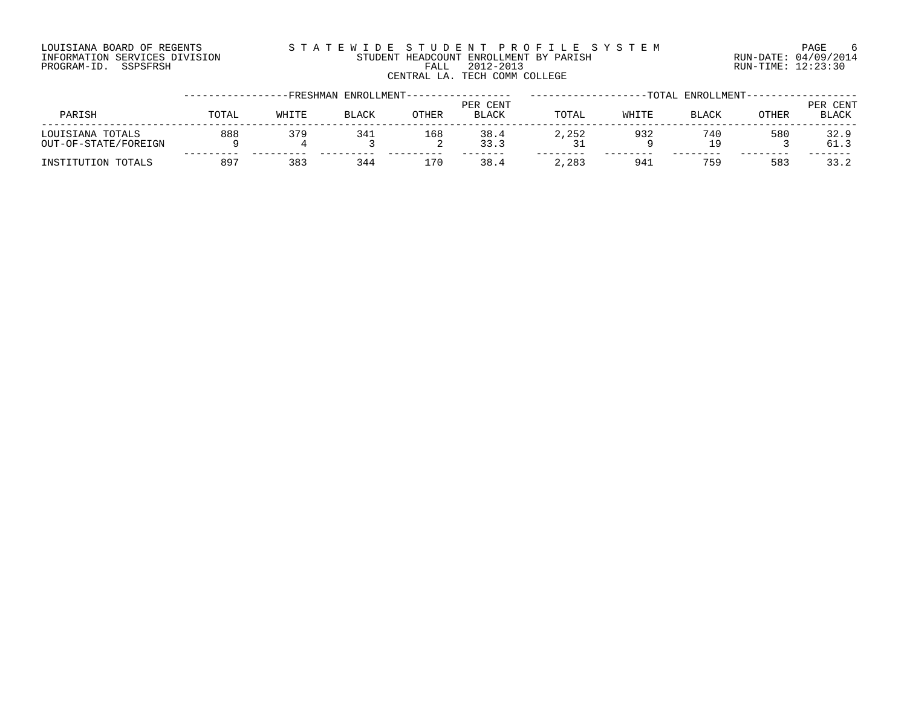#### LOUISIANA BOARD OF REGENTS S T A T E W I D E S T U D E N T P R O F I L E S Y S T E M PAGE 6 INFORMATION SERVICES DIVISION STUDENT HEADCOUNT ENROLLMENT BY PARISH RUN-DATE: 04/09/2014 PROGRAM-ID. SSPSFRSH FALL 2012-2013 RUN-TIME: 12:23:30 CENTRAL LA. TECH COMM COLLEGE

|                                          |       |       | -FRESHMAN ENROLLMENT- |              |                          |       |       | -TOTAL ENROLLMENT- |       |                          |
|------------------------------------------|-------|-------|-----------------------|--------------|--------------------------|-------|-------|--------------------|-------|--------------------------|
| PARISH                                   | TOTAL | WHITE | <b>BLACK</b>          | <b>OTHER</b> | PER CENT<br><b>BLACK</b> | TOTAL | WHITE | <b>BLACK</b>       | OTHER | PER CENT<br><b>BLACK</b> |
| LOUISIANA TOTALS<br>OUT-OF-STATE/FOREIGN | 888   | 379   | 341                   | 168<br>▵     | 38.4<br>33.3             | 2,252 | 932   | 740<br>19          | 580   | 32.9<br>61.3             |
| INSTITUTION TOTALS                       | 897   | 383   | 344                   | 170          | 38.4                     | 2,283 | 941   | 759                | 583   | 33.2                     |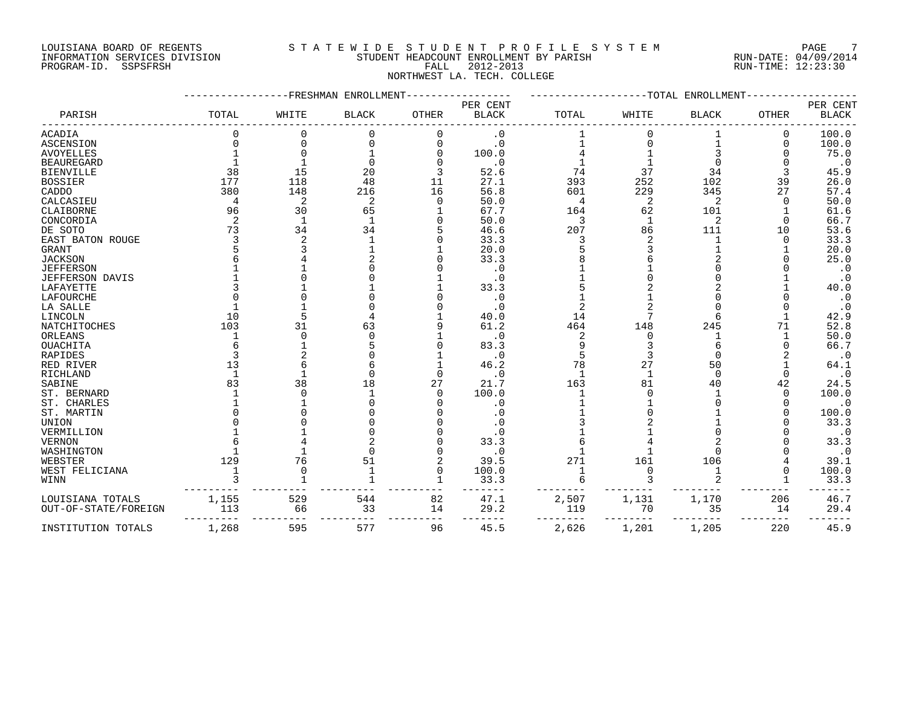#### LOUISIANA BOARD OF REGENTS S T A T E W I D E S T U D E N T P R O F I L E S Y S T E M PAGE 7 INFORMATION SERVICES DIVISION STUDENT HEADCOUNT ENROLLMENT BY PARISH RUN-DATE: 04/09/2014 PROGRAM-ID. SSPSFRSH FALL 2012-2013 RUN-TIME: 12:23:30 NORTHWEST LA. TECH. COLLEGE

#### -----------------FRESHMAN ENROLLMENT----------------- -------------------TOTAL ENROLLMENT------------------ PER CENT PER CENT PARISH TOTAL WHITE BLACK OTHER BLACK TOTAL WHITE BLACK OTHER BLACK ------------------------------------------------------------------------------------------------------------------------------------ ACADIA 0 0 0 0 .0 1 0 1 0 100.0 ASCENSION 0 0 0 0 .0 1 0 1 0 100.0 AVOYELLES 1 0 1 0 100.0 4 1 3 0 75.0 BEAUREGARD 1 1 0 0 .0 1 1 0 0 .0 BIENVILLE 38 15 20 3 52.6 74 37 34 3 45.9 BOSSIER 177 118 48 11 27.1 393 252 102 39 26.0 CADDO 380 148 216 16 56.8 601 229 345 27 57.4 CALCASIEU 4 2 2 0 50.0 4 2 2 0 50.0 CLAIBORNE 96 30 65 1 67.7 164 62 101 1 61.6 CONCORDIA 2 1 1 0 50.0 3 1 2 0 66.7 DE SOTO 73 34 34 5 46.6 207 86 111 10 53.6 EAST BATON ROUGE 3 2 1 0 33.3 3 2 1 0 33.3 GRANT 5 3 1 1 20.0 5 3 1 1 20.0 JACKSON 6 4 2 0 33.3 8 6 2 0 25.0 JEFFERSON 1 1 0 0 .0 1 1 0 0 .0 JEFFERSON DAVIS 1 0 0 1 .0 1 0 0 1 .0 LAFAYETTE 3 1 1 1 33.3 5 2 2 1 40.0 LAFOURCHE 0 0 0 0 .0 1 1 0 0 .0 LA SALLE 1 1 0 0 .0 2 2 0 0 .0 LINCOLN 10 5 4 1 40.0 14 7 6 1 42.9 NATCHITOCHES 103 31 63 9 61.2 464 148 245 71 52.8 ORLEANS 1 0 0 1 .0 2 0 1 1 50.0 OUACHITA 6 1 5 0 83.3 9 3 6 0 66.7 RAPIDES 3 2 0 1 .0 5 3 0 2 .0 RED RIVER 13 6 6 1 46.2 78 27 50 1 64.1 RICHLAND 1 1 0 0 .0 1 1 0 0 .0 SABINE 83 38 18 27 21.7 163 81 40 42 24.5 ST. BERNARD 1 0 1 0 100.0 1 0 1 0 100.0 ST. CHARLES 1 1 0 0 .0 1 1 0 0 .0 ST. MARTIN 0 0 0 0 .0 1 0 1 0 100.0 UNION 0 0 0 0 .0 3 2 1 0 33.3 VERMILLION 1 1 0 0 .0 1 1 0 0 .0 VERNON 6 4 2 0 33.3 6 4 2 0 33.3 WASHINGTON 1 1 0 0 .0 1 1 0 0 .0 WEBSTER 129 76 51 2 39.5 271 161 106 4 39.1 WEST FELICIANA 1 0 1 0 100.0 1 0 1 0 100.0 WINN 3 1 1 1 33.3 6 3 2 1 33.3 --------- --------- --------- --------- ------- -------- -------- -------- -------- ------- LOUISIANA TOTALS 1,155 529 544 82 47.1 2,507 1,131 1,170 206 46.7 OUT-OF-STATE/FOREIGN 113 66 33 14 29.2 119 70 35 14 29.4 --------- --------- --------- --------- ------- -------- -------- -------- -------- ------- INSTITUTION TOTALS 1,268 595 577 96 45.5 2,626 1,201 1,205 220 45.9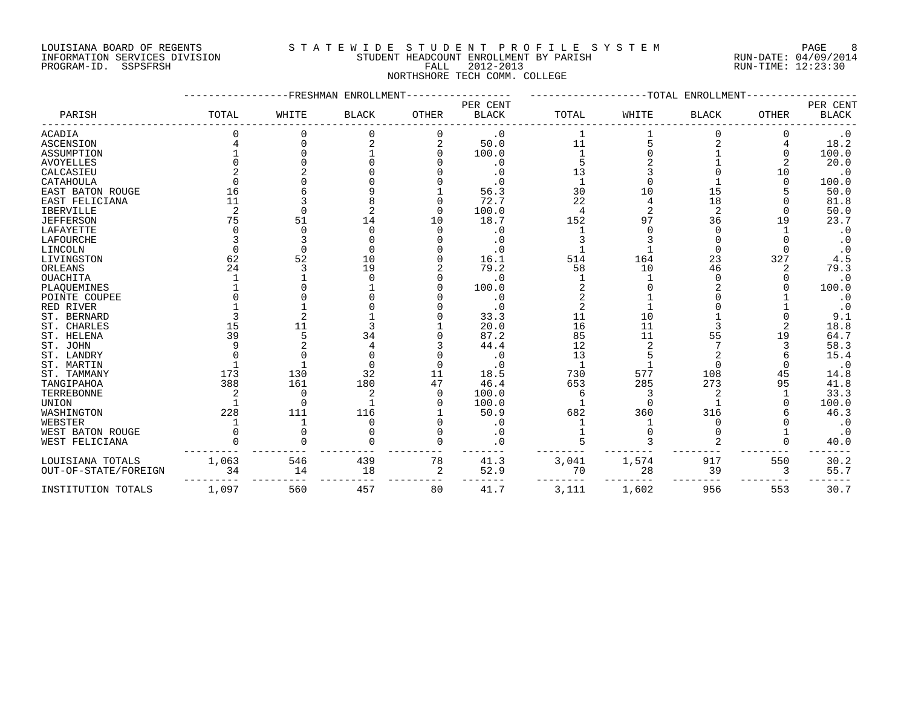#### LOUISIANA BOARD OF REGENTS S T A T E W I D E S T U D E N T P R O F I L E S Y S T E M PAGE 8 INFORMATION SERVICES DIVISION STUDENT HEADCOUNT ENROLLMENT BY PARISH RUN-DATE: 04/09/2014 PROGRAM-ID. SSPSFRSH FALL 2012-2013 RUN-TIME: 12:23:30 NORTHSHORE TECH COMM. COLLEGE

#### -----------------FRESHMAN ENROLLMENT----------------- -------------------TOTAL ENROLLMENT------------------ PER CENT PER CENT PARISH TOTAL WHITE BLACK OTHER BLACK TOTAL WHITE BLACK OTHER BLACK ------------------------------------------------------------------------------------------------------------------------------------ ACADIA 0 0 0 0 .0 1 1 0 0 .0 ASCENSION 4 0 2 2 50.0 11 5 2 4 18.2 ASSUMPTION 1 0 1 0 100.0 1 0 1 0 100.0 AVOYELLES 0 0 0 0 .0 5 2 1 2 20.0 CALCASIEU 2 2 0 0 .0 13 3 0 10 .0 CATAHOULA 0 0 0 0 .0 1 0 1 0 100.0 EAST BATON ROUGE 16 6 9 1 56.3 30 10 15 5 50.0 EAST FELICIANA 11 3 8 0 72.7 22 4 18 0 81.8 IBERVILLE 2 0 2 0 100.0 4 2 2 0 50.0 JEFFERSON 75 51 14 10 18.7 152 97 36 19 23.7 LAFAYETTE 0 0 0 0 .0 1 0 0 1 .0 LAFOURCHE 3 3 0 0 .0 3 3 0 0 .0 LINCOLN 0 0 0 0 .0 1 1 0 0 .0 LIVINGSTON 62 52 10 0 16.1 514 164 23 327 4.5 ORLEANS 24 3 19 2 79.2 58 10 46 2 79.3 OUACHITA 1 1 0 0 .0 1 1 0 0 .0 PLAQUEMINES 1 0 1 0 100.0 2 0 2 0 100.0 POINTE COUPEE 0 0 0 0 0 .0 2 1 0 1 .0<br>
RERNARD 1 1 0 0 3.3.3 2 1 0 1 .0<br>
ST. CHARLES 3 2 1 0 3.3.3 2 1 1 0 0 9.1<br>
ST. CHARLES 15 11 3 1 20.0 16 11 3 2 18.8<br>
ST. JOHN 9 2 4 3 44.4 12 2 7<br>
ST. LANDRY 0 0 0 0 0 0 0 0 1<br>
ST. L RED RIVER 1 1 0 0 .0 2 1 0 1 .0 ST. BERNARD 3 2 1 0 33.3 11 10 1 0 9.1 ST. CHARLES 15 11 3 1 20.0 16 11 3 2 18.8 ST. HELENA 39 5 34 0 87.2 85 11 55 19 64.7 ST. JOHN 9 2 4 3 44.4 12 2 7 3 58.3 ST.LANDRY 0 0 0 0 13 5 2 6 15.4 ST. MARTIN 1 1 0 0 .0 1 1 0 0 .0 ST. TAMMANY 173 130 32 11 18.5 730 577 108 45 14.8 TANGIPAHOA 388 161 180 47 46.4 653 285 273 95 41.8 TERREBONNE 2 0 2 0 100.0 6 3 2 1 33.3 UNION 1 0 1 0 100.0 1 0 1 0 100.0 WASHINGTON 228 111 116 1 50.9 682 360 316 6 46.3 WEBSTER 1 1 0 0 .0 1 1 0 0 .0 WEST BATON ROUGE 0 0 0 0 .0 1 0 0 1 .0 WEST FELICIANA 0 0 0 0 .0 5 3 2 0 40.0 --------- --------- --------- --------- ------- -------- -------- -------- -------- ------- LOUISIANA TOTALS 1,063 546 439 78 41.3 3,041 1,574 917 550 30.2 OUT-OF-STATE/FOREIGN 34 14 18 2 52.9 70 28 39 3 55.7 --------- --------- --------- --------- ------- -------- -------- -------- -------- -------

INSTITUTION TOTALS 1,097 560 457 80 41.7 3,111 1,602 956 553 30.7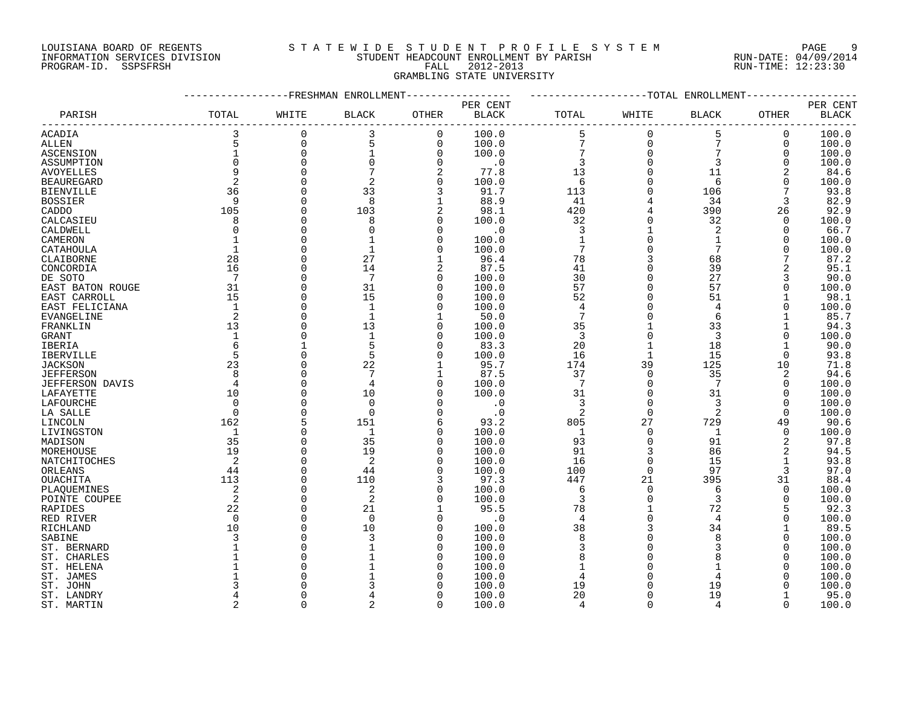### LOUISIANA BOARD OF REGENTS S T A T E W I D E S T U D E N T P R O F I L E S Y S T E M PAGE 9 INFORMATION SERVICES DIVISION STUDENT HEADCOUNT ENROLLMENT BY PARISH RUN-DATE: 04/09/2014 PROGRAM-ID. SSPSFRSH FALL 2012-2013 RUN-TIME: 12:23:30 GRAMBLING STATE UNIVERSITY

|                   |                |             | FRESHMAN ENROLLMENT |                |                |                 |              | -TOTAL ENROLLMENT |          |               |
|-------------------|----------------|-------------|---------------------|----------------|----------------|-----------------|--------------|-------------------|----------|---------------|
|                   |                |             |                     |                | PER CENT       |                 |              |                   |          | PER CENT      |
| PARISH            | TOTAL          | WHITE       | <b>BLACK</b>        | OTHER          | <b>BLACK</b>   | TOTAL           | WHITE        | BLACK             | OTHER    | <b>BLACK</b>  |
| ACADIA            | 3              | $\mathbf 0$ | 3                   | $\mathbf 0$    | 100.0          | 5               | $\mathbf 0$  | 5                 | 0        | 100.0         |
| ALLEN             | 5              | $\mathbf 0$ | 5                   | $\mathbf 0$    | 100.0          | $\overline{7}$  | $\mathbf 0$  | 7                 | 0        | 100.0         |
| ASCENSION         | $\mathbf 1$    | $\mathbf 0$ |                     | $\mathbf 0$    | 100.0          | 7               | $\mathbf 0$  | 7                 | 0        | 100.0         |
| ASSUMPTION        | $\Omega$       | $\Omega$    | $\Omega$            | $\Omega$       | $\cdot$ 0      | 3               | $\Omega$     | 3                 | $\Omega$ | 100.0         |
| <b>AVOYELLES</b>  | 9              | $\Omega$    |                     | $\overline{2}$ | 77.8           | 13              | $\Omega$     | 11                |          | 84.6          |
| <b>BEAUREGARD</b> | $\sqrt{2}$     | $\Omega$    | $\overline{a}$      | $\mathbf 0$    | 100.0          | 6               | $\Omega$     | 6                 | O        | 100.0         |
| <b>BIENVILLE</b>  | 36             | $\Omega$    | 33                  | 3              | 91.7           | 113             |              | 106               |          | 93.8          |
| <b>BOSSIER</b>    | 9              | $\Omega$    | 8                   | $\mathbf{1}$   | 88.9           | 41              |              | 34                | 3        | 82.9          |
| CADDO             | 105            | $\Omega$    | 103                 | 2              | 98.1           | 420             |              | 390               | 26       | 92.9          |
| CALCASIEU         | 8              | $\Omega$    | 8                   | $\Omega$       | 100.0          | 32              |              | 32                | $\Omega$ | 100.0         |
| CALDWELL          | $\Omega$       | $\Omega$    |                     | $\Omega$       | $\cdot$ 0      | 3               | $\mathbf{1}$ | $\overline{a}$    | $\Omega$ | 66.7          |
| CAMERON           |                | $\Omega$    |                     | $\Omega$       | 100.0          | $\mathbf{1}$    |              | $\mathbf{1}$      | $\Omega$ | 100.0         |
|                   | $\mathbf{1}$   |             |                     | $\Omega$       |                | 7               |              | 7                 |          |               |
| CATAHOULA         | 28             | $\Omega$    | 27                  | 1              | 100.0<br>96.4  | 78              |              | 68                |          | 100.0<br>87.2 |
| CLAIBORNE         |                |             |                     |                |                |                 |              |                   |          |               |
| CONCORDIA         | 16             | $\Omega$    | 14                  |                | 87.5           | 41              | $\Omega$     | 39                |          | 95.1          |
| DE SOTO           | 7              | $\Omega$    | 7                   | $\Omega$       | 100.0          | 30              | $\Omega$     | 27                | 3        | 90.0          |
| EAST BATON ROUGE  | 31             | $\Omega$    | 31                  | $\Omega$       | 100.0          | 57              | $\Omega$     | 57                | $\Omega$ | 100.0         |
| EAST CARROLL      | 15             | $\Omega$    | 15                  | $\Omega$       | 100.0          | 52              |              | 51                |          | 98.1          |
| EAST FELICIANA    | $\mathbf{1}$   | $\Omega$    | $\mathbf{1}$        | $\Omega$       | 100.0          | 4               |              | 4                 |          | 100.0         |
| <b>EVANGELINE</b> | 2              | $\Omega$    | $\mathbf{1}$        |                | 50.0           | $\overline{7}$  | $\cap$       | 6                 |          | 85.7          |
| FRANKLIN          | 13             | $\Omega$    | 13                  | $\Omega$       | 100.0          | 35              | $\mathbf{1}$ | 33                |          | 94.3          |
| GRANT             | $\mathbf 1$    | $\Omega$    |                     | $\Omega$       | 100.0          | 3               | $\Omega$     | 3                 | $\Omega$ | 100.0         |
| IBERIA            | 6              |             | 5                   | $\Omega$       | 83.3           | 20              |              | 18                |          | 90.0          |
| IBERVILLE         | 5              | $\Omega$    | 5                   | $\Omega$       | 100.0          | 16              | $\mathbf{1}$ | 15                | 0        | 93.8          |
| <b>JACKSON</b>    | 23             | $\Omega$    | 22                  |                | 95.7           | 174             | 39           | 125               | 10       | 71.8          |
| <b>JEFFERSON</b>  | 8              | $\Omega$    | 7                   |                | 87.5           | 37              | $\mathbf 0$  | 35                | 2        | 94.6          |
| JEFFERSON DAVIS   | $\overline{4}$ | $\Omega$    | 4                   | 0              | 100.0          | $7\phantom{.0}$ | $\mathbf 0$  | 7                 | $\Omega$ | 100.0         |
| LAFAYETTE         | 10             | $\Omega$    | 10                  | $\Omega$       | 100.0          | 31              | $\Omega$     | 31                | $\Omega$ | 100.0         |
| LAFOURCHE         | $\Omega$       | ∩           | $\Omega$            | ∩              | $\cdot$ 0      | 3               | $\Omega$     | 3                 | $\Omega$ | 100.0         |
| LA SALLE          | $\Omega$       | $\Omega$    | $\Omega$            | $\Omega$       | $\cdot$ 0      | 2               | $\Omega$     | 2                 | $\Omega$ | 100.0         |
| LINCOLN           | 162            |             | 151                 | 6              | 93.2           | 805             | 27           | 729               | 49       | 90.6          |
| LIVINGSTON        | 1              | $\Omega$    | $\mathbf{1}$        | $\Omega$       | 100.0          | $\mathbf{1}$    | $\Omega$     | 1                 | $\Omega$ | 100.0         |
| MADISON           | 35             | $\Omega$    | 35                  | $\Omega$       | 100.0          | 93              | $\mathbf 0$  | 91                |          | 97.8          |
| MOREHOUSE         | 19             | $\Omega$    | 19                  | $\Omega$       | 100.0          | 91              | 3            | 86                | 2        | 94.5          |
| NATCHITOCHES      | 2              | $\Omega$    | 2                   | $\Omega$       | 100.0          | 16              | $\Omega$     | 15                |          | 93.8          |
| ORLEANS           | 44             | $\Omega$    | 44                  | $\Omega$       | 100.0          | 100             | $\mathbf 0$  | 97                | 3        | 97.0          |
| OUACHITA          | 113            | $\Omega$    | 110                 | 3              | 97.3           | 447             | 21           | 395               | 31       | 88.4          |
| PLAQUEMINES       | 2              | $\Omega$    | 2                   | $\Omega$       | 100.0          | 6               | $\Omega$     | 6                 | $\Omega$ | 100.0         |
| POINTE COUPEE     | 2              | $\Omega$    | 2                   | $\Omega$       | 100.0          | 3               | $\Omega$     | 3                 | $\Omega$ | 100.0         |
| RAPIDES           | 22             | $\Omega$    | 21                  |                | 95.5           | 78              | $\mathbf{1}$ | 72                | 5        | 92.3          |
| RED RIVER         | $\Omega$       | $\Omega$    | $\Omega$            | $\Omega$       | $\cdot$ 0      | 4               | $\Omega$     | 4                 | $\Omega$ | 100.0         |
| RICHLAND          | 10             | $\Omega$    | 10                  | 0              | 100.0          | 38              |              | 34                |          | 89.5          |
| SABINE            | 3              | $\cap$      | 3                   | $\Omega$       | 100.0          | 8               | $\Omega$     | 8                 | $\Omega$ | 100.0         |
| ST. BERNARD       |                | $\Omega$    |                     | $\Omega$       | 100.0          | 3               | $\Omega$     | 3                 | $\Omega$ | 100.0         |
| ST. CHARLES       |                |             |                     | $\Omega$       | 100.0          | 8               |              | 8                 | O        | 100.0         |
| ST. HELENA        |                |             |                     | $\Omega$       | 100.0          |                 |              |                   |          | 100.0         |
| ST. JAMES         |                |             |                     | $\Omega$       | 100.0          |                 |              | 4                 |          | 100.0         |
|                   |                |             |                     |                |                | 19              |              | 19                |          | 100.0         |
| ST. JOHN          |                | ∩           |                     | $\Omega$       | 100.0<br>100.0 | 20              | $\Omega$     | 19                |          | 95.0          |
| ST. LANDRY        | 2              | $\Omega$    | $\mathfrak{D}$      | $\Omega$       |                | $\overline{4}$  | $\cap$       | 4                 | $\cap$   |               |
| ST. MARTIN        |                |             |                     |                | 100.0          |                 |              |                   |          | 100.0         |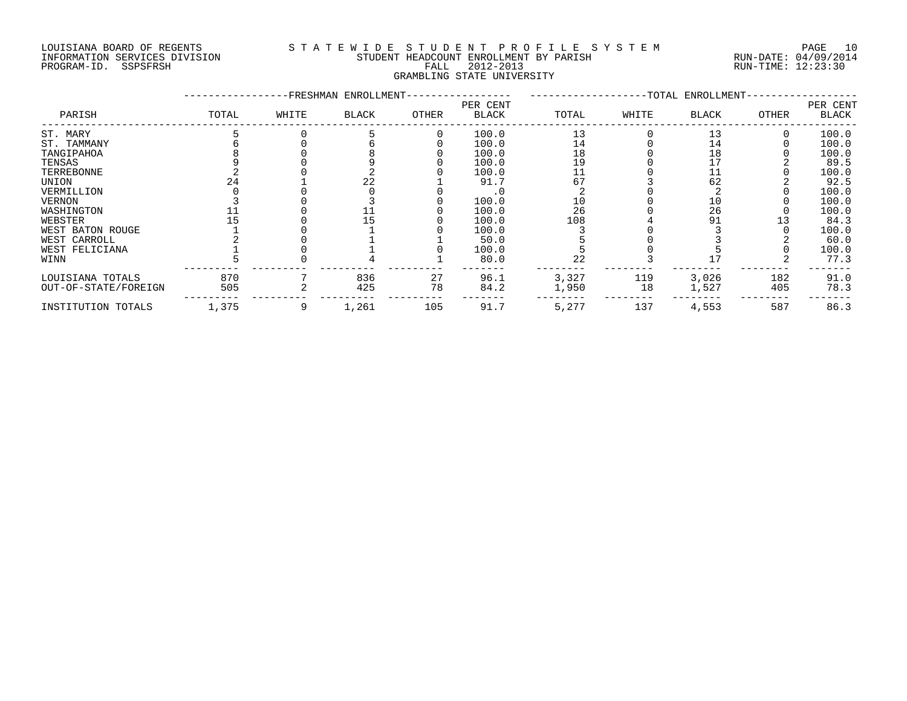#### LOUISIANA BOARD OF REGENTS S T A T E W I D E S T U D E N T P R O F I L E S Y S T E M PAGE 10 INFORMATION SERVICES DIVISION STUDENT HEADCOUNT ENROLLMENT BY PARISH RUN-DATE: 04/09/2014 PROGRAM-ID. SSPSFRSH FALL 2012-2013 RUN-TIME: 12:23:30 GRAMBLING STATE UNIVERSITY

|                      |       |       | -FRESHMAN ENROLLMENT- |              |                          |       |       | -TOTAL ENROLLMENT- |       |                   |
|----------------------|-------|-------|-----------------------|--------------|--------------------------|-------|-------|--------------------|-------|-------------------|
| PARISH               | TOTAL | WHITE | <b>BLACK</b>          | <b>OTHER</b> | PER CENT<br><b>BLACK</b> | TOTAL | WHITE | <b>BLACK</b>       | OTHER | PER CENT<br>BLACK |
| ST. MARY             |       |       |                       |              | 100.0                    | 13    |       | 13                 |       | 100.0             |
| ST. TAMMANY          |       |       |                       |              | 100.0                    | 14    |       | 14                 |       | 100.0             |
| TANGIPAHOA           |       |       |                       |              | 100.0                    | 18    |       | 18                 |       | 100.0             |
| TENSAS               |       |       |                       |              | 100.0                    | 19    |       | 17                 |       | 89.5              |
| TERREBONNE           |       |       |                       |              | 100.0                    |       |       |                    |       | 100.0             |
| UNION                |       |       | 22                    |              | 91.7                     | 67    |       | 62                 |       | 92.5              |
| VERMILLION           |       |       |                       |              |                          |       |       |                    |       | 100.0             |
| VERNON               |       |       |                       |              | 100.0                    | 10    |       | 10                 |       | 100.0             |
| WASHINGTON           |       |       |                       |              | 100.0                    | 26    |       | 26                 |       | 100.0             |
| WEBSTER              |       |       | 15.                   |              | 100.0                    | 108   |       | 91                 |       | 84.3              |
| WEST BATON ROUGE     |       |       |                       |              | 100.0                    |       |       |                    |       | 100.0             |
| WEST CARROLL         |       |       |                       |              | 50.0                     |       |       |                    |       | 60.0              |
| WEST FELICIANA       |       |       |                       |              | 100.0                    |       |       |                    |       | 100.0             |
| WINN                 |       |       |                       |              | 80.0                     | 22    |       |                    |       | 77.3              |
| LOUISIANA TOTALS     | 870   |       | 836                   | 27           | 96.1                     | 3,327 | 119   | 3,026              | 182   | 91.0              |
| OUT-OF-STATE/FOREIGN | 505   |       | 425                   | 78           | 84.2                     | 1,950 | 18    | 1,527              | 405   | 78.3              |
| INSTITUTION TOTALS   | 1,375 |       | 1,261                 | 105          | 91.7                     | 5,277 | 137   | 4,553              | 587   | 86.3              |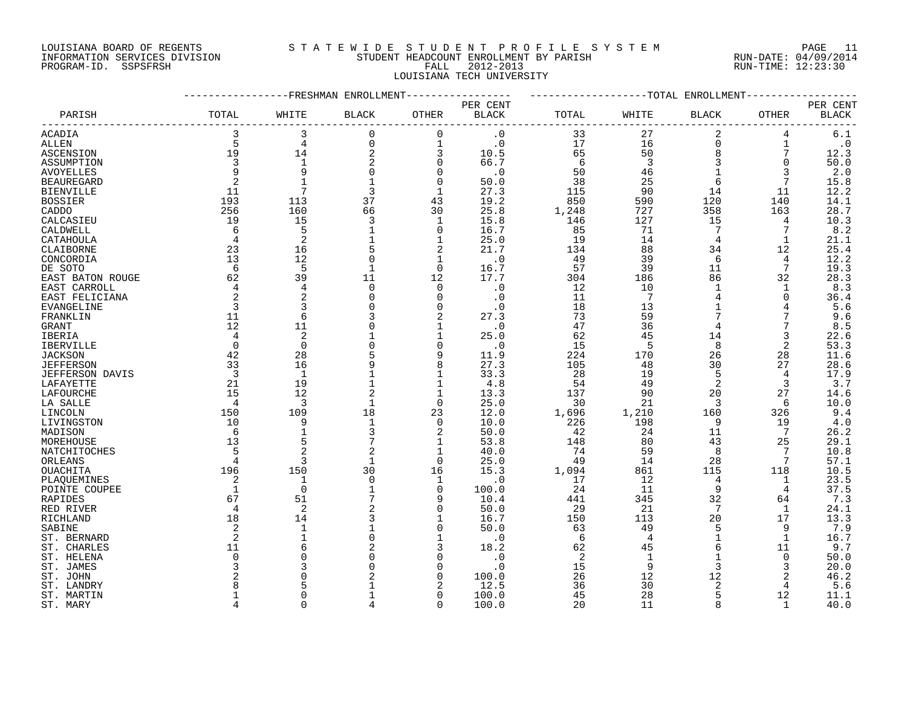### LOUISIANA BOARD OF REGENTS S T A T E W I D E S T U D E N T P R O F I L E S Y S T E M PAGE 11 INFORMATION SERVICES DIVISION STUDENT HEADCOUNT ENROLLMENT BY PARISH RUN-DATE: 04/09/2014 PROGRAM-ID. SSPSFRSH FALL 2012-2013 RUN-TIME: 12:23:30 LOUISIANA TECH UNIVERSITY

|                              |                     |                     | -----------FRESHMAN ENROLLMENT |                |              | -------------------TOTAL ENROLLMENT- |                 |                 |                |                        |
|------------------------------|---------------------|---------------------|--------------------------------|----------------|--------------|--------------------------------------|-----------------|-----------------|----------------|------------------------|
|                              |                     |                     |                                |                | PER CENT     |                                      |                 |                 |                | PER CENT               |
| PARISH                       | TOTAL               | WHITE               | BLACK                          | OTHER          | <b>BLACK</b> | TOTAL                                | WHITE           | <b>BLACK</b>    | OTHER          | $\operatorname{BLACK}$ |
| ACADIA                       | 3                   | 3                   | $\mathbf 0$                    | $\mathbf 0$    | $\cdot$ 0    | 33                                   | 27              | 2               | 4              | $6.1$                  |
| ALLEN                        | 5                   | $\overline{4}$      | $\mathbf 0$                    | $\mathbf 1$    | $\cdot$ 0    | 17                                   | 16              | $\mathbf 0$     | $\mathbf 1$    | $\cdot$ 0              |
| ASCENSION                    | 19                  | 14                  | $\overline{\mathbf{c}}$        | 3              | 10.5         | 65                                   | 50              | 8               | 7              | 12.3                   |
| ASSUMPTION                   | 3                   | 1                   | 2                              | 0              | 66.7         | -6                                   | $\overline{3}$  | 3               | $\mathbf 0$    | 50.0                   |
| <b>AVOYELLES</b>             | 9                   | 9                   | $\Omega$                       | $\Omega$       | $\cdot$ 0    | 50                                   | 46              |                 | 3              | 2.0                    |
| <b>BEAUREGARD</b>            | 2                   | $\mathbf{1}$        |                                | $\mathbf 0$    | 50.0         | 38                                   | 25              | 6               | 7              | 15.8                   |
| <b>BIENVILLE</b>             | 11                  | 7                   | 3                              | $\mathbf 1$    | 27.3         | 115                                  | 90              | 14              | 11             | 12.2                   |
| <b>BOSSIER</b>               | 193                 | 113                 | 37                             | 43             | 19.2         | 850                                  | 590             | 120             | 140            | 14.1                   |
| CADDO                        | 256                 | 160                 | 66                             | 30             | 25.8         | 1,248                                | 727             | 358             | 163            | 28.7                   |
| CALCASIEU                    | 19                  | 15                  | 3                              | $\mathbf 1$    | 15.8         | 146                                  | 127             | 15              | 4              | 10.3                   |
| CALDWELL                     | 6                   | 5                   |                                | 0              | 16.7         | 85                                   | 71              | 7               | 7              | 8.2                    |
| CATAHOULA                    | $\overline{4}$      | $\overline{2}$      |                                | 1              | 25.0         | 19                                   | 14              | 4               | 1              | 21.1                   |
| CLAIBORNE                    | 23                  | 16                  |                                | $\overline{2}$ | 21.7         | 134                                  | 88              | 34              | 12             | 25.4                   |
| CONCORDIA                    | 13                  | 12                  |                                | 1              | $\cdot$ 0    | 49                                   | 39              | 6               | 4              | 12.2                   |
| DE SOTO                      | 6                   | 5                   |                                | $\Omega$       | 16.7         | 57                                   | 39              | 11              | 7              | 19.3                   |
| EAST BATON ROUGE             | 62                  | 39                  | 11                             | 12             | 17.7         | 304                                  | 186             | 86              | 32             | 28.3                   |
| EAST CARROLL                 | 4                   | 4                   | $\mathbf 0$                    | $\mathbf 0$    | $\cdot$ 0    | 12                                   | 10              | 1               | 1              | 8.3                    |
| EAST FELICIANA               | 2                   | $\overline{2}$      | $\Omega$                       | 0              | $\cdot$ 0    | 11                                   | $7\phantom{.0}$ | 4               | 0              | 36.4                   |
| EVANGELINE                   | $\overline{3}$      | 3                   |                                | $\mathbf 0$    | . 0          | 18                                   | 13              |                 |                | 5.6                    |
| FRANKLIN                     | 11                  | 6                   |                                |                | 27.3         | 73                                   | 59              | 7               |                | 9.6                    |
| GRANT                        | 12                  | 11                  |                                | $\mathbf 1$    | $\cdot$ 0    | 47                                   | 36              | 4               |                | 8.5                    |
| IBERIA                       | 4                   | $\overline{2}$      |                                | 1              | 25.0         | 62                                   | 45              | 14              | 3              | 22.6                   |
| <b>IBERVILLE</b>             | $\Omega$            | $\Omega$            |                                | $\Omega$       | $\cdot$ 0    | 15                                   | 5               | 8               | $\overline{2}$ | 53.3                   |
| JACKSON                      | 42                  | 28                  | 5                              | 9              | 11.9         | 224                                  | 170             | 26              | 28             | 11.6                   |
| <b>JEFFERSON</b>             | 33                  | 16                  |                                | 8              | 27.3         | 105                                  | 48              | 30              | 27             | 28.6                   |
| <b>JEFFERSON DAVIS</b>       | $\overline{3}$      | $\mathbf{1}$        |                                | $\mathbf 1$    | 33.3         | 28                                   | 19              | 5               | 4              | 17.9                   |
| LAFAYETTE                    | 21                  | 19                  |                                | $\mathbf 1$    | 4.8          | 54                                   | 49              | 2               | 3              | 3.7                    |
| LAFOURCHE                    | 15                  | 12                  | 2                              | $\mathbf 1$    | 13.3         | 137                                  | 90              | 20              | 27             | 14.6                   |
| LA SALLE                     | $\overline{4}$      | 3                   | $\mathbf{1}$                   | $\mathbf 0$    | 25.0         | 30                                   | 21              | 3               | 6              | 10.0                   |
| LINCOLN                      | 150                 | 109                 | 18                             | 23             | 12.0         | 1,696                                | 1,210           | 160             | 326            | 9.4                    |
| LIVINGSTON                   | 10                  | 9                   | 1                              | $\mathbf 0$    | 10.0         | 226                                  | 198             | 9               | 19             | 4.0                    |
| MADISON                      | 6                   | $\mathbf{1}$        | 3                              | 2              | 50.0         | 42                                   | 24              | 11              | 7              | 26.2                   |
| MOREHOUSE                    | 13                  | 5                   |                                | 1              | 53.8         | 148                                  | 80              | 43              | 25             | 29.1                   |
| NATCHITOCHES                 | 5<br>$\overline{4}$ | $\overline{c}$<br>3 |                                | 1              | 40.0         | 74                                   | 59              | 8               | 7<br>7         | 10.8                   |
| ORLEANS                      | 196                 | 150                 | $\mathbf{1}$<br>30             | $\Omega$<br>16 | 25.0<br>15.3 | 49<br>1,094                          | 14<br>861       | 28<br>115       | 118            | 57.1<br>10.5           |
| OUACHITA                     | 2                   | $\mathbf{1}$        | $\mathbf 0$                    | $\mathbf 1$    | $\cdot$ 0    | 17                                   | 12              | 4               |                | 23.5                   |
| PLAQUEMINES<br>POINTE COUPEE | 1                   | $\mathbf 0$         |                                | 0              | 100.0        | 24                                   | 11              | 9               | 1<br>4         | 37.5                   |
| RAPIDES                      | 67                  | 51                  |                                | 9              | 10.4         | 441                                  | 345             | 32              | 64             | 7.3                    |
| RED RIVER                    | 4                   | 2                   |                                | $\Omega$       | 50.0         | 29                                   | 21              | $7\phantom{.0}$ | 1              | 24.1                   |
| RICHLAND                     | 18                  | 14                  |                                | $\mathbf 1$    | 16.7         | 150                                  | 113             | 20              | 17             | 13.3                   |
| SABINE                       | 2                   | $\mathbf{1}$        |                                | 0              | 50.0         | 63                                   | 49              | 5               | 9              | 7.9                    |
| ST. BERNARD                  | 2                   |                     | $\Omega$                       | $\mathbf{1}$   | $\cdot$ 0    | 6                                    | $\overline{4}$  | $\mathbf{1}$    | $\mathbf{1}$   | 16.7                   |
| ST. CHARLES                  | 11                  |                     |                                | 3              | 18.2         | 62                                   | 45              | 6               | 11             | 9.7                    |
| ST. HELENA                   | 0                   |                     |                                | 0              | . 0          | 2                                    | 1               |                 | 0              | 50.0                   |
| ST. JAMES                    | 3                   |                     |                                | $\Omega$       | $\cdot$ 0    | 15                                   | 9               | 3               | 3              | 20.0                   |
| ST. JOHN                     |                     |                     |                                | $\Omega$       | 100.0        | 26                                   | 12              | 12              | 2              | 46.2                   |
| ST. LANDRY                   |                     |                     |                                |                | 12.5         | 36                                   | 30              | 2               | 4              | 5.6                    |
| ST. MARTIN                   | 1                   | ∩                   |                                | $\Omega$       | 100.0        | 45                                   | 28              | 5               | 12             | 11.1                   |
| ST. MARY                     | 4                   | $\Omega$            |                                | $\Omega$       | 100.0        | 20                                   | 11              | 8               | $\mathbf{1}$   | 40.0                   |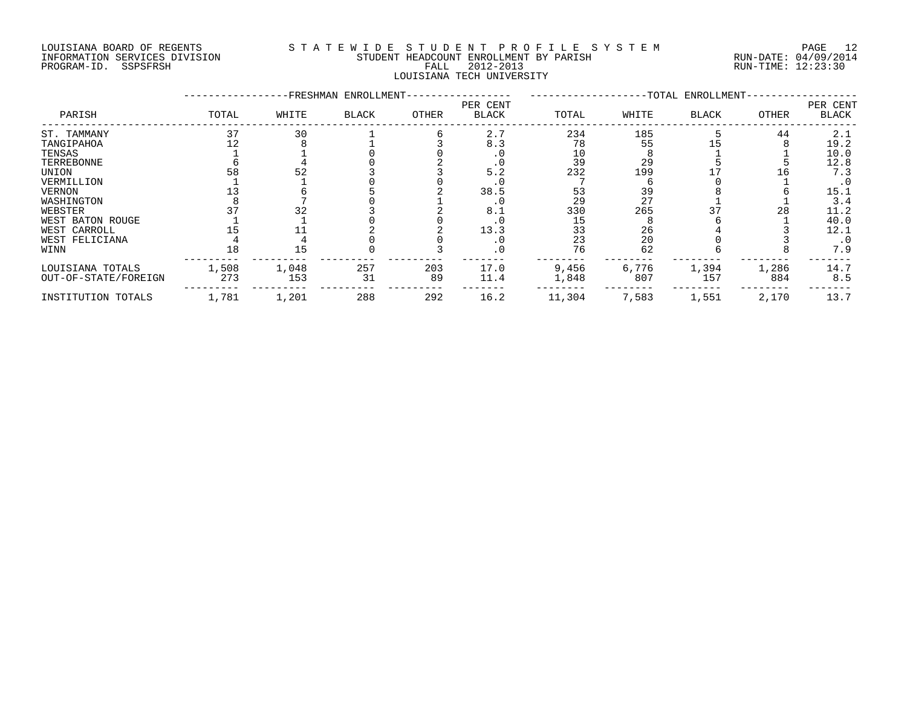#### LOUISIANA BOARD OF REGENTS S T A T E W I D E S T U D E N T P R O F I L E S Y S T E M PAGE 12 INFORMATION SERVICES DIVISION STUDENT HEADCOUNT ENROLLMENT BY PARISH RUN-DATE: 04/09/2014 PROGRAM-ID. SSPSFRSH FALL 2012-2013 RUN-TIME: 12:23:30 LOUISIANA TECH UNIVERSITY

|                      |       |       | -FRESHMAN ENROLLMENT- |           |                          |        |       | -TOTAL ENROLLMENT- |       |                          |
|----------------------|-------|-------|-----------------------|-----------|--------------------------|--------|-------|--------------------|-------|--------------------------|
| PARISH               | TOTAL | WHITE | <b>BLACK</b>          | OTHER     | PER CENT<br><b>BLACK</b> | TOTAL  | WHITE | <b>BLACK</b>       | OTHER | PER CENT<br><b>BLACK</b> |
| ST. TAMMANY          | 37    | 30    |                       |           | 2.7                      | 234    | 185   |                    | 44    | 2.1                      |
| TANGIPAHOA           |       |       |                       |           | 8.3                      | 78     | 55    |                    |       | 19.2                     |
| TENSAS               |       |       |                       |           |                          | 10     |       |                    |       | 10.0                     |
| TERREBONNE           |       |       |                       |           | . 0                      | 39     | 29    |                    |       | 12.8                     |
| UNION                | 58    | 52    |                       |           | 5.2                      | 232    | 199   |                    |       | 7.3                      |
| VERMILLION           |       |       |                       |           | . 0                      |        |       |                    |       | . 0                      |
| <b>VERNON</b>        |       |       |                       |           | 38.5                     | 53     | 39    |                    |       | 15.1                     |
| WASHINGTON           |       |       |                       |           | . 0                      | 29     | 27    |                    |       | 3.4                      |
| WEBSTER              |       | 32    |                       |           | 8.1                      | 330    | 265   |                    | 28    | 11.2                     |
| WEST BATON ROUGE     |       |       |                       |           |                          | 15     |       |                    |       | 40.0                     |
| WEST CARROLL         |       |       |                       |           | 13.3                     | 33     | 26    |                    |       | 12.1                     |
| WEST FELICIANA       |       |       |                       |           | . 0                      | 23     | 20    |                    |       | $\cdot$ 0                |
| WINN                 | 18    | 15    |                       |           | . 0                      | 76     | 62    |                    |       | 7.9                      |
| LOUISIANA TOTALS     | 1,508 | 1,048 | 257<br>31             | 203<br>89 | 17.0<br>11.4             | 9,456  | 6,776 | 1,394              | 1,286 | 14.7                     |
| OUT-OF-STATE/FOREIGN | 273   | 153   |                       |           |                          | 1,848  | 807   | 157                | 884   | 8.5                      |
| INSTITUTION TOTALS   | 1,781 | 1,201 | 288                   | 292       | 16.2                     | 11,304 | 7,583 | 1,551              | 2,170 | 13.7                     |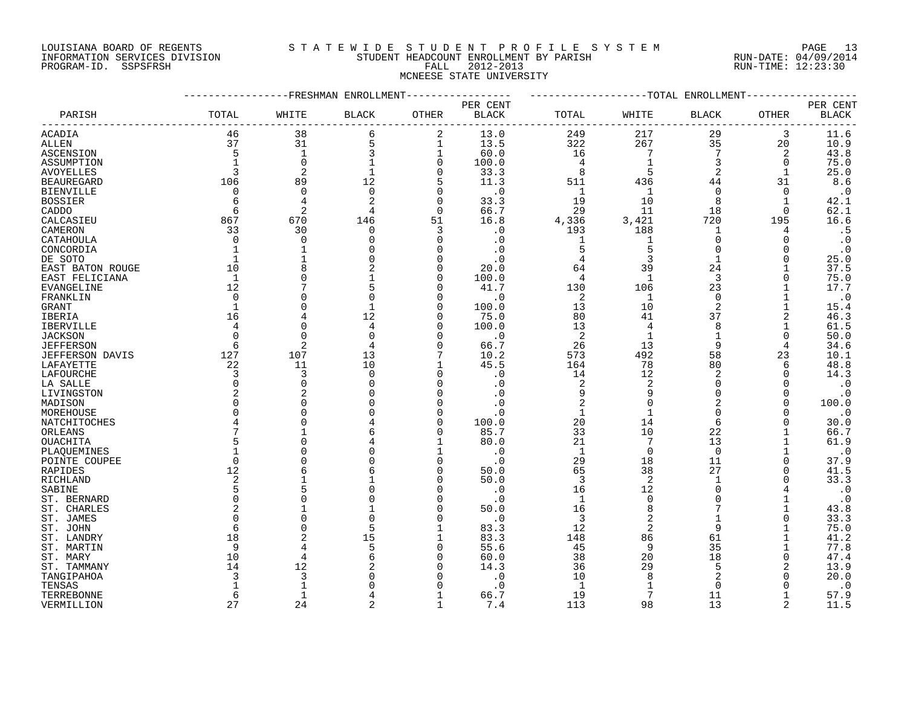### LOUISIANA BOARD OF REGENTS S T A T E W I D E S T U D E N T P R O F I L E S Y S T E M PAGE 13 INFORMATION SERVICES DIVISION STUDENT HEADCOUNT ENROLLMENT BY PARISH RUN-DATE: 04/09/2014 PROGRAM-ID. SSPSFRSH FALL 2012-2013 RUN-TIME: 12:23:30 MCNEESE STATE UNIVERSITY

|                   |                |                | -----------FRESHMAN ENROLLMENT |               |              | -------------------TOTAL ENROLLMENT |                         |                |              |              |
|-------------------|----------------|----------------|--------------------------------|---------------|--------------|-------------------------------------|-------------------------|----------------|--------------|--------------|
|                   |                |                |                                |               | PER CENT     |                                     |                         |                |              | PER CENT     |
| PARISH            | TOTAL          | WHITE          | <b>BLACK</b>                   | <b>OTHER</b>  | <b>BLACK</b> | TOTAL                               | WHITE                   | <b>BLACK</b>   | OTHER        | <b>BLACK</b> |
| ACADIA            | 46             | 38             | 6                              | 2             | 13.0         | 249                                 | 217                     | 29             | 3            | 11.6         |
| ALLEN             | 37             | 31             | 5                              | 1             | 13.5         | 322                                 | 267                     | 35             | 20           | 10.9         |
| ASCENSION         | 5              | 1              | 3                              | 1             | 60.0         | 16                                  | 7                       | 7              | 2            | 43.8         |
| ASSUMPTION        |                | $\Omega$       |                                | $\mathbf 0$   | 100.0        | $\overline{4}$                      | -1                      | 3              | $\Omega$     | 75.0         |
| <b>AVOYELLES</b>  | 3              | $\overline{2}$ | $\mathbf{1}$                   | $\Omega$      | 33.3         | 8                                   |                         | $\overline{2}$ | $\mathbf{1}$ | 25.0         |
| <b>BEAUREGARD</b> | 106            | 89             | 12                             | 5             | 11.3         | 511                                 | 436                     | 44             | 31           | 8.6          |
| <b>BIENVILLE</b>  | 0              | $\Omega$       | $\Omega$                       | 0             | $\cdot$ 0    | -1                                  | -1                      | $\Omega$       | $\Omega$     | $\cdot$ 0    |
| <b>BOSSIER</b>    | 6              | $\overline{4}$ | $\overline{2}$                 | $\Omega$      | 33.3         | 19                                  | 10                      | 8              | $\mathbf{1}$ | 42.1         |
| CADDO             | 6              | $\overline{2}$ |                                | $\mathbf 0$   | 66.7         | 29                                  | 11                      | 18             | $\Omega$     | 62.1         |
| CALCASIEU         | 867            | 670            | 146                            | 51            | 16.8         |                                     | 3,421                   | 720            | 195          | 16.6         |
|                   |                |                |                                |               |              | 4,336                               |                         |                |              |              |
| CAMERON           | 33<br>$\Omega$ | 30<br>$\cap$   | 0                              | 3<br>$\Omega$ | . 0          | 193                                 | 188                     | 1<br>$\Omega$  | 4            | .5           |
| CATAHOULA         |                |                |                                |               | . 0          | 1                                   | 1                       |                | $\Omega$     | $\cdot$ 0    |
| CONCORDIA         |                |                |                                | $\Omega$      | $\cdot$ 0    | 5                                   | 5                       | $\Omega$       |              | $\cdot$ 0    |
| DE SOTO           |                |                |                                | $\Omega$      | . 0          | $\overline{4}$                      | 3                       | $\mathbf{1}$   | $\Omega$     | 25.0         |
| EAST BATON ROUGE  | 10             |                |                                | $\Omega$      | 20.0         | 64                                  | 39                      | 24             |              | 37.5         |
| EAST FELICIANA    | $\mathbf{1}$   |                |                                | $\Omega$      | 100.0        | 4                                   | 1                       | 3              |              | 75.0         |
| EVANGELINE        | 12             |                |                                | $\Omega$      | 41.7         | 130                                 | 106                     | 23             |              | 17.7         |
| FRANKLIN          | $\Omega$       |                |                                | $\Omega$      | $\cdot$ 0    | 2                                   | -1                      | $\Omega$       |              | $\cdot$ 0    |
| GRANT             |                |                |                                | $\Omega$      | 100.0        | 13                                  | 10                      | 2              |              | 15.4         |
| IBERIA            | 16             |                | 12                             | $\Omega$      | 75.0         | 80                                  | 41                      | 37             | 2            | 46.3         |
| IBERVILLE         | 4              |                |                                | $\Omega$      | 100.0        | 13                                  | 4                       | 8              |              | 61.5         |
| <b>JACKSON</b>    |                |                |                                | $\Omega$      | $\cdot$ 0    | 2                                   | -1                      |                | $\Omega$     | 50.0         |
| <b>JEFFERSON</b>  | 6              | 2              |                                | $\Omega$      | 66.7         | 26                                  | 13                      | 9              |              | 34.6         |
| JEFFERSON DAVIS   | 127            | 107            | 13                             | 7             | 10.2         | 573                                 | 492                     | 58             | 23           | 10.1         |
| LAFAYETTE         | 22             | 11             | 10                             |               | 45.5         | 164                                 | 78                      | 80             | 6            | 48.8         |
| LAFOURCHE         | 3              | 3              | $\Omega$                       | $\Omega$      | $\cdot$ 0    | 14                                  | 12                      | $\overline{2}$ | $\Omega$     | 14.3         |
| LA SALLE          | $\Omega$       |                |                                | $\mathbf 0$   | . 0          | $\overline{2}$                      | 2                       | $\Omega$       |              | $\cdot$ 0    |
| LIVINGSTON        |                |                |                                | $\Omega$      |              |                                     |                         | $\Omega$       | $\Omega$     | $\cdot$ 0    |
| MADISON           |                |                |                                | $\Omega$      | . 0          | $\overline{2}$                      |                         | 2              | ∩            | 100.0        |
| MOREHOUSE         |                |                |                                | $\Omega$      | . 0          | $\mathbf{1}$                        | $\mathbf{1}$            | ∩              |              | $\cdot$ 0    |
|                   |                |                |                                | $\Omega$      | 100.0        | 20                                  | 14                      | 6              |              | 30.0         |
| NATCHITOCHES      |                |                |                                | $\Omega$      | 85.7         | 33                                  | 10                      | 22             |              |              |
| ORLEANS           |                |                |                                |               |              |                                     |                         |                |              | 66.7         |
| OUACHITA          |                |                |                                |               | 80.0         | 21                                  | 7                       | 13             |              | 61.9         |
| PLAQUEMINES       |                |                |                                |               | . 0          | $\mathbf{1}$                        | $\Omega$                | $\Omega$       |              | $\cdot$ 0    |
| POINTE COUPEE     | ∩              |                |                                | $\Omega$      | $\cdot$ 0    | 29                                  | 18                      | 11             | $\Omega$     | 37.9         |
| RAPIDES           | 12             |                |                                | $\Omega$      | 50.0         | 65                                  | 38                      | 27             | $\Omega$     | 41.5         |
| RICHLAND          | 2              |                |                                | $\Omega$      | 50.0         | 3                                   | 2                       | $\mathbf 1$    | 0            | 33.3         |
| SABINE            |                |                |                                | <sup>0</sup>  | $\cdot$ 0    | 16                                  | 12                      | ∩              |              | $\cdot$ 0    |
| ST. BERNARD       | $\Omega$       |                |                                | $\Omega$      | $\cdot$ 0    | 1                                   | $\Omega$                | $\Omega$       |              | $\cdot$ 0    |
| ST. CHARLES       |                |                |                                | $\Omega$      | 50.0         | 16                                  |                         |                |              | 43.8         |
| ST. JAMES         |                |                |                                | $\Omega$      | $\cdot$ 0    | 3                                   | 2                       |                |              | 33.3         |
| ST. JOHN          | 6              |                | 5                              | 1             | 83.3         | 12                                  | $\overline{\mathbf{c}}$ | 9              |              | 75.0         |
| ST. LANDRY        | 18             |                | 15                             | 1             | 83.3         | 148                                 | 86                      | 61             |              | 41.2         |
| ST. MARTIN        | 9              |                |                                | 0             | 55.6         | 45                                  | 9                       | 35             |              | 77.8         |
| ST. MARY          | 10             |                |                                | $\Omega$      | 60.0         | 38                                  | 20                      | 18             | $\Omega$     | 47.4         |
| ST. TAMMANY       | 14             | 12             |                                | $\Omega$      | 14.3         | 36                                  | 29                      | 5              | 2            | 13.9         |
| TANGIPAHOA        |                | 3              |                                | <sup>0</sup>  | . 0          | 10                                  |                         |                |              | 20.0         |
| TENSAS            |                | $\mathbf{1}$   |                                | $\Omega$      | $\cdot$ 0    | $\mathbf{1}$                        |                         | $\Omega$       |              | $\cdot$ 0    |
| TERREBONNE        | 6              | $\mathbf{1}$   |                                |               | 66.7         | 19                                  |                         | 11             |              | 57.9         |
|                   |                |                |                                | $\mathbf{1}$  |              |                                     |                         |                |              |              |
| VERMILLION        | 27             | 24             | $\mathfrak{D}$                 |               | 7.4          | 113                                 | 98                      | 13             | 2            | 11.5         |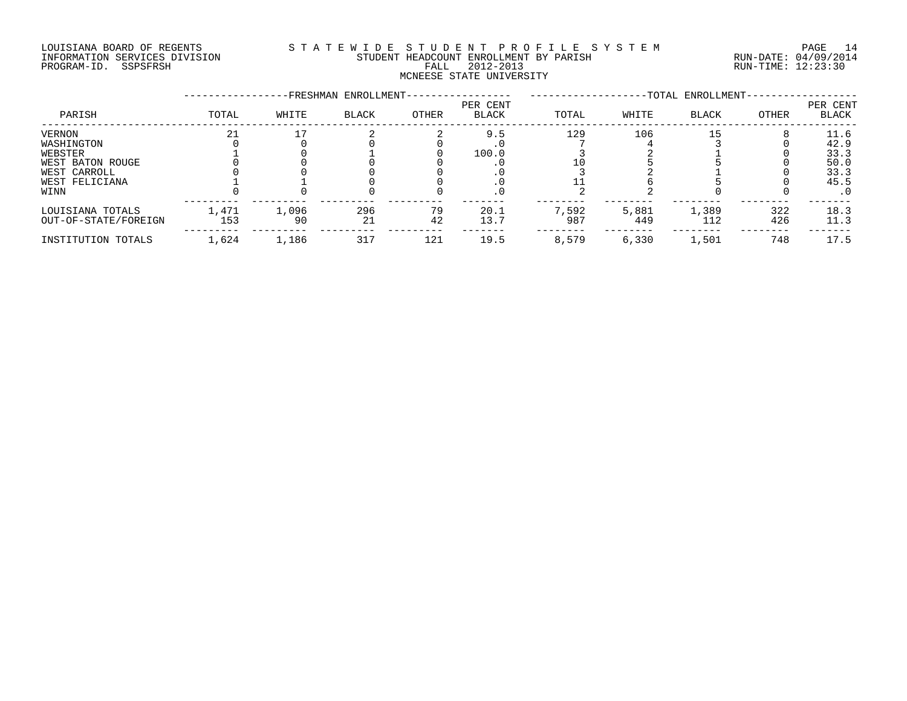#### LOUISIANA BOARD OF REGENTS S T A T E W I D E S T U D E N T P R O F I L E S Y S T E M PAGE 14 INFORMATION SERVICES DIVISION STUDENT HEADCOUNT ENROLLMENT BY PARISH RUN-DATE: 04/09/2014 DOUISIANA BOARD OF REGENTS STATEWALE SIGNIFY ENCOUNT ENCOUNT ENGLAND OF REGENTS STATE STUDENT HEADCOUNT ENROLLMENT BY PARISH (RUN-DATE: 04/09/2014<br>PROGRAM-ID. SSPSFRSH FALL 2012-2013 FALL 2012-2013 RUN-TIME: 12:23:30 MCNEESE STATE UNIVERSITY

|                      |       |       | -FRESHMAN ENROLLMENT- |       |                          |       |       | -TOTAL ENROLLMENT- |       |                   |
|----------------------|-------|-------|-----------------------|-------|--------------------------|-------|-------|--------------------|-------|-------------------|
| PARISH               | TOTAL | WHITE | <b>BLACK</b>          | OTHER | PER CENT<br><b>BLACK</b> | TOTAL | WHITE | <b>BLACK</b>       | OTHER | PER CENT<br>BLACK |
| VERNON               | 21    |       |                       |       | 9.5                      | 129   | 106   | -5                 |       | 11.6              |
| WASHINGTON           |       |       |                       |       |                          |       |       |                    |       | 42.9              |
| WEBSTER              |       |       |                       |       | 100.0                    |       |       |                    |       | 33.3              |
| WEST BATON ROUGE     |       |       |                       |       |                          |       |       |                    |       | 50.0              |
| WEST CARROLL         |       |       |                       |       |                          |       |       |                    |       | 33.3              |
| WEST FELICIANA       |       |       |                       |       |                          |       |       |                    |       | 45.5              |
| WINN                 |       |       |                       |       | . 0                      |       |       |                    |       | . 0               |
| LOUISIANA TOTALS     | 1,471 | 1,096 | 296                   | 79    | 20.1                     | 7,592 | 5,881 | 1,389              | 322   | 18.3              |
| OUT-OF-STATE/FOREIGN | 153   | 90    | 21                    | 42    | 13.7                     | 987   | 449   | 112                | 426   | 11.3              |
| INSTITUTION TOTALS   | 1,624 | 1,186 | 317                   | 121   | 19.5                     | 8,579 | 6,330 | 1,501              | 748   | 17.5              |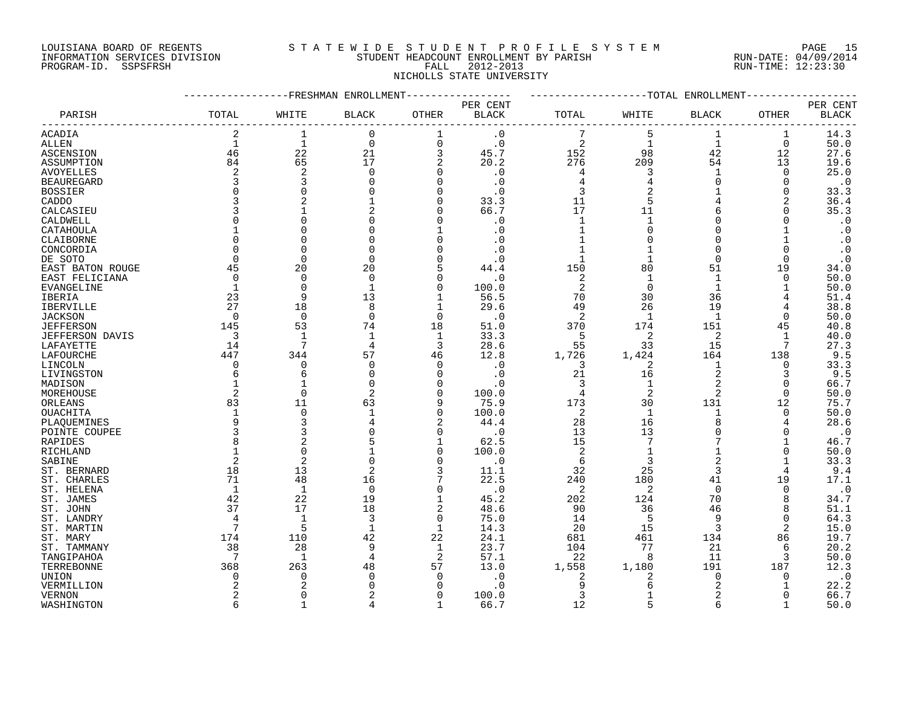### LOUISIANA BOARD OF REGENTS S T A T E W I D E S T U D E N T P R O F I L E S Y S T E M PAGE 15 INFORMATION SERVICES DIVISION STUDENT HEADCOUNT ENROLLMENT BY PARISH RUN-DATE: 04/09/2014 PROGRAM-ID. SSPSFRSH FALL 2012-2013 RUN-TIME: 12:23:30 NICHOLLS STATE UNIVERSITY

|                        |                | FRESHMAN          | ENROLLMENT     |                |                        |                | -TOTAL         | ENROLLMENT     |             |              |
|------------------------|----------------|-------------------|----------------|----------------|------------------------|----------------|----------------|----------------|-------------|--------------|
|                        |                |                   |                |                | PER CENT               |                |                |                |             | PER CENT     |
| PARISH                 | TOTAL          | WHITE             | <b>BLACK</b>   | <b>OTHER</b>   | $\operatorname{BLACK}$ | TOTAL          | WHITE          | BLACK          | OTHER       | <b>BLACK</b> |
| ACADIA                 | 2              | 1                 | $\mathbf 0$    | 1              | $\cdot$ 0              |                | 5              | 1              | 1           | 14.3         |
| ALLEN                  | $\mathbf 1$    | $\mathbf{1}$      | $\mathbf 0$    | $\overline{0}$ | $\cdot$ 0              | $\overline{2}$ | $\mathbf{1}$   | $\mathbf{1}$   | $\mathbf 0$ | 50.0         |
| ASCENSION              | 46             | 22                | 21             | 3              | 45.7                   | 152            | 98             | 42             | 12          | 27.6         |
| ASSUMPTION             | 84             | 65                | 17             | 2              | 20.2                   | 276            | 209            | 54             | 13          | 19.6         |
| <b>AVOYELLES</b>       | 2              | $\overline{2}$    | $\Omega$       | $\Omega$       | $\cdot$ 0              | 4              | 3              | 1              | $\Omega$    | 25.0         |
| <b>BEAUREGARD</b>      | 3              | 3                 |                | $\Omega$       | . 0                    | 4              | 4              | O              | 0           | $\cdot$ 0    |
| <b>BOSSIER</b>         | $\Omega$       | $\Omega$          |                | $\Omega$       | . 0                    | 3              |                |                | 0           | 33.3         |
| CADDO                  |                |                   |                | $\Omega$       | 33.3                   | 11             |                |                | 2           | 36.4         |
| CALCASIEU              | 3              |                   | 2              | $\Omega$       | 66.7                   | 17             | 11             | 6              | 0           | 35.3         |
| CALDWELL               | $\Omega$       |                   |                | ∩              | $\cdot$ 0              | 1              | $\mathbf{1}$   | O              | N           | $\cdot$ 0    |
| CATAHOULA              |                |                   |                |                | . 0                    | $\mathbf{1}$   | $\Omega$       | O              |             | $\cdot$ 0    |
| CLAIBORNE              | $\Omega$       |                   |                | $\Omega$       | . 0                    |                |                | O              |             | $\cdot$ 0    |
| CONCORDIA              | $\Omega$       |                   |                | $\Omega$       | . 0                    |                |                | O              | $\Omega$    | $\cdot$ 0    |
| DE SOTO                | $\Omega$       | $\Omega$          | $\Omega$       | $\Omega$       | . 0                    | $\mathbf{1}$   | $\mathbf{1}$   | $\Omega$       | $\Omega$    | $\cdot$ 0    |
|                        | 45             | 20                | 20             | 5              |                        | 150            | 80             | 51             | 19          | 34.0         |
| EAST BATON ROUGE       | $\mathbf 0$    | $\mathbf 0$       | 0              | $\Omega$       | 44.4<br>$\cdot$ 0      | 2              | 1              | 1              | $\Omega$    | 50.0         |
| EAST FELICIANA         | 1              | $\Omega$          | $\mathbf{1}$   | $\Omega$       |                        | 2              | $\mathbf 0$    | $\mathbf 1$    |             | 50.0         |
| EVANGELINE             |                | q                 |                |                | 100.0                  |                | 30             | 36             |             |              |
| IBERIA                 | 23<br>27       |                   | 13<br>8        |                | 56.5                   | 70             |                | 19             |             | 51.4         |
| IBERVILLE              |                | 18                |                | 1              | 29.6                   | 49             | 26             |                |             | 38.8         |
| <b>JACKSON</b>         | $\Omega$       | $\Omega$          | $\Omega$       | $\Omega$       | $\cdot$ 0              | $\overline{2}$ | $\mathbf{1}$   | $\mathbf{1}$   | $\Omega$    | 50.0         |
| <b>JEFFERSON</b>       | 145            | 53                | 74             | 18             | 51.0                   | 370            | 174            | 151            | 45          | 40.8         |
| <b>JEFFERSON DAVIS</b> | 3              | $\mathbf{1}$<br>7 | -1             | $\mathbf 1$    | 33.3                   | 5              | 2              | 2              | -1          | 40.0         |
| LAFAYETTE              | 14             |                   | $\overline{4}$ | 3              | 28.6                   | 55             | 33             | 15             |             | 27.3         |
| LAFOURCHE              | 447            | 344               | 57             | 46             | 12.8                   | 1,726          | 1,424          | 164            | 138         | 9.5          |
| LINCOLN                | $\Omega$       | $\Omega$          | $\Omega$       | $\Omega$       | . 0                    | 3              | 2              | 1              | 0           | 33.3         |
| LIVINGSTON             | 6              | 6                 | <sup>0</sup>   | $\Omega$       | $\cdot$ 0              | 21             | 16             | 2              | 3           | 9.5          |
| MADISON                |                |                   |                | $\Omega$       | . 0                    | 3              | $\mathbf{1}$   | 2              | $\Omega$    | 66.7         |
| MOREHOUSE              | 2              | $\Omega$          | 2              | $\Omega$       | 100.0                  | 4              | $\overline{2}$ | $\overline{2}$ | 0           | 50.0         |
| ORLEANS                | 83             | 11                | 63             | 9              | 75.9                   | 173            | 30             | 131            | 12          | 75.7         |
| <b>OUACHITA</b>        | 1              | $\Omega$          | $\mathbf{1}$   | $\Omega$       | 100.0                  | $\overline{2}$ | $\mathbf{1}$   | $\mathbf{1}$   | $\Omega$    | 50.0         |
| PLAOUEMINES            | 9              | 3                 |                | $\overline{2}$ | 44.4                   | 28             | 16             | 8              | 4           | 28.6         |
| POINTE COUPEE          | 3              | 3                 |                | $\Omega$       | . 0                    | 13             | 13             | 0              | O           | $\cdot$ 0    |
| RAPIDES                | 8              |                   |                |                | 62.5                   | 15             | 7              | 7              |             | 46.7         |
| RICHLAND               | 1              | $\Omega$          |                | $\Omega$       | 100.0                  | 2              | $\mathbf{1}$   | 1              | 0           | 50.0         |
| SABINE                 | $\overline{a}$ | $\overline{2}$    |                | $\Omega$       | . 0                    | 6              | 3              | $\overline{a}$ | 1           | 33.3         |
| ST. BERNARD            | 18             | 13                | 2              | 3              | 11.1                   | 32             | 25             | 3              | 4           | 9.4          |
| ST. CHARLES            | 71             | 48                | 16             |                | 22.5                   | 240            | 180            | 41             | 19          | 17.1         |
| ST. HELENA             | 1              | $\mathbf{1}$      | $\Omega$       | $\Omega$       | $\cdot$ 0              | 2              | 2              | $\Omega$       | $\Omega$    | $\cdot$ 0    |
| ST. JAMES              | 42             | 22                | 19             | $\mathbf{1}$   | 45.2                   | 202            | 124            | 70             | 8           | 34.7         |
| ST. JOHN               | 37             | 17                | 18             | $\overline{2}$ | 48.6                   | 90             | 36             | 46             | 8           | 51.1         |
| ST. LANDRY             | 4              | $\mathbf{1}$      | 3              | $\Omega$       | 75.0                   | 14             | 5              | 9              | $\Omega$    | 64.3         |
| ST. MARTIN             | 7              | 5                 | 1              | 1              | 14.3                   | 20             | 15             | 3              | 2           | 15.0         |
| ST. MARY               | 174            | 110               | 42             | 22             | 24.1                   | 681            | 461            | 134            | 86          | 19.7         |
| ST. TAMMANY            | 38             | 28                | 9              | $\mathbf 1$    | 23.7                   | 104            | 77             | 21             | 6           | 20.2         |
| TANGIPAHOA             | 7              | $\mathbf{1}$      | 4              | 2              | 57.1                   | 22             | 8              | 11             | 3           | 50.0         |
| TERREBONNE             | 368            | 263               | 48             | 57             | 13.0                   | 1,558          | 1,180          | 191            | 187         | 12.3         |
| UNION                  | $\Omega$       | $\Omega$          |                | $\Omega$       | . 0                    | 2              | 2              | 0              | 0           | $\cdot$ 0    |
| VERMILLION             |                |                   |                | ∩              | $\Omega$               | 9              | Б              | 2              |             | 22.2         |
| <b>VERNON</b>          | $\overline{a}$ | ∩                 |                | $\Omega$       | 100.0                  | 3              | $\mathbf{1}$   | $\overline{a}$ | ∩           | 66.7         |
| WASHINGTON             | 6              | $\mathbf{1}$      |                | $\mathbf{1}$   | 66.7                   | 12             |                | 6              |             | 50.0         |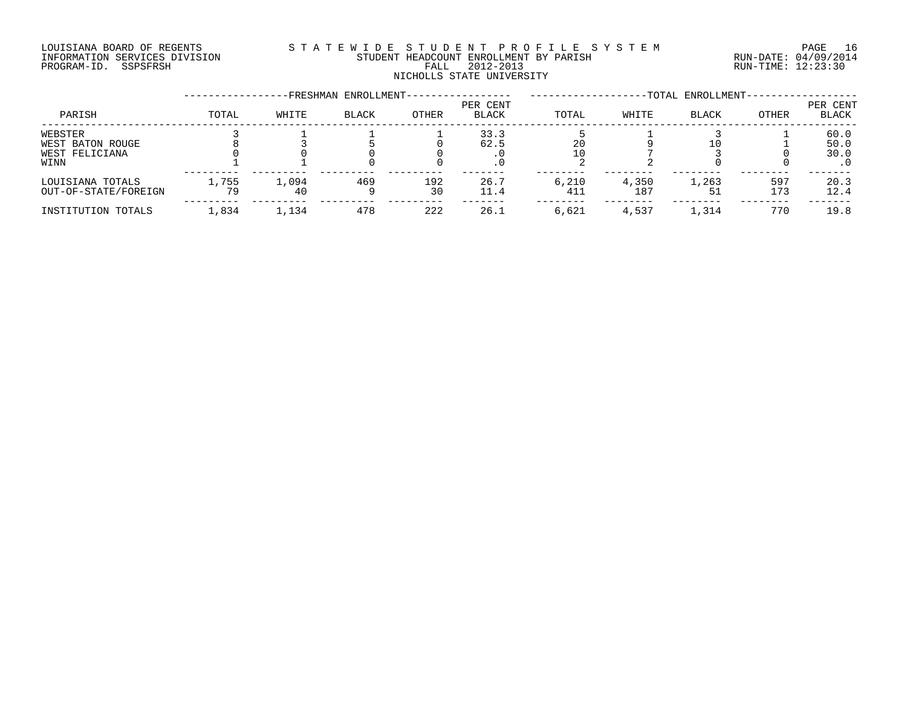#### LOUISIANA BOARD OF REGENTS S T A T E W I D E S T U D E N T P R O F I L E S Y S T E M PAGE 16 INFORMATION SERVICES DIVISION STUDENT HEADCOUNT ENROLLMENT BY PARISH RUN-DATE: 04/09/2014 PROGRAM-ID. SSPSFRSH FALL 2012-2013 RUN-TIME: 12:23:30 FALL 2012-2013<br>NICHOLLS STATE UNIVERSITY

|                      |       |       | -FRESHMAN ENROLLMENT- |       |                          |       |       | -TOTAL ENROLLMENT- |       |                   |
|----------------------|-------|-------|-----------------------|-------|--------------------------|-------|-------|--------------------|-------|-------------------|
| PARISH               | TOTAL | WHITE | <b>BLACK</b>          | OTHER | PER CENT<br><b>BLACK</b> | TOTAL | WHITE | <b>BLACK</b>       | OTHER | PER CENT<br>BLACK |
| WEBSTER              |       |       |                       |       | 33.3                     |       |       |                    |       | 60.0              |
| WEST BATON ROUGE     |       |       |                       |       | 62.5                     | 20    |       |                    |       | 50.0              |
| WEST FELICIANA       |       |       |                       |       |                          |       |       |                    |       | 30.0              |
| WINN                 |       |       |                       |       |                          |       |       |                    |       |                   |
| LOUISIANA TOTALS     | L,755 | 1,094 | 469                   | 192   | 26.7                     | 6,210 | 4,350 | 1,263              | 597   | 20.3              |
| OUT-OF-STATE/FOREIGN | 79    | 40    |                       | 30    | 11.4                     | 411   | 187   |                    | 173   | 12.4              |
| INSTITUTION TOTALS   | 1,834 | 1,134 | 478                   | 222   | 26.1                     | 6,621 | 4,537 | 1,314              | 770   | 19.8              |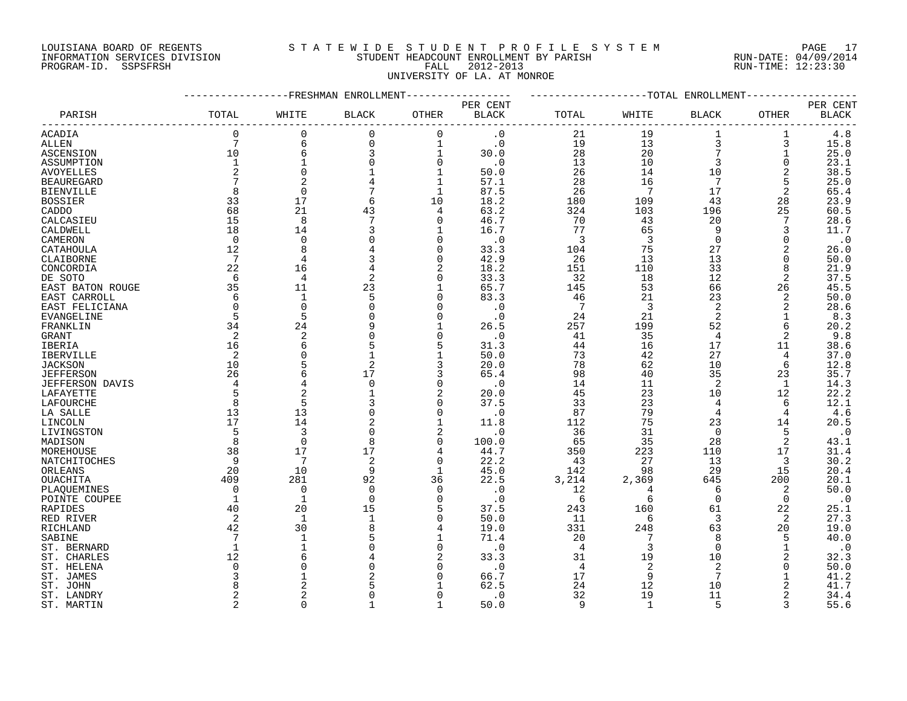## LOUISIANA BOARD OF REGENTS S T A T E W I D E S T U D E N T P R O F I L E S Y S T E M PAGE 17 INFORMATION SERVICES DIVISION STUDENT HEADCOUNT ENROLLMENT BY PARISH RUN-DATE: 04/09/2014 PROGRAM-ID. SSPSFRSH FALL 2012-2013 RUN-TIME: 12:23:30 UNIVERSITY OF LA. AT MONROE

|                   |                |                | FRESHMAN ENROLLMENT |                |                        |           |                | -TOTAL ENROLLMENT |             |              |
|-------------------|----------------|----------------|---------------------|----------------|------------------------|-----------|----------------|-------------------|-------------|--------------|
|                   |                |                |                     |                | PER CENT               |           |                |                   |             | PER CENT     |
| PARISH            | TOTAL          | WHITE          | <b>BLACK</b>        | <b>OTHER</b>   | $\operatorname{BLACK}$ | TOTAL     | WHITE          | BLACK             | OTHER       | <b>BLACK</b> |
| ACADIA            | $\mathbf 0$    | 0              | $\mathbf 0$         | $\Omega$       | $\cdot$ 0              | 21        | 19             | 1                 | 1           | 4.8          |
| ALLEN             | 7              | 6              | $\mathbf 0$         | $\mathbf{1}$   | $\cdot$ 0              | 19        | 13             | 3                 | 3           | 15.8         |
| ASCENSION         | 10             | 6              | 3                   | $\mathbf{1}$   | 30.0                   | 28        | 20             | 7                 | $\mathbf 1$ | 25.0         |
| ASSUMPTION        | $\mathbf 1$    |                |                     | $\mathbf 0$    | $\cdot$ 0              | 13        | 10             | 3                 | $\Omega$    | 23.1         |
| <b>AVOYELLES</b>  | $\overline{2}$ | $\Omega$       |                     | 1              | 50.0                   | 26        | 14             | 10                | 2           | 38.5         |
| <b>BEAUREGARD</b> | 7              |                |                     | 1              | 57.1                   | 28        | 16             | 7                 | 5           | 25.0         |
| <b>BIENVILLE</b>  | 8              | $\Omega$       |                     | 1              | 87.5                   | 26        | -7             | 17                | 2           | 65.4         |
| <b>BOSSIER</b>    | 33             | 17             | 6                   | 10             | 18.2                   | 180       | 109            | 43                | 28          | 23.9         |
| CADDO             | 68             | 21             | 43                  | 4              | 63.2                   | 324       | 103            | 196               | 25          | 60.5         |
| CALCASIEU         | 15             | 8              |                     | $\Omega$       | 46.7                   | 70        | 43             | 20                | 7           | 28.6         |
| CALDWELL          | 18             | 14             | 3                   | 1              | 16.7                   | 77        | 65             | 9                 | 3           | 11.7         |
| CAMERON           | $\mathbf 0$    | $\Omega$       |                     | $\Omega$       | $\cdot$ 0              | 3         | 3              | $\Omega$          | $\Omega$    | $\cdot$ 0    |
| CATAHOULA         | 12             | 8              |                     | $\Omega$       | 33.3                   | 104       | 75             | 27                |             | 26.0         |
| CLAIBORNE         | 7              | $\overline{4}$ | 3                   | $\Omega$       | 42.9                   | 26        | 13             | 13                | $\Omega$    | 50.0         |
|                   | $2\sqrt{2}$    | 16             |                     |                | 18.2                   |           |                | 33                | 8           | 21.9         |
| CONCORDIA         | 6              | $\overline{4}$ | 2                   | $\Omega$       | 33.3                   | 151<br>32 | 110<br>18      | 12                | 2           | 37.5         |
| DE SOTO           | 35             | 11             |                     |                |                        |           |                | 66                |             |              |
| EAST BATON ROUGE  |                |                | 23                  | 1              | 65.7                   | 145       | 53             |                   | 26          | 45.5         |
| EAST CARROLL      | 6              | $\mathbf{1}$   |                     | $\Omega$       | 83.3                   | 46        | 21             | 23                | 2           | 50.0         |
| EAST FELICIANA    | $\mathbf 0$    | $\mathbf 0$    |                     | $\Omega$       | . 0                    | 7         | 3              | $\overline{2}$    | 2           | 28.6         |
| <b>EVANGELINE</b> | 5              | 5              |                     | $\Omega$       | . 0                    | 24        | 21             | 2                 |             | 8.3          |
| FRANKLIN          | 34             | 24             |                     | $\mathbf{1}$   | 26.5                   | 257       | 199            | 52                | 6           | 20.2         |
| <b>GRANT</b>      | 2              | $\overline{2}$ |                     | $\Omega$       | . 0                    | 41        | 35             | 4                 | 2           | 9.8          |
| IBERIA            | 16             | 6              |                     | 5              | 31.3                   | 44        | 16             | 17                | 11          | 38.6         |
| IBERVILLE         | 2              | $\Omega$       |                     |                | 50.0                   | 73        | 42             | 27                | 4           | 37.0         |
| <b>JACKSON</b>    | 10             | 5              | $\overline{2}$      | 3              | 20.0                   | 78        | 62             | 10                | 6           | 12.8         |
| <b>JEFFERSON</b>  | 26             | 6              | 17                  | 3              | 65.4                   | 98        | 40             | 35                | 23          | 35.7         |
| JEFFERSON DAVIS   | 4              |                | $\Omega$            | 0              | . 0                    | 14        | 11             | 2                 | 1           | 14.3         |
| LAFAYETTE         | 5              | $\overline{2}$ |                     | $\overline{2}$ | 20.0                   | 45        | 23             | 10                | 12          | 22.2         |
| LAFOURCHE         | 8              | 5              | 3                   | $\Omega$       | 37.5                   | 33        | 23             | 4                 | 6           | 12.1         |
| LA SALLE          | 13             | 13             |                     | $\Omega$       | $\cdot$ 0              | 87        | 79             | $\overline{4}$    | 4           | 4.6          |
| LINCOLN           | 17             | 14             |                     | 1              | 11.8                   | 112       | 75             | 23                | 14          | 20.5         |
| LIVINGSTON        | 5              | 3              |                     | 2              | . 0                    | 36        | 31             | $\Omega$          | 5           | $\cdot$ 0    |
| MADISON           | 8              | $\mathbf 0$    | 8                   | $\Omega$       | 100.0                  | 65        | 35             | 28                | 2           | 43.1         |
| MOREHOUSE         | 38             | 17             | 17                  | 4              | 44.7                   | 350       | 223            | 110               | 17          | 31.4         |
| NATCHITOCHES      | 9              | 7              | 2                   | $\Omega$       | 22.2                   | 43        | 27             | 13                | 3           | 30.2         |
| ORLEANS           | 20             | 10             | 9                   | 1              | 45.0                   | 142       | 98             | 29                | 15          | 20.4         |
| OUACHITA          | 409            | 281            | 92                  | 36             | 22.5                   | 3,214     | 2,369          | 645               | 200         | 20.1         |
| PLAQUEMINES       | $\Omega$       | $\mathbf 0$    | $\Omega$            | 0              | $\cdot$ 0              | 12        | 4              | 6                 | 2           | 50.0         |
| POINTE COUPEE     | $\mathbf 1$    | $\mathbf{1}$   | $\Omega$            | $\Omega$       | $\cdot$ 0              | 6         | 6              | $\Omega$          | 0           | $\cdot$ 0    |
| RAPIDES           | 40             | 20             | 15                  | 5              | 37.5                   | 243       | 160            | 61                | 22          | 25.1         |
| RED RIVER         | 2              | $\overline{1}$ |                     | $\Omega$       | 50.0                   | 11        | 6              | 3                 | 2           | 27.3         |
| RICHLAND          | 42             | 30             |                     | 4              | 19.0                   | 331       | 248            | 63                | 20          | 19.0         |
| SABINE            |                | $\mathbf{1}$   |                     | 1              | 71.4                   | 20        |                | 8                 | 5           | 40.0         |
| ST. BERNARD       | 1              | $\mathbf{1}$   |                     | $\Omega$       | $\cdot$ 0              | 4         | 3              | $\Omega$          | $\mathbf 1$ | $\cdot$ 0    |
| ST. CHARLES       | 12             |                |                     | 2              | 33.3                   | 31        | 19             | 10                |             | 32.3         |
| ST. HELENA        | $\Omega$       | ∩              |                     | $\Omega$       | $\cdot$ 0              | 4         | 2              | 2                 | $\Omega$    | 50.0         |
| ST. JAMES         | 3              |                |                     | $\Omega$       | 66.7                   | 17        | 9              | 7                 |             | 41.2         |
| ST. JOHN          | 8              |                |                     |                | 62.5                   | 24        | 12             | 10                |             | 41.7         |
| ST. LANDRY        | $\overline{a}$ | $\overline{c}$ |                     | $\Omega$       | . 0                    | 32        | 19             | 11                |             | 34.4         |
| ST. MARTIN        | $\overline{a}$ | $\Omega$       |                     | $\mathbf{1}$   | 50.0                   | 9         | $\overline{1}$ | 5                 | २           | 55.6         |
|                   |                |                |                     |                |                        |           |                |                   |             |              |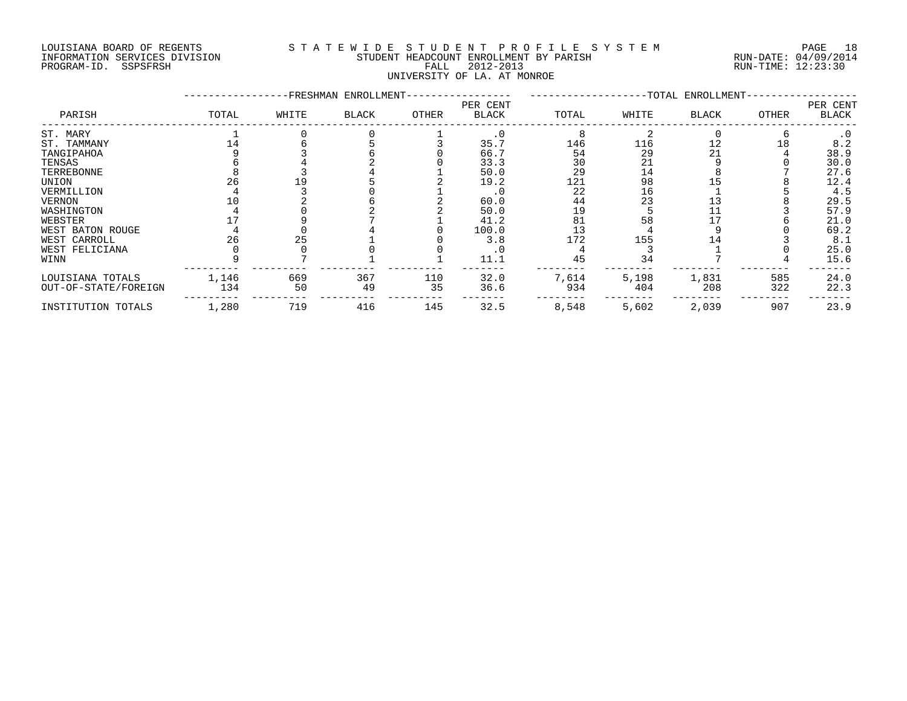#### LOUISIANA BOARD OF REGENTS S T A T E W I D E S T U D E N T P R O F I L E S Y S T E M PAGE 18 INFORMATION SERVICES DIVISION STUDENT HEADCOUNT ENROLLMENT BY PARISH RUN-DATE: 04/09/2014 DOULSIANA BOARD OF REGENIS<br>INFORMATION SERVICES DIVISION STUDENT HEADCOUNT ENROLLMENT BY PARISH RUN-DATE: 04/09/2014<br>PROGRAM-ID. SSPSFRSH FALL 2012-2013 FALL 2012-2013 UNIVERSITY OF LA. AT MONROE

|                      |       |       | -FRESHMAN ENROLLMENT- |       |                          |       |       | -TOTAL ENROLLMENT- |       |                   |
|----------------------|-------|-------|-----------------------|-------|--------------------------|-------|-------|--------------------|-------|-------------------|
| PARISH               | TOTAL | WHITE | <b>BLACK</b>          | OTHER | PER CENT<br><b>BLACK</b> | TOTAL | WHITE | <b>BLACK</b>       | OTHER | PER CENT<br>BLACK |
| ST. MARY             |       |       |                       |       | $\cdot$ 0                |       |       |                    |       |                   |
| ST. TAMMANY          |       |       |                       |       | 35.7                     | 146   | 116   | 12                 | 18    | 8.2               |
| TANGIPAHOA           |       |       |                       |       | 66.7                     | 54    | 29    |                    |       | 38.9              |
| TENSAS               |       |       |                       |       | 33.3                     | 30    | 21    |                    |       | 30.0              |
| TERREBONNE           |       |       |                       |       | 50.0                     | 29    | 14    |                    |       | 27.6              |
| UNION                |       |       |                       |       | 19.2                     | 121   | 98    |                    |       | 12.4              |
| VERMILLION           |       |       |                       |       |                          | 22    | 16    |                    |       | 4.5               |
| VERNON               |       |       |                       |       | 60.0                     | 44    | 23    |                    |       | 29.5              |
| WASHINGTON           |       |       |                       |       | 50.0                     | 19    |       |                    |       | 57.9              |
| WEBSTER              |       |       |                       |       | 41.2                     | 81    | 58    |                    |       | 21.0              |
| WEST BATON ROUGE     |       |       |                       |       | 100.0                    | 13    |       |                    |       | 69.2              |
| WEST CARROLL         | 26    | 25    |                       |       | 3.8                      | 172   | 155   |                    |       | 8.1               |
| WEST FELICIANA       |       |       |                       |       |                          |       |       |                    |       | 25.0              |
| WINN                 |       |       |                       |       | 11.1                     | 45    | 34    |                    |       | 15.6              |
| LOUISIANA TOTALS     | 1,146 | 669   | 367                   | 110   | 32.0                     | 7,614 | 5,198 | 1,831              | 585   | 24.0              |
| OUT-OF-STATE/FOREIGN | 134   | 50    | 49                    | 35    | 36.6                     | 934   | 404   | 208                | 322   | 22.3              |
| INSTITUTION TOTALS   | 1,280 | 719   | 416                   | 145   | 32.5                     | 8,548 | 5,602 | 2,039              | 907   | 23.9              |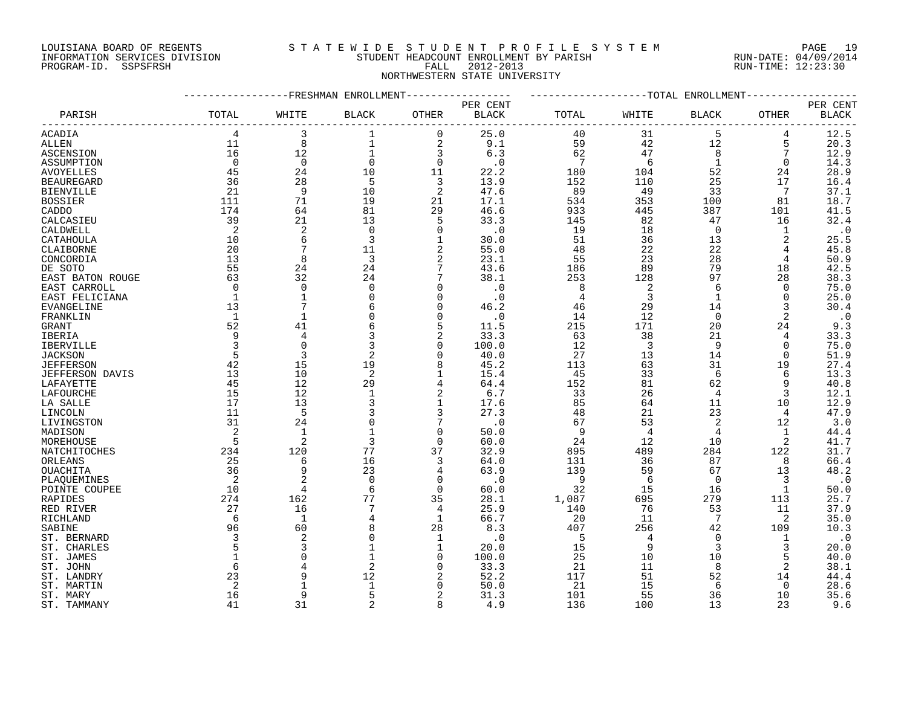#### LOUISIANA BOARD OF REGENTS S T A T E W I D E S T U D E N T P R O F I L E S Y S T E M PAGE 19 INFORMATION SERVICES DIVISION STUDENT HEADCOUNT ENROLLMENT BY PARISH RUN-DATE: 04/09/2014 PROGRAM-ID. SSPSFRSH FALL 2012-2013 RUN-TIME: 12:23:30 NORTHWESTERN STATE UNIVERSITY

#### -----------------FRESHMAN ENROLLMENT----------------- -------------------TOTAL ENROLLMENT------------------ PER CENT PER CENT PARISH TOTAL WHITE BLACK OTHER BLACK TOTAL WHITE BLACK OTHER BLACK ------------------------------------------------------------------------------------------------------------------------------------ ACADIA 4 3 1 0 25.0 40 31 5 4 12.5 ALLEN 11 8 1 2 9.1 59 42 12 5 20.3 ASCENSION 16 12 1 3 6.3 62 47 8 7 12.9 ASSUMPTION 0 0 0 0 .0 7 6 1 0 14.3 AVOYELLES 45 24 10 11 22.2 180 104 52 24 28.9 BEAUREGARD 36 28 5 3 13.9 152 110 25 17 16.4 BIENVILLE 21 9 10 2 47.6 89 49 33 7 37.1 BOSSIER 111 71 19 21 17.1 534 353 100 81 18.7 CADDO 174 64 81 29 46.6 933 445 387 101 41.5 CALCASIEU 39 21 13 5 33.3 145 82 47 16 32.4 CALDWELL 2 2 0 0 .0 19 18 0 1 .0 CATAHOULA 10 6 3 1 30.0 51 36 13 2 25.5 CLAIBORNE 20 7 11 2 55.0 48 22 22 4 45.8 CONCORDIA 13 8 3 2 23.1 55 23 28 4 50.9 CONCORDIA and the concording to the concording to the concording to the concording to the concording to the sort<br>
DE SOTO 55 24 24 7 43.6 186 89 79 18 42.5<br>
EAST BATON ROUGE 63 32 24 7 38.1 253 128 97 28 38.3<br>
EAST CARROLL EAST BATON ROUGE 63 32 24 7 38.1 253 128 97 28 38.3 EAST CARROLL 0 0 0 0 .0 8 2 6 0 75.0 EAST FELICIANA 1 1 0 0 .0 4 3 1 0 25.0 EVANGELINE 13 7 6 0 46.2 46 29 14 3 30.4<br>
EVANGELINE 13 7 6 0 46.2 46 29 14 3 30.4<br>
FRANKLIN 1 1 0 0 .0 14 12 0 2 .0<br>
GRANT 52 41 6 5 11.5 215 171 20 24 9.3<br>
IBERTA 9 4 3 2 33.3 63 38 21 4 33.3 FRANKLIN 1 1 0 0 .0 14 12 0 2 .0 GRANT 52 41 6 5 11.5 215 171 20 24 9.3 IBERIA 9 4 3 2 33.3 63 38 21 4 33.3 IBERVILLE 3 0 3 0 100.0 12 3 9 0 75.0 JACKSON 5 3 2 0 40.0 27 13 14 0 51.9 JEFFERSON 42 15 19 8 45.2 113 63 31 19 27.4 JEFFERSON DAVIS 13 10 2 1 15.4 45 33 6 6 13.3 LAFAYETTE 45 12 29 4 64.4 152 81 62 9 40.8 LAFOURCHE 15 12 1 2 6.7 33 26 4 3 12.1 LA SALLE 17 13 3 1 17.6 85 64 11 10 12.9 LINCOLN 11 5 3 3 27.3 48 21 23 4 47.9 LIVINGSTON 31 24 0 7 .0 67 53 2 12 3.0 <code>MADISON</code> 2 1 1 0 50.0 9 4 4 1 44.4 MOREHOUSE 5 2 3 0 60.0 24 12 10 2 41.7 NATCHITOCHES 234 120 77 37 32.9 895 489 284 122 31.7 ORLEANS 25 6 16 3 64.0 131 36 87 8 66.4 OUACHITA 36 9 23 4 63.9 139 59 67 13 48.2 PLAQUEMINES 2 2 0 0 .0 9 6 0 3 .0 POINTE COUPEE 10 4 6 0 60.0 32 15 16 1 50.0 RAPIDES 274 162 77 35 28.1 1,087 695 279 113 25.7 RED RIVER 27 16 7 4 25.9 140 76 53 11 37.9 RICHLAND 6 1 4 1 66.7 20 11 7 2 35.0 SABINE 96 60 8 28 8.3 407 256 42 109 10.3 ST. BERNARD 3 2 0 1 .0 5 4 0 1 .0 ST. CHARLES 5 3 1 1 20.0 15 9 3 3 20.0 ST. JAMES 1 0 1 0 100.0 25 10 10 5 40.0 ST. JOHN 6 4 2 0 33.3 21 11 8 2 38.1 ST. LANDRY 23 9 12 2 52.2 117 51 52 14 44.4 ST. MARTIN 2 1 1 0 50.0 21 15 6 0 28.6 ST. MARY 16 9 5 2 31.3 101 55 36 10 35.6

ST. TAMMANY 41 31 2 8 4.9 136 100 13 23 9.6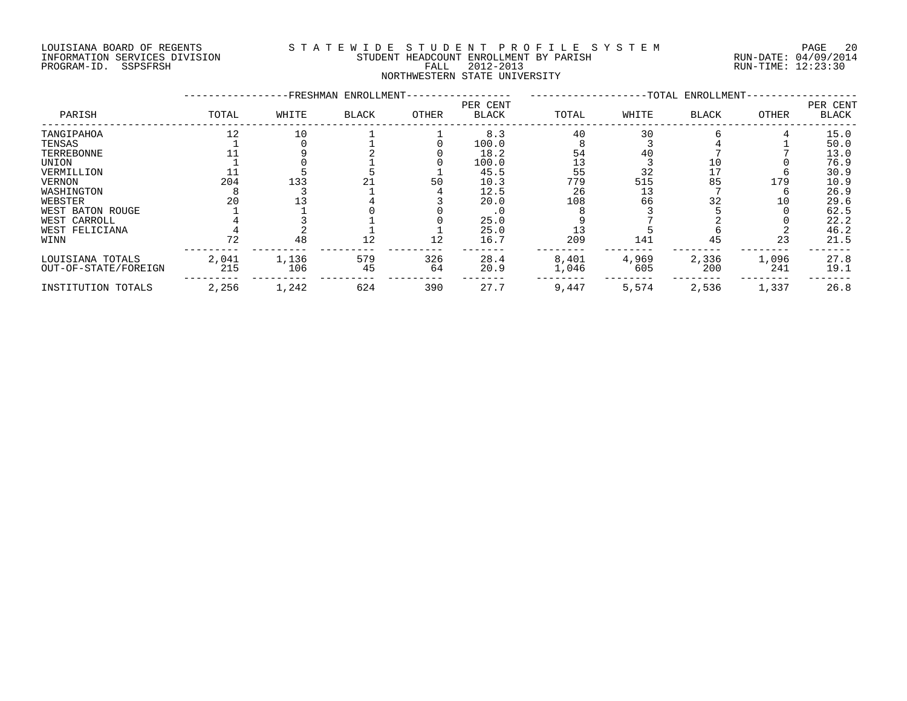#### LOUISIANA BOARD OF REGENTS S T A T E W I D E S T U D E N T P R O F I L E S Y S T E M PAGE 20 INFORMATION SERVICES DIVISION STUDENT HEADCOUNT ENROLLMENT BY PARISH RUN-DATE: 04/09/2014 PROGRAM-ID. SSPSFRSH FALL 2012-2013 RUN-TIME: 12:23:30 NORTHWESTERN STATE UNIVERSITY

| PARISH               | -FRESHMAN ENROLLMENT-<br>-TOTAL ENROLLMENT- |       |              |       |                          |       |       |              |       |                   |
|----------------------|---------------------------------------------|-------|--------------|-------|--------------------------|-------|-------|--------------|-------|-------------------|
|                      | TOTAL                                       | WHITE | <b>BLACK</b> | OTHER | PER CENT<br><b>BLACK</b> | TOTAL | WHITE | <b>BLACK</b> | OTHER | PER CENT<br>BLACK |
| TANGIPAHOA           | 12                                          | 10    |              |       | 8.3                      | 40    | 30    |              |       | 15.0              |
| TENSAS               |                                             |       |              |       | 100.0                    |       |       |              |       | 50.0              |
| TERREBONNE           |                                             |       |              |       | 18.2                     | 54    | 40    |              |       | 13.0              |
| UNION                |                                             |       |              |       | 100.0                    |       |       |              |       | 76.9              |
| VERMILLION           |                                             |       |              |       | 45.5                     | 55    | 32    |              |       | 30.9              |
| <b>VERNON</b>        | 204                                         | 133   |              | 50    | 10.3                     | 779   | 515   | 85           | 179   | 10.9              |
| WASHINGTON           |                                             |       |              |       | 12.5                     | 26    | 13    |              |       | 26.9              |
| WEBSTER              | 20                                          |       |              |       | 20.0                     | 108   | 66    | 32           | 10    | 29.6              |
| WEST BATON ROUGE     |                                             |       |              |       | . 0                      |       |       |              |       | 62.5              |
| WEST CARROLL         |                                             |       |              |       | 25.0                     |       |       |              |       | 22.2              |
| WEST FELICIANA       |                                             |       |              |       | 25.0                     |       |       |              |       | 46.2              |
| WINN                 | 72                                          | 48    | 12           | 12    | 16.7                     | 209   | 141   | 45           | 23    | 21.5              |
| LOUISIANA TOTALS     | 2,041                                       | 1,136 | 579          | 326   | 28.4                     | 8,401 | 4,969 | 2,336        | 1,096 | 27.8              |
| OUT-OF-STATE/FOREIGN | 215                                         | 106   | 45           | 64    | 20.9                     | 1,046 | 605   | 200          | 241   | 19.1              |
| INSTITUTION TOTALS   | 2,256                                       | 1,242 | 624          | 390   | 27.7                     | 9,447 | 5,574 | 2,536        | 1,337 | 26.8              |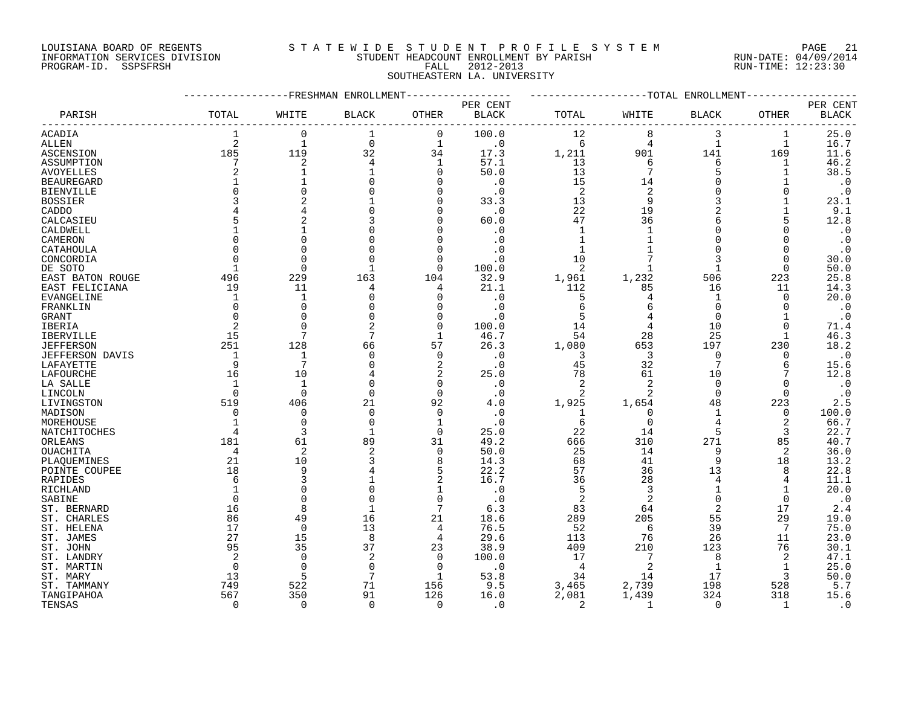# LOUISIANA BOARD OF REGENTS S T A T E W I D E S T U D E N T P R O F I L E S Y S T E M PAGE 21

## INFORMATION SERVICES DIVISION STUDENT HEADCOUNT ENROLLMENT BY PARISH RUN-DATE: 04/09/2014 PROGRAM-ID. SSPSFRSH FALL 2012-2013 RUN-TIME: 12:23:30 SOUTHEASTERN LA. UNIVERSITY

|                   |                |                | ----------FRESHMAN ENROLLMENT |               |                   |              |                         | -------------TOTAL ENROLLMENT- |                |                                    |
|-------------------|----------------|----------------|-------------------------------|---------------|-------------------|--------------|-------------------------|--------------------------------|----------------|------------------------------------|
| PARISH            | TOTAL          | WHITE          | <b>BLACK</b>                  | OTHER         | PER CENT<br>BLACK | TOTAL        | WHITE                   | <b>BLACK</b>                   | OTHER          | PER CENT<br>$\operatorname{BLACK}$ |
| <b>ACADIA</b>     |                | $\Omega$       | $\mathbf{1}$                  | $\Omega$      | 100.0             | 12           | 8                       | 3                              | 1              | 25.0                               |
| ALLEN             | $\overline{2}$ | $\mathbf{1}$   | $\mathbf 0$                   | $\mathbf{1}$  | $\cdot$ 0         | 6            | 4                       | $\mathbf{1}$                   | $\mathbf{1}$   | 16.7                               |
| ASCENSION         | 185            | 119            | 32                            | 34            | 17.3              | 1,211        | 901                     | 141                            | 169            | 11.6                               |
| ASSUMPTION        | 7              | $\sqrt{2}$     | $\overline{4}$                | $\mathbf{1}$  | 57.1              | 13           | 6                       | 6                              | 1              | 46.2                               |
| AVOYELLES         |                | $\mathbf 1$    |                               | 0             | 50.0              | 13           | $7\phantom{.0}$         | 5                              | 1              | 38.5                               |
| <b>BEAUREGARD</b> |                | $\mathbf 1$    |                               | $\Omega$      | $\cdot$ 0         | 15           | 14                      | $\Omega$                       |                | $\cdot$ 0                          |
| BIENVILLE         |                | $\mathbf 0$    |                               | 0             | . 0               | 2            | 2                       | $\mathbf 0$                    | $\mathbf 0$    | $\cdot$ 0                          |
| <b>BOSSIER</b>    |                | $\overline{2}$ |                               | 0             | 33.3              | 13           | 9                       |                                |                | 23.1                               |
| CADDO             |                | $\overline{4}$ |                               | 0             | $\cdot$ 0         | 22           | 19                      |                                |                | 9.1                                |
| CALCASIEU         |                | $\overline{2}$ |                               | $\Omega$      | 60.0              | 47           | 36                      | 6                              |                | 12.8                               |
| CALDWELL          |                |                |                               |               | $\cdot$ 0         | $\mathbf{1}$ | $\mathbf{1}$            | $\Omega$                       | $\Omega$       | $\cdot$ 0                          |
| CAMERON           |                | $\mathbf 0$    |                               | 0             | $\cdot$ 0         | $\mathbf{1}$ | $\mathbf{1}$            | 0                              | 0              | $\cdot$ 0                          |
| CATAHOULA         |                | $\Omega$       |                               | $\Omega$      |                   | 1            |                         | $\Omega$                       | $\Omega$       | $\cdot$ 0                          |
| CONCORDIA         |                | $\Omega$       |                               | 0             | . 0               | 10           |                         | 3                              | $\Omega$       | 30.0                               |
| DE SOTO           |                | $\Omega$       | 1                             | $\Omega$      | 100.0             | 2            | 1                       | 1                              | 0              | 50.0                               |
| EAST BATON ROUGE  | 496            | 229            | 163                           | 104           | 32.9              | 1,961        | 1,232                   | 506                            | 223            | 25.8                               |
| EAST FELICIANA    | 19             | 11             | 4                             | 4             | 21.1              | 112          | 85                      | 16                             | 11             | 14.3                               |
| EVANGELINE        |                | $\mathbf{1}$   |                               | 0             | . 0               | 5            | 4                       | 1                              | 0              | 20.0                               |
| FRANKLIN          |                | $\Omega$       |                               | $\Omega$      | $\cdot$ 0         | 6            | 6                       | $\Omega$                       | $\Omega$       | $\cdot$ 0                          |
|                   | $\Omega$       | $\mathbf 0$    |                               |               |                   | 5            |                         | $\mathbf 0$                    |                |                                    |
| GRANT             |                | $\Omega$       |                               | 0<br>$\Omega$ | $\cdot$ 0         |              |                         |                                |                | $\cdot$ 0                          |
| IBERIA            |                | 7              | 7                             |               | 100.0             | 14           | 4                       | 10                             | $\Omega$       | 71.4                               |
| <b>IBERVILLE</b>  | 15             |                |                               | 1             | 46.7              | 54           | 28                      | 25                             |                | 46.3                               |
| <b>JEFFERSON</b>  | 251            | 128            | 66                            | 57            | 26.3              | 1,080        | 653                     | 197                            | 230            | 18.2                               |
| JEFFERSON DAVIS   | $\overline{1}$ | 1              | $\Omega$                      | $\mathbf 0$   | $\cdot$ 0         | 3            | $\overline{\mathbf{3}}$ | $\Omega$                       | 0              | $\cdot$ 0                          |
| LAFAYETTE         | 9              | 7              |                               | 2             | $\cdot$ 0         | 45           | 32                      | 7                              | 6              | 15.6                               |
| LAFOURCHE         | 16             | 10             |                               | 2             | 25.0              | 78           | 61                      | 10                             |                | 12.8                               |
| LA SALLE          |                | $\mathbf{1}$   |                               | 0             | $\cdot$ 0         | 2            | 2                       | $\Omega$                       | $\Omega$       | $\cdot$ 0                          |
| LINCOLN           | $\Omega$       | $\overline{0}$ | $\Omega$                      | $\mathbf 0$   | $\cdot$ 0         | 2            | 2                       | $\mathbf 0$                    | $\mathbf 0$    | $\cdot$ 0                          |
| LIVINGSTON        | 519            | 406            | 21                            | 92            | 4.0               | 1,925        | 1,654                   | 48                             | 223            | 2.5                                |
| MADISON           | $\Omega$       | $\mathbf 0$    | $\Omega$                      | 0             | $\cdot$ 0         | 1            | $\mathbf 0$             | 1                              | 0              | 100.0                              |
| MOREHOUSE         |                | $\Omega$       | $\Omega$                      | 1             | $\cdot$ 0         | 6            | $\Omega$                | 4                              | 2              | 66.7                               |
| NATCHITOCHES      |                | 3              | -1                            | $\mathbf 0$   | 25.0              | 22           | 14                      | 5                              | 3              | 22.7                               |
| ORLEANS           | 181            | 61             | 89                            | 31            | 49.2              | 666          | 310                     | 271                            | 85             | 40.7                               |
| OUACHITA          | $\overline{4}$ | 2              | 2                             | 0             | 50.0              | 25           | 14                      | 9                              | 2              | 36.0                               |
| PLAQUEMINES       | 21             | 10             |                               | 8             | 14.3              | 68           | 41                      | 9                              | 18             | 13.2                               |
| POINTE COUPEE     | 18             | 9              |                               | 5             | 22.2              | 57           | 36                      | 13                             | 8              | 22.8                               |
| RAPIDES           |                | 3              |                               | 2             | 16.7              | 36           | 28                      | $\overline{4}$                 | 4              | 11.1                               |
| RICHLAND          |                | $\mathbf 0$    |                               | 1             | $\cdot$ 0         | 5            | 3                       |                                |                | 20.0                               |
| SABINE            |                | $\Omega$       | $\Omega$                      | $\Omega$      | $\cdot$ 0         | 2            | 2                       | $\Omega$                       | 0              | $\cdot$ 0                          |
| ST. BERNARD       | 16             | 8              | $\mathbf{1}$                  | 7             | 6.3               | 83           | 64                      | 2                              | 17             | 2.4                                |
| ST. CHARLES       | 86             | 49             | 16                            | 21            | 18.6              | 289          | 205                     | 55                             | 29             | 19.0                               |
| ST. HELENA        | 17             | $\overline{0}$ | 13                            | 4             | 76.5              | 52           | 6                       | 39                             | 7              | 75.0                               |
| ST. JAMES         | 27             | 15             | 8                             | 4             | 29.6              | 113          | 76                      | 26                             | 11             | 23.0                               |
| ST. JOHN          | 95             | 35             | 37                            | 23            | 38.9              | 409          | 210                     | 123                            | 76             | 30.1                               |
| ST. LANDRY        | 2              | $\Omega$       | $\overline{2}$                | $\Omega$      | 100.0             | 17           | $\overline{7}$          | 8                              | $\overline{2}$ | 47.1                               |
| ST. MARTIN        | $\Omega$       | $\Omega$       | $\Omega$                      | 0             | $\cdot$ 0         | - 4          | $\overline{2}$          | 1                              | $\mathbf{1}$   | 25.0                               |
| ST. MARY          | 13             | 5              | 7                             | 1             | 53.8              | 34           | 14                      | 17                             | 3              | 50.0                               |
| ST. TAMMANY       | 749            | 522            | 71                            | 156           | 9.5               | 3,465        | 2,739                   | 198                            | 528            | 5.7                                |
| TANGIPAHOA        | 567            | 350            | 91                            | 126           | 16.0              | 2,081        | 1,439                   | 324                            | 318            | 15.6                               |
|                   | $\Omega$       | $\Omega$       | $\Omega$                      | $\Omega$      |                   |              | $\overline{1}$          | $\Omega$                       |                |                                    |
| TENSAS            |                |                |                               |               | $\cdot$ 0         | 2            |                         |                                | 1              | $\cdot$ 0                          |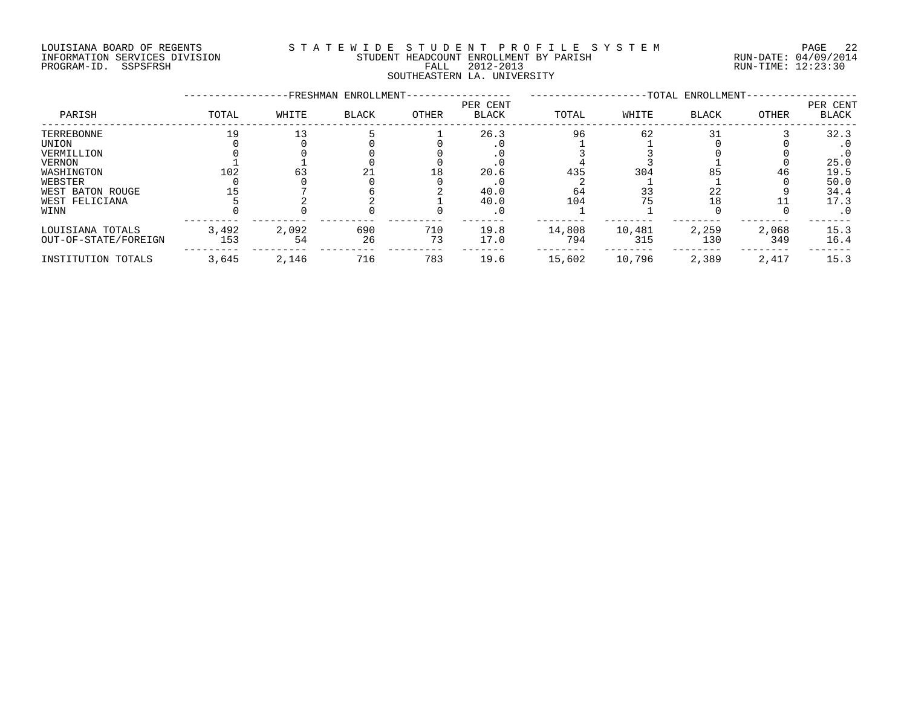#### LOUISIANA BOARD OF REGENTS S T A T E W I D E S T U D E N T P R O F I L E S Y S T E M PAGE 22 INFORMATION SERVICES DIVISION STUDENT HEADCOUNT ENROLLMENT BY PARISH RUN-DATE: 04/09/2014 PROGRAM-ID. SSPSFRSH FALL 2012-2013 RUN-TIME: 12:23:30 SOUTHEASTERN LA. UNIVERSITY

|                      |       |       | -FRESHMAN ENROLLMENT- |       |                          |        |        | -TOTAL ENROLLMENT- |       |                          |
|----------------------|-------|-------|-----------------------|-------|--------------------------|--------|--------|--------------------|-------|--------------------------|
| PARISH               | TOTAL | WHITE | <b>BLACK</b>          | OTHER | PER CENT<br><b>BLACK</b> | TOTAL  | WHITE  | <b>BLACK</b>       | OTHER | PER CENT<br><b>BLACK</b> |
| TERREBONNE           | 19    |       |                       |       | 26.3                     | 96     | 62     | 31                 |       | 32.3                     |
| UNION                |       |       |                       |       |                          |        |        |                    |       | . U                      |
| VERMILLION           |       |       |                       |       |                          |        |        |                    |       |                          |
| VERNON               |       |       |                       |       |                          |        |        |                    |       | 25.0                     |
| WASHINGTON           | 102   | 63    |                       | 18    | 20.6                     | 435    | 304    | 85                 | 46    | 19.5                     |
| WEBSTER              |       |       |                       |       |                          |        |        |                    |       | 50.0                     |
| WEST BATON ROUGE     |       |       |                       |       | 40.0                     | 64     | 33     | 22                 |       | 34.4                     |
| WEST FELICIANA       |       |       |                       |       | 40.0                     | 104    | 75     | 18                 |       | 17.3                     |
| WINN                 |       |       |                       |       | $\cdot$ 0                |        |        |                    |       | . 0                      |
| LOUISIANA TOTALS     | 3,492 | 2,092 | 690                   | 710   | 19.8                     | 14,808 | 10,481 | 2,259              | 2,068 | 15.3                     |
| OUT-OF-STATE/FOREIGN | 153   | 54    | 26                    | 73    | 17.0                     | 794    | 315    | 130                | 349   | 16.4                     |
| INSTITUTION TOTALS   | 3,645 | 2,146 | 716                   | 783   | 19.6                     | 15,602 | 10,796 | 2,389              | 2,417 | 15.3                     |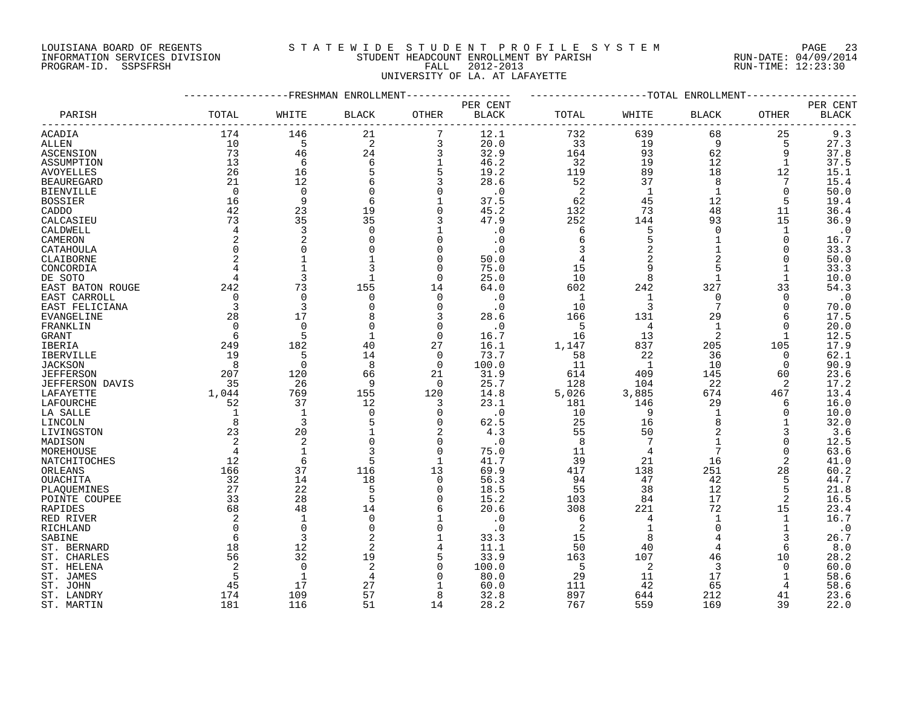## LOUISIANA BOARD OF REGENTS S T A T E W I D E S T U D E N T P R O F I L E S Y S T E M PAGE 23 INFORMATION SERVICES DIVISION STUDENT HEADCOUNT ENROLLMENT BY PARISH RUN-DATE: 04/09/2014 PROGRAM-ID. SSPSFRSH FALL 2012-2013 RUN-TIME: 12:23:30 UNIVERSITY OF LA. AT LAFAYETTE

|                   |                |                | FRESHMAN ENROLLMENT |              |              |              |                | -TOTAL ENROLLMENT |              |              |
|-------------------|----------------|----------------|---------------------|--------------|--------------|--------------|----------------|-------------------|--------------|--------------|
|                   |                |                |                     |              | PER CENT     |              |                |                   |              | PER CENT     |
| PARISH            | TOTAL          | WHITE          | <b>BLACK</b>        | OTHER        | <b>BLACK</b> | TOTAL        | WHITE          | BLACK             | OTHER        | <b>BLACK</b> |
| ACADIA            | 174            | 146            | 21                  | 7            | 12.1         | 732          | 639            | 68                | 25           | 9.3          |
| ALLEN             | 10             | 5              | 2                   | 3            | 20.0         | 33           | 19             | 9                 | 5            | 27.3         |
| ASCENSION         | 73             | 46             | 24                  | 3            | 32.9         | 164          | 93             | 62                | 9            | 37.8         |
| ASSUMPTION        | 13             | 6              | 6                   | $\mathbf{1}$ | 46.2         | 32           | 19             | 12                | $\mathbf{1}$ | 37.5         |
| <b>AVOYELLES</b>  | 26             | 16             | 5                   | 5            | 19.2         | 119          | 89             | 18                | 12           | 15.1         |
| <b>BEAUREGARD</b> | 21             | 12             | 6                   | 3            | 28.6         | 52           | 37             | 8                 | 7            | 15.4         |
| <b>BIENVILLE</b>  | 0              | $\mathbf 0$    | 0                   | 0            | $\cdot$ 0    | 2            | -1             | $\mathbf 1$       | 0            | 50.0         |
| <b>BOSSIER</b>    | 16             | 9              | 6                   | $\mathbf{1}$ | 37.5         | 62           | 45             | 12                | 5            | 19.4         |
| CADDO             | 42             | 23             | 19                  | $\Omega$     | 45.2         | 132          | 73             | 48                | 11           | 36.4         |
| CALCASIEU         | 73             | 35             | 35                  | 3            | 47.9         | 252          | 144            | 93                | 15           | 36.9         |
| CALDWELL          | 4              | 3              | $\Omega$            | $\mathbf{1}$ | $\cdot$ 0    | 6            | 5              | $\Omega$          | $\mathbf{1}$ | $\cdot$ 0    |
| CAMERON           | 2              | $\overline{2}$ |                     | $\Omega$     | $\cdot$ 0    | 6            |                | 1                 | 0            | 16.7         |
| CATAHOULA         | $\Omega$       | $\Omega$       |                     | $\Omega$     | $\cdot$ 0    | 3            |                | 1                 | $\Omega$     | 33.3         |
| CLAIBORNE         | $\overline{2}$ | $\mathbf{1}$   |                     | $\Omega$     | 50.0         |              |                | $\overline{2}$    | $\Omega$     | 50.0         |
|                   |                |                |                     | $\Omega$     | 75.0         | 15           | 9              | 5                 |              |              |
| CONCORDIA         | 4              | 3              |                     | $\Omega$     | 25.0         | 10           | 8              | $\mathbf 1$       | 1            | 33.3         |
| DE SOTO           |                |                |                     |              |              |              |                | 327               |              | 10.0         |
| EAST BATON ROUGE  | 242            | 73             | 155                 | 14           | 64.0         | 602          | 242            |                   | 33           | 54.3         |
| EAST CARROLL      | $\mathbf 0$    | $\mathbf 0$    | $\Omega$            | $\mathbf 0$  | $\cdot$ 0    | $\mathbf{1}$ | $\mathbf 1$    | $\Omega$          | $\Omega$     | $\cdot$ 0    |
| EAST FELICIANA    | $\overline{3}$ | 3              |                     | 0            | $\cdot$ 0    | 10           | 3              | 7                 | $\Omega$     | 70.0         |
| <b>EVANGELINE</b> | 28             | 17             |                     | 3            | 28.6         | 166          | 131            | 29                | 6            | 17.5         |
| FRANKLIN          | $\Omega$       | $\Omega$       |                     | $\mathbf 0$  | $\cdot$ 0    | 5            | $\overline{4}$ | $\mathbf 1$       | $\Omega$     | 20.0         |
| GRANT             | 6              | 5              |                     | $\Omega$     | 16.7         | 16           | 13             | 2                 | -1           | 12.5         |
| IBERIA            | 249            | 182            | 40                  | 27           | 16.1         | 1,147        | 837            | 205               | 105          | 17.9         |
| IBERVILLE         | 19             | 5              | 14                  | 0            | 73.7         | 58           | 22             | 36                | 0            | 62.1         |
| <b>JACKSON</b>    | 8              | $\Omega$       | 8                   | $\Omega$     | 100.0        | 11           | 1              | 10                | $\Omega$     | 90.9         |
| <b>JEFFERSON</b>  | 207            | 120            | 66                  | 21           | 31.9         | 614          | 409            | 145               | 60           | 23.6         |
| JEFFERSON DAVIS   | 35             | 26             | q                   | $\Omega$     | 25.7         | 128          | 104            | 22                | 2            | 17.2         |
| LAFAYETTE         | 1,044          | 769            | 155                 | 120          | 14.8         | 5,026        | 3,885          | 674               | 467          | 13.4         |
| LAFOURCHE         | 52             | 37             | 12                  | 3            | 23.1         | 181          | 146            | 29                | 6            | 16.0         |
| LA SALLE          | $\mathbf 1$    | $\mathbf{1}$   | $\Omega$            | $\Omega$     | $\cdot$ 0    | 10           | 9              | $\mathbf{1}$      | $\Omega$     | 10.0         |
| LINCOLN           | 8              | 3              |                     | $\Omega$     | 62.5         | 25           | 16             | 8                 |              | 32.0         |
| LIVINGSTON        | 23             | 20             |                     | 2            | 4.3          | 55           | 50             | $\overline{2}$    | 3            | 3.6          |
| MADISON           | $\overline{2}$ | $\overline{c}$ |                     | $\Omega$     | $\cdot$ 0    | 8            |                |                   | $\Omega$     | 12.5         |
| MOREHOUSE         | $\overline{4}$ | $\mathbf{1}$   | 3                   | $\mathbf 0$  | 75.0         | 11           | 4              | 7                 | 0            | 63.6         |
| NATCHITOCHES      | 12             | 6              | 5                   | $\mathbf{1}$ | 41.7         | 39           | 21             | 16                | 2            | 41.0         |
| ORLEANS           | 166            | 37             | 116                 | 13           | 69.9         | 417          | 138            | 251               | 28           | 60.2         |
| OUACHITA          | 32             | 14             | 18                  | $\mathbf 0$  | 56.3         | 94           | 47             | 42                | 5            | 44.7         |
| PLAQUEMINES       | 27             | 22             |                     | $\mathbf 0$  | 18.5         | 55           | 38             | 12                | 5            | 21.8         |
| POINTE COUPEE     | 33             | 28             | 5                   | $\Omega$     | 15.2         | 103          | 84             | 17                | 2            | 16.5         |
| RAPIDES           | 68             | 48             | 14                  | 6            | 20.6         | 308          | 221            | 72                | 15           | 23.4         |
| RED RIVER         | 2              | $\mathbf{1}$   | $\Omega$            | $\mathbf{1}$ | $\cdot$ 0    | 6            | 4              | $\mathbf 1$       | $\mathbf{1}$ | 16.7         |
| RICHLAND          | $\Omega$       | $\mathbf 0$    | $\mathbf 0$         | 0            | $\cdot$ 0    | 2            | 1              | $\Omega$          | 1            | $\cdot$ 0    |
| SABINE            | 6              | 3              | 2                   | $\mathbf{1}$ | 33.3         | 15           | 8              | 4                 | 3            | 26.7         |
| ST. BERNARD       | 18             | 12             | 2                   | 4            | 11.1         | 50           | 40             | 4                 | 6            | 8.0          |
| ST. CHARLES       | 56             | 32             | 19                  | 5            | 33.9         | 163          | 107            | 46                | 10           | 28.2         |
| ST. HELENA        | 2              | $\Omega$       | 2                   | $\Omega$     | 100.0        | 5            | 2              | 3                 | $\Omega$     | 60.0         |
| ST. JAMES         | 5              | $\mathbf{1}$   | 4                   | $\Omega$     | 80.0         | 29           | 11             | 17                | 1            | 58.6         |
| ST. JOHN          | 45             | 17             | 27                  |              | 60.0         | 111          | 42             | 65                |              | 58.6         |
| ST. LANDRY        | 174            | 109            | 57                  | 8            | 32.8         | 897          | 644            | 212               | 41           | 23.6         |
| ST. MARTIN        | 181            | 116            | 51                  | 14           | 28.2         | 767          | 559            | 169               | 39           | 22.0         |
|                   |                |                |                     |              |              |              |                |                   |              |              |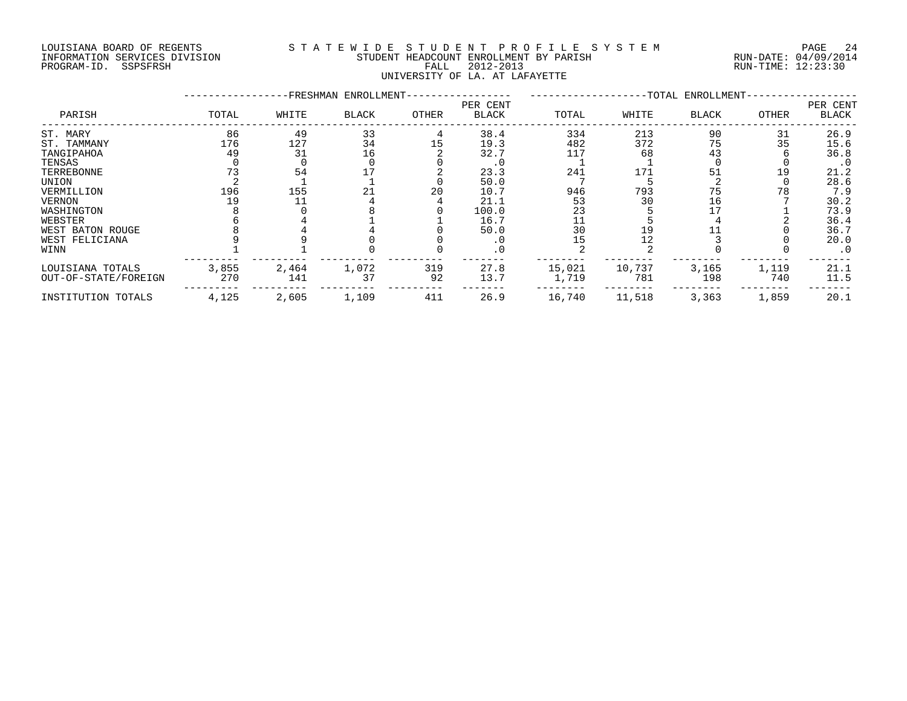#### LOUISIANA BOARD OF REGENTS S T A T E W I D E S T U D E N T P R O F I L E S Y S T E M PAGE 24 INFORMATION SERVICES DIVISION STUDENT HEADCOUNT ENROLLMENT BY PARISH RUN-DATE: 04/09/2014 DOUISIANA BOARD OF REGENTS STATEWALE SIGNIFY ENCOUNT ENCOUNT ENGLAND OF REGENTS STATE STUDENT HEADCOUNT ENROLLMENT BY PARISH (RUN-DATE: 04/09/2014<br>PROGRAM-ID. SSPSFRSH FALL 2012-2013 FALL 2012-2013 RUN-TIME: 12:23:30 UNIVERSITY OF LA. AT LAFAYETTE

|                                          |                 |                 | -FRESHMAN ENROLLMENT- |           |                          |                   |                  | -TOTAL ENROLLMENT- |              |                          |
|------------------------------------------|-----------------|-----------------|-----------------------|-----------|--------------------------|-------------------|------------------|--------------------|--------------|--------------------------|
| PARISH                                   | TOTAL           | WHITE           | <b>BLACK</b>          | OTHER     | PER CENT<br><b>BLACK</b> | TOTAL             | WHITE            | <b>BLACK</b>       | OTHER        | PER CENT<br><b>BLACK</b> |
| ST. MARY<br>ST. TAMMANY<br>TANGIPAHOA    | 86<br>176<br>49 | 49<br>127<br>31 | 33<br>34<br>16        | 15        | 38.4<br>19.3<br>32.7     | 334<br>482<br>117 | 213<br>372<br>68 | 90<br>75<br>43     | 31<br>35     | 26.9<br>15.6<br>36.8     |
| TENSAS<br>TERREBONNE                     |                 | 54              |                       |           | . 0<br>23.3              | 241               | 171              | 51                 | 19           | $\cdot$ 0<br>21.2        |
| UNION<br>VERMILLION                      | 196             | 155             | 21                    | 20        | 50.0<br>10.7             | 946               | 793              | 75                 | 78           | 28.6<br>7.9              |
| <b>VERNON</b><br>WASHINGTON              | 19              |                 |                       |           | 21.1<br>100.0            | 53<br>23          | 30               | 16                 |              | 30.2<br>73.9             |
| WEBSTER<br>WEST BATON ROUGE              |                 |                 |                       |           | 16.7<br>50.0             | 30                |                  |                    |              | 36.4<br>36.7             |
| WEST FELICIANA<br>WINN                   |                 |                 |                       |           | .0<br>. 0                | 15                |                  |                    |              | 20.0<br>$\cdot$ 0        |
| LOUISIANA TOTALS<br>OUT-OF-STATE/FOREIGN | 3,855<br>270    | 2,464<br>141    | 1,072<br>37           | 319<br>92 | 27.8<br>13.7             | 15,021<br>1,719   | 10,737<br>781    | 3,165<br>198       | 1,119<br>740 | 21.1<br>11.5             |
| INSTITUTION TOTALS                       | 4,125           | 2,605           | 1,109                 | 411       | 26.9                     | 16,740            | 11,518           | 3,363              | 1,859        | 20.1                     |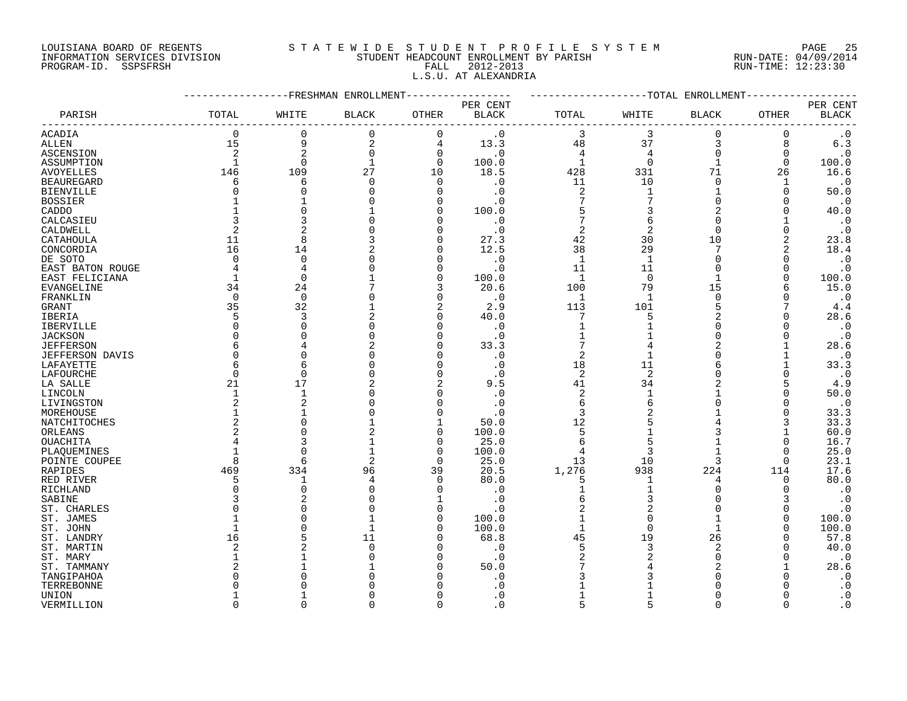## LOUISIANA BOARD OF REGENTS S T A T E W I D E S T U D E N T P R O F I L E S Y S T E M PAGE 25 INFORMATION SERVICES DIVISION STUDENT HEADCOUNT ENROLLMENT BY PARISH RUN-DATE: 04/09/2014 PROGRAM-ID. SSPSFRSH FALL 2012-2013 RUN-TIME: 12:23:30 L.S.U. AT ALEXANDRIA

|                        |                |                | -FRESHMAN ENROLLMENT |                |                          |                         |                | -----------TOTAL ENROLLMENT |             |                          |
|------------------------|----------------|----------------|----------------------|----------------|--------------------------|-------------------------|----------------|-----------------------------|-------------|--------------------------|
| PARISH                 | TOTAL          | WHITE          | <b>BLACK</b>         | OTHER          | PER CENT<br><b>BLACK</b> | TOTAL                   | WHITE          | <b>BLACK</b>                | OTHER       | PER CENT<br><b>BLACK</b> |
| ACADIA                 | $\overline{0}$ | $\mathbf 0$    | 0                    | $\mathbf 0$    | $\cdot$ 0                | 3                       | 3              | $\mathbf 0$                 | 0           | $\cdot$ 0                |
| <b>ALLEN</b>           | 15             | 9              | 2                    | $\overline{4}$ | 13.3                     | 48                      | 37             | 3                           | 8           | 6.3                      |
| ASCENSION              | 2              | $\overline{c}$ | $\mathbf 0$          | $\overline{0}$ | $\cdot$ 0                | 4                       | 4              | $\overline{0}$              | $\mathbf 0$ | $\cdot$ 0                |
| ASSUMPTION             | $\mathbf{1}$   | $\Omega$       | 1                    | $\Omega$       | 100.0                    | $\mathbf{1}$            | $\Omega$       | $\mathbf{1}$                | $\Omega$    | 100.0                    |
| <b>AVOYELLES</b>       | 146            | 109            | 27                   | 10             | 18.5                     | 428                     | 331            | 71                          | 26          | 16.6                     |
| <b>BEAUREGARD</b>      | 6              | 6              | 0                    | $\Omega$       | $\cdot$ 0                | 11                      | 10             | $\Omega$                    |             | $\cdot$ 0                |
| <b>BIENVILLE</b>       | O              | $\Omega$       |                      | $\Omega$       | $\cdot$ 0                | $\overline{2}$          |                |                             | $\Omega$    | 50.0                     |
|                        |                |                |                      | $\cap$         | $\cdot$ 0                | 7                       | 7              | $\Omega$                    | O           | $\cdot$ 0                |
| <b>BOSSIER</b>         |                |                |                      | $\Omega$       | 100.0                    | 5                       | 3              | 2                           | O           | 40.0                     |
| CADDO                  |                |                |                      |                |                          |                         | 6              | $\Omega$                    |             |                          |
| CALCASIEU              |                |                |                      |                | $\cdot$ 0                |                         |                | $\Omega$                    |             | $\cdot$ 0                |
| CALDWELL               | 2              |                |                      |                | $\cdot$ 0                | $\overline{2}$          | $\overline{2}$ |                             | $\Omega$    | $\cdot$ 0                |
| CATAHOULA              | 11             | 8              |                      | $\Omega$       | 27.3                     | 42                      | 30             | 10                          | 2           | 23.8                     |
| CONCORDIA              | 16             | 14             |                      | n              | 12.5                     | 38                      | 29             | 7                           | 2           | 18.4                     |
| DE SOTO                | $\Omega$       | $\Omega$       |                      |                | $\cdot$ 0                | $\mathbf{1}$            | $\mathbf{1}$   | $\Omega$                    | 0           | $\cdot$ 0                |
| EAST BATON ROUGE       | 4              | 4              |                      |                | $\cdot$ 0                | 11                      | 11             | $\Omega$                    | $\Omega$    | $\cdot$ 0                |
| EAST FELICIANA         | $\mathbf 1$    | $\Omega$       |                      | $\Omega$       | 100.0                    | $\mathbf{1}$            | $\Omega$       | $\mathbf{1}$                | $\Omega$    | 100.0                    |
| EVANGELINE             | 34             | 24             |                      | 3              | 20.6                     | 100                     | 79             | 15                          | 6           | 15.0                     |
| FRANKLIN               | $\Omega$       | $\Omega$       |                      |                | $\cdot$ 0                | $\mathbf{1}$            | $\mathbf{1}$   | $\Omega$                    | $\Omega$    | $\cdot$ 0                |
| GRANT                  | 35             | 32             |                      | 2              | 2.9                      | 113                     | 101            | 5                           |             | 4.4                      |
| IBERIA                 | 5              | 3              |                      | $\Omega$       | 40.0                     |                         | 5              | $\overline{a}$              |             | 28.6                     |
| IBERVILLE              | 0              | $\Omega$       |                      | $\Omega$       | $\cdot$ 0                |                         |                | $\Omega$                    |             | $\cdot$ 0                |
| <b>JACKSON</b>         | $\Omega$       |                |                      |                | $\cdot$ 0                |                         |                | $\Omega$                    | O           | $\cdot$ 0                |
| <b>JEFFERSON</b>       | 6              |                |                      |                | 33.3                     |                         |                | 2                           |             | 28.6                     |
| <b>JEFFERSON DAVIS</b> | $\Omega$       |                |                      |                | $\cdot$ 0                | 2                       |                |                             |             | $\cdot$ 0                |
| LAFAYETTE              | 6              | 6              |                      |                | $\cdot$ 0                | 18                      | 11             |                             |             | 33.3                     |
| LAFOURCHE              | $\mathbf 0$    | $\Omega$       |                      | n              | $\cdot$ 0                | $\overline{2}$          | $\overline{2}$ | $\Omega$                    | $\Omega$    | $\cdot$ 0                |
| LA SALLE               | 21             | 17             | 2                    | $\overline{2}$ | 9.5                      | 41                      | 34             | $\overline{a}$              | 5           | 4.9                      |
| LINCOLN                | 1              | 1              |                      |                | . 0                      | $\overline{\mathbf{c}}$ |                |                             | $\Omega$    | 50.0                     |
| LIVINGSTON             | 2              | $\overline{2}$ |                      |                | . 0                      | 6                       | 6              | $\Omega$                    | O           | $\cdot$ 0                |
| MOREHOUSE              |                |                |                      |                | $\cdot$ 0                | 3                       | 2              |                             | $\Omega$    | 33.3                     |
|                        | 2              | $\Omega$       |                      |                |                          | 12                      |                |                             | 3           | 33.3                     |
| NATCHITOCHES           | 2              | $\Omega$       |                      | $\Omega$       | 50.0                     | 5                       |                | 3                           |             |                          |
| ORLEANS                |                |                |                      |                | 100.0                    |                         | 5              |                             |             | 60.0                     |
| OUACHITA               |                | $\cap$         | $\mathbf{1}$         | $\Omega$       | 25.0                     | 6                       |                |                             | $\Omega$    | 16.7                     |
| PLAQUEMINES            | $\mathbf{1}$   |                |                      | $\Omega$       | 100.0                    | 4                       | 3              |                             | $\Omega$    | 25.0                     |
| POINTE COUPEE          | 8              | 6              | 2                    | $\Omega$       | 25.0                     | 13                      | 10             | 3                           | $\Omega$    | 23.1                     |
| RAPIDES                | 469            | 334            | 96                   | 39             | 20.5                     | 1,276                   | 938            | 224                         | 114         | 17.6                     |
| RED RIVER              | 5              | 1              | 4                    | $\Omega$       | 80.0                     | 5                       | 1              | 4                           | 0           | 80.0                     |
| RICHLAND               | O              | $\Omega$       | $\Omega$             | n              | $\cdot$ 0                |                         |                |                             | $\Omega$    | $\cdot$ 0                |
| SABINE                 | ζ              |                |                      |                | . 0                      | 6                       | 3              |                             | 3           | $\cdot$ 0                |
| ST. CHARLES            | U              | $\cap$         |                      | $\Omega$       | $\cdot$ 0                | $\overline{c}$          | $\overline{c}$ |                             | O           | $\cdot$ 0                |
| ST. JAMES              |                |                |                      | $\cap$         | 100.0                    |                         | $\Omega$       |                             | $\Omega$    | 100.0                    |
| ST. JOHN               |                | $\cap$         |                      | $\cap$         | 100.0                    | $\mathbf{1}$            | $\Omega$       |                             | $\Omega$    | 100.0                    |
| ST. LANDRY             | 16             |                | 11                   |                | 68.8                     | 45                      | 19             | 26                          |             | 57.8                     |
| ST. MARTIN             | 2              |                | $\Omega$             |                | . 0                      | 5                       | 3              | $\overline{2}$              |             | 40.0                     |
| ST. MARY               |                |                |                      |                | $\cdot$ 0                | $\overline{2}$          |                | $\Omega$                    |             | $\cdot$ 0                |
| ST. TAMMANY            |                |                |                      |                | 50.0                     |                         |                |                             |             | 28.6                     |
| TANGIPAHOA             | U              |                |                      |                | . 0                      |                         |                |                             |             | $\cdot$ 0                |
| TERREBONNE             |                |                |                      |                | . 0                      |                         |                |                             |             | $\boldsymbol{\cdot}$ 0   |
| UNION                  |                |                |                      |                | . 0                      |                         |                | ∩                           |             | $\cdot$ 0                |
| VERMILLION             | $\cap$         | $\cap$         | O                    | $\Omega$       | $\Omega$                 | $\sqrt{2}$              |                | $\cap$                      |             | $\cdot$ 0                |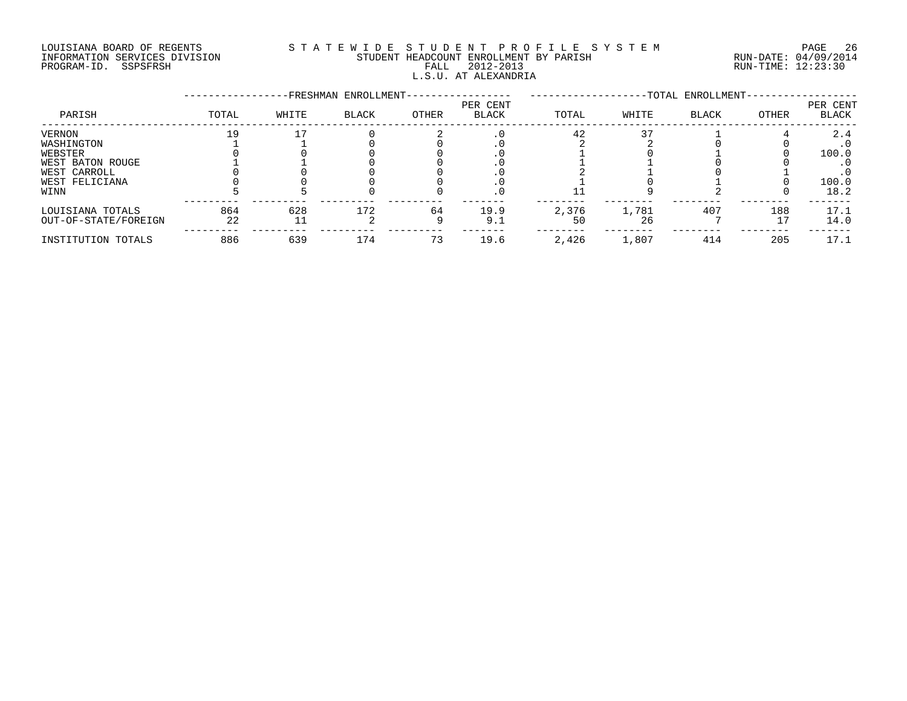#### LOUISIANA BOARD OF REGENTS S T A T E W I D E S T U D E N T P R O F I L E S Y S T E M PAGE 26 INFORMATION SERVICES DIVISION STUDENT HEADCOUNT ENROLLMENT BY PARISH RUN-DATE: 04/09/2014 PROGRAM-ID. SSPSFRSH FALL 2012-2013 RUN-TIME: 12:23:30 L.S.U. AT ALEXANDRIA

|                      |       |       | -FRESHMAN ENROLLMENT- |       |                          |       |       | -TOTAL ENROLLMENT- |       |                   |
|----------------------|-------|-------|-----------------------|-------|--------------------------|-------|-------|--------------------|-------|-------------------|
| PARISH               | TOTAL | WHITE | <b>BLACK</b>          | OTHER | PER CENT<br><b>BLACK</b> | TOTAL | WHITE | <b>BLACK</b>       | OTHER | PER CENT<br>BLACK |
| VERNON               | 19    |       |                       |       |                          | 42    |       |                    |       | 2.4               |
| WASHINGTON           |       |       |                       |       |                          |       |       |                    |       | $\cdot$ 0         |
| WEBSTER              |       |       |                       |       |                          |       |       |                    |       | 100.0             |
| WEST BATON ROUGE     |       |       |                       |       |                          |       |       |                    |       |                   |
| WEST CARROLL         |       |       |                       |       |                          |       |       |                    |       |                   |
| WEST FELICIANA       |       |       |                       |       |                          |       |       |                    |       | 100.0             |
| WINN                 |       |       |                       |       | . 0                      |       |       |                    |       | 18.2              |
| LOUISIANA TOTALS     | 864   | 628   | 172                   | 64    | 19.9                     | 2,376 | 1,781 | 407                | 188   | 17.1              |
| OUT-OF-STATE/FOREIGN | 22    |       |                       |       | 9.1                      | 50    | 26    |                    | 17    | 14.0              |
| INSTITUTION TOTALS   | 886   | 639   | 174                   | 73    | 19.6                     | 2,426 | 1,807 | 414                | 205   | 17.1              |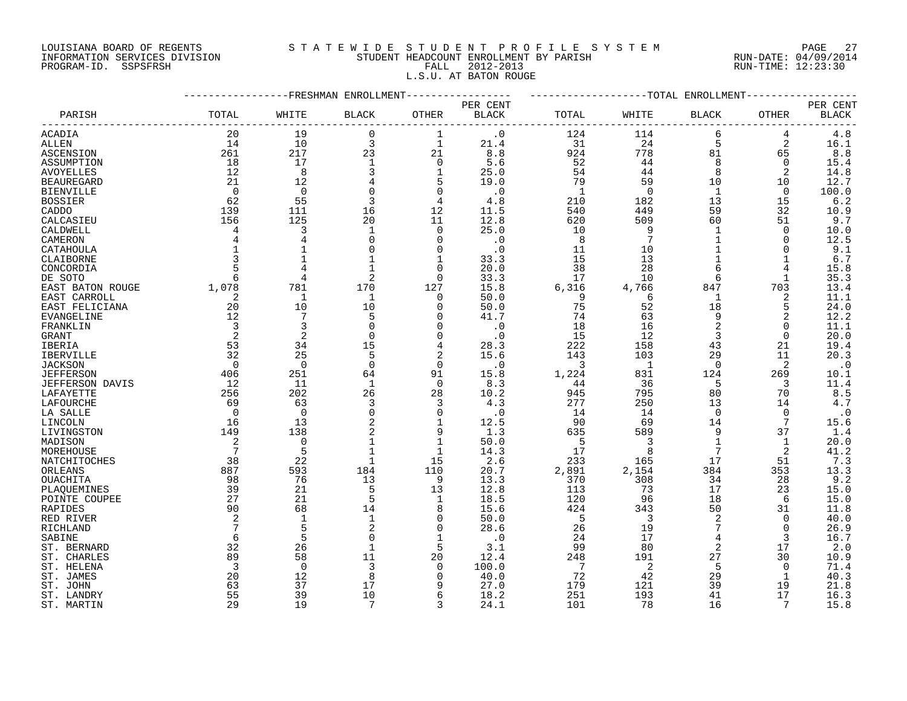## LOUISIANA BOARD OF REGENTS S T A T E W I D E S T U D E N T P R O F I L E S Y S T E M PAGE 27 INFORMATION SERVICES DIVISION STUDENT HEADCOUNT ENROLLMENT BY PARISH RUN-DATE: 04/09/2014 PROGRAM-ID. SSPSFRSH FALL 2012-2013 RUN-TIME: 12:23:30 L.S.U. AT BATON ROUGE

|                   |                 |                | FRESHMAN ENROLLMENT |                   |                   |            |            | -TOTAL ENROLLMENT |                |              |
|-------------------|-----------------|----------------|---------------------|-------------------|-------------------|------------|------------|-------------------|----------------|--------------|
|                   |                 |                |                     |                   | PER CENT          |            |            |                   |                | PER CENT     |
| PARISH            | TOTAL           | WHITE          | <b>BLACK</b>        | OTHER             | <b>BLACK</b>      | TOTAL      | WHITE      | BLACK             | OTHER          | <b>BLACK</b> |
| ACADIA            | 20              | 19             | $\mathbf 0$         | 1                 | $\cdot$ 0         | 124        | 114        | 6                 | 4              | 4.8          |
| ALLEN             | 14              | 10             | 3                   | $\mathbf{1}$      | 21.4              | 31         | 24         | 5                 | 2              | 16.1         |
| ASCENSION         | 261             | 217            | 23                  | 21                | 8.8               | 924        | 778        | 81                | 65             | 8.8          |
| ASSUMPTION        | 18              | 17             | $\mathbf{1}$        | $\mathbf 0$       | 5.6               | 52         | 44         | 8                 | $\Omega$       | 15.4         |
| <b>AVOYELLES</b>  | 12              | 8              | 3                   | $\mathbf 1$       | 25.0              | 54         | 44         | 8                 | $\overline{a}$ | 14.8         |
| <b>BEAUREGARD</b> | 21              | 12             |                     | 5                 | 19.0              | 79         | 59         | 10                | 10             | 12.7         |
| <b>BIENVILLE</b>  | 0               | 0              |                     | $\mathbf 0$       | $\cdot$ 0         | -1         | 0          | 1                 | 0              | 100.0        |
| <b>BOSSIER</b>    | 62              | 55             |                     | $\overline{4}$    | 4.8               | 210        | 182        | 13                | 15             | 6.2          |
| CADDO             | 139             | 111            | 16                  | 12                | 11.5              | 540        | 449        | 59                | 32             | 10.9         |
| CALCASIEU         | 156             | 125            | 20                  | 11                | 12.8              | 620        | 509        | 60                | 51             | 9.7          |
| CALDWELL          | $\overline{4}$  | 3              | $\mathbf{1}$        | $\Omega$          | 25.0              | 10         | 9          | $\mathbf{1}$      | $\Omega$       | 10.0         |
| CAMERON           |                 |                | $\Omega$            | $\mathbf 0$       | $\cdot$ 0         | 8          | 7          | 1                 | 0              | 12.5         |
| CATAHOULA         | $\mathbf 1$     |                |                     | $\Omega$          | $\cdot$ 0         | 11         | 10         |                   | $\Omega$       | 9.1          |
| CLAIBORNE         | 3               | $\mathbf{1}$   |                     | $\mathbf 1$       | 33.3              | 15         | 13         | $\mathbf{1}$      | $\mathbf{1}$   | 6.7          |
| CONCORDIA         |                 |                |                     | 0                 | 20.0              | 38         | 28         | 6                 | 4              | 15.8         |
| DE SOTO           | 6               | 4              | 2                   | 0                 | 33.3              | 17         | 10         | 6                 | 1              | 35.3         |
| EAST BATON ROUGE  | 1,078           | 781            | 170                 | 127               | 15.8              | 6,316      | 4,766      | 847               | 703            | 13.4         |
| EAST CARROLL      | 2               | 1              | $\mathbf{1}$        | 0                 | 50.0              | 9          | 6          | 1                 | 2              | 11.1         |
| EAST FELICIANA    | 20              | 10             | 10                  | 0                 | 50.0              | 75         | 52         | 18                | 5              | 24.0         |
| <b>EVANGELINE</b> | 12              | 7              | 5                   | $\Omega$          | 41.7              | 74         | 63         | 9                 | 2              | 12.2         |
| FRANKLIN          | 3               | 3              | $\Omega$            | $\mathbf 0$       | $\cdot$ 0         | 18         | 16         | $\overline{2}$    | 0              | 11.1         |
| GRANT             | 2               | $\overline{2}$ | $\Omega$            | 0                 | $\cdot$ 0         | 15         | 12         | 3                 | $\Omega$       | 20.0         |
| IBERIA            | 53              | 34             | 15                  | 4                 | 28.3              | 222        | 158        | 43                | 21             | 19.4         |
|                   | 32              | 25             | 5                   | $\overline{2}$    | 15.6              | 143        | 103        | 29                | 11             | 20.3         |
| IBERVILLE         | $\Omega$        | $\Omega$       | $\Omega$            | $\Omega$          |                   |            |            | $\Omega$          |                |              |
| <b>JACKSON</b>    |                 |                |                     |                   | $\cdot$ 0         | 3<br>1,224 | 1          |                   | 2              | $\cdot$ 0    |
| <b>JEFFERSON</b>  | 406<br>12       | 251<br>11      | 64<br>$\mathbf{1}$  | 91<br>$\mathbf 0$ | 15.8<br>8.3       |            | 831<br>36  | 124<br>5          | 269            | 10.1<br>11.4 |
| JEFFERSON DAVIS   |                 |                | 26                  |                   | 10.2              | 44         |            |                   | 3              |              |
| LAFAYETTE         | 256<br>69       | 202            |                     | 28                | 4.3               | 945<br>277 | 795<br>250 | 80<br>13          | 70<br>14       | 8.5<br>4.7   |
| LAFOURCHE         |                 | 63             | 3                   | 3                 |                   |            |            |                   |                |              |
| LA SALLE          | $\Omega$        | $\Omega$       | $\Omega$            | $\Omega$          | $\cdot$ 0<br>12.5 | 14         | 14<br>69   | $\Omega$          | $\Omega$<br>7  | $\cdot$ 0    |
| LINCOLN           | 16<br>149       | 13<br>138      |                     | $\mathbf 1$       | 1.3               | 90         | 589        | 14<br>9           | 37             | 15.6<br>1.4  |
| LIVINGSTON        |                 |                | 2                   | 9                 |                   | 635        |            |                   |                |              |
| MADISON           | 2               | $\mathbf 0$    |                     | 1                 | 50.0              | -5         |            | 1                 | 1              | 20.0         |
| MOREHOUSE         | 7               | 5              |                     | 1                 | 14.3              | 17         | 8          | 7                 | 2              | 41.2         |
| NATCHITOCHES      | 38              | 22             | $\mathbf{1}$        | 15                | 2.6               | 233        | 165        | 17                | 51             | 7.3          |
| ORLEANS           | 887             | 593            | 184                 | 110               | 20.7              | 2,891      | 2,154      | 384               | 353            | 13.3         |
| OUACHITA          | 98              | 76             | 13                  | 9                 | 13.3              | 370        | 308        | 34                | 28             | 9.2          |
| PLAQUEMINES       | 39              | 21             | 5                   | 13                | 12.8              | 113        | 73         | 17                | 23             | 15.0         |
| POINTE COUPEE     | 27              | 21             | 5                   | $\mathbf 1$       | 18.5              | 120        | 96         | 18                | 6              | 15.0         |
| RAPIDES           | 90              | 68             | 14                  | 8                 | 15.6              | 424        | 343        | 50                | 31             | 11.8         |
| RED RIVER         | 2               | $\mathbf{1}$   | $\mathbf{1}$        | $\Omega$          | 50.0              | 5          | 3          | 2                 | $\Omega$       | 40.0         |
| RICHLAND          | $7\phantom{.0}$ | 5              | $\overline{2}$      | 0                 | 28.6              | 26         | 19         | 7                 | 0              | 26.9         |
| SABINE            | 6               | 5              |                     | 1                 | $\cdot$ 0         | 24         | 17         | 4                 | 3              | 16.7         |
| ST. BERNARD       | 32              | 26             | 1                   | 5                 | 3.1               | 99         | 80         | 2                 | 17             | 2.0          |
| ST. CHARLES       | 89              | 58             | 11                  | 20                | 12.4              | 248        | 191        | 27                | 30             | 10.9         |
| ST. HELENA        | 3               | $\mathbf 0$    | 3                   | $\Omega$          | 100.0             | 7          | 2          | 5                 | $\Omega$       | 71.4         |
| ST. JAMES         | 20              | 12             | 8                   | $\Omega$          | 40.0              | 72         | 42         | 29                | 1              | 40.3         |
| ST. JOHN          | 63              | 37             | 17                  | 9                 | 27.0              | 179        | 121        | 39                | 19             | 21.8         |
| ST. LANDRY        | 55              | 39             | 10                  | 6                 | 18.2              | 251        | 193        | 41                | 17             | 16.3         |
| ST. MARTIN        | 29              | 19             | 7                   | 3                 | 24.1              | 101        | 78         | 16                | 7              | 15.8         |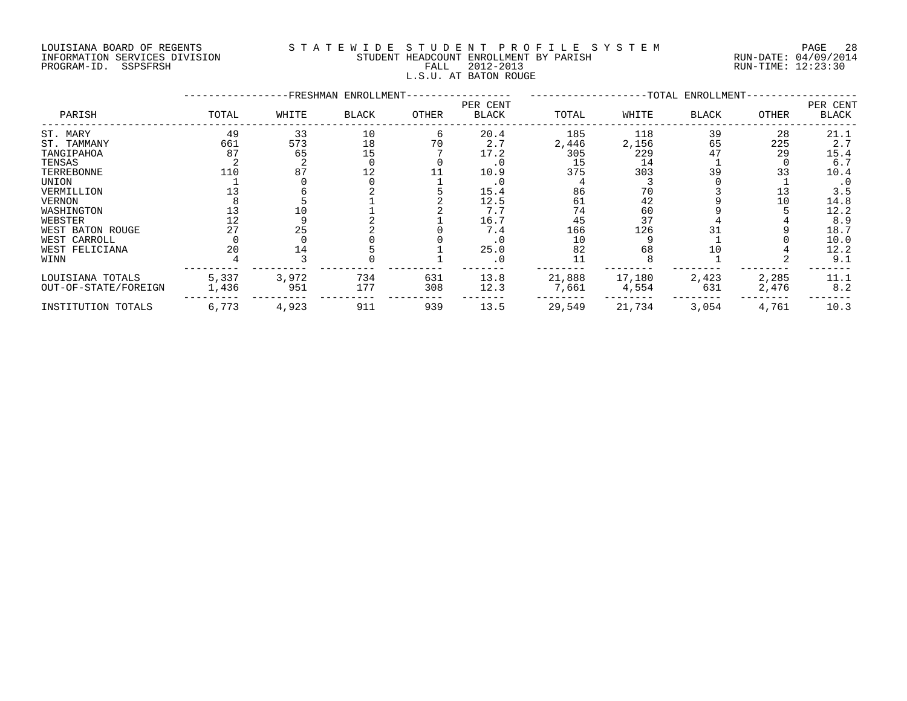#### LOUISIANA BOARD OF REGENTS S T A T E W I D E S T U D E N T P R O F I L E S Y S T E M PAGE 28 INFORMATION SERVICES DIVISION STUDENT HEADCOUNT ENROLLMENT BY PARISH RUN-DATE: 04/09/2014 PROGRAM-ID. SSPSFRSH FALL 2012-2013 RUN-TIME: 12:23:30 L.S.U. AT BATON ROUGE

|                      |       |       | -FRESHMAN ENROLLMENT- |       |                          |        |        | -TOTAL ENROLLMENT- |       |                   |
|----------------------|-------|-------|-----------------------|-------|--------------------------|--------|--------|--------------------|-------|-------------------|
| PARISH               | TOTAL | WHITE | <b>BLACK</b>          | OTHER | PER CENT<br><b>BLACK</b> | TOTAL  | WHITE  | BLACK              | OTHER | PER CENT<br>BLACK |
| ST. MARY             | 49    | 33    | 10                    | 6     | 20.4                     | 185    | 118    | 39                 | 28    | 21.1              |
| ST. TAMMANY          | 661   | 573   | 18                    | 70    | 2.7                      | 2,446  | 2,156  | 65                 | 225   | 2.7               |
| TANGIPAHOA           | 87    | 65    | 15                    |       | 17.2                     | 305    | 229    |                    | 29    | 15.4              |
| TENSAS               |       |       |                       |       |                          | 15     | 14     |                    |       | 6.7               |
| TERREBONNE           | 110   | 87    | 12                    |       | 10.9                     | 375    | 303    | 39                 | 33    | 10.4              |
| UNION                |       |       |                       |       | . 0                      |        |        |                    |       | $\cdot$ 0         |
| VERMILLION           |       |       |                       |       | 15.4                     | 86     | 70     |                    |       | 3.5               |
| VERNON               |       |       |                       |       | 12.5                     | 61     | 42     |                    | 10    | 14.8              |
| WASHINGTON           |       |       |                       |       | 7.7                      | 74     | 60     |                    |       | 12.2              |
| WEBSTER              |       |       |                       |       | 16.7                     | 45     | 37     |                    |       | 8.9               |
| WEST BATON ROUGE     |       | 25    |                       |       | 7.4                      | 166    | 126    |                    |       | 18.7              |
| WEST CARROLL         |       |       |                       |       |                          | 10     |        |                    |       | 10.0              |
| WEST FELICIANA       | 20    | 14    |                       |       | 25.0                     | 82     | 68     |                    |       | 12.2              |
| WINN                 |       |       |                       |       |                          |        |        |                    |       | 9.1               |
| LOUISIANA TOTALS     | 5,337 | 3,972 | 734                   | 631   | 13.8                     | 21,888 | 17,180 | 2,423              | 2,285 | 11.1              |
| OUT-OF-STATE/FOREIGN | 1,436 | 951   | 177                   | 308   | 12.3                     | 7,661  | 4,554  | 631                | 2,476 | 8.2               |
| INSTITUTION TOTALS   | 6,773 | 4,923 | 911                   | 939   | 13.5                     | 29,549 | 21,734 | 3,054              | 4,761 | 10.3              |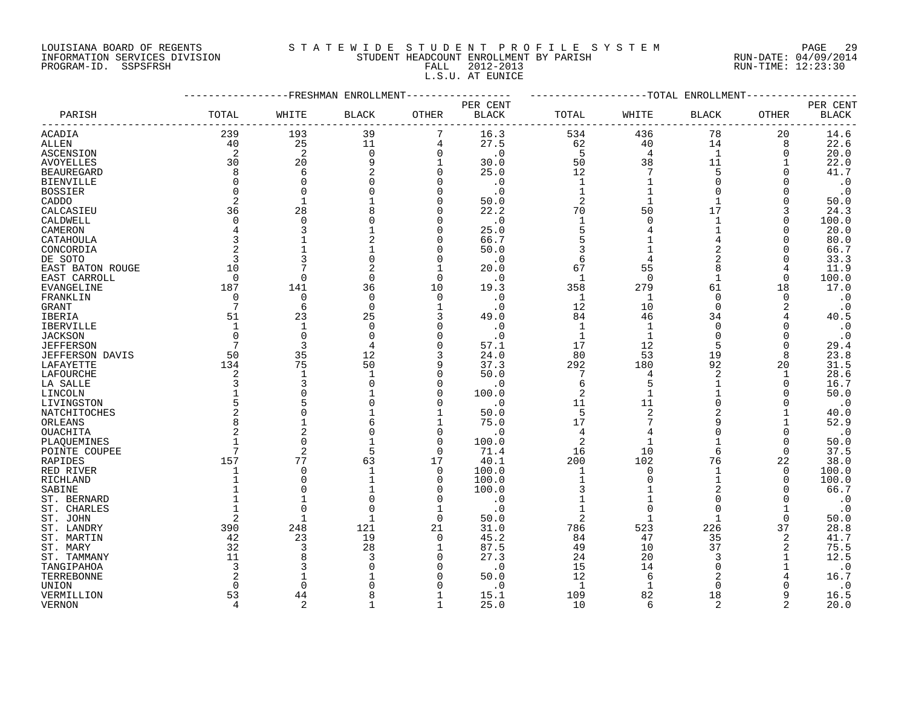## LOUISIANA BOARD OF REGENTS S T A T E W I D E S T U D E N T P R O F I L E S Y S T E M PAGE 29 INFORMATION SERVICES DIVISION STUDENT HEADCOUNT ENROLLMENT BY PARISH RUN-DATE: 04/09/2014 PROGRAM-ID. SSPSFRSH FALL 2012-2013 RUN-TIME: 12:23:30 L.S.U. AT EUNICE

|                     |                |                | FRESHMAN ENROLLMENT |                          |              |                |                | -TOTAL ENROLLMENT |                |                   |
|---------------------|----------------|----------------|---------------------|--------------------------|--------------|----------------|----------------|-------------------|----------------|-------------------|
|                     |                |                |                     |                          | PER CENT     |                |                |                   |                | PER CENT          |
| PARISH              | TOTAL          | WHITE          | <b>BLACK</b>        | <b>OTHER</b>             | <b>BLACK</b> | TOTAL          | WHITE          | <b>BLACK</b>      | OTHER          | <b>BLACK</b>      |
| ACADIA              | 239            | 193            | 39                  |                          | 16.3         | 534            | 436            | 78                | 20             | 14.6              |
| ALLEN               | 40             | 25             | 11                  | 4                        | 27.5         | 62             | 40             | 14                | 8              | 22.6              |
| ASCENSION           | 2              | $\overline{2}$ | $\mathbf 0$         | $\mathbf 0$              | $\cdot$ 0    | 5              | $\overline{4}$ | $\mathbf{1}$      | $\Omega$       | 20.0              |
| <b>AVOYELLES</b>    | 30             | 20             |                     | $\mathbf{1}$             | 30.0         | 50             | 38             | 11                |                | 22.0              |
| <b>BEAUREGARD</b>   | 8              | 6              |                     | $\Omega$                 | 25.0         | 12             |                | 5                 |                | 41.7              |
| <b>BIENVILLE</b>    | $\Omega$       | $\Omega$       |                     | $\Omega$                 | . 0          | $\mathbf{1}$   |                | $\Omega$          |                | $\cdot$ 0         |
| <b>BOSSIER</b>      | $\Omega$       | $\Omega$       |                     | $\Omega$                 | $\cdot$ 0    | $\mathbf{1}$   |                | $\Omega$          |                | $\cdot$ 0         |
| CADDO               | 2              |                |                     | $\Omega$                 | 50.0         | $\overline{2}$ |                |                   |                | 50.0              |
| CALCASIEU           | 36             | 28             |                     | $\Omega$                 | 22.2         | 70             | 50             | 17                | 3              | 24.3              |
| CALDWELL            | $\Omega$       | $\Omega$       |                     | $\Omega$                 | $\cdot$ 0    | 1              | $\Omega$       |                   | $\Omega$       | 100.0             |
| CAMERON             | 4              | 3              |                     | $\Omega$                 | 25.0         | 5              |                |                   |                | 20.0              |
| CATAHOULA           |                |                |                     | $\Omega$                 | 66.7         | 5              |                |                   | O              | 80.0              |
| CONCORDIA           |                |                |                     | $\Omega$                 | 50.0         | 3              |                | 2                 |                | 66.7              |
| DE SOTO             | 3              |                |                     | $\Omega$                 | $\cdot$ 0    | 6              |                | $\overline{2}$    | $\Omega$       | 33.3              |
| EAST BATON ROUGE    | 10             |                | $\overline{2}$      | 1                        | 20.0         | 67             | 55             | 8                 |                | 11.9              |
| EAST CARROLL        | 0              | $\Omega$       | $\Omega$            | $\mathbf 0$              | $\cdot$ 0    | 1              | $\Omega$       | 1                 | 0              | 100.0             |
| EVANGELINE          | 187            | 141            | 36                  | 10                       | 19.3         | 358            | 279            | 61                | 18             | 17.0              |
| FRANKLIN            | $\Omega$       | $\Omega$       | $\Omega$            | $\mathbf 0$              | $\cdot$ 0    | 1              | -1             | $\Omega$          | $\Omega$       | $\cdot$ 0         |
| GRANT               | 7              | 6              | $\Omega$            | 1                        | $\cdot$ 0    | 12             | 10             | $\Omega$          | 2              | $\cdot$ 0         |
| IBERIA              | 51             | 23             | 25                  | 3                        | 49.0         | 84             | 46             | 34                |                | 40.5              |
| <b>IBERVILLE</b>    | $\mathbf{1}$   | $\mathbf{1}$   | $\Omega$            | $\Omega$                 | $\cdot$ 0    | $\mathbf{1}$   | 1              | $\mathbf 0$       | $\Omega$       | $\cdot$ 0         |
| <b>JACKSON</b>      | $\Omega$       | $\Omega$       | $\Omega$            | $\Omega$                 | $\cdot$ 0    | $\mathbf{1}$   |                | $\Omega$          | $\Omega$       | $\cdot$ 0         |
| <b>JEFFERSON</b>    |                | 3              |                     | $\Omega$                 | 57.1         | 17             | 12             | 5                 | $\Omega$       | 29.4              |
| JEFFERSON DAVIS     | 50             | 35             | 12                  | 3                        | 24.0         | 80             | 53             | 19                | 8              | 23.8              |
| LAFAYETTE           | 134            | 75             | 50                  | 9                        | 37.3         | 292            | 180            | 92                | 20             | 31.5              |
| LAFOURCHE           | 2              | 1              | -1                  | $\Omega$                 | 50.0         | 7              | 4              | 2                 | 1              | 28.6              |
| LA SALLE            | 3              | 3              |                     | $\Omega$                 | . 0          | 6              |                |                   | 0              | 16.7              |
| LINCOLN             |                |                |                     | $\Omega$                 | 100.0        | 2              |                |                   | $\Omega$       | 50.0              |
| LIVINGSTON          | 5              | 5              |                     | $\Omega$                 | $\cdot$ 0    | 11             | 11             | $\Omega$          | ∩              | $\cdot$ 0         |
| NATCHITOCHES        | 2              | $\Omega$       |                     | $\mathbf{1}$             | 50.0         | 5              | $\overline{2}$ | $\overline{2}$    |                | 40.0              |
| ORLEANS             | 8              |                |                     |                          | 75.0         | 17             | 7              | 9                 |                | 52.9              |
| OUACHITA            |                | $\overline{c}$ |                     | $\Omega$                 | $\Omega$ .   | $\overline{4}$ |                | $\Omega$          | $\Omega$       | $\cdot$ 0         |
| PLAQUEMINES         |                | $\Omega$       |                     | $\Omega$                 | 100.0        | 2              |                |                   | $\Omega$       | 50.0              |
| POINTE COUPEE       | 7              | 2              |                     | $\Omega$                 | 71.4         | 16             | 10             | 6                 | 0              | 37.5              |
| RAPIDES             | 157            | 77             | 63                  | 17                       | 40.1         | 200            | 102            | 76                | 22             | 38.0              |
| RED RIVER           | 1              | $\Omega$       | $\mathbf{1}$        | $\mathbf 0$              | 100.0        | 1              | $\Omega$       | 1                 | $\Omega$       | 100.0             |
| RICHLAND            |                | $\Omega$       |                     | 0                        | 100.0        |                |                |                   | 0              | 100.0             |
| SABINE              |                | ∩              |                     | $\Omega$                 | 100.0        | 3              |                | $\overline{2}$    |                | 66.7              |
| ST. BERNARD         |                | $\mathbf 1$    |                     | $\Omega$                 | $\cdot$ 0    | $\mathbf{1}$   |                | $\Omega$          |                | $\cdot$ 0         |
| ST. CHARLES         |                | $\Omega$       |                     | $\mathbf{1}$             | $\cdot$ 0    |                | $\Omega$       | $\Omega$          |                | $\cdot$ 0         |
| ST. JOHN            |                | $\mathbf 1$    |                     | $\Omega$                 | 50.0         | $\overline{2}$ |                | $\mathbf{1}$      | $\Omega$       | 50.0              |
| ST. LANDRY          | 390            | 248            | 121                 | 21                       | 31.0         | 786            | 523            | 226               | 37             | 28.8              |
| ST. MARTIN          | 42             | 23             | 19                  | $\Omega$                 | 45.2         | 84             | 47             | 35                | 2              | 41.7              |
| ST. MARY            | 32             | 3              | 28                  | 1                        | 87.5         | 49             | 10             | 37                | 2              | 75.5              |
| ST. TAMMANY         | 11             |                |                     | $\Omega$                 | 27.3         | 24             | 20             | 3<br>$\Omega$     |                | 12.5              |
| TANGIPAHOA          | 3              |                |                     | $\Omega$<br><sup>0</sup> | $\cdot$ 0    | 15             | 14<br>6        | $\overline{2}$    |                | $\cdot$ 0<br>16.7 |
| TERREBONNE          |                |                |                     |                          | 50.0<br>. 0  | 12<br>1        |                | ∩                 |                |                   |
| UNION<br>VERMILLION | 53             | 44             |                     | $\mathbf{1}$             | 15.1         | 109            | 82             | 18                |                | $\cdot$ 0<br>16.5 |
| <b>VERNON</b>       | $\overline{4}$ | $\overline{2}$ |                     | $\mathbf{1}$             | 25.0         | 10             | 6              | $\overline{2}$    | $\mathfrak{D}$ | 20.0              |
|                     |                |                |                     |                          |              |                |                |                   |                |                   |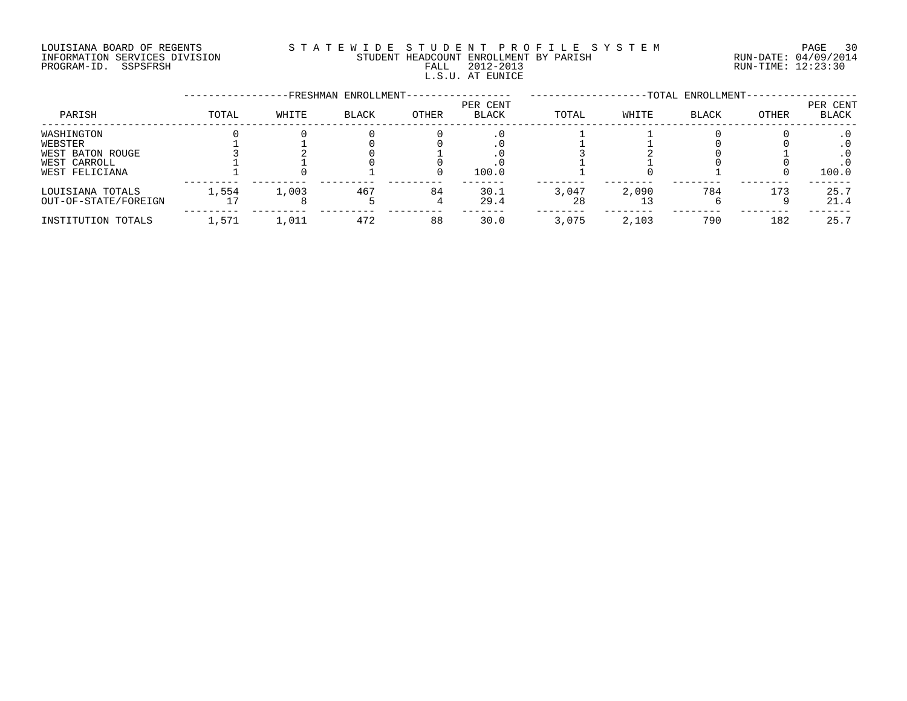#### LOUISIANA BOARD OF REGENTS S T A T E W I D E S T U D E N T P R O F I L E S Y S T E M PAGE 30 INFORMATION SERVICES DIVISION STUDENT HEADCOUNT ENROLLMENT BY PARISH RUN-DATE: 04/09/2014 NOUSLAM SOULD BE THE SUIT OF THE SUIT STUDENT HEADCOUNT ENROLLMENT BY PARISH THE SUIT CHANGE OF THE GALL AND HAND SURFALL AND SUIT STUDENT HEADCOUNT ENROLLMENT BY PARISH THE SUIT CHANGE OF THE 12:23:30 L.S.U. AT EUNICE

|                             |       |       | -FRESHMAN ENROLLMENT- |              |                          |       |       | -TOTAL ENROLLMENT- |       |                   |
|-----------------------------|-------|-------|-----------------------|--------------|--------------------------|-------|-------|--------------------|-------|-------------------|
| PARISH                      | TOTAL | WHITE | <b>BLACK</b>          | <b>OTHER</b> | PER CENT<br><b>BLACK</b> | TOTAL | WHITE | <b>BLACK</b>       | OTHER | PER CENT<br>BLACK |
| WASHINGTON                  |       |       |                       |              |                          |       |       |                    |       |                   |
| WEBSTER<br>WEST BATON ROUGE |       |       |                       |              |                          |       |       |                    |       |                   |
| WEST CARROLL                |       |       |                       |              |                          |       |       |                    |       |                   |
| WEST FELICIANA              |       |       |                       |              | 100.0                    |       |       |                    |       | 100.0             |
| LOUISIANA TOTALS            | 1,554 | 1,003 | 467                   | 84           | 30.1                     | 3,047 | 2,090 | 784                | 173   | 25.7              |
| OUT-OF-STATE/FOREIGN        |       |       |                       |              | 29.4                     | 28    |       |                    |       | 21.4              |
| INSTITUTION TOTALS          | 1,571 | 1,011 | 472                   | 88           | 30.0                     | 3,075 | 2,103 | 790                | 182   | 25.7              |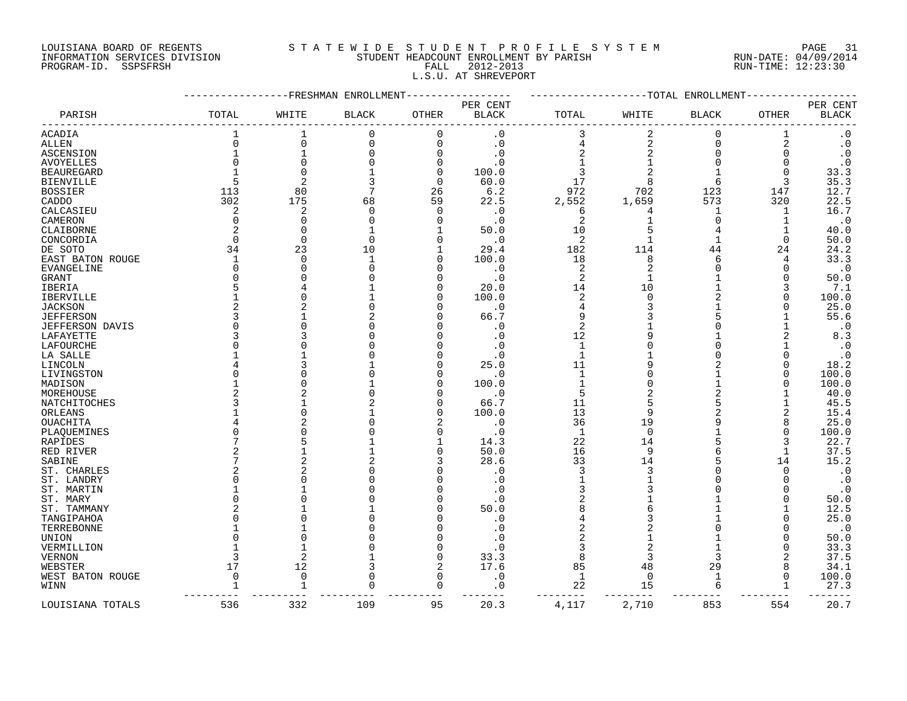## LOUISIANA BOARD OF REGENTS S T A T E W I D E S T U D E N T P R O F I L E S Y S T E M PAGE 31 INFORMATION SERVICES DIVISION STUDENT HEADCOUNT ENROLLMENT BY PARISH RUN-DATE: 04/09/2014 PROGRAM-ID. SSPSFRSH FALL 2012-2013 RUN-TIME: 12:23:30 L.S.U. AT SHREVEPORT

|                        |              |                | FRESHMAN ENROLLMENT- |              |              |                         | -TOTAL         | ENROLLMENT   |          |                        |
|------------------------|--------------|----------------|----------------------|--------------|--------------|-------------------------|----------------|--------------|----------|------------------------|
|                        |              |                |                      |              | PER CENT     |                         |                |              |          | PER CENT               |
| PARISH                 | TOTAL        | WHITE          | <b>BLACK</b>         | <b>OTHER</b> | <b>BLACK</b> | TOTAL                   | WHITE          | <b>BLACK</b> | OTHER    | <b>BLACK</b>           |
| ACADIA                 |              |                | $\mathbf 0$          | $\Omega$     | $\cdot$ 0    | 3                       | $\overline{2}$ | $\Omega$     |          | $\cdot$ 0              |
| ALLEN                  | $\Omega$     | $\Omega$       | 0                    | $\Omega$     | $\cdot$ 0    | 4                       | $\overline{2}$ | $\Omega$     | 2        | $\boldsymbol{\cdot}$ 0 |
| ASCENSION              |              |                | $\Omega$             | $\Omega$     | . 0          |                         |                | $\Omega$     | $\Omega$ | $\cdot$ 0              |
| <b>AVOYELLES</b>       | $\Omega$     | $\cap$         |                      | n            | . 0          |                         |                |              | $\Omega$ | $\boldsymbol{\cdot}$ 0 |
| <b>BEAUREGARD</b>      |              | $\cap$         |                      | $\Omega$     | 100.0        |                         |                |              | $\Omega$ | 33.3                   |
| <b>BIENVILLE</b>       | 5            |                | 3                    | $\Omega$     | 60.0         | 17                      | 8              | 6            | 3        | 35.3                   |
|                        | 113          | 80             |                      | 26           | 6.2          | 972                     |                | 123          | 147      | 12.7                   |
| <b>BOSSIER</b>         |              | 175            |                      |              |              |                         | 702            |              |          |                        |
| CADDO                  | 302          |                | 68                   | 59           | 22.5         | 2,552                   | 1,659          | 573          | 320      | 22.5                   |
| CALCASIEU              | 2            | 2              | $\Omega$             | $\Omega$     | $\cdot$ 0    | 6                       |                | -1           | 1        | 16.7                   |
| CAMERON                | 0            | $\bigcap$      |                      | ∩            | $\cdot$ 0    | 2                       |                |              |          | $\cdot$ 0              |
| CLAIBORNE              | 2            | $\cap$         |                      |              | 50.0         | 10                      |                | 4            |          | 40.0                   |
| CONCORDIA              | $\Omega$     | $\Omega$       | $\Omega$             |              | $\cdot$ 0    | $\overline{2}$          |                |              | $\Omega$ | 50.0                   |
| DE SOTO                | 34           | 23             | 10                   |              | 29.4         | 182                     | 114            | 44           | 24       | 24.2                   |
| EAST BATON ROUGE       | $\mathbf{1}$ | $\Omega$       |                      |              | 100.0        | 18                      | 8              | 6            | 4        | 33.3                   |
| EVANGELINE             | $\Omega$     | $\cap$         |                      |              | $\cdot$ 0    | $\overline{\mathbf{c}}$ |                |              | O        | $\cdot$ 0              |
| GRANT                  | O            |                |                      |              | $\cdot$ 0    | 2                       |                |              |          | 50.0                   |
| IBERIA                 | 5            |                |                      |              | 20.0         | 14                      | 10             |              | 3        | 7.1                    |
| <b>IBERVILLE</b>       |              |                |                      |              | 100.0        | $\overline{2}$          | $\Omega$       |              | 0        | 100.0                  |
| <b>JACKSON</b>         | 2            |                |                      |              | $\cdot$ 0    | 4                       | 3              |              | O        | 25.0                   |
| <b>JEFFERSON</b>       | ζ            |                |                      |              | 66.7         | 9                       |                |              |          | 55.6                   |
| <b>JEFFERSON DAVIS</b> | $\Omega$     |                |                      |              | $\cdot$ 0    | $\overline{2}$          |                |              |          | $\cdot$ 0              |
| LAFAYETTE              | 3            |                |                      |              | . 0          | 12                      |                |              |          | 8.3                    |
| LAFOURCHE              | $\Omega$     |                |                      |              | . 0          | $\mathbf{1}$            |                |              |          | $\cdot$ 0              |
| LA SALLE               |              |                |                      |              | . 0          | $\mathbf{1}$            |                |              |          | $\cdot$ 0              |
| LINCOLN                |              |                |                      |              | 25.0         | 11                      |                |              |          | 18.2                   |
| LIVINGSTON             | ∩            |                |                      |              | $\cdot$ 0    | $\mathbf{1}$            |                |              | O        | 100.0                  |
| MADISON                |              |                |                      |              | 100.0        | $\mathbf{1}$            |                |              |          | 100.0                  |
| MOREHOUSE              |              |                |                      |              | $\cdot$ 0    | 5                       |                |              |          | 40.0                   |
| NATCHITOCHES           | 3            |                |                      |              | 66.7         | 11                      |                |              |          | 45.5                   |
| ORLEANS                |              |                |                      | n            | 100.0        | 13                      |                |              | 2        | 15.4                   |
| OUACHITA               |              |                |                      |              | $\cdot$ 0    | 36                      | 19             |              | 8        | 25.0                   |
|                        |              |                |                      |              | $\cdot$ 0    | 1                       | $\Omega$       |              | $\Omega$ | 100.0                  |
| PLAQUEMINES            |              |                |                      |              |              |                         |                |              |          |                        |
| RAPIDES                |              |                |                      | n            | 14.3         | 22                      | 14             |              |          | 22.7                   |
| RED RIVER              |              |                |                      |              | 50.0         | 16                      | 9              |              | 1        | 37.5                   |
| SABINE                 |              |                |                      |              | 28.6         | 33                      | 14             |              | 14       | 15.2                   |
| ST. CHARLES            | 2            |                |                      |              | $\cdot$ 0    | 3                       | 3              |              | $\Omega$ | $\cdot$ 0              |
| ST. LANDRY             | U            |                |                      |              | $\cdot$ 0    |                         |                |              | $\Omega$ | $\cdot$ 0              |
| ST. MARTIN             |              |                |                      |              | . 0          |                         |                |              |          | $\cdot$ 0              |
| ST. MARY               | $\Omega$     |                |                      |              | $\cdot$ 0    | 2                       |                |              |          | 50.0                   |
| ST. TAMMANY            |              |                |                      |              | 50.0         |                         |                |              |          | 12.5                   |
| TANGIPAHOA             | $\Omega$     |                |                      |              | $\cdot$ 0    |                         |                |              |          | 25.0                   |
| TERREBONNE             |              |                |                      |              | . 0          |                         |                |              | $\Omega$ | $\boldsymbol{\cdot}$ 0 |
| UNION                  |              |                |                      |              |              |                         |                |              |          | 50.0                   |
| VERMILLION             |              |                |                      |              | . 0          | 3                       | 2              |              | O        | 33.3                   |
| <b>VERNON</b>          | 3            | 2              |                      | ∩            | 33.3         | 8                       | 3              |              | 2        | 37.5                   |
| WEBSTER                | 17           | 12             |                      | 2            | 17.6         | 85                      | 48             | 29           | 8        | 34.1                   |
| WEST BATON ROUGE       | 0            | $\overline{0}$ | O                    | $\Omega$     | . 0          | 1                       | $\Omega$       | -1           | $\Omega$ | 100.0                  |
| WINN                   |              |                | $\cap$               | $\cap$       | . 0          | 22                      | 15             |              |          | 27.3                   |
|                        |              |                |                      |              |              | $- - -$                 |                |              |          |                        |
| LOUISIANA TOTALS       | 536          | 332            | 109                  | 95           | 20.3         | 4,117                   | 2,710          | 853          | 554      | 20.7                   |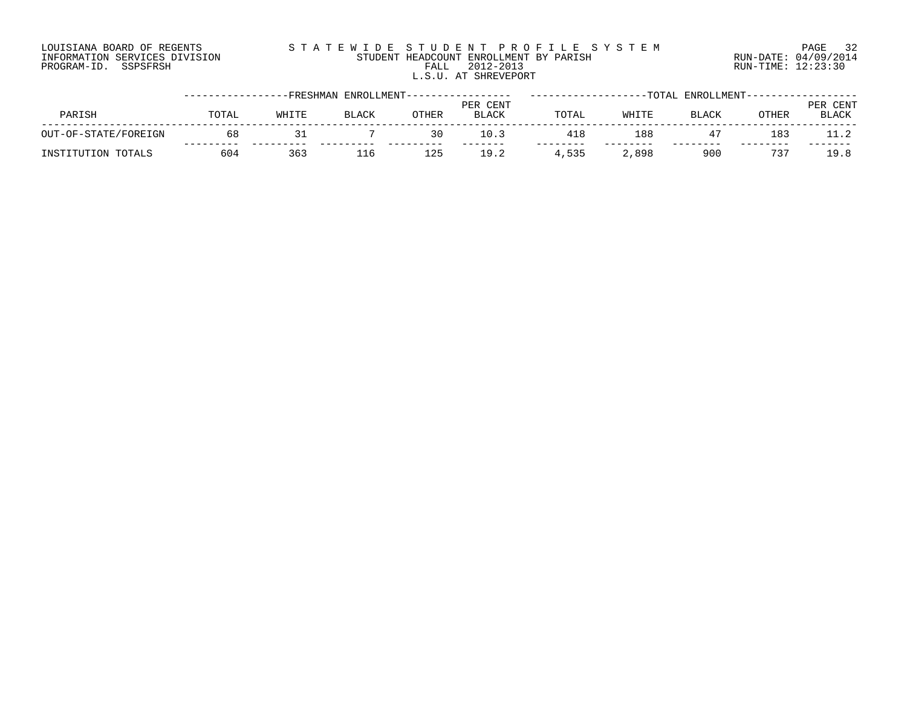## LOUISIANA BOARD OF REGENTS S T A T E W I D E S T U D E N T P R O F I L E S Y S T E M PAGE 32 INFORMATION SERVICES DIVISION STUDENT HEADCOUNT ENROLLMENT BY PARISH RUN-DATE: 04/09/2014 PROGRAM-ID. SSPSFRSH FALL 2012-2013 RUN-TIME: 12:23:30 L.S.U. AT SHREVEPORT

|                      |       |       | -FRESHMAN ENROLLMENT------ |              |                          |       |       | -TOTAL ENROLLMENT |       |                          |
|----------------------|-------|-------|----------------------------|--------------|--------------------------|-------|-------|-------------------|-------|--------------------------|
| PARISH               | TOTAL | WHITE | <b>BLACK</b>               | <b>OTHER</b> | PER CENT<br><b>BLACK</b> | TOTAL | WHITE | <b>BLACK</b>      | OTHER | PER CENT<br><b>BLACK</b> |
| OUT-OF-STATE/FOREIGN | 68    |       |                            | 30           | $\pm 0.3$                |       | 188   |                   | 183   |                          |
| INSTITUTION TOTALS   | 604   | 363   | 116                        | $\pm 25$     | 19.2                     | 4,535 | .,898 | 900               | 73'   | 19.8                     |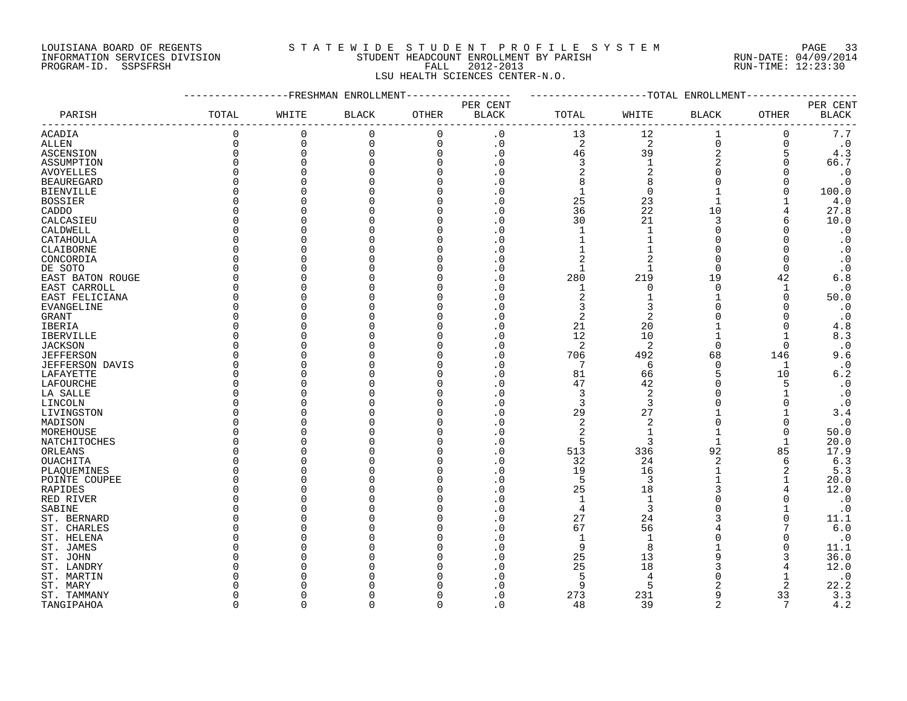## LOUISIANA BOARD OF REGENTS S T A T E W I D E S T U D E N T P R O F I L E S Y S T E M PAGE 33 INFORMATION SERVICES DIVISION STUDENT HEADCOUNT ENROLLMENT BY PARISH RUN-DATE: 04/09/2014 PROGRAM-ID. SSPSFRSH FALL 2012-2013 RUN-TIME: 12:23:30 LSU HEALTH SCIENCES CENTER-N.O.

| PER CENT<br>PER CENT<br>PARISH<br>TOTAL<br>WHITE<br><b>BLACK</b><br><b>OTHER</b><br><b>BLACK</b><br>TOTAL<br>WHITE<br><b>BLACK</b><br>OTHER<br><b>BLACK</b><br>$7.7\,$<br>$\Omega$<br>$\Omega$<br>$\mathbf 0$<br>$\mathbf 0$<br>$\cdot$ 0<br>12<br>1<br>13<br>0<br>ACADIA<br>$\Omega$<br>2<br>$\Omega$<br>$\Omega$<br>$\Omega$<br>$\mathbf 0$<br>$\cdot$ 0<br>2<br>$\cdot$ 0<br>ALLEN<br>0<br>$\overline{2}$<br>$\Omega$<br>$\Omega$<br>$\cdot$ 0<br>39<br>4.3<br>46<br>ASCENSION<br>$\Omega$<br>O<br>3<br>$\overline{2}$<br>66.7<br>$\Omega$<br>$\Omega$<br>. 0<br>$\overline{2}$<br>$\cdot$ 0<br>$\Omega$<br>. 0<br>2<br>$\Omega$<br>∩<br>$\boldsymbol{\cdot}$ 0<br><b>BEAUREGARD</b><br>. 0<br>8<br>8<br>$\Omega$<br>∩<br>U<br>100.0<br>O<br>. 0<br>1<br>0<br>BIENVILLE<br>O<br>O<br>25<br>4.0<br>. 0<br>23<br><b>BOSSIER</b><br>O<br>22<br>36<br>10<br>27.8<br>CADDO<br>$\Omega$<br>O<br>. 0<br>21<br>10.0<br>30<br>3<br>CALCASIEU<br>U<br>. 0<br>CALDWELL<br>$\mathbf{1}$<br>$\Omega$<br>$\cdot$ 0<br>∩<br>U<br>. 0<br>$\cdot$ 0<br>CATAHOULA<br>∩<br>O<br>. 0<br>$\Omega$<br>$\cdot$ 0<br>CLAIBORNE<br>. 0<br>$\Omega$<br>U<br>2<br>CONCORDIA<br>. 0<br>$\mathfrak{D}$<br>$\Omega$<br>$\cdot$ 0<br>∩<br>U<br>$\cdot$ 0<br>DE SOTO<br>. 0<br>∩<br>U<br>1<br>O<br>219<br>19<br>6.8<br>EAST BATON ROUGE<br>O<br>. 0<br>280<br>42<br>O<br>$\cdot$ 0<br>∩<br>O<br>. 0<br>$\Omega$<br>EAST CARROLL<br>1<br>O<br>1<br>2<br>$\Omega$<br>50.0<br>EAST FELICIANA<br>∩<br>U<br>. 0<br>$\cdot$ 0<br>EVANGELINE<br>∩<br>O<br>. 0<br>3<br>3<br>∩<br>O<br>$\overline{2}$<br>$\boldsymbol{\cdot}$ 0<br>. 0<br>2<br><b>GRANT</b><br>U<br>21<br>4.8<br>. 0<br>20<br>IBERIA<br>$\Omega$<br>O<br>$\Omega$<br>12<br>10<br>8.3<br>$\Omega$<br>. 0<br><b>IBERVILLE</b><br>U<br>$\overline{2}$<br>2<br>$\cdot$ 0<br><b>JACKSON</b><br>$\Omega$<br>. 0<br>$\Omega$<br>∩<br>706<br>492<br>9.6<br><b>JEFFERSON</b><br>. 0<br>68<br>146<br>∩<br>U<br>7<br>$\cdot$ 0<br>JEFFERSON DAVIS<br>U<br>$\overline{0}$<br>6<br>$\Omega$<br>1<br>∩<br>$6.2$<br>81<br>5<br>10<br>LAFAYETTE<br>O<br>. 0<br>66<br>O<br>47<br>42<br>5<br>$\cdot$ 0<br>LAFOURCHE<br>∩<br>O<br>. 0<br>$\Omega$<br>3<br>2<br>$\cdot$ 0<br>LA SALLE<br>∩<br>U<br>. 0<br>$\Omega$<br>$\cdot$ 0<br>. 0<br>3<br>3<br>LINCOLN<br>U<br>∩<br>∩<br>29<br>27<br>3.4<br>LIVINGSTON<br>. 0<br>∩<br>U<br>$\overline{2}$<br>$\overline{2}$<br>$\cdot$ 0<br>. 0<br>$\Omega$<br>MADISON<br>∩<br>U<br>$\Omega$<br>2<br>50.0<br>MOREHOUSE<br>$\Omega$<br>. 0<br>1<br>U<br>$\Omega$<br>20.0<br>. 0<br>5<br>3<br>1<br>1<br>∩<br>O<br>513<br>336<br>92<br>17.9<br>ORLEANS<br>U<br>. 0<br>85<br>∩<br>6.3<br>OUACHITA<br>32<br>24<br>$\overline{2}$<br>$\Omega$<br>O<br>. 0<br>6<br>19<br>5.3<br>. 0<br>16<br>∩<br>O<br>PLAQUEMINES<br>5<br>3<br>20.0<br>POINTE COUPEE<br>∩<br>O<br>. 0<br>25<br>12.0<br>18<br>U<br>. 0<br>∩<br>$\cdot$ 0<br>$\mathbf{1}$<br>$\mathbf{1}$<br>∩<br>U<br>. 0<br>3<br>$\cdot$ 0<br>$\overline{4}$<br>$\cdot$ 0<br>SABINE<br>∩<br>U<br>27<br>ST. BERNARD<br>. 0<br>24<br>11.1<br>∩<br>U<br>6.0<br>ST. CHARLES<br>67<br>56<br>O<br>O<br>. 0<br>$\cdot$ 0<br>ST. HELENA<br>. 0<br>9<br>11.1<br>ST. JAMES<br>O<br>. 0<br>8<br>O<br>25<br>36.0<br>13<br>ST. JOHN<br>. 0<br>O<br>O<br>25<br>18<br>12.0<br>ST. LANDRY<br>. 0<br>$\cdot$ 0<br>5<br>ST. MARTIN<br>. 0<br>22.2<br>5<br>2<br>ST. MARY<br>$\Omega$<br>9<br>3.3<br>ST. TAMMANY<br>273<br>231<br>9<br>33<br>$\Omega$<br>U<br>. 0<br>$\overline{a}$<br>4.2<br>$\cap$<br>$\Omega$<br>39<br>7<br>$\cap$<br>$\Omega$<br>48<br>TANGIPAHOA<br>∩ |                  |  | -FRESHMAN ENROLLMENT |  |  | -TOTAL ENROLLMENT |  |
|---------------------------------------------------------------------------------------------------------------------------------------------------------------------------------------------------------------------------------------------------------------------------------------------------------------------------------------------------------------------------------------------------------------------------------------------------------------------------------------------------------------------------------------------------------------------------------------------------------------------------------------------------------------------------------------------------------------------------------------------------------------------------------------------------------------------------------------------------------------------------------------------------------------------------------------------------------------------------------------------------------------------------------------------------------------------------------------------------------------------------------------------------------------------------------------------------------------------------------------------------------------------------------------------------------------------------------------------------------------------------------------------------------------------------------------------------------------------------------------------------------------------------------------------------------------------------------------------------------------------------------------------------------------------------------------------------------------------------------------------------------------------------------------------------------------------------------------------------------------------------------------------------------------------------------------------------------------------------------------------------------------------------------------------------------------------------------------------------------------------------------------------------------------------------------------------------------------------------------------------------------------------------------------------------------------------------------------------------------------------------------------------------------------------------------------------------------------------------------------------------------------------------------------------------------------------------------------------------------------------------------------------------------------------------------------------------------------------------------------------------------------------------------------------------------------------------------------------------------------------------------------------------------------------------------------------------------------------------------------------------------------------------------------------------------------------------------------------------------------------------------------------------------------------------------------------------------------------------------------------------------------------------------------------------------------------------------------------------------------------------------------------------------------------------------------------------------------------------------------------------------------------------------------------|------------------|--|----------------------|--|--|-------------------|--|
|                                                                                                                                                                                                                                                                                                                                                                                                                                                                                                                                                                                                                                                                                                                                                                                                                                                                                                                                                                                                                                                                                                                                                                                                                                                                                                                                                                                                                                                                                                                                                                                                                                                                                                                                                                                                                                                                                                                                                                                                                                                                                                                                                                                                                                                                                                                                                                                                                                                                                                                                                                                                                                                                                                                                                                                                                                                                                                                                                                                                                                                                                                                                                                                                                                                                                                                                                                                                                                                                                                                                             |                  |  |                      |  |  |                   |  |
|                                                                                                                                                                                                                                                                                                                                                                                                                                                                                                                                                                                                                                                                                                                                                                                                                                                                                                                                                                                                                                                                                                                                                                                                                                                                                                                                                                                                                                                                                                                                                                                                                                                                                                                                                                                                                                                                                                                                                                                                                                                                                                                                                                                                                                                                                                                                                                                                                                                                                                                                                                                                                                                                                                                                                                                                                                                                                                                                                                                                                                                                                                                                                                                                                                                                                                                                                                                                                                                                                                                                             |                  |  |                      |  |  |                   |  |
|                                                                                                                                                                                                                                                                                                                                                                                                                                                                                                                                                                                                                                                                                                                                                                                                                                                                                                                                                                                                                                                                                                                                                                                                                                                                                                                                                                                                                                                                                                                                                                                                                                                                                                                                                                                                                                                                                                                                                                                                                                                                                                                                                                                                                                                                                                                                                                                                                                                                                                                                                                                                                                                                                                                                                                                                                                                                                                                                                                                                                                                                                                                                                                                                                                                                                                                                                                                                                                                                                                                                             |                  |  |                      |  |  |                   |  |
|                                                                                                                                                                                                                                                                                                                                                                                                                                                                                                                                                                                                                                                                                                                                                                                                                                                                                                                                                                                                                                                                                                                                                                                                                                                                                                                                                                                                                                                                                                                                                                                                                                                                                                                                                                                                                                                                                                                                                                                                                                                                                                                                                                                                                                                                                                                                                                                                                                                                                                                                                                                                                                                                                                                                                                                                                                                                                                                                                                                                                                                                                                                                                                                                                                                                                                                                                                                                                                                                                                                                             |                  |  |                      |  |  |                   |  |
|                                                                                                                                                                                                                                                                                                                                                                                                                                                                                                                                                                                                                                                                                                                                                                                                                                                                                                                                                                                                                                                                                                                                                                                                                                                                                                                                                                                                                                                                                                                                                                                                                                                                                                                                                                                                                                                                                                                                                                                                                                                                                                                                                                                                                                                                                                                                                                                                                                                                                                                                                                                                                                                                                                                                                                                                                                                                                                                                                                                                                                                                                                                                                                                                                                                                                                                                                                                                                                                                                                                                             |                  |  |                      |  |  |                   |  |
|                                                                                                                                                                                                                                                                                                                                                                                                                                                                                                                                                                                                                                                                                                                                                                                                                                                                                                                                                                                                                                                                                                                                                                                                                                                                                                                                                                                                                                                                                                                                                                                                                                                                                                                                                                                                                                                                                                                                                                                                                                                                                                                                                                                                                                                                                                                                                                                                                                                                                                                                                                                                                                                                                                                                                                                                                                                                                                                                                                                                                                                                                                                                                                                                                                                                                                                                                                                                                                                                                                                                             | ASSUMPTION       |  |                      |  |  |                   |  |
|                                                                                                                                                                                                                                                                                                                                                                                                                                                                                                                                                                                                                                                                                                                                                                                                                                                                                                                                                                                                                                                                                                                                                                                                                                                                                                                                                                                                                                                                                                                                                                                                                                                                                                                                                                                                                                                                                                                                                                                                                                                                                                                                                                                                                                                                                                                                                                                                                                                                                                                                                                                                                                                                                                                                                                                                                                                                                                                                                                                                                                                                                                                                                                                                                                                                                                                                                                                                                                                                                                                                             | <b>AVOYELLES</b> |  |                      |  |  |                   |  |
|                                                                                                                                                                                                                                                                                                                                                                                                                                                                                                                                                                                                                                                                                                                                                                                                                                                                                                                                                                                                                                                                                                                                                                                                                                                                                                                                                                                                                                                                                                                                                                                                                                                                                                                                                                                                                                                                                                                                                                                                                                                                                                                                                                                                                                                                                                                                                                                                                                                                                                                                                                                                                                                                                                                                                                                                                                                                                                                                                                                                                                                                                                                                                                                                                                                                                                                                                                                                                                                                                                                                             |                  |  |                      |  |  |                   |  |
|                                                                                                                                                                                                                                                                                                                                                                                                                                                                                                                                                                                                                                                                                                                                                                                                                                                                                                                                                                                                                                                                                                                                                                                                                                                                                                                                                                                                                                                                                                                                                                                                                                                                                                                                                                                                                                                                                                                                                                                                                                                                                                                                                                                                                                                                                                                                                                                                                                                                                                                                                                                                                                                                                                                                                                                                                                                                                                                                                                                                                                                                                                                                                                                                                                                                                                                                                                                                                                                                                                                                             |                  |  |                      |  |  |                   |  |
|                                                                                                                                                                                                                                                                                                                                                                                                                                                                                                                                                                                                                                                                                                                                                                                                                                                                                                                                                                                                                                                                                                                                                                                                                                                                                                                                                                                                                                                                                                                                                                                                                                                                                                                                                                                                                                                                                                                                                                                                                                                                                                                                                                                                                                                                                                                                                                                                                                                                                                                                                                                                                                                                                                                                                                                                                                                                                                                                                                                                                                                                                                                                                                                                                                                                                                                                                                                                                                                                                                                                             |                  |  |                      |  |  |                   |  |
|                                                                                                                                                                                                                                                                                                                                                                                                                                                                                                                                                                                                                                                                                                                                                                                                                                                                                                                                                                                                                                                                                                                                                                                                                                                                                                                                                                                                                                                                                                                                                                                                                                                                                                                                                                                                                                                                                                                                                                                                                                                                                                                                                                                                                                                                                                                                                                                                                                                                                                                                                                                                                                                                                                                                                                                                                                                                                                                                                                                                                                                                                                                                                                                                                                                                                                                                                                                                                                                                                                                                             |                  |  |                      |  |  |                   |  |
|                                                                                                                                                                                                                                                                                                                                                                                                                                                                                                                                                                                                                                                                                                                                                                                                                                                                                                                                                                                                                                                                                                                                                                                                                                                                                                                                                                                                                                                                                                                                                                                                                                                                                                                                                                                                                                                                                                                                                                                                                                                                                                                                                                                                                                                                                                                                                                                                                                                                                                                                                                                                                                                                                                                                                                                                                                                                                                                                                                                                                                                                                                                                                                                                                                                                                                                                                                                                                                                                                                                                             |                  |  |                      |  |  |                   |  |
|                                                                                                                                                                                                                                                                                                                                                                                                                                                                                                                                                                                                                                                                                                                                                                                                                                                                                                                                                                                                                                                                                                                                                                                                                                                                                                                                                                                                                                                                                                                                                                                                                                                                                                                                                                                                                                                                                                                                                                                                                                                                                                                                                                                                                                                                                                                                                                                                                                                                                                                                                                                                                                                                                                                                                                                                                                                                                                                                                                                                                                                                                                                                                                                                                                                                                                                                                                                                                                                                                                                                             |                  |  |                      |  |  |                   |  |
|                                                                                                                                                                                                                                                                                                                                                                                                                                                                                                                                                                                                                                                                                                                                                                                                                                                                                                                                                                                                                                                                                                                                                                                                                                                                                                                                                                                                                                                                                                                                                                                                                                                                                                                                                                                                                                                                                                                                                                                                                                                                                                                                                                                                                                                                                                                                                                                                                                                                                                                                                                                                                                                                                                                                                                                                                                                                                                                                                                                                                                                                                                                                                                                                                                                                                                                                                                                                                                                                                                                                             |                  |  |                      |  |  |                   |  |
|                                                                                                                                                                                                                                                                                                                                                                                                                                                                                                                                                                                                                                                                                                                                                                                                                                                                                                                                                                                                                                                                                                                                                                                                                                                                                                                                                                                                                                                                                                                                                                                                                                                                                                                                                                                                                                                                                                                                                                                                                                                                                                                                                                                                                                                                                                                                                                                                                                                                                                                                                                                                                                                                                                                                                                                                                                                                                                                                                                                                                                                                                                                                                                                                                                                                                                                                                                                                                                                                                                                                             |                  |  |                      |  |  |                   |  |
|                                                                                                                                                                                                                                                                                                                                                                                                                                                                                                                                                                                                                                                                                                                                                                                                                                                                                                                                                                                                                                                                                                                                                                                                                                                                                                                                                                                                                                                                                                                                                                                                                                                                                                                                                                                                                                                                                                                                                                                                                                                                                                                                                                                                                                                                                                                                                                                                                                                                                                                                                                                                                                                                                                                                                                                                                                                                                                                                                                                                                                                                                                                                                                                                                                                                                                                                                                                                                                                                                                                                             |                  |  |                      |  |  |                   |  |
|                                                                                                                                                                                                                                                                                                                                                                                                                                                                                                                                                                                                                                                                                                                                                                                                                                                                                                                                                                                                                                                                                                                                                                                                                                                                                                                                                                                                                                                                                                                                                                                                                                                                                                                                                                                                                                                                                                                                                                                                                                                                                                                                                                                                                                                                                                                                                                                                                                                                                                                                                                                                                                                                                                                                                                                                                                                                                                                                                                                                                                                                                                                                                                                                                                                                                                                                                                                                                                                                                                                                             |                  |  |                      |  |  |                   |  |
|                                                                                                                                                                                                                                                                                                                                                                                                                                                                                                                                                                                                                                                                                                                                                                                                                                                                                                                                                                                                                                                                                                                                                                                                                                                                                                                                                                                                                                                                                                                                                                                                                                                                                                                                                                                                                                                                                                                                                                                                                                                                                                                                                                                                                                                                                                                                                                                                                                                                                                                                                                                                                                                                                                                                                                                                                                                                                                                                                                                                                                                                                                                                                                                                                                                                                                                                                                                                                                                                                                                                             |                  |  |                      |  |  |                   |  |
|                                                                                                                                                                                                                                                                                                                                                                                                                                                                                                                                                                                                                                                                                                                                                                                                                                                                                                                                                                                                                                                                                                                                                                                                                                                                                                                                                                                                                                                                                                                                                                                                                                                                                                                                                                                                                                                                                                                                                                                                                                                                                                                                                                                                                                                                                                                                                                                                                                                                                                                                                                                                                                                                                                                                                                                                                                                                                                                                                                                                                                                                                                                                                                                                                                                                                                                                                                                                                                                                                                                                             |                  |  |                      |  |  |                   |  |
|                                                                                                                                                                                                                                                                                                                                                                                                                                                                                                                                                                                                                                                                                                                                                                                                                                                                                                                                                                                                                                                                                                                                                                                                                                                                                                                                                                                                                                                                                                                                                                                                                                                                                                                                                                                                                                                                                                                                                                                                                                                                                                                                                                                                                                                                                                                                                                                                                                                                                                                                                                                                                                                                                                                                                                                                                                                                                                                                                                                                                                                                                                                                                                                                                                                                                                                                                                                                                                                                                                                                             |                  |  |                      |  |  |                   |  |
|                                                                                                                                                                                                                                                                                                                                                                                                                                                                                                                                                                                                                                                                                                                                                                                                                                                                                                                                                                                                                                                                                                                                                                                                                                                                                                                                                                                                                                                                                                                                                                                                                                                                                                                                                                                                                                                                                                                                                                                                                                                                                                                                                                                                                                                                                                                                                                                                                                                                                                                                                                                                                                                                                                                                                                                                                                                                                                                                                                                                                                                                                                                                                                                                                                                                                                                                                                                                                                                                                                                                             |                  |  |                      |  |  |                   |  |
|                                                                                                                                                                                                                                                                                                                                                                                                                                                                                                                                                                                                                                                                                                                                                                                                                                                                                                                                                                                                                                                                                                                                                                                                                                                                                                                                                                                                                                                                                                                                                                                                                                                                                                                                                                                                                                                                                                                                                                                                                                                                                                                                                                                                                                                                                                                                                                                                                                                                                                                                                                                                                                                                                                                                                                                                                                                                                                                                                                                                                                                                                                                                                                                                                                                                                                                                                                                                                                                                                                                                             |                  |  |                      |  |  |                   |  |
|                                                                                                                                                                                                                                                                                                                                                                                                                                                                                                                                                                                                                                                                                                                                                                                                                                                                                                                                                                                                                                                                                                                                                                                                                                                                                                                                                                                                                                                                                                                                                                                                                                                                                                                                                                                                                                                                                                                                                                                                                                                                                                                                                                                                                                                                                                                                                                                                                                                                                                                                                                                                                                                                                                                                                                                                                                                                                                                                                                                                                                                                                                                                                                                                                                                                                                                                                                                                                                                                                                                                             |                  |  |                      |  |  |                   |  |
|                                                                                                                                                                                                                                                                                                                                                                                                                                                                                                                                                                                                                                                                                                                                                                                                                                                                                                                                                                                                                                                                                                                                                                                                                                                                                                                                                                                                                                                                                                                                                                                                                                                                                                                                                                                                                                                                                                                                                                                                                                                                                                                                                                                                                                                                                                                                                                                                                                                                                                                                                                                                                                                                                                                                                                                                                                                                                                                                                                                                                                                                                                                                                                                                                                                                                                                                                                                                                                                                                                                                             |                  |  |                      |  |  |                   |  |
|                                                                                                                                                                                                                                                                                                                                                                                                                                                                                                                                                                                                                                                                                                                                                                                                                                                                                                                                                                                                                                                                                                                                                                                                                                                                                                                                                                                                                                                                                                                                                                                                                                                                                                                                                                                                                                                                                                                                                                                                                                                                                                                                                                                                                                                                                                                                                                                                                                                                                                                                                                                                                                                                                                                                                                                                                                                                                                                                                                                                                                                                                                                                                                                                                                                                                                                                                                                                                                                                                                                                             |                  |  |                      |  |  |                   |  |
|                                                                                                                                                                                                                                                                                                                                                                                                                                                                                                                                                                                                                                                                                                                                                                                                                                                                                                                                                                                                                                                                                                                                                                                                                                                                                                                                                                                                                                                                                                                                                                                                                                                                                                                                                                                                                                                                                                                                                                                                                                                                                                                                                                                                                                                                                                                                                                                                                                                                                                                                                                                                                                                                                                                                                                                                                                                                                                                                                                                                                                                                                                                                                                                                                                                                                                                                                                                                                                                                                                                                             |                  |  |                      |  |  |                   |  |
|                                                                                                                                                                                                                                                                                                                                                                                                                                                                                                                                                                                                                                                                                                                                                                                                                                                                                                                                                                                                                                                                                                                                                                                                                                                                                                                                                                                                                                                                                                                                                                                                                                                                                                                                                                                                                                                                                                                                                                                                                                                                                                                                                                                                                                                                                                                                                                                                                                                                                                                                                                                                                                                                                                                                                                                                                                                                                                                                                                                                                                                                                                                                                                                                                                                                                                                                                                                                                                                                                                                                             |                  |  |                      |  |  |                   |  |
|                                                                                                                                                                                                                                                                                                                                                                                                                                                                                                                                                                                                                                                                                                                                                                                                                                                                                                                                                                                                                                                                                                                                                                                                                                                                                                                                                                                                                                                                                                                                                                                                                                                                                                                                                                                                                                                                                                                                                                                                                                                                                                                                                                                                                                                                                                                                                                                                                                                                                                                                                                                                                                                                                                                                                                                                                                                                                                                                                                                                                                                                                                                                                                                                                                                                                                                                                                                                                                                                                                                                             |                  |  |                      |  |  |                   |  |
|                                                                                                                                                                                                                                                                                                                                                                                                                                                                                                                                                                                                                                                                                                                                                                                                                                                                                                                                                                                                                                                                                                                                                                                                                                                                                                                                                                                                                                                                                                                                                                                                                                                                                                                                                                                                                                                                                                                                                                                                                                                                                                                                                                                                                                                                                                                                                                                                                                                                                                                                                                                                                                                                                                                                                                                                                                                                                                                                                                                                                                                                                                                                                                                                                                                                                                                                                                                                                                                                                                                                             |                  |  |                      |  |  |                   |  |
|                                                                                                                                                                                                                                                                                                                                                                                                                                                                                                                                                                                                                                                                                                                                                                                                                                                                                                                                                                                                                                                                                                                                                                                                                                                                                                                                                                                                                                                                                                                                                                                                                                                                                                                                                                                                                                                                                                                                                                                                                                                                                                                                                                                                                                                                                                                                                                                                                                                                                                                                                                                                                                                                                                                                                                                                                                                                                                                                                                                                                                                                                                                                                                                                                                                                                                                                                                                                                                                                                                                                             |                  |  |                      |  |  |                   |  |
|                                                                                                                                                                                                                                                                                                                                                                                                                                                                                                                                                                                                                                                                                                                                                                                                                                                                                                                                                                                                                                                                                                                                                                                                                                                                                                                                                                                                                                                                                                                                                                                                                                                                                                                                                                                                                                                                                                                                                                                                                                                                                                                                                                                                                                                                                                                                                                                                                                                                                                                                                                                                                                                                                                                                                                                                                                                                                                                                                                                                                                                                                                                                                                                                                                                                                                                                                                                                                                                                                                                                             |                  |  |                      |  |  |                   |  |
|                                                                                                                                                                                                                                                                                                                                                                                                                                                                                                                                                                                                                                                                                                                                                                                                                                                                                                                                                                                                                                                                                                                                                                                                                                                                                                                                                                                                                                                                                                                                                                                                                                                                                                                                                                                                                                                                                                                                                                                                                                                                                                                                                                                                                                                                                                                                                                                                                                                                                                                                                                                                                                                                                                                                                                                                                                                                                                                                                                                                                                                                                                                                                                                                                                                                                                                                                                                                                                                                                                                                             |                  |  |                      |  |  |                   |  |
|                                                                                                                                                                                                                                                                                                                                                                                                                                                                                                                                                                                                                                                                                                                                                                                                                                                                                                                                                                                                                                                                                                                                                                                                                                                                                                                                                                                                                                                                                                                                                                                                                                                                                                                                                                                                                                                                                                                                                                                                                                                                                                                                                                                                                                                                                                                                                                                                                                                                                                                                                                                                                                                                                                                                                                                                                                                                                                                                                                                                                                                                                                                                                                                                                                                                                                                                                                                                                                                                                                                                             |                  |  |                      |  |  |                   |  |
|                                                                                                                                                                                                                                                                                                                                                                                                                                                                                                                                                                                                                                                                                                                                                                                                                                                                                                                                                                                                                                                                                                                                                                                                                                                                                                                                                                                                                                                                                                                                                                                                                                                                                                                                                                                                                                                                                                                                                                                                                                                                                                                                                                                                                                                                                                                                                                                                                                                                                                                                                                                                                                                                                                                                                                                                                                                                                                                                                                                                                                                                                                                                                                                                                                                                                                                                                                                                                                                                                                                                             |                  |  |                      |  |  |                   |  |
|                                                                                                                                                                                                                                                                                                                                                                                                                                                                                                                                                                                                                                                                                                                                                                                                                                                                                                                                                                                                                                                                                                                                                                                                                                                                                                                                                                                                                                                                                                                                                                                                                                                                                                                                                                                                                                                                                                                                                                                                                                                                                                                                                                                                                                                                                                                                                                                                                                                                                                                                                                                                                                                                                                                                                                                                                                                                                                                                                                                                                                                                                                                                                                                                                                                                                                                                                                                                                                                                                                                                             |                  |  |                      |  |  |                   |  |
|                                                                                                                                                                                                                                                                                                                                                                                                                                                                                                                                                                                                                                                                                                                                                                                                                                                                                                                                                                                                                                                                                                                                                                                                                                                                                                                                                                                                                                                                                                                                                                                                                                                                                                                                                                                                                                                                                                                                                                                                                                                                                                                                                                                                                                                                                                                                                                                                                                                                                                                                                                                                                                                                                                                                                                                                                                                                                                                                                                                                                                                                                                                                                                                                                                                                                                                                                                                                                                                                                                                                             | NATCHITOCHES     |  |                      |  |  |                   |  |
|                                                                                                                                                                                                                                                                                                                                                                                                                                                                                                                                                                                                                                                                                                                                                                                                                                                                                                                                                                                                                                                                                                                                                                                                                                                                                                                                                                                                                                                                                                                                                                                                                                                                                                                                                                                                                                                                                                                                                                                                                                                                                                                                                                                                                                                                                                                                                                                                                                                                                                                                                                                                                                                                                                                                                                                                                                                                                                                                                                                                                                                                                                                                                                                                                                                                                                                                                                                                                                                                                                                                             |                  |  |                      |  |  |                   |  |
|                                                                                                                                                                                                                                                                                                                                                                                                                                                                                                                                                                                                                                                                                                                                                                                                                                                                                                                                                                                                                                                                                                                                                                                                                                                                                                                                                                                                                                                                                                                                                                                                                                                                                                                                                                                                                                                                                                                                                                                                                                                                                                                                                                                                                                                                                                                                                                                                                                                                                                                                                                                                                                                                                                                                                                                                                                                                                                                                                                                                                                                                                                                                                                                                                                                                                                                                                                                                                                                                                                                                             |                  |  |                      |  |  |                   |  |
|                                                                                                                                                                                                                                                                                                                                                                                                                                                                                                                                                                                                                                                                                                                                                                                                                                                                                                                                                                                                                                                                                                                                                                                                                                                                                                                                                                                                                                                                                                                                                                                                                                                                                                                                                                                                                                                                                                                                                                                                                                                                                                                                                                                                                                                                                                                                                                                                                                                                                                                                                                                                                                                                                                                                                                                                                                                                                                                                                                                                                                                                                                                                                                                                                                                                                                                                                                                                                                                                                                                                             |                  |  |                      |  |  |                   |  |
|                                                                                                                                                                                                                                                                                                                                                                                                                                                                                                                                                                                                                                                                                                                                                                                                                                                                                                                                                                                                                                                                                                                                                                                                                                                                                                                                                                                                                                                                                                                                                                                                                                                                                                                                                                                                                                                                                                                                                                                                                                                                                                                                                                                                                                                                                                                                                                                                                                                                                                                                                                                                                                                                                                                                                                                                                                                                                                                                                                                                                                                                                                                                                                                                                                                                                                                                                                                                                                                                                                                                             |                  |  |                      |  |  |                   |  |
|                                                                                                                                                                                                                                                                                                                                                                                                                                                                                                                                                                                                                                                                                                                                                                                                                                                                                                                                                                                                                                                                                                                                                                                                                                                                                                                                                                                                                                                                                                                                                                                                                                                                                                                                                                                                                                                                                                                                                                                                                                                                                                                                                                                                                                                                                                                                                                                                                                                                                                                                                                                                                                                                                                                                                                                                                                                                                                                                                                                                                                                                                                                                                                                                                                                                                                                                                                                                                                                                                                                                             | RAPIDES          |  |                      |  |  |                   |  |
|                                                                                                                                                                                                                                                                                                                                                                                                                                                                                                                                                                                                                                                                                                                                                                                                                                                                                                                                                                                                                                                                                                                                                                                                                                                                                                                                                                                                                                                                                                                                                                                                                                                                                                                                                                                                                                                                                                                                                                                                                                                                                                                                                                                                                                                                                                                                                                                                                                                                                                                                                                                                                                                                                                                                                                                                                                                                                                                                                                                                                                                                                                                                                                                                                                                                                                                                                                                                                                                                                                                                             | RED RIVER        |  |                      |  |  |                   |  |
|                                                                                                                                                                                                                                                                                                                                                                                                                                                                                                                                                                                                                                                                                                                                                                                                                                                                                                                                                                                                                                                                                                                                                                                                                                                                                                                                                                                                                                                                                                                                                                                                                                                                                                                                                                                                                                                                                                                                                                                                                                                                                                                                                                                                                                                                                                                                                                                                                                                                                                                                                                                                                                                                                                                                                                                                                                                                                                                                                                                                                                                                                                                                                                                                                                                                                                                                                                                                                                                                                                                                             |                  |  |                      |  |  |                   |  |
|                                                                                                                                                                                                                                                                                                                                                                                                                                                                                                                                                                                                                                                                                                                                                                                                                                                                                                                                                                                                                                                                                                                                                                                                                                                                                                                                                                                                                                                                                                                                                                                                                                                                                                                                                                                                                                                                                                                                                                                                                                                                                                                                                                                                                                                                                                                                                                                                                                                                                                                                                                                                                                                                                                                                                                                                                                                                                                                                                                                                                                                                                                                                                                                                                                                                                                                                                                                                                                                                                                                                             |                  |  |                      |  |  |                   |  |
|                                                                                                                                                                                                                                                                                                                                                                                                                                                                                                                                                                                                                                                                                                                                                                                                                                                                                                                                                                                                                                                                                                                                                                                                                                                                                                                                                                                                                                                                                                                                                                                                                                                                                                                                                                                                                                                                                                                                                                                                                                                                                                                                                                                                                                                                                                                                                                                                                                                                                                                                                                                                                                                                                                                                                                                                                                                                                                                                                                                                                                                                                                                                                                                                                                                                                                                                                                                                                                                                                                                                             |                  |  |                      |  |  |                   |  |
|                                                                                                                                                                                                                                                                                                                                                                                                                                                                                                                                                                                                                                                                                                                                                                                                                                                                                                                                                                                                                                                                                                                                                                                                                                                                                                                                                                                                                                                                                                                                                                                                                                                                                                                                                                                                                                                                                                                                                                                                                                                                                                                                                                                                                                                                                                                                                                                                                                                                                                                                                                                                                                                                                                                                                                                                                                                                                                                                                                                                                                                                                                                                                                                                                                                                                                                                                                                                                                                                                                                                             |                  |  |                      |  |  |                   |  |
|                                                                                                                                                                                                                                                                                                                                                                                                                                                                                                                                                                                                                                                                                                                                                                                                                                                                                                                                                                                                                                                                                                                                                                                                                                                                                                                                                                                                                                                                                                                                                                                                                                                                                                                                                                                                                                                                                                                                                                                                                                                                                                                                                                                                                                                                                                                                                                                                                                                                                                                                                                                                                                                                                                                                                                                                                                                                                                                                                                                                                                                                                                                                                                                                                                                                                                                                                                                                                                                                                                                                             |                  |  |                      |  |  |                   |  |
|                                                                                                                                                                                                                                                                                                                                                                                                                                                                                                                                                                                                                                                                                                                                                                                                                                                                                                                                                                                                                                                                                                                                                                                                                                                                                                                                                                                                                                                                                                                                                                                                                                                                                                                                                                                                                                                                                                                                                                                                                                                                                                                                                                                                                                                                                                                                                                                                                                                                                                                                                                                                                                                                                                                                                                                                                                                                                                                                                                                                                                                                                                                                                                                                                                                                                                                                                                                                                                                                                                                                             |                  |  |                      |  |  |                   |  |
|                                                                                                                                                                                                                                                                                                                                                                                                                                                                                                                                                                                                                                                                                                                                                                                                                                                                                                                                                                                                                                                                                                                                                                                                                                                                                                                                                                                                                                                                                                                                                                                                                                                                                                                                                                                                                                                                                                                                                                                                                                                                                                                                                                                                                                                                                                                                                                                                                                                                                                                                                                                                                                                                                                                                                                                                                                                                                                                                                                                                                                                                                                                                                                                                                                                                                                                                                                                                                                                                                                                                             |                  |  |                      |  |  |                   |  |
|                                                                                                                                                                                                                                                                                                                                                                                                                                                                                                                                                                                                                                                                                                                                                                                                                                                                                                                                                                                                                                                                                                                                                                                                                                                                                                                                                                                                                                                                                                                                                                                                                                                                                                                                                                                                                                                                                                                                                                                                                                                                                                                                                                                                                                                                                                                                                                                                                                                                                                                                                                                                                                                                                                                                                                                                                                                                                                                                                                                                                                                                                                                                                                                                                                                                                                                                                                                                                                                                                                                                             |                  |  |                      |  |  |                   |  |
|                                                                                                                                                                                                                                                                                                                                                                                                                                                                                                                                                                                                                                                                                                                                                                                                                                                                                                                                                                                                                                                                                                                                                                                                                                                                                                                                                                                                                                                                                                                                                                                                                                                                                                                                                                                                                                                                                                                                                                                                                                                                                                                                                                                                                                                                                                                                                                                                                                                                                                                                                                                                                                                                                                                                                                                                                                                                                                                                                                                                                                                                                                                                                                                                                                                                                                                                                                                                                                                                                                                                             |                  |  |                      |  |  |                   |  |
|                                                                                                                                                                                                                                                                                                                                                                                                                                                                                                                                                                                                                                                                                                                                                                                                                                                                                                                                                                                                                                                                                                                                                                                                                                                                                                                                                                                                                                                                                                                                                                                                                                                                                                                                                                                                                                                                                                                                                                                                                                                                                                                                                                                                                                                                                                                                                                                                                                                                                                                                                                                                                                                                                                                                                                                                                                                                                                                                                                                                                                                                                                                                                                                                                                                                                                                                                                                                                                                                                                                                             |                  |  |                      |  |  |                   |  |
|                                                                                                                                                                                                                                                                                                                                                                                                                                                                                                                                                                                                                                                                                                                                                                                                                                                                                                                                                                                                                                                                                                                                                                                                                                                                                                                                                                                                                                                                                                                                                                                                                                                                                                                                                                                                                                                                                                                                                                                                                                                                                                                                                                                                                                                                                                                                                                                                                                                                                                                                                                                                                                                                                                                                                                                                                                                                                                                                                                                                                                                                                                                                                                                                                                                                                                                                                                                                                                                                                                                                             |                  |  |                      |  |  |                   |  |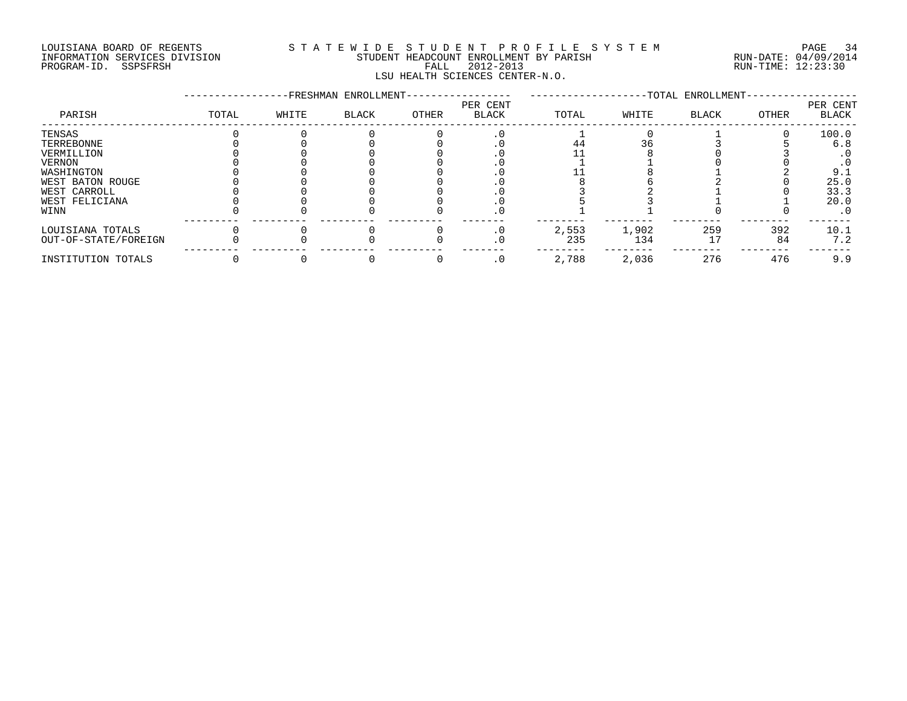#### LOUISIANA BOARD OF REGENTS S T A T E W I D E S T U D E N T P R O F I L E S Y S T E M PAGE 34 INFORMATION SERVICES DIVISION STUDENT HEADCOUNT ENROLLMENT BY PARISH RUN-DATE: 04/09/2014 PROGRAM-ID. SSPSFRSH FALL 2012-2013 RUN-TIME: 12:23:30 LSU HEALTH SCIENCES CENTER-N.O.

|                      |       |       | -FRESHMAN ENROLLMENT- |       |                          |       |       | -TOTAL ENROLLMENT- |       |                   |
|----------------------|-------|-------|-----------------------|-------|--------------------------|-------|-------|--------------------|-------|-------------------|
| PARISH               | TOTAL | WHITE | <b>BLACK</b>          | OTHER | PER CENT<br><b>BLACK</b> | TOTAL | WHITE | BLACK              | OTHER | PER CENT<br>BLACK |
| TENSAS               |       |       |                       |       |                          |       |       |                    |       | 100.0             |
| TERREBONNE           |       |       |                       |       |                          |       |       |                    |       | 6.8               |
| VERMILLION           |       |       |                       |       |                          |       |       |                    |       |                   |
| VERNON               |       |       |                       |       |                          |       |       |                    |       |                   |
| WASHINGTON           |       |       |                       |       |                          |       |       |                    |       | 9.1               |
| WEST BATON ROUGE     |       |       |                       |       |                          |       |       |                    |       | 25.0              |
| WEST CARROLL         |       |       |                       |       |                          |       |       |                    |       | 33.3              |
| WEST FELICIANA       |       |       |                       |       |                          |       |       |                    |       | 20.0              |
| WINN                 |       |       |                       |       | . 0                      |       |       |                    |       | $\cdot$ 0         |
| LOUISIANA TOTALS     |       |       |                       |       |                          | 2,553 | 1,902 | 259                | 392   | 10.1              |
| OUT-OF-STATE/FOREIGN |       |       |                       |       |                          | 235   | 134   |                    | 84    | 7.2               |
| INSTITUTION TOTALS   |       |       |                       |       | . 0                      | 2,788 | 2,036 | 276                | 476   | 9.9               |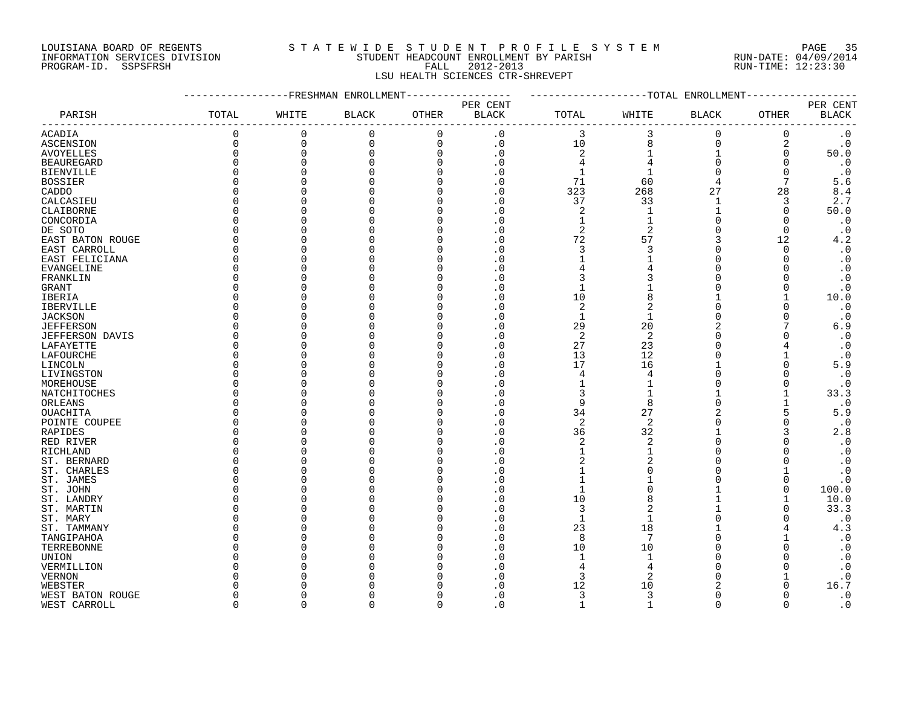#### LOUISIANA BOARD OF REGENTS S T A T E W I D E S T U D E N T P R O F I L E S Y S T E M PAGE 35 INFORMATION SERVICES DIVISION STUDENT HEADCOUNT ENROLLMENT BY PARISH RUN-DATE: 04/09/2014 INFORMATION SERVICES DIVISION CONSUMERTY AND STUDENT HEADCOUNT ENROLLMENT BY PARISH THE COMPUT AND RUN-DATE: 04/09/2011<br>PROGRAM-ID. SSPSFRSH FALL 2012-2013 FALL 2012-2013 RUN-TIME: 12:23:30 LSU HEALTH SCIENCES CTR-SHREVEPT

#### -----------------FRESHMAN ENROLLMENT----------------- -------------------TOTAL ENROLLMENT------------------ PER CENT PER CENT PARISH TOTAL WHITE BLACK OTHER BLACK TOTAL WHITE BLACK OTHER BLACK ------------------------------------------------------------------------------------------------------------------------------------ ACADIA 0 0 0 0 .0 3 3 0 0 .0 ASCENSION 0 0 0 0 .0 10 8 0 2 .0 AVOYELLES 0 0 0 0 .0 2 1 1 0 50.0 BEAUREGARD 0 0 0 0 .0 4 4 0 0 .0 BIENVILLE 0 0 0 0 .0 1 1 0 0 .0 BOSSIER 0 0 0 0 .0 71 60 4 7 5.6 CADDO 0 0 0 0 .0 323 268 27 28 8.4 CALCASIEU 0 0 0 0 .0 37 33 1 3 2.7 CLAIBORNE 0 0 0 0 .0 2 1 1 0 50.0 CONCORDIA 0 0 0 0 .0 1 1 0 0 .0 DE SOTO 0 0 0 0 .0 2 2 0 0 .0 EAST BATON ROUGE 0 0 0 0 .0 72 57 3 12 4.2 EAST CARROLL 0 0 0 0 .0 3 3 0 0 .0 EAST FELICIANA 0 0 0 0 .0 1 1 0 0 .0 EVANGELINE 0 0 0 0 .0 4 4 0 0 .0 FRANKLIN 0 0 0 0 .0 3 3 0 0 .0 GRANT 0 0 0 0 .0 1 1 0 0 .0 IBERIA 0 0 0 0 .0 10 8 1 1 10.0 IBERVILLE 0 0 0 0 .0 2 2 0 0 .0 JACKSON 0 0 0 0 .0 1 1 0 0 .0 JEFFERSON 0 0 0 0 .0 29 20 2 7 6.9 JEFFERSON DAVIS 0 0 0 0 .0 2 2 0 0 .0 LAFAYETTE 0 0 0 0 .0 27 23 0 4 .0 LAFOURCHE 0 0 0 0 .0 13 12 0 1 .0 LINCOLN 0 0 0 0 .0 17 16 1 0 5.9 LIVINGSTON 0 0 0 0 .0 4 4 0 0 .0 MOREHOUSE 0 0 0 0 .0 1 1 0 0 .0 NATCHITOCHES 0 0 0 0 3 1 1 1 33.3 ORLEANS 0 0 0 0 .0 9 8 0 1 .0 OUACHITA 0 0 0 0 .0 34 27 2 5 5.9 POINTE COUPEE 0 0 0 0 0 0 0 0 2 2 0 0 0 RAPIDES 0 0 0 .0 36 32 1 3 2.8 RED RIVER 0 0 0 0 .0 2 2 0 0 .0 RICHLAND 0 0 0 0 1 1 0 0 .0 ST. BERNARD 0 0 0 0 .0 2 2 0 0 .0 ST. CHARLES 0 0 0 0 .0 1 0 0 1 .0 ST. JAMES 0 0 0 0 .0 1 1 0 0 .0 ST. JOHN 0 0 0 0 .0 1 0 1 0 100.0 ST. LANDRY 0 0 0 0 .0 10 8 1 1 10.0 ST. MARTIN 0 0 0 0 .0 3 2 1 0 33.3 ST.MARY 0 0 0 0 1 1 0 0 .0 ST. TAMMANY 0 0 0 0 .0 23 18 1 4 4.3 TANGIPAHOA 0 0 0 0 .0 8 7 0 1 .0 TERREBONNE 0 0 0 0 .0 10 10 0 0 .0 UNION 0 0 0 0 .0 1 1 0 0 .0 VERMILLION 0 0 0 0 .0 4 4 0 0 .0 VERNON 0 0 0 0 .0 3 2 0 1 .0 WEBSTER 0 0 0 0 .0 12 10 2 0 16.7 WEST BATON ROUGE 0 0 0 0 .0 3 3 0 0 .0

WEST CARROLL 0 0 0 0 .0 1 1 0 0 .0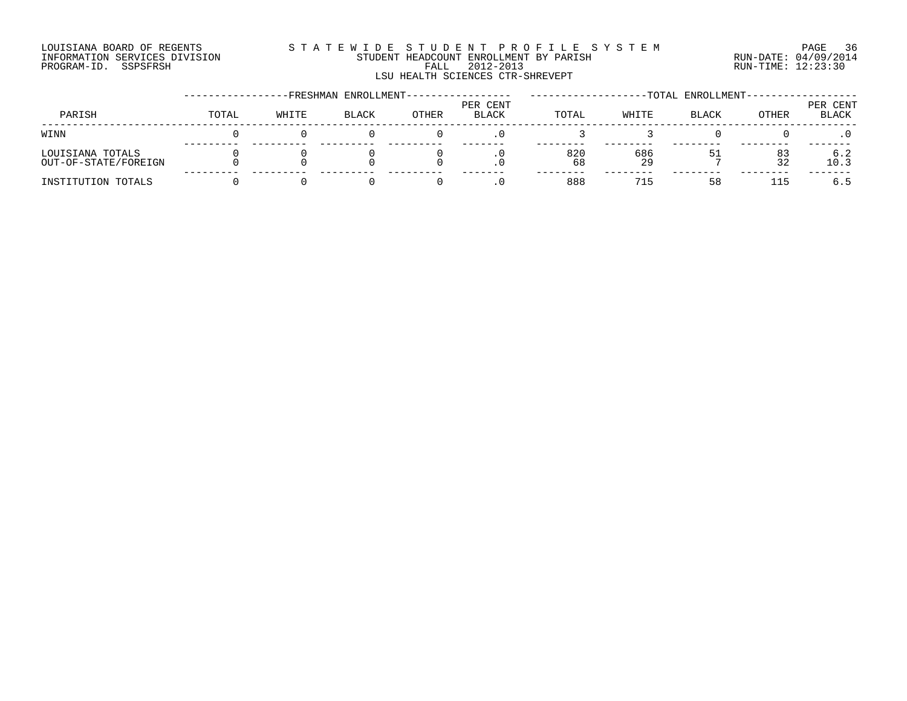#### LOUISIANA BOARD OF REGENTS S T A T E W I D E S T U D E N T P R O F I L E S Y S T E M PAGE 36 INFORMATION SERVICES DIVISION STUDENT HEADCOUNT ENROLLMENT BY PARISH RUN-DATE: 04/09/2014 DOULSIANA BOARD OF REGENIS<br>INFORMATION SERVICES DIVISION STUDENT HEADCOUNT ENROLLMENT BY PARISH RUN-DATE: 04/09/2014<br>PROGRAM-ID. SSPSFRSH FALL 2012-2013 FALL 2012-2013 RUN-TIME: 12:23:30 LSU HEALTH SCIENCES CTR-SHREVEPT

|                                          |       |       | -FRESHMAN ENROLLMENT- |       |                   |           |           | -TOTAL ENROLLMENT- |          |                   |
|------------------------------------------|-------|-------|-----------------------|-------|-------------------|-----------|-----------|--------------------|----------|-------------------|
| PARISH                                   | TOTAL | WHITE | <b>BLACK</b>          | OTHER | PER CENT<br>BLACK | TOTAL     | WHITE     | <b>BLACK</b>       | OTHER    | PER CENT<br>BLACK |
| WINN                                     |       |       |                       |       |                   |           |           |                    |          |                   |
| LOUISIANA TOTALS<br>OUT-OF-STATE/FOREIGN |       |       |                       |       | . v               | 820<br>68 | 686<br>29 |                    | 83<br>32 | 6.2<br>10.3       |
| INSTITUTION TOTALS                       |       |       |                       |       | . 0               | 888       | 715       | 58                 | 115      | 6.5               |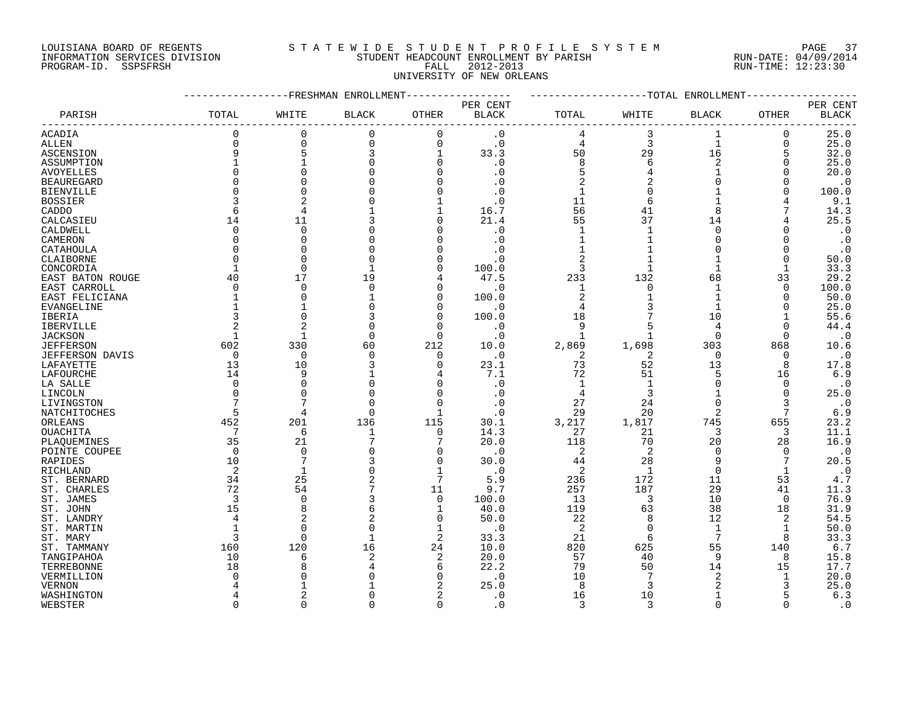## LOUISIANA BOARD OF REGENTS S T A T E W I D E S T U D E N T P R O F I L E S Y S T E M PAGE 37 INFORMATION SERVICES DIVISION STUDENT HEADCOUNT ENROLLMENT BY PARISH RUN-DATE: 04/09/2014 PROGRAM-ID. SSPSFRSH FALL 2012-2013 RUN-TIME: 12:23:30 UNIVERSITY OF NEW ORLEANS

|                             |                | ----------FRESHMAN ENROLLMENT |              |                |                        |                |                | -------------TOTAL ENROLLMENT- |              |              |
|-----------------------------|----------------|-------------------------------|--------------|----------------|------------------------|----------------|----------------|--------------------------------|--------------|--------------|
|                             |                |                               |              |                | PER CENT               |                |                |                                |              | PER CENT     |
| PARISH                      | TOTAL          | WHITE                         | <b>BLACK</b> | OTHER          | <b>BLACK</b>           | TOTAL          | WHITE          | BLACK                          | OTHER        | <b>BLACK</b> |
| ACADIA                      | $\Omega$       | $\mathbf 0$                   | $\mathbf 0$  | $\mathbf 0$    | $\cdot$ 0              | 4              | 3              | $\mathbf{1}$                   | 0            | 25.0         |
| ALLEN                       | $\Omega$       | $\mathbf 0$                   | 0            | $\Omega$       | $\cdot$ 0              | 4              | 3              | $\mathbf{1}$                   | $\mathbf 0$  | 25.0         |
| ASCENSION                   | 9              | 5                             | 3            | 1              | 33.3                   | 50             | 29             | 16                             | 5            | 32.0         |
| ASSUMPTION                  |                |                               |              | 0              | $\cdot$ 0              | 8              | 6              | 2                              | 0            | 25.0         |
| AVOYELLES                   | $\Omega$       |                               |              | $\Omega$       | $\cdot$ 0              | 5              | $\overline{4}$ | $\mathbf{1}$                   | $\mathbf 0$  | 20.0         |
| <b>BEAUREGARD</b>           | $\Omega$       |                               |              | $\Omega$       | $\cdot$ 0              | 2              |                | U                              | $\Omega$     | $\cdot$ 0    |
| <b>BIENVILLE</b>            |                |                               |              | $\Omega$       | $\cdot$ 0              | $\mathbf{1}$   | $\Omega$       |                                | $\Omega$     | 100.0        |
| <b>BOSSIER</b>              |                |                               |              |                | $\cdot$ 0              | 11             | 6              |                                |              | 9.1          |
| CADDO                       | 6              |                               |              |                | 16.7                   | 56             | 41             | 8                              |              | 14.3         |
| CALCASIEU                   | 14             | 11                            |              | $\Omega$       | 21.4                   | 55             | 37             | 14                             |              | 25.5         |
| CALDWELL                    | $\Omega$       | $\Omega$                      |              | $\Omega$       | $\cdot$ 0              | 1              | $\mathbf{1}$   | $\Omega$                       |              | $\cdot$ 0    |
| CAMERON                     | $\Omega$       | $\Omega$                      |              | ∩              | . 0                    | $\mathbf{1}$   |                | O                              |              | $\cdot$ 0    |
| CATAHOULA                   | $\Omega$       | $\cap$                        |              | $\Omega$       | . 0                    | $\mathbf{1}$   | $\mathbf{1}$   | O                              | $\Omega$     | $\cdot$ 0    |
| CLAIBORNE                   | $\Omega$       |                               |              | $\Omega$       | . 0                    | $\overline{2}$ |                |                                | $\Omega$     | 50.0         |
| CONCORDIA                   |                | $\Omega$                      |              | $\Omega$       | 100.0                  | 3              | -1             |                                | $\mathbf{1}$ | 33.3         |
| EAST BATON ROUGE            | 40             | 17                            | 19           | 4              | 47.5                   | 233            | 132            | 68                             | 33           | 29.2         |
| EAST CARROLL                | $\Omega$       | 0                             |              | $\Omega$       | $\cdot$ 0              | 1              | $\Omega$       | 1                              | $\Omega$     | 100.0        |
| EAST FELICIANA              |                | $\Omega$                      |              | $\Omega$       | 100.0                  | $\overline{2}$ |                | $\mathbf{1}$                   | $\Omega$     | 50.0         |
| EVANGELINE                  |                |                               |              | $\Omega$       | $\cdot$ 0              | $\overline{4}$ |                | $\mathbf{1}$                   | O            | 25.0         |
| <b>IBERIA</b>               |                | $\Omega$                      |              | $\Omega$       | 100.0                  | 18             |                | 10                             |              | 55.6         |
|                             | 2              |                               |              | $\Omega$       | . 0                    | 9              | 5              | 4                              | O            | 44.4         |
| IBERVILLE<br><b>JACKSON</b> | 1              | -1                            | 0            | 0              | $\cdot$ 0              | $\mathbf{1}$   | $\mathbf{1}$   | $\Omega$                       | 0            | $\cdot$ 0    |
| <b>JEFFERSON</b>            | 602            | 330                           | 60           | 212            | 10.0                   | 2,869          | 1,698          | 303                            | 868          | 10.6         |
| <b>JEFFERSON DAVIS</b>      | $\overline{0}$ | $\mathbf 0$                   | $\Omega$     | $\mathbf 0$    | $\cdot$ 0              | 2              | 2              | $\Omega$                       | 0            | $\cdot$ 0    |
| LAFAYETTE                   | 13             | 10                            |              | $\Omega$       | 23.1                   | 73             | 52             | 13                             | 8            | 17.8         |
| LAFOURCHE                   | 14             | 9                             |              | 4              | 7.1                    | 72             | 51             | 5                              | 16           | 6.9          |
|                             | 0              | $\Omega$                      |              | 0              | $\cdot$ 0              | $\mathbf 1$    | 1              | 0                              | 0            | $\cdot$ 0    |
| LA SALLE                    | $\Omega$       |                               |              | $\Omega$       |                        | 4              | 3              |                                | $\Omega$     | 25.0         |
| LINCOLN                     |                |                               |              | $\mathbf 0$    | $\cdot$ 0<br>$\cdot$ 0 | 27             | 24             | $\Omega$                       | 3            | $\cdot$ 0    |
| LIVINGSTON                  | 5              | $\overline{4}$                |              | $\mathbf{1}$   |                        | 29             | 20             | $\overline{a}$                 | 7            | 6.9          |
| NATCHITOCHES<br>ORLEANS     | 452            | 201                           | 136          | 115            | $\cdot$ 0<br>30.1      | 3,217          | 1,817          | 745                            | 655          | 23.2         |
| OUACHITA                    | 7              | 6                             | 1            | $\Omega$       | 14.3                   | 27             | 21             | 3                              | 3            | 11.1         |
|                             | 35             | 21                            |              | 7              | 20.0                   |                | 70             | 20                             |              | 16.9         |
| PLAQUEMINES                 | $\Omega$       | $\Omega$                      |              | 0              | $\cdot$ 0              | 118<br>2       | 2              | $\Omega$                       | 28<br>0      | $\cdot$ 0    |
| POINTE COUPEE               | 10             | 7                             |              | $\Omega$       | 30.0                   |                | 28             | 9                              | 7            | 20.5         |
| RAPIDES<br>RICHLAND         | 2              | $\mathbf{1}$                  |              | $\mathbf 1$    | $\cdot$ 0              | 44<br>2        | 1              | $\mathbf 0$                    | $\mathbf{1}$ | $\cdot$ 0    |
| ST. BERNARD                 | 34             | 25                            | 2            | 7              | 5.9                    | 236            | 172            | 11                             | 53           | 4.7          |
| ST. CHARLES                 | 72             | 54                            |              | 11             | 9.7                    | 257            | 187            | 29                             | 41           | 11.3         |
|                             | 3              | 0                             | 3            | 0              | 100.0                  | 13             | 3              | 10                             | 0            | 76.9         |
| ST. JAMES                   | 15             | 8                             |              | 1              | 40.0                   | 119            | 63             | 38                             | 18           | 31.9         |
| ST. JOHN                    | 4              |                               | 6            | $\mathbf 0$    | 50.0                   | 22             | 8              | 12                             | 2            | 54.5         |
| ST. LANDRY<br>ST. MARTIN    |                | $\Omega$                      | 0            | 1              | $\cdot$ 0              | 2              | $\Omega$       | 1                              | 1            | 50.0         |
| ST. MARY                    | 3              | $\Omega$                      |              | 2              | 33.3                   | 21             | 6              | 7                              | 8            | 33.3         |
| ST. TAMMANY                 | 160            | 120                           | 16           | 24             | 10.0                   | 820            | 625            | 55                             | 140          | 6.7          |
|                             | 10             | 6                             | 2            | 2              | 20.0                   | 57             | 40             | 9                              | 8            | 15.8         |
| TANGIPAHOA<br>TERREBONNE    | 18             | 8                             |              | 6              | 22.2                   | 79             | 50             | 14                             | 15           | 17.7         |
| VERMILLION                  |                |                               |              | 0              | . 0                    | 10             | 7              | $\overline{a}$                 | 1            | 20.0         |
| <b>VERNON</b>               |                |                               |              |                | 25.0                   | 8              | 3              | 2                              | 3            | 25.0         |
| WASHINGTON                  |                |                               |              | $\overline{2}$ | . 0                    | 16             | 10             | 1                              | 5            | 6.3          |
|                             | $\cap$         | $\Omega$                      |              | $\Omega$       | $\Omega$               | 3              | $\mathbf{3}$   | $\Omega$                       | U            | $\cdot$ 0    |
| WEBSTER                     |                |                               |              |                |                        |                |                |                                |              |              |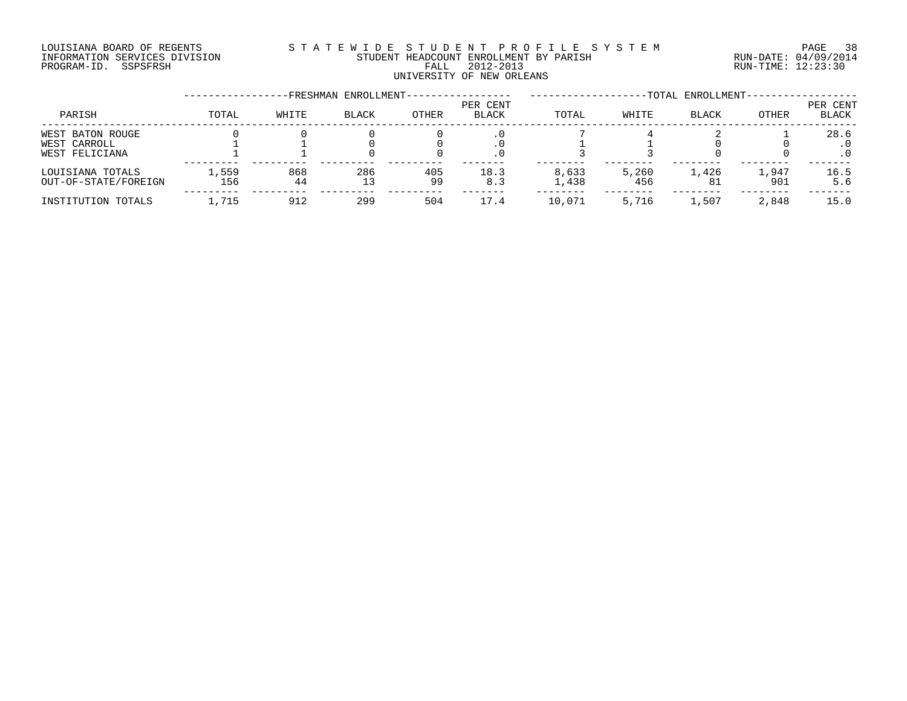#### LOUISIANA BOARD OF REGENTS S T A T E W I D E S T U D E N T P R O F I L E S Y S T E M PAGE 38 INFORMATION SERVICES DIVISION STUDENT HEADCOUNT ENROLLMENT BY PARISH RUN-DATE: 04/09/2014 DOULSIANA BOARD OF REGENIS<br>INFORMATION SERVICES DIVISION STUDENT HEADCOUNT ENROLLMENT BY PARISH RUN-DATE: 04/09/2014<br>PROGRAM-ID. SSPSFRSH FALL 2012-2013 FALL 2012-2013 UNIVERSITY OF NEW ORLEANS

|                                                    |              |           | FRESHMAN ENROLLMENT- |           |                   |                |              | -TOTAL ENROLLMENT- |              |                   |
|----------------------------------------------------|--------------|-----------|----------------------|-----------|-------------------|----------------|--------------|--------------------|--------------|-------------------|
| PARISH                                             | TOTAL        | WHITE     | <b>BLACK</b>         | OTHER     | PER CENT<br>BLACK | TOTAL          | WHITE        | <b>BLACK</b>       | OTHER        | PER CENT<br>BLACK |
| WEST BATON ROUGE<br>WEST CARROLL<br>WEST FELICIANA |              |           |                      |           |                   |                |              |                    |              | 28.6<br>$\cdot$ 0 |
| LOUISIANA TOTALS<br>OUT-OF-STATE/FOREIGN           | 1,559<br>156 | 868<br>44 | 286<br>13            | 405<br>99 | 18.3<br>8.3       | 8,633<br>1,438 | 5,260<br>456 | 1,426<br>81        | 1,947<br>901 | 16.5<br>5.6       |
| INSTITUTION TOTALS                                 | .715         | 912       | 299                  | 504       | 17.4              | 10,071         | 5,716        | 1,507              | 2,848        | 15.0              |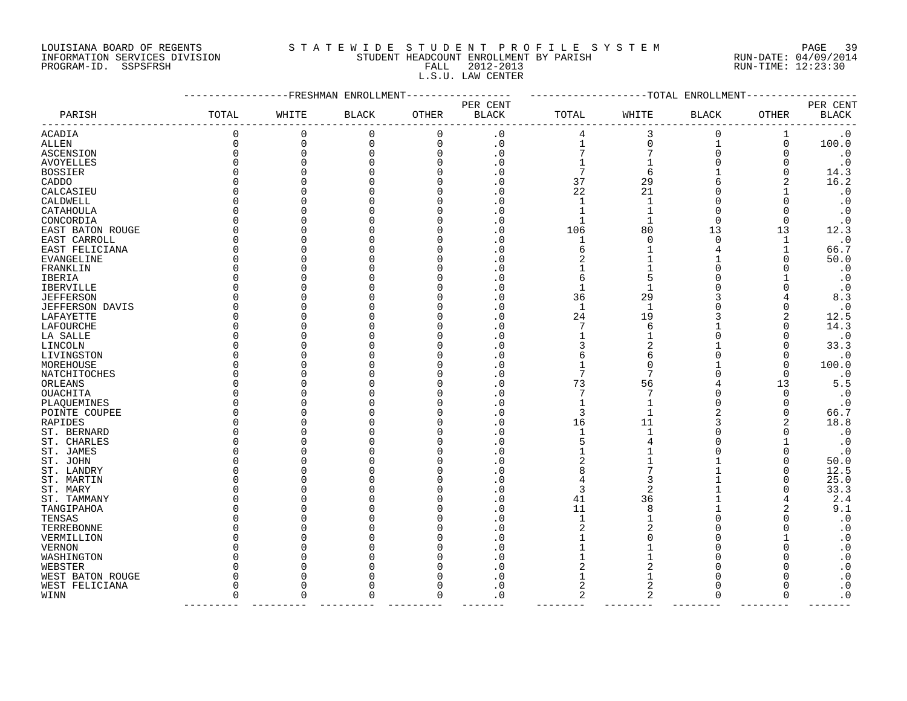## LOUISIANA BOARD OF REGENTS S T A T E W I D E S T U D E N T P R O F I L E S Y S T E M PAGE 39 INFORMATION SERVICES DIVISION STUDENT HEADCOUNT ENROLLMENT BY PARISH RUN-DATE: 04/09/2014 PROGRAM-ID. SSPSFRSH FALL 2012-2013 RUN-TIME: 12:23:30 L.S.U. LAW CENTER

|                        |          |             | -FRESHMAN ENROLLMENT |              |                          |              |              | -TOTAL ENROLLMENT |          |                          |
|------------------------|----------|-------------|----------------------|--------------|--------------------------|--------------|--------------|-------------------|----------|--------------------------|
| PARISH                 | TOTAL    | WHITE       | <b>BLACK</b>         | <b>OTHER</b> | PER CENT<br><b>BLACK</b> | TOTAL        | WHITE        | <b>BLACK</b>      | OTHER    | PER CENT<br><b>BLACK</b> |
| <b>ACADIA</b>          | $\Omega$ | 0           | 0                    | 0            | $\cdot$ 0                | 4            | 3            | 0                 | 1        | $\cdot$ 0                |
| ALLEN                  | $\Omega$ | $\mathbf 0$ | 0                    | 0            | $\cdot$ 0                | $\mathbf 1$  | $\Omega$     | 1                 | 0        | 100.0                    |
| ASCENSION              | O        | 0           | O                    | 0            | . 0                      |              |              | $\Omega$          | O        | $\cdot$ 0                |
|                        |          | $\Omega$    |                      | 0            | . 0                      |              |              |                   |          | $\cdot$ 0                |
| AVOYELLES              |          | O           |                      | O            |                          | 7            |              |                   |          |                          |
| <b>BOSSIER</b>         |          |             |                      |              | . 0                      |              | 6            |                   |          | 14.3                     |
| CADDO                  |          | ∩           |                      | O            | . 0                      | 37           | 29           |                   |          | 16.2                     |
| CALCASIEU              |          | O           |                      | O            | 0                        | 22           | 21           | O                 |          | $\cdot$ 0                |
| CALDWELL               |          | 0           |                      | 0            | . 0                      | $\mathbf{1}$ |              | 0                 | O        | $\boldsymbol{\cdot}$ 0   |
| CATAHOULA              |          | $\Omega$    |                      | O            | 0                        | 1            |              | $\Omega$          |          | $\cdot$ 0                |
| CONCORDIA              |          | O           |                      |              | . 0                      | 1            |              | $\Omega$          | $\Omega$ | $\cdot$ 0                |
| EAST BATON ROUGE       |          | U           |                      | O            | . 0                      | 106          | 80           | 13                | 13       | 12.3                     |
| EAST CARROLL           |          | $\Omega$    |                      | O            | 0                        | 1            | O            | $\Omega$          | 1        | $\cdot$ 0                |
| EAST FELICIANA         |          | 0           |                      | O            | . 0                      | 6            |              | 4                 |          | 66.7                     |
| EVANGELINE             |          | $\Omega$    |                      | O            | C                        | 2            |              |                   |          | 50.0                     |
| FRANKLIN               |          | $\Omega$    |                      |              | . 0                      |              |              |                   |          | $\cdot$ 0                |
| IBERIA                 |          | O           |                      | O            | . 0                      | 6            |              |                   |          | $\cdot$ 0                |
| IBERVILLE              |          | O           |                      | O            | C                        | 1            |              |                   |          | $\cdot$ 0                |
| <b>JEFFERSON</b>       |          | 0           |                      | O            | . 0                      | 36           | 29           |                   |          | 8.3                      |
| <b>JEFFERSON DAVIS</b> |          | $\Omega$    |                      |              | 0                        | $\mathbf{1}$ | $\mathbf{1}$ |                   |          | $\cdot$ 0                |
| LAFAYETTE              |          | O           |                      |              | . 0                      | 24           | 19           |                   |          | 12.5                     |
| LAFOURCHE              |          | ∩           |                      |              | 0                        | 7            | 6            |                   |          | 14.3                     |
| LA SALLE               |          | O           |                      |              | 0                        | 1            |              | O                 |          | $\cdot$ 0                |
| LINCOLN                |          | 0           |                      | O            | . 0                      | 3            |              |                   |          | 33.3                     |
| LIVINGSTON             |          | O           |                      | O            | 0                        | 6            | 6            | ∩                 | O        | $\cdot$ 0                |
| MOREHOUSE              |          | O           |                      |              | . 0                      |              |              |                   | O        | 100.0                    |
| NATCHITOCHES           |          | O           |                      | O            | . 0                      | 7            |              | ∩                 | ∩        | $\cdot$ 0                |
| ORLEANS                |          | $\Omega$    |                      | O            | C.                       | 73           | 56           |                   | 13       | 5.5                      |
| OUACHITA               |          | O           |                      | O            | C.                       | 7            |              | O                 | $\Omega$ | $\boldsymbol{\cdot}$ 0   |
|                        |          | $\Omega$    |                      |              |                          | 1            |              | ∩                 |          | $\cdot$ 0                |
| PLAQUEMINES            |          | $\Omega$    |                      |              | 0                        |              |              |                   |          |                          |
| POINTE COUPEE          |          |             |                      |              | . 0                      | 3            |              |                   |          | 66.7                     |
| RAPIDES                |          | O           |                      | O            | 0                        | 16           | 11           |                   |          | 18.8                     |
| ST. BERNARD            |          | $\Omega$    |                      | O            | C                        | 1            |              | ∩                 |          | $\boldsymbol{\cdot}$ 0   |
| ST. CHARLES            |          | 0           |                      | O            | . 0                      | 5            |              | O                 |          | $\cdot$ 0                |
| ST. JAMES              |          | $\Omega$    |                      | O            | C                        |              |              |                   |          | $\cdot$ 0                |
| ST. JOHN               |          | O           |                      |              | . 0                      | 2            |              |                   |          | 50.0                     |
| ST. LANDRY             |          | U           |                      |              | . 0                      | 8            |              |                   |          | 12.5                     |
| ST. MARTIN             |          | O           |                      |              | . 0                      | 4            |              |                   |          | 25.0                     |
| ST. MARY               |          | 0           |                      | O            | . 0                      | 3            | 2            |                   |          | 33.3                     |
| ST. TAMMANY            |          | $\Omega$    |                      |              | 0                        | 41           | 36           |                   |          | 2.4                      |
| TANGIPAHOA             |          | $\Omega$    |                      |              | . 0                      | 11           | 8            |                   |          | 9.1                      |
| TENSAS                 |          | U           |                      | O            | C.                       | $\mathbf{1}$ |              |                   |          | $\boldsymbol{\cdot}$ 0   |
| TERREBONNE             |          | $\Omega$    |                      |              | 0                        | 2            |              | O                 |          | $\boldsymbol{\cdot}$ 0   |
| VERMILLION             |          | O           |                      | O            | . 0                      |              |              | O                 |          | $\cdot$ 0                |
| VERNON                 |          | O           |                      | O            | 0                        |              |              |                   |          | $\boldsymbol{\cdot}$ 0   |
| WASHINGTON             |          | O           |                      |              | . 0                      |              |              |                   |          | $\boldsymbol{\cdot}$ 0   |
| WEBSTER                |          | O           |                      | O            | . 0                      | 2            |              |                   |          | $\boldsymbol{\cdot}$ 0   |
| WEST BATON ROUGE       |          | O           |                      | O            | . 0                      |              |              | O                 |          | $\boldsymbol{\cdot}$ 0   |
| WEST FELICIANA         |          | 0           |                      | 0            | . 0                      | 2            | 2            | $\Omega$          |          | $\boldsymbol{\cdot}$ 0   |
| WINN                   | U        | $\Omega$    | O                    | $\mathbf 0$  | . 0                      | 2            | 2            | $\Omega$          | O        | $\cdot$ 0                |
|                        |          |             |                      |              |                          |              |              |                   |          |                          |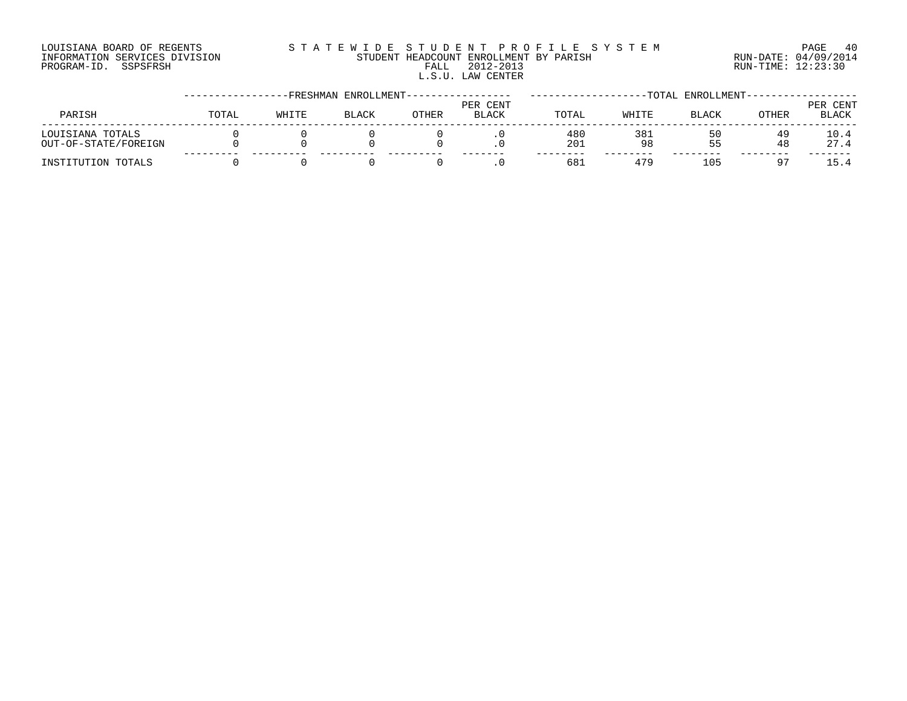## LOUISIANA BOARD OF REGENTS S T A T E W I D E S T U D E N T P R O F I L E S Y S T E M PAGE 40 INFORMATION SERVICES DIVISION STUDENT HEADCOUNT ENROLLMENT BY PARISH RUN-DATE: 04/09/2014 PROGRAM-ID. SSPSFRSH FALL 2012-2013 RUN-TIME: 12:23:30 L.S.U. LAW CENTER

|                                          |       |       | -FRESHMAN ENROLLMENT- |       |                          |            |           | TOTAL ENROLLMENT |          |                          |
|------------------------------------------|-------|-------|-----------------------|-------|--------------------------|------------|-----------|------------------|----------|--------------------------|
| PARISH                                   | TOTAL | WHITE | <b>BLACK</b>          | OTHER | PER CENT<br><b>BLACK</b> | TOTAL      | WHITE     | <b>BLACK</b>     | OTHER    | PER CENT<br><b>BLACK</b> |
| LOUISIANA TOTALS<br>OUT-OF-STATE/FOREIGN |       |       |                       |       |                          | 480<br>201 | 381<br>98 | 50<br>55         | 49<br>48 | 10.4<br>27.4             |
| INSTITUTION TOTALS                       |       |       |                       |       |                          | 68.        | 479       | 105              |          |                          |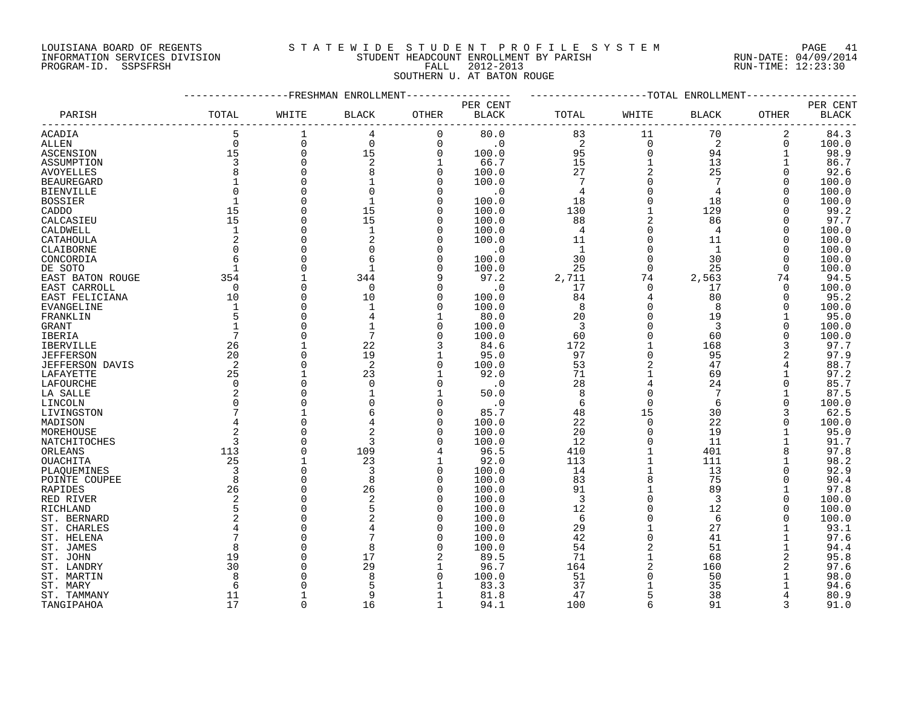## LOUISIANA BOARD OF REGENTS S T A T E W I D E S T U D E N T P R O F I L E S Y S T E M PAGE 41 INFORMATION SERVICES DIVISION STUDENT HEADCOUNT ENROLLMENT BY PARISH RUN-DATE: 04/09/2014 PROGRAM-ID. SSPSFRSH FALL 2012-2013 RUN-TIME: 12:23:30

## SOUTHERN U. AT BATON ROUGE

|                   |                |              | -FRESHMAN ENROLLMENT |              |           |                 | -TOTAL      | ENROLLMENT     |             |              |
|-------------------|----------------|--------------|----------------------|--------------|-----------|-----------------|-------------|----------------|-------------|--------------|
|                   |                |              |                      |              | PER CENT  |                 |             |                |             | PER CENT     |
| PARISH            | TOTAL          | WHITE        | <b>BLACK</b>         | OTHER        | BLACK     | TOTAL           | WHITE       | <b>BLACK</b>   | OTHER       | <b>BLACK</b> |
| ACADIA            | 5              | $\mathbf 1$  | 4                    | 0            | 80.0      | 83              | 11          | 70             | 2           | 84.3         |
| ALLEN             | $\mathbf 0$    | 0            | 0                    | 0            | $\cdot$ 0 | 2               | $\mathbf 0$ | 2              | $\mathbf 0$ | 100.0        |
| ASCENSION         | 15             | 0            | 15                   | 0            | 100.0     | 95              | $\circ$     | 94             |             | 98.9         |
| ASSUMPTION        | 3              | 0            | 2                    |              | 66.7      | 15              |             | 13             |             | 86.7         |
| <b>AVOYELLES</b>  |                | $\Omega$     | 8                    | 0            | 100.0     | 27              |             | 25             | $\Omega$    | 92.6         |
| <b>BEAUREGARD</b> | $\mathbf{1}$   | $\Omega$     |                      | <sup>0</sup> | 100.0     | $7\phantom{.0}$ | $\Omega$    | 7              | $\Omega$    | 100.0        |
| BIENVILLE         |                | $\Omega$     | $\Omega$             | <sup>0</sup> | $\cdot$ 0 | 4               | $\Omega$    | 4              | $\Omega$    | 100.0        |
| <b>BOSSIER</b>    |                | 0            | $\mathbf{1}$         | 0            | 100.0     | 18              | $\Omega$    | 18             |             | 100.0        |
| CADDO             | 15             | $\Omega$     | 15                   | 0            | 100.0     | 130             |             | 129            |             | 99.2         |
| CALCASIEU         | 15             | 0            | 15                   | <sup>0</sup> | 100.0     | 88              |             | 86             |             | 97.7         |
| CALDWELL          | $\mathbf{1}$   | $\Omega$     | $\mathbf{1}$         | <sup>0</sup> | 100.0     | 4               | $\Omega$    | $\overline{4}$ | $\Omega$    | 100.0        |
| CATAHOULA         | $\overline{2}$ | $\Omega$     | $\overline{2}$       | <sup>0</sup> | 100.0     | 11              | $\Omega$    | 11             | $\Omega$    | 100.0        |
| CLAIBORNE         | $\Omega$       | 0            | $\Omega$             | O            | $\cdot$ 0 | $\mathbf{1}$    | $\Omega$    | $\mathbf{1}$   | $\Omega$    | 100.0        |
|                   |                | 0            |                      | 0            | 100.0     | 30              | $\Omega$    | 30             | $\Omega$    | 100.0        |
| CONCORDIA         | $\mathbf{1}$   | 0            |                      | $\Omega$     |           |                 | $\Omega$    |                | $\Omega$    |              |
| DE SOTO           |                |              |                      |              | 100.0     | 25              |             | 25             |             | 100.0        |
| EAST BATON ROUGE  | 354            | $\mathbf{1}$ | 344                  | 9            | 97.2      | 2,711           | 74          | 2,563          | 74          | 94.5         |
| EAST CARROLL      | $\Omega$       | $\Omega$     | $\mathbf 0$          | <sup>0</sup> | $\cdot$ 0 | 17              | $\Omega$    | 17             | $\Omega$    | 100.0        |
| EAST FELICIANA    | 10             | 0            | 10                   | 0            | 100.0     | 84              | 4           | 80             | $\Omega$    | 95.2         |
| EVANGELINE        | $\overline{1}$ | 0            | $\mathbf{1}$         | $\Omega$     | 100.0     | 8               | $\Omega$    | 8              | $\Omega$    | 100.0        |
| FRANKLIN          |                | U            |                      |              | 80.0      | 20              | $\Omega$    | 19             |             | 95.0         |
| <b>GRANT</b>      | $\mathbf{1}$   | U            |                      | <sup>0</sup> | 100.0     | 3               | $\Omega$    | 3              | $\cap$      | 100.0        |
| IBERIA            |                | U            | 7                    | <sup>0</sup> | 100.0     | 60              | $\Omega$    | 60             | $\cap$      | 100.0        |
| <b>IBERVILLE</b>  | 26             |              | 22                   |              | 84.6      | 172             |             | 168            |             | 97.7         |
| <b>JEFFERSON</b>  | 20             | 0            | 19                   |              | 95.0      | 97              | $\Omega$    | 95             |             | 97.9         |
| JEFFERSON DAVIS   | 2              | $\Omega$     | 2                    | 0            | 100.0     | 53              |             | 47             |             | 88.7         |
| LAFAYETTE         | 25             | $\mathbf{1}$ | 23                   |              | 92.0      | 71              |             | 69             |             | 97.2         |
| LAFOURCHE         | $\Omega$       | 0            | $\Omega$             | 0            | $\cdot$ 0 | 28              |             | 24             | $\Omega$    | 85.7         |
| LA SALLE          |                | 0            |                      |              | 50.0      | 8               | 0           | 7              |             | 87.5         |
| LINCOLN           |                | 0            |                      | 0            | $\cdot$ 0 | 6               | $\Omega$    | 6              | $\Omega$    | 100.0        |
| LIVINGSTON        |                |              |                      | 0            | 85.7      | 48              | 15          | 30             |             | 62.5         |
| MADISON           |                | $\Omega$     |                      | <sup>0</sup> | 100.0     | 22              | $\mathbf 0$ | 22             |             | 100.0        |
| MOREHOUSE         |                | 0            |                      | 0            | 100.0     | 20              | $\Omega$    | 19             |             | 95.0         |
| NATCHITOCHES      |                | $\Omega$     | 3                    | <sup>0</sup> | 100.0     | 12              | $\Omega$    | 11             |             | 91.7         |
| ORLEANS           | 113            | $\Omega$     | 109                  | 4            | 96.5      | 410             |             | 401            |             | 97.8         |
| OUACHITA          | 25             | 1            | 23                   |              | 92.0      | 113             |             | 111            |             | 98.2         |
| PLAQUEMINES       | 3              | $\Omega$     | 3                    | 0            | 100.0     | 14              |             | 13             |             | 92.9         |
| POINTE COUPEE     | 8              | 0            | 8                    | 0            | 100.0     | 83              | 8           | 75             | $\Omega$    | 90.4         |
| RAPIDES           | 26             | 0            | 26                   | $\Omega$     | 100.0     | 91              |             | 89             |             | 97.8         |
| RED RIVER         | $\overline{2}$ | 0            | $\overline{a}$       | 0            | 100.0     | 3               | $\Omega$    | 3              | $\Omega$    | 100.0        |
| RICHLAND          |                | $\Omega$     | 5                    | $\Omega$     | 100.0     | 12              |             | 12             |             | 100.0        |
| ST. BERNARD       |                | $\Omega$     |                      | $\Omega$     | 100.0     | 6               | $\Omega$    | 6              |             | 100.0        |
| ST. CHARLES       |                | $\Omega$     |                      | 0            | 100.0     | 29              |             | 27             |             | 93.1         |
|                   |                | $\Omega$     |                      | $\Omega$     | 100.0     | 42              | $\Omega$    | 41             |             | 97.6         |
| ST. HELENA        |                | 0            | 8                    | <sup>0</sup> |           | 54              |             | 51             |             |              |
| ST. JAMES         |                | 0            |                      |              | 100.0     |                 |             |                |             | 94.4         |
| ST. JOHN          | 19             | 0            | 17                   |              | 89.5      | 71              |             | 68             |             | 95.8         |
| ST. LANDRY        | 30             |              | 29                   |              | 96.7      | 164             |             | 160            |             | 97.6         |
| ST. MARTIN        |                | 0            | $\mathsf{R}$         | <sup>0</sup> | 100.0     | 51              | $\Omega$    | 50             |             | 98.0         |
| ST. MARY          | 6              |              | Ę                    |              | 83.3      | 37              |             | 35             |             | 94.6         |
| ST. TAMMANY       | 11             | 1            | 9                    |              | 81.8      | 47              | 5           | 38             |             | 80.9         |
| TANGTPAHOA        | 17             | U            | 16                   |              | 94.1      | 100             | $\sqrt{2}$  | 91             |             | 91.0         |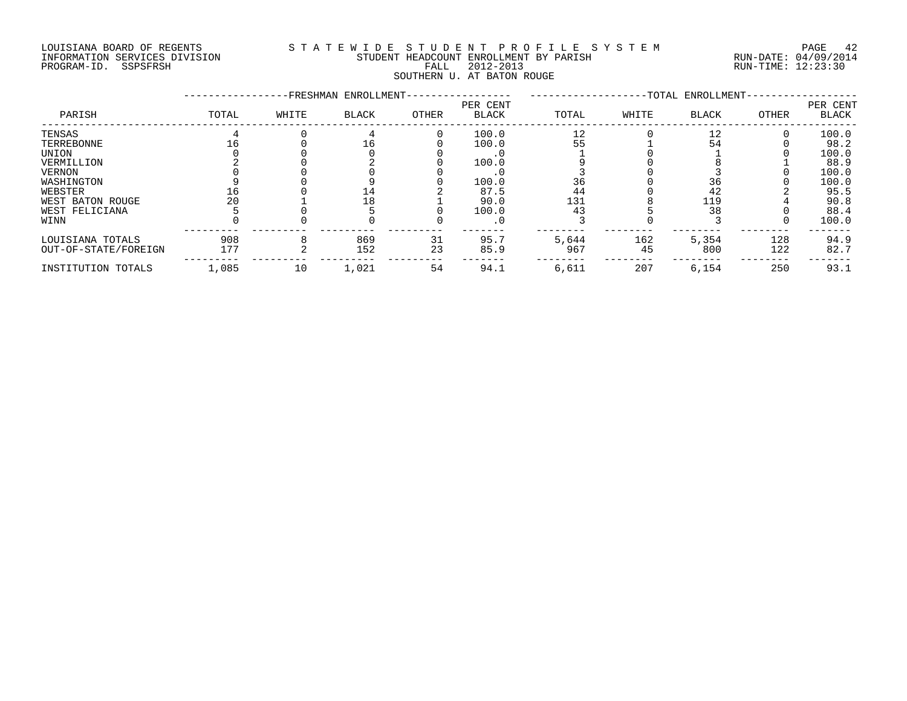#### LOUISIANA BOARD OF REGENTS S T A T E W I D E S T U D E N T P R O F I L E S Y S T E M PAGE 42 INFORMATION SERVICES DIVISION STUDENT HEADCOUNT ENROLLMENT BY PARISH RUN-DATE: 04/09/2014 DOULSIANA BOARD OF REGENIS<br>INFORMATION SERVICES DIVISION STUDENT HEADCOUNT ENROLLMENT BY PARISH READCOUNT ENROLLMENT BY PARISH RUN-DATE: 04/09/201<br>PROGRAM-ID. SSPSFRSH FALL 2012-2013 FALL 2012-2013 SOUTHERN U. AT BATON ROUGE

|                      |       |       | -FRESHMAN ENROLLMENT- |       |                          |       |       | -TOTAL ENROLLMENT- |       |                   |
|----------------------|-------|-------|-----------------------|-------|--------------------------|-------|-------|--------------------|-------|-------------------|
| PARISH               | TOTAL | WHITE | BLACK                 | OTHER | PER CENT<br><b>BLACK</b> | TOTAL | WHITE | BLACK              | OTHER | PER CENT<br>BLACK |
| TENSAS               |       |       |                       |       | 100.0                    | 12    |       | 12                 |       | 100.0             |
| TERREBONNE           |       |       | TР                    |       | 100.0                    | 55    |       | 54                 |       | 98.2              |
| UNION                |       |       |                       |       |                          |       |       |                    |       | 100.0             |
| VERMILLION           |       |       |                       |       | 100.0                    |       |       |                    |       | 88.9              |
| <b>VERNON</b>        |       |       |                       |       |                          |       |       |                    |       | 100.0             |
| WASHINGTON           |       |       |                       |       | 100.0                    | 36    |       | 36                 |       | 100.0             |
| WEBSTER              |       |       | 14                    |       | 87.5                     | 44    |       | 42                 |       | 95.5              |
| WEST BATON ROUGE     | 20    |       | 18                    |       | 90.0                     | 131   |       | 119                |       | 90.8              |
| WEST FELICIANA       |       |       |                       |       | 100.0                    | 43    |       | 38                 |       | 88.4              |
| WINN                 |       |       |                       |       | $\cdot$ 0                |       |       |                    |       | 100.0             |
| LOUISIANA TOTALS     | 908   |       | 869                   | 31    | 95.7                     | 5,644 | 162   | 5,354              | 128   | 94.9              |
| OUT-OF-STATE/FOREIGN | 177   |       | 152                   | 23    | 85.9                     | 967   | 45    | 800                | 122   | 82.7              |
| INSTITUTION TOTALS   | 1,085 | 10    | 1,021                 | 54    | 94.1                     | 6,611 | 207   | 6,154              | 250   | 93.1              |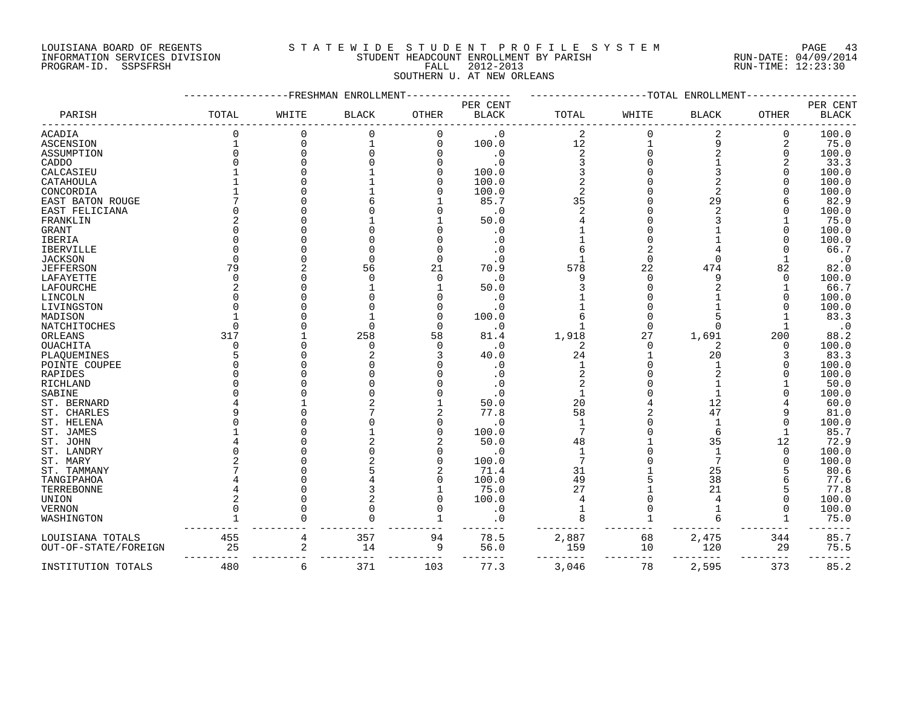## LOUISIANA BOARD OF REGENTS S T A T E W I D E S T U D E N T P R O F I L E S Y S T E M PAGE 43 INFORMATION SERVICES DIVISION STUDENT HEADCOUNT ENROLLMENT BY PARISH RUN-DATE: 04/09/2014 PROGRAM-ID. SSPSFRSH FALL 2012-2013 RUN-TIME: 12:23:30 SOUTHERN U. AT NEW ORLEANS

|                       |              |          | FRESHMAN ENROLLMENT |              |                                    |                | -TOTAL | ENROLLMENT     |              |                          |
|-----------------------|--------------|----------|---------------------|--------------|------------------------------------|----------------|--------|----------------|--------------|--------------------------|
| PARISH                | TOTAL        | WHITE    | <b>BLACK</b>        | <b>OTHER</b> | PER CENT<br>$\operatorname{BLACK}$ | TOTAL          | WHITE  | <b>BLACK</b>   | <b>OTHER</b> | PER CENT<br><b>BLACK</b> |
| <b>ACADIA</b>         | U            | O        | $\Omega$            |              | . 0                                | 2              |        | 2              | 0            | 100.0                    |
| ASCENSION             |              | $\Omega$ |                     | $\Omega$     | 100.0                              | $12\,$         |        | 9              | 2            | 75.0                     |
| ASSUMPTION            |              |          |                     |              | $\cdot$ 0                          | $\overline{a}$ |        |                | $\mathbf 0$  | 100.0                    |
| CADDO                 |              |          |                     |              | $\cdot$ 0                          |                |        |                | 2            | 33.3                     |
| CALCASIEU             |              |          |                     |              | 100.0                              |                |        |                |              | 100.0                    |
| CATAHOULA             |              |          |                     |              | 100.0                              |                |        |                |              | 100.0                    |
| CONCORDIA             |              |          |                     |              | 100.0                              |                |        | 2              |              | 100.0                    |
| EAST BATON ROUGE      |              |          |                     |              | 85.7                               | 35             |        | 29             |              | 82.9                     |
| EAST FELICIANA        |              |          |                     |              | $\cdot$ 0                          |                |        | $\overline{a}$ |              | 100.0                    |
| FRANKLIN              |              |          |                     |              | 50.0                               |                |        |                |              | 75.0                     |
| <b>GRANT</b>          |              |          |                     |              | $\cdot$ 0                          |                |        |                |              | 100.0                    |
| IBERIA                |              |          |                     |              | . 0                                |                |        |                |              | 100.0                    |
| <b>IBERVILLE</b>      |              |          |                     |              |                                    |                |        |                |              | 66.7                     |
| <b>JACKSON</b>        | U            |          |                     |              | $\cdot$ 0                          |                |        |                |              | $\cdot$ 0                |
| <b>JEFFERSON</b>      | 79           |          | 56                  | 21           | 70.9                               | 578            | 22     | 474            | 82           | 82.0                     |
| LAFAYETTE             | $\Omega$     |          | $\Omega$            | $\cap$       | $\cdot$ 0                          | 9              |        | 9              | 0            | 100.0                    |
| LAFOURCHE             | 2            |          |                     |              | 50.0                               |                |        |                |              | 66.7                     |
| LINCOLN               |              |          |                     |              | $\cdot$ 0                          |                |        |                |              | 100.0                    |
| LIVINGSTON            |              |          |                     |              | $\cdot$ 0                          |                |        |                |              | 100.0                    |
| MADISON               |              |          |                     |              | 100.0                              |                |        |                |              | 83.3                     |
| NATCHITOCHES          | ∩            |          |                     | ∩            | $\cdot$ 0                          |                |        |                |              | $\cdot$ 0                |
| ORLEANS               | 317          |          | 258                 | 58           | 81.4                               | 1,918          | 27     | 1,691          | 200          | 88.2                     |
| <b>OUACHITA</b>       | <sup>0</sup> |          | $\Omega$            |              | $\cdot$ 0                          | 2              |        | 2              | $\Omega$     | 100.0                    |
| PLAQUEMINES           | 5            |          |                     |              | 40.0                               | 24             |        | 20             | 3            | 83.3                     |
| POINTE COUPEE         |              |          |                     |              | $\cdot$ 0                          |                |        |                |              | 100.0                    |
| RAPIDES               |              |          |                     |              | $\cdot$ 0                          |                |        |                |              | 100.0                    |
| RICHLAND              |              |          |                     |              | $\cdot$ 0                          |                |        |                |              | 50.0                     |
|                       |              |          |                     |              | $\cdot$ 0                          |                |        |                |              | 100.0                    |
| SABINE<br>ST. BERNARD |              |          |                     |              | 50.0                               | 20             |        | 12             |              |                          |
|                       |              |          |                     |              |                                    |                |        |                |              | 60.0                     |
| ST. CHARLES           |              |          |                     |              | 77.8                               | 58             |        | 47             |              | 81.0                     |
| ST. HELENA            |              |          |                     |              | $\cdot$ 0                          | 7              |        |                |              | 100.0                    |
| ST. JAMES             |              |          |                     |              | 100.0                              |                |        |                |              | 85.7                     |
| ST. JOHN              |              |          |                     |              | 50.0                               | 48             |        | 35             | 12           | 72.9                     |
| ST. LANDRY            |              |          |                     |              | . 0                                |                |        |                | $\Omega$     | 100.0                    |
| ST. MARY              |              |          |                     |              | 100.0                              | 7              |        |                |              | 100.0                    |
| ST. TAMMANY           |              |          |                     |              | 71.4                               | 31             |        | 25             |              | 80.6                     |
| TANGIPAHOA            |              |          |                     |              | 100.0                              | 49             |        | 38             |              | 77.6                     |
| TERREBONNE            |              |          |                     |              | 75.0                               | 27             |        | 21             |              | 77.8                     |
| UNION                 |              |          |                     |              | 100.0                              |                |        |                |              | 100.0                    |
| <b>VERNON</b>         |              |          |                     |              | . 0                                |                |        |                |              | 100.0                    |
| WASHINGTON            |              |          |                     |              | $\cdot$ 0                          |                |        |                |              | 75.0                     |
| LOUISIANA TOTALS      | 455          | 4        | 357                 | 94           | 78.5                               | 2,887          | 68     | 2,475          | 344          | 85.7                     |
| OUT-OF-STATE/FOREIGN  | 25           | 2        | 14                  | 9            | 56.0                               | 159            | 10     | 120            | 29<br>$---$  | 75.5                     |
| INSTITUTION TOTALS    | 480          | 6        | 371                 | 103          | 77.3                               | 3,046          | 78     | 2,595          | 373          | 85.2                     |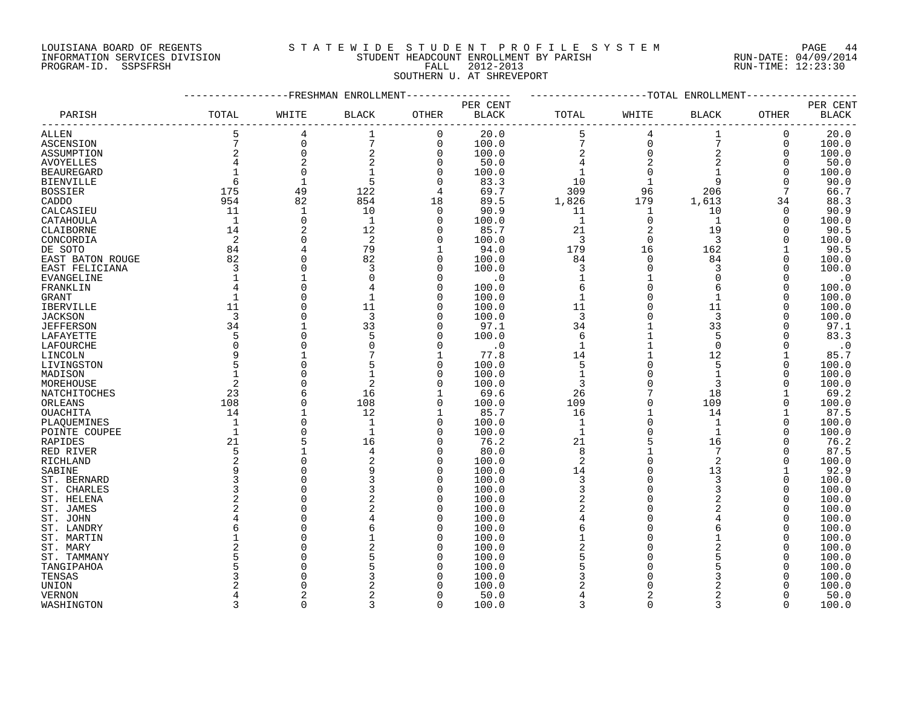#### LOUISIANA BOARD OF REGENTS S T A T E W I D E S T U D E N T P R O F I L E S Y S T E M PAGE 44 INFORMATION SERVICES DIVISION STUDENT HEADCOUNT ENROLLMENT BY PARISH RUN-DATE: 04/09/2014 PROGRAM-ID. SSPSFRSH FALL 2012-2013 RUN-TIME: 12:23:30

## SOUTHERN U. AT SHREVEPORT

|                               |                            |                                               | ---------FRESHMAN ENROLLMENT----------------- |                     | ---------------TOTAL ENROLLMENT- |                                            |                                                |                        |                 |                                    |
|-------------------------------|----------------------------|-----------------------------------------------|-----------------------------------------------|---------------------|----------------------------------|--------------------------------------------|------------------------------------------------|------------------------|-----------------|------------------------------------|
| PARISH                        | TOTAL                      | WHITE                                         | $\operatorname{BLACK}$                        | OTHER               | PER CENT<br>$_{\rm BLACK}$       | TOTAL                                      | WHITE                                          | $\operatorname{BLACK}$ | OTHER           | PER CENT<br>$\operatorname{BLACK}$ |
| <b>ALLEN</b>                  | $\frac{5}{7}$              | $\,4$                                         |                                               | $\mathbf 0$         | 20.0                             | 5                                          | $\bf 4$                                        | $\mathbf 1$            | $\mathbf 0$     | 20.0                               |
| ASCENSION                     |                            |                                               | $\sqrt{ }$                                    | $\mathsf{O}\xspace$ | 100.0                            |                                            |                                                | $\sqrt{ }$             | 0               | 100.0                              |
| ASSUMPTION                    | $\sqrt{2}$                 | $\begin{smallmatrix}0\\0\\0\end{smallmatrix}$ | 2                                             | $\mathbf 0$         | 100.0                            | $\begin{array}{c} 7 \\ 2 \\ 4 \end{array}$ | $\begin{matrix} 0 \\ 0 \\ 2 \\ 0 \end{matrix}$ | $\overline{a}$         | $\Omega$        | 100.0                              |
| AVOYELLES                     | $\overline{4}$             | $\overline{c}$                                | $\overline{c}$                                | $\mathsf 0$         | 50.0                             |                                            |                                                | $\sqrt{2}$             | $\mathbf 0$     | 50.0                               |
| <b>BEAUREGARD</b>             | $\mathbf{1}$               | $\mathbf 0$                                   |                                               | $\mathbf 0$         | 100.0                            | $\mathbf{1}$                               |                                                | $\mathbf{1}$           | $\Omega$        | 100.0                              |
| <b>BIENVILLE</b>              | 6                          | $\mathbf{1}$                                  | 5                                             | $\mathbf 0$         | 83.3                             | 10                                         | $\mathbf{1}$                                   | 9                      | $\Omega$        | 90.0                               |
| <b>BOSSIER</b>                | 175                        | 49                                            | 122                                           | 4                   | 69.7                             | 309                                        | 96                                             | 206                    | $7\phantom{.0}$ | 66.7                               |
| CADDO                         | 954                        | 82                                            | 854                                           | 18                  | 89.5                             | 1,826                                      | 179                                            | 1,613                  | 34              | 88.3                               |
| CALCASIEU                     | 11                         | $\mathbf{1}$                                  | 10                                            | $\Omega$            | 90.9                             | 11                                         | $\overline{1}$                                 | 10                     | $\Omega$        | 90.9                               |
| CATAHOULA                     | $\overline{1}$             | $\mathbf 0$                                   | $\mathbf{1}$                                  | 0                   | 100.0                            | $\mathbf{1}$                               | $\mathbf 0$                                    | $\mathbf{1}$           | $\mathbf 0$     | 100.0                              |
| CLAIBORNE                     | 14                         | $\sqrt{2}$                                    | 12                                            | $\Omega$            | 85.7                             | 21                                         | 2                                              | 19                     | $\Omega$        | 90.5                               |
| CONCORDIA                     | $\overline{\phantom{0}}^2$ | $\mathbf 0$                                   | 2                                             | $\Omega$            | 100.0                            | $\overline{3}$                             | $\overline{0}$                                 | $\overline{3}$         | $\Omega$        | 100.0                              |
| DE SOTO                       | 84                         | $\overline{4}$                                | 79                                            | 1                   | 94.0                             | 179                                        | 16                                             | 162                    | 1               | 90.5                               |
| EAST BATON ROUGE              | 82                         | $\mathbf 0$                                   | 82                                            | 0                   | 100.0                            | 84                                         | $\Omega$                                       | 84                     |                 | 100.0                              |
| EAST FELICIANA                | $\overline{3}$             | $\Omega$                                      | 3                                             | $\Omega$            | 100.0                            | 3                                          | $\overline{0}$                                 | 3                      | $\cap$          | 100.0                              |
| EVANGELINE                    | $\mathbf{1}$               | $\mathbf{1}$                                  | $\Omega$                                      | $\mathbf 0$         | $\cdot$ 0                        | $\mathbf 1$                                | $\mathbf{1}$                                   | $\Omega$               | O               | $\cdot$ 0                          |
| FRANKLIN                      |                            | $\Omega$                                      |                                               | $\Omega$            | 100.0                            | 6                                          | $\Omega$                                       | 6                      |                 | 100.0                              |
| GRANT                         | $\mathbf{1}$               | $\mathbf 0$                                   |                                               | $\Omega$            | 100.0                            | $\mathbf{1}$                               | $\mathbf 0$                                    | $\mathbf{1}$           |                 | 100.0                              |
| <b>IBERVILLE</b>              | 11                         | $\Omega$                                      | 11                                            | $\Omega$            | 100.0                            | 11                                         | $\Omega$                                       | 11                     | O               | 100.0                              |
| <b>JACKSON</b>                | $\overline{\mathbf{3}}$    | $\Omega$                                      | $\overline{3}$                                | $\Omega$            | 100.0                            | $\overline{3}$                             | $\Omega$                                       | $\overline{3}$         |                 | 100.0                              |
|                               | 34                         | $\mathbf{1}$                                  | 33                                            | 0                   | 97.1                             | 34                                         |                                                | 33                     |                 | 97.1                               |
| <b>JEFFERSON</b><br>LAFAYETTE | 5                          | $\mathbf 0$                                   | 5                                             | $\Omega$            | 100.0                            | 6                                          |                                                | 5                      |                 | 83.3                               |
|                               | $\Omega$                   | $\Omega$                                      |                                               | $\Omega$            | $\cdot$ 0                        | $\mathbf{1}$                               |                                                | $\Omega$               |                 | $\cdot$ 0                          |
| LAFOURCHE                     | 9                          |                                               |                                               | 1                   | 77.8                             | 14                                         |                                                | 12                     |                 |                                    |
| LINCOLN                       | 5                          | $\mathbf 0$                                   |                                               | $\Omega$            |                                  |                                            |                                                | 5                      |                 | 85.7                               |
| LIVINGSTON                    | $\mathbf{1}$               |                                               |                                               |                     | 100.0                            | 5                                          |                                                |                        | $\Omega$        | 100.0                              |
| MADISON                       |                            | $\mathbf 0$                                   |                                               | $\Omega$            | 100.0                            | $\mathbf 1$                                | 0<br>$\Omega$                                  | $\mathbf{1}$           | O               | 100.0                              |
| MOREHOUSE                     | 2                          | $\Omega$                                      | 2                                             | $\Omega$            | 100.0                            | 3                                          |                                                | 3                      |                 | 100.0                              |
| NATCHITOCHES                  | 23                         | 6                                             | 16                                            | $\mathbf{1}$        | 69.6                             | 26                                         |                                                | 18                     |                 | 69.2                               |
| ORLEANS                       | 108                        | $\mathbf 0$                                   | 108                                           | 0                   | 100.0                            | 109                                        | $\mathbf 0$                                    | 109                    |                 | 100.0                              |
| OUACHITA                      | 14                         | $\mathbf{1}$                                  | 12                                            | 1                   | 85.7                             | 16                                         |                                                | 14                     |                 | 87.5                               |
| PLAQUEMINES                   | $\overline{1}$             | $\Omega$                                      | $\overline{1}$                                | $\Omega$            | 100.0                            | $\mathbf{1}$                               | $\Omega$                                       | 1                      | $\cap$          | 100.0                              |
| POINTE COUPEE                 | $\overline{1}$             | $\mathbf 0$                                   | $\mathbf{1}$                                  | 0                   | 100.0                            | $\mathbf{1}$                               | $\mathbf 0$                                    | 1                      | O               | 100.0                              |
| RAPIDES                       | 21                         |                                               | 16                                            | $\Omega$            | 76.2                             | 21                                         |                                                | 16                     |                 | 76.2                               |
| RED RIVER                     | 5                          | $\mathbf{1}$                                  | 4                                             | $\mathbf 0$         | 80.0                             | 8                                          |                                                | 7                      | $\Omega$        | 87.5                               |
| RICHLAND                      | 2                          | $\Omega$                                      | 2                                             | $\Omega$            | 100.0                            | $\overline{2}$                             | $\Omega$                                       | $\overline{2}$         | $\Omega$        | 100.0                              |
| SABINE                        | 9                          | $\Omega$                                      |                                               | $\Omega$            | 100.0                            | 14                                         | $\Omega$                                       | 13                     |                 | 92.9                               |
| ST. BERNARD                   | $\overline{3}$             | $\mathbf 0$                                   | 3                                             | 0                   | 100.0                            | $\mathsf{3}$                               | $\mathbf 0$                                    | 3                      | $\Omega$        | 100.0                              |
| ST. CHARLES                   | 3                          | $\mathbf 0$                                   |                                               | $\Omega$            | 100.0                            | 3                                          | $\Omega$                                       | 3                      | $\Omega$        | 100.0                              |
| ST. HELENA                    | 2                          | $\Omega$                                      | 2                                             | $\Omega$            | 100.0                            | $\sqrt{2}$                                 | $\Omega$                                       | $\sqrt{2}$             | $\Omega$        | 100.0                              |
| ST. JAMES                     | $\overline{2}$             | $\mathbf 0$                                   | $\overline{2}$                                | $\mathbf 0$         | 100.0                            | $\overline{a}$                             | $\Omega$                                       | $\overline{2}$         | $\Omega$        | 100.0                              |
| ST. JOHN                      | $\overline{4}$             | $\mathbf 0$                                   |                                               | $\Omega$            | 100.0                            | $\overline{4}$                             |                                                | $\overline{4}$         | $\Omega$        | 100.0                              |
| ST. LANDRY                    | 6                          | $\mathbf 0$                                   |                                               | $\mathbf 0$         | 100.0                            | 6                                          | $\mathbf 0$                                    | 6                      | $\Omega$        | 100.0                              |
| ST. MARTIN                    | $\mathbf{1}$               | $\Omega$                                      |                                               | $\Omega$            | 100.0                            | $1\,$                                      | $\Omega$                                       | $\mathbf 1$            | $\Omega$        | 100.0                              |
| ST. MARY                      | $\overline{2}$             | $\Omega$                                      |                                               | $\Omega$            | 100.0                            | $\overline{a}$                             | $\Omega$                                       | 2                      | $\Omega$        | 100.0                              |
| ST. TAMMANY                   | 5                          | $\mathbf 0$                                   |                                               | $\Omega$            | 100.0                            | 5                                          | $\mathbf 0$                                    | 5                      | $\Omega$        | 100.0                              |
| TANGIPAHOA                    | 5                          | $\mathbf 0$                                   |                                               | $\Omega$            | 100.0                            | $\overline{5}$                             | $\Omega$                                       |                        | $\Omega$        | 100.0                              |
| TENSAS                        | 3                          | $\Omega$                                      | 3                                             | $\Omega$            | 100.0                            | 3                                          | $\Omega$                                       | 3                      | O               | 100.0                              |
| <b>UNION</b>                  | $\overline{2}$             | $\mathbf 0$                                   | $\overline{a}$                                | $\Omega$            | 100.0                            | $\overline{a}$                             | $\Omega$                                       | $\overline{2}$         | O               | 100.0                              |
| VERNON                        | 4                          | $\overline{2}$                                | 2                                             | $\Omega$            | 50.0                             | $\overline{4}$                             | $\overline{2}$                                 | 2                      | O               | 50.0                               |
| WASHINGTON                    | 3                          | $\Omega$                                      | 3                                             | $\Omega$            | 100.0                            | 3                                          | $\Omega$                                       | 3                      | $\Omega$        | 100.0                              |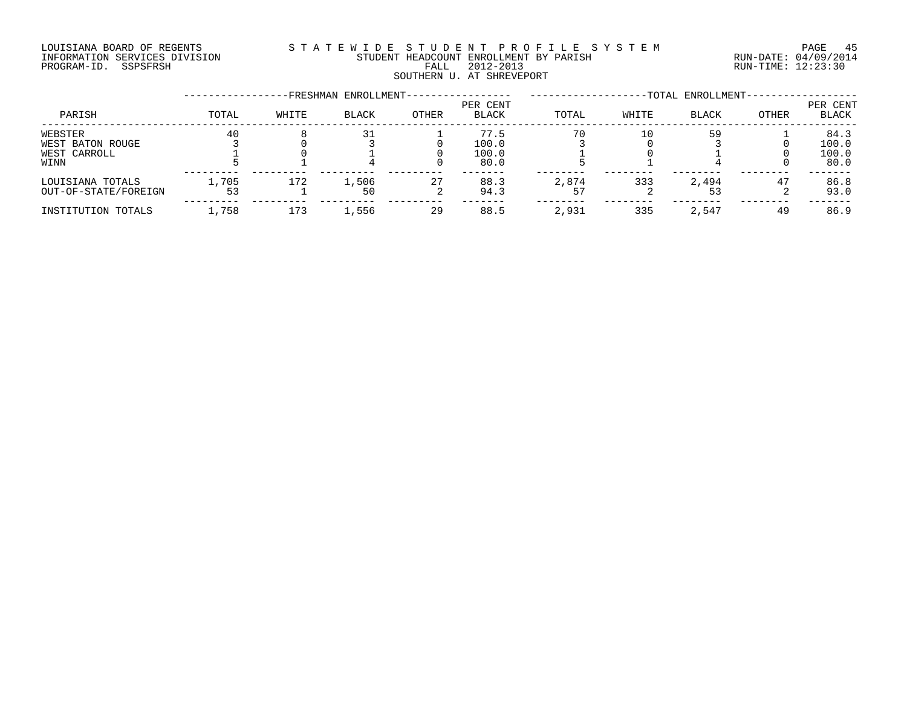#### LOUISIANA BOARD OF REGENTS S T A T E W I D E S T U D E N T P R O F I L E S Y S T E M PAGE 45 INFORMATION SERVICES DIVISION STUDENT HEADCOUNT ENROLLMENT BY PARISH RUN-DATE: 04/09/2014 DOULSIANA BOARD OF REGENIS<br>INFORMATION SERVICES DIVISION STUDENT HEADCOUNT ENROLLMENT BY PARISH READCOUNT ENROLLMENT BY PARISH RUN-DATE: 04/09/201<br>PROGRAM-ID. SSPSFRSH FALL 2012-2013 FALL 2012-2013 SOUTHERN U. AT SHREVEPORT

|                                                     | -FRESHMAN ENROLLMENT- |       |              |              |                                |       |       | -TOTAL ENROLLMENT- |       |                                |  |
|-----------------------------------------------------|-----------------------|-------|--------------|--------------|--------------------------------|-------|-------|--------------------|-------|--------------------------------|--|
| PARISH                                              | TOTAL                 | WHITE | <b>BLACK</b> | <b>OTHER</b> | PER CENT<br><b>BLACK</b>       | TOTAL | WHITE | <b>BLACK</b>       | OTHER | PER CENT<br>BLACK              |  |
| WEBSTER<br>WEST BATON ROUGE<br>WEST CARROLL<br>WINN | 40                    |       |              |              | 77.5<br>100.0<br>100.0<br>80.0 | 70    | 10    | 59                 |       | 84.3<br>100.0<br>100.0<br>80.0 |  |
| LOUISIANA TOTALS<br>OUT-OF-STATE/FOREIGN            | l,705<br>53           | 172   | 1,506<br>50  | 27           | 88.3<br>94.3                   | 2,874 | 333   | 2,494              | 47    | 86.8<br>93.0                   |  |
| INSTITUTION TOTALS                                  | ,758                  | 173   | 1,556        | 29           | 88.5                           | 2,931 | 335   | 2,547              | 49    | 86.9                           |  |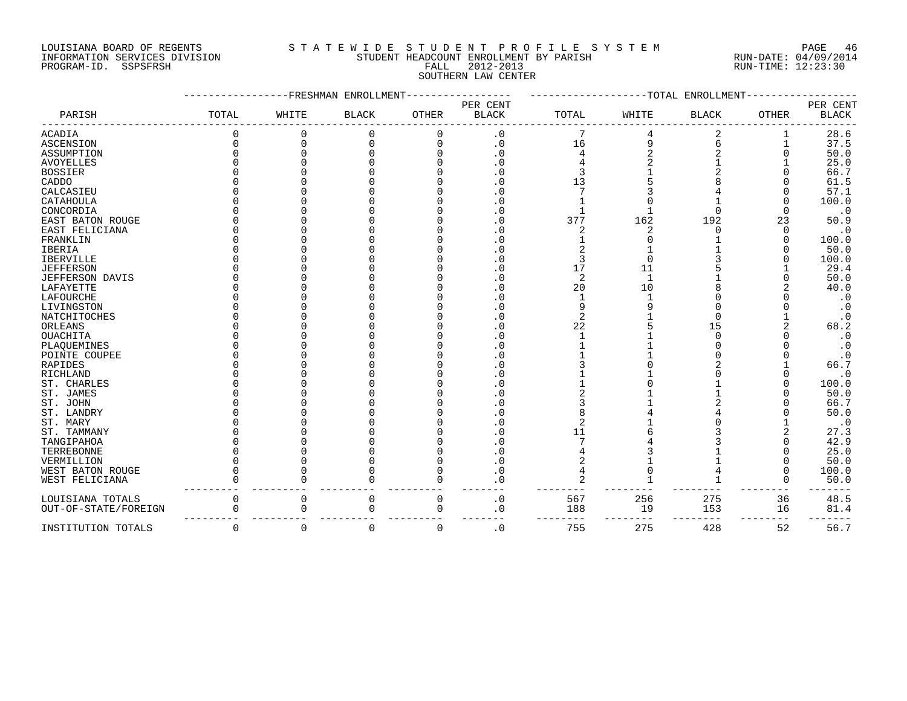#### LOUISIANA BOARD OF REGENTS S T A T E W I D E S T U D E N T P R O F I L E S Y S T E M PAGE 46 INFORMATION SERVICES DIVISION STUDENT HEADCOUNT ENROLLMENT BY PARISH RUN-DATE: 04/09/2014 DOUISIANA BOARD OF REGENTS STATE WIDE SIUM AT E ROUISIANA BOARD OF REGENTS<br>INFORMATION SERVICES DIVISION STUDENT HEADCOUNT ENROLLMENT BY PARISH RUN-DATE: 04/09/2014<br>PROGRAM-ID. SSPSFRSH FALL 2012-2013 RUN-TIME: 12:23:30 SOUTHERN LAW CENTER

|                        |              |       | -FRESHMAN ENROLLMENT |              |                        |       |       | --TOTAL ENROLLMENT |              |              |
|------------------------|--------------|-------|----------------------|--------------|------------------------|-------|-------|--------------------|--------------|--------------|
|                        |              |       |                      |              | PER CENT               |       |       |                    |              | PER CENT     |
| PARISH                 | TOTAL        | WHITE | <b>BLACK</b>         | <b>OTHER</b> | <b>BLACK</b>           | TOTAL | WHITE | <b>BLACK</b>       | <b>OTHER</b> | <b>BLACK</b> |
| <b>ACADIA</b>          |              |       | 0                    |              | $\cdot$ 0              |       |       |                    |              | 28.6         |
| ASCENSION              | O            | C     |                      |              | $\cdot$ 0              | 16    |       |                    |              | 37.5         |
| ASSUMPTION             |              |       |                      |              | . 0                    |       |       |                    |              | 50.0         |
| <b>AVOYELLES</b>       |              |       |                      |              | $\cdot$ 0              |       |       |                    |              | 25.0         |
| <b>BOSSIER</b>         |              |       |                      |              | $\cdot$ 0              |       |       |                    |              | 66.7         |
| CADDO                  |              |       |                      |              | . 0                    | 13    |       |                    |              | 61.5         |
| CALCASIEU              |              |       |                      |              | . 0                    |       |       |                    |              | 57.1         |
| CATAHOULA              |              |       |                      |              | $\cdot$ 0              |       |       |                    |              | 100.0        |
| CONCORDIA              |              |       |                      |              | . 0                    |       |       |                    |              | $\cdot$ 0    |
| EAST BATON ROUGE       |              |       |                      |              | . 0                    | 377   | 162   | 192                | 23           | 50.9         |
| EAST FELICIANA         |              |       |                      |              | $\cdot$ 0              |       |       |                    |              | $\cdot$ 0    |
| FRANKLIN               |              |       |                      |              | $\cdot$ 0              |       |       |                    |              | 100.0        |
| <b>IBERIA</b>          |              |       |                      |              | . 0                    |       |       |                    |              | 50.0         |
| <b>IBERVILLE</b>       |              |       |                      |              | $\cdot$ 0              |       |       |                    |              | 100.0        |
| <b>JEFFERSON</b>       |              |       |                      |              | $\cdot$ 0              | 17    | 11    |                    |              | 29.4         |
| <b>JEFFERSON DAVIS</b> |              |       |                      |              | $\cdot$ 0              | 2     |       |                    |              | 50.0         |
| LAFAYETTE              |              |       |                      |              | . 0                    | 20    | 10    |                    |              | 40.0         |
| LAFOURCHE              |              |       |                      |              | . 0                    |       |       |                    |              | $\cdot$ 0    |
| LIVINGSTON             |              |       |                      |              | $\cdot$ 0              |       |       |                    |              | $\cdot$ 0    |
| NATCHITOCHES           |              |       |                      |              | . 0                    | 2     |       |                    |              | $\cdot$ 0    |
| ORLEANS                |              |       |                      |              | . 0                    | 22    |       | 15                 |              | 68.2         |
| <b>OUACHITA</b>        |              |       |                      |              | . 0                    |       |       |                    |              | $\cdot$ 0    |
| PLAQUEMINES            |              |       |                      |              | $\cdot$ 0              |       |       |                    |              | $\cdot$ 0    |
| POINTE COUPEE          |              |       |                      |              | $\cdot$ 0              |       |       |                    |              | $\cdot$ 0    |
| RAPIDES                |              |       |                      |              | . 0                    |       |       |                    |              | 66.7         |
| RICHLAND               |              |       |                      |              | $\cdot$ 0              |       |       |                    |              | $\cdot$ 0    |
| ST. CHARLES            |              |       |                      |              | . 0                    |       |       |                    |              | 100.0        |
| ST. JAMES              |              |       |                      |              | . 0                    |       |       |                    |              | 50.0         |
| ST. JOHN               |              |       |                      |              | . 0                    |       |       |                    |              | 66.7         |
| ST. LANDRY             |              |       |                      |              | $\cdot$ 0              |       |       |                    |              | 50.0         |
| ST. MARY               |              |       |                      |              | $\cdot$ 0              |       |       |                    |              | $\cdot$ 0    |
| ST. TAMMANY            |              |       |                      |              | . 0                    | 11    |       |                    |              | 27.3         |
|                        |              |       |                      |              |                        |       |       |                    |              |              |
| TANGIPAHOA             |              |       |                      |              | . 0                    |       |       |                    |              | 42.9         |
| TERREBONNE             |              |       |                      |              | . 0                    |       |       |                    |              | 25.0         |
| VERMILLION             |              |       |                      |              | $\cdot$ 0              |       |       |                    |              | 50.0         |
| WEST BATON ROUGE       |              |       |                      |              | . 0                    |       |       |                    |              | 100.0        |
| WEST FELICIANA         |              |       |                      |              | . 0                    |       |       |                    |              | 50.0         |
| LOUISIANA TOTALS       | 0            | 0     | 0                    |              | $\cdot$ 0              | 567   | 256   | 275                | 36           | 48.5         |
| OUT-OF-STATE/FOREIGN   | N            | 0     | O                    | n            | . 0                    | 188   | 19    | 153                | 16           | 81.4         |
| INSTITUTION TOTALS     | <sup>0</sup> | 0     | $\Omega$             | O            | $\boldsymbol{\cdot}$ 0 | 755   | 275   | 428                | 52           | 56.7         |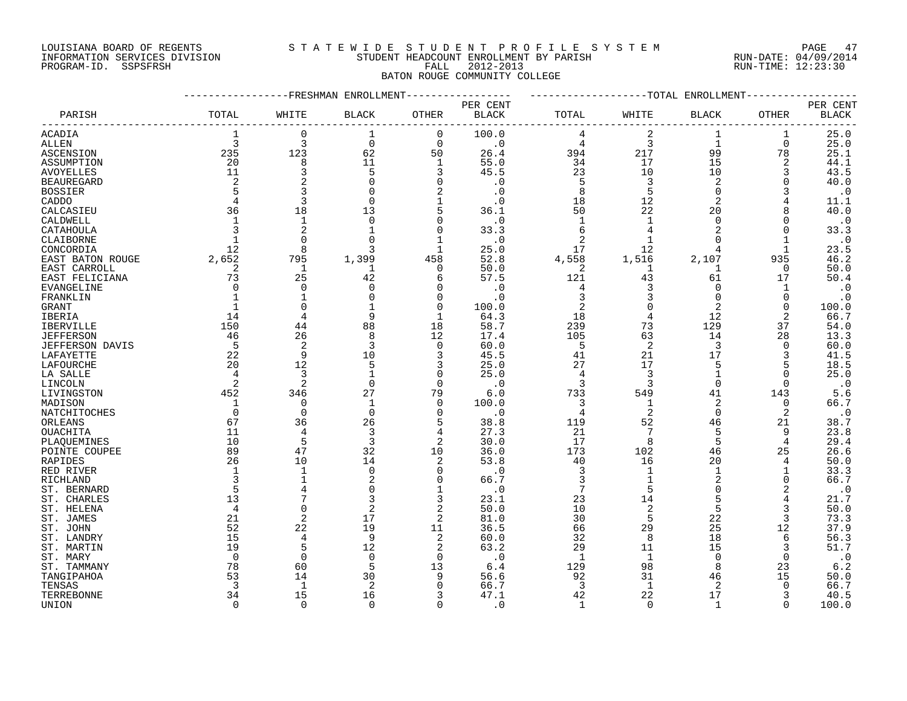#### LOUISIANA BOARD OF REGENTS S T A T E W I D E S T U D E N T P R O F I L E S Y S T E M PAGE 47 INFORMATION SERVICES DIVISION STUDENT HEADCOUNT ENROLLMENT BY PARISH RUN-DATE: 04/09/2014 INFORMATION SERVICES DIVISION CONSULTED THE ADCOUNT EXPORTED THE PARISH THE PARTSH THE RUN-DATE: 04/09/2011<br>PROGRAM-ID. SSPSFRSH FALL 2012-2013 FALL 2012-2013 RUN-TIME: 12:23:30

## BATON ROUGE COMMUNITY COLLEGE -----------------FRESHMAN ENROLLMENT----------------- -------------------TOTAL ENROLLMENT------------------ PER CENT PER CENT PARISH TOTAL WHITE BLACK OTHER BLACK TOTAL WHITE BLACK OTHER BLACK ------------------------------------------------------------------------------------------------------------------------------------ ACADIA 1 0 1 0 100.0 4 2 1 1 25.0 ALLEN 3 3 0 0 .0 4 3 1 0 25.0 ASCENSION 235 123 62 50 26.4 394 217 99 78 25.1 ASSUMPTION 20 8 11 1 55.0 34 17 15 2 44.1 AVOYELLES 11 3 5 3 45.5 23 10 10 3 43.5 BEAUREGARD 2 2 0 0 .0 5 3 2 0 40.0 BOSSIER 5 3 0 2 .0 8 5 0 3 .0 CADDO 4 3 0 1 .0 18 12 2 4 11.1 CALCASIEU 36 18 13 5 36.1 50 22 20 8 40.0 CALDWELL 1 1 0 0 .0 1 1 0 0 .0 CATAHOULA 3 2 1 0 33.3 6 4 2 0 33.3 CLAIBORNE 1 0 0 1 .0 2 1 0 1 .0

| CONCORDIA         | 12       | 8              |                |          | 25.0      | 17    | 12             |          |          | 23.5      |
|-------------------|----------|----------------|----------------|----------|-----------|-------|----------------|----------|----------|-----------|
| EAST BATON ROUGE  | 2,652    | 795            | 1,399          | 458      | 52.8      | 4,558 | 1,516          | 2,107    | 935      | 46.2      |
| EAST CARROLL      |          |                |                | O        | 50.0      | 2     |                |          | 0        | 50.0      |
| EAST FELICIANA    | 73       | 25             | 42             |          | 57.5      | 121   | 43             | 61       | 17       | 50.4      |
| <b>EVANGELINE</b> |          |                |                |          | $\cdot$ 0 |       |                |          |          | $\cdot$ 0 |
| FRANKLIN          |          |                |                |          | $\cdot$ 0 |       |                |          |          | $\cdot$ 0 |
| GRANT             |          |                |                |          | 100.0     |       |                |          | O        | 100.0     |
| <b>IBERIA</b>     | 14       | 4              | 9              |          | 64.3      | 18    |                | 12       | 2        | 66.7      |
| <b>IBERVILLE</b>  | 150      | 44             | 88             | 18       | 58.7      | 239   | 73             | 129      | 37       | 54.0      |
| JEFFERSON         | 46       | 26             | 8              | 12       | 17.4      | 105   | 63             | 14       | 28       | 13.3      |
| JEFFERSON DAVIS   | 5        | 2              |                |          | 60.0      | 5     | 2              | 3        |          | 60.0      |
| LAFAYETTE         | 22       | 9              | 10             |          | 45.5      | 41    | 21             | 17       |          | 41.5      |
| LAFOURCHE         | 20       | 12             |                |          | 25.0      | 27    | 17             |          |          | 18.5      |
| LA SALLE          |          | 3              |                |          | 25.0      |       |                |          |          | 25.0      |
| LINCOLN           |          | 2              | $\Omega$       | $\Omega$ | $\cdot$ 0 |       |                | $\cap$   | 0        | $\cdot$ 0 |
| LIVINGSTON        | 452      | 346            | 27             | 79       | 6.0       | 733   | 549            | 41       | 143      | 5.6       |
| MADISON           |          | O              |                | U        | 100.0     |       |                |          | $\Omega$ | 66.7      |
| NATCHITOCHES      |          | $\Omega$       | $\Omega$       |          | $\cdot$ 0 |       | 2              | $\Omega$ |          | $\cdot$ 0 |
| ORLEANS           | 67       | 36             | 26             |          | 38.8      | 119   | 52             | 46       | 21       | 38.7      |
| OUACHITA          | 11       | 4              | 3              |          | 27.3      | 21    |                | 5        | 9        | 23.8      |
| PLAQUEMINES       | 10       | 5              |                |          | 30.0      | 17    | 8              | 5        |          | 29.4      |
| POINTE COUPEE     | 89       | 47             | 32             | 10       | 36.0      | 173   | 102            | 46       | 25       | 26.6      |
| RAPIDES           | 26       | 10             | 14             |          | 53.8      | 40    | 16             | 20       |          | 50.0      |
| RED RIVER         |          |                |                |          | $\cdot$ 0 |       |                |          |          | 33.3      |
| RICHLAND          |          |                |                |          | 66.7      |       |                |          | n        | 66.7      |
| ST. BERNARD       |          |                |                |          | $\cdot$ 0 |       |                |          |          | $\cdot$ 0 |
| ST. CHARLES       | 13       |                |                |          | 23.1      | 23    | 14             |          |          | 21.7      |
| ST. HELENA        |          | O              |                |          | 50.0      | 10    | $\overline{2}$ |          |          | 50.0      |
| ST. JAMES         | 21       | $\overline{2}$ | 17             | 2        | 81.0      | 30    | 5              | 22       | 3        | 73.3      |
| ST. JOHN          | 52       | 22             | 19             | 11       | 36.5      | 66    | 29             | 25       | 12       | 37.9      |
| ST. LANDRY        | 15       | 4              | 9              |          | 60.0      | 32    | 8              | 18       | 6        | 56.3      |
| ST. MARTIN        | 19       | 5              | 12             |          | 63.2      | 29    | 11             | 15       |          | 51.7      |
| ST. MARY          | $\Omega$ | 0              | 0              | 0        | $\cdot$ 0 |       |                | 0        | 0        | $\cdot$ 0 |
| ST. TAMMANY       | 78       | 60             | 5              | 13       | 6.4       | 129   | 98             | 8        | 23       | 6.2       |
| TANGIPAHOA        | 53       | 14             | 30             | 9        | 56.6      | 92    | 31             | 46       | 15       | 50.0      |
| TENSAS            |          | -1             | $\overline{2}$ |          | 66.7      | 3     | $\mathbf{1}$   | 2        | U        | 66.7      |
| TERREBONNE        | 34       | 15             | 16             |          | 47.1      | 42    | 22             | 17       |          | 40.5      |
| UNION             |          | O              | $\Omega$       | $\Omega$ | $\cdot$ 0 |       | $\Omega$       |          | 0        | 100.0     |
|                   |          |                |                |          |           |       |                |          |          |           |
|                   |          |                |                |          |           |       |                |          |          |           |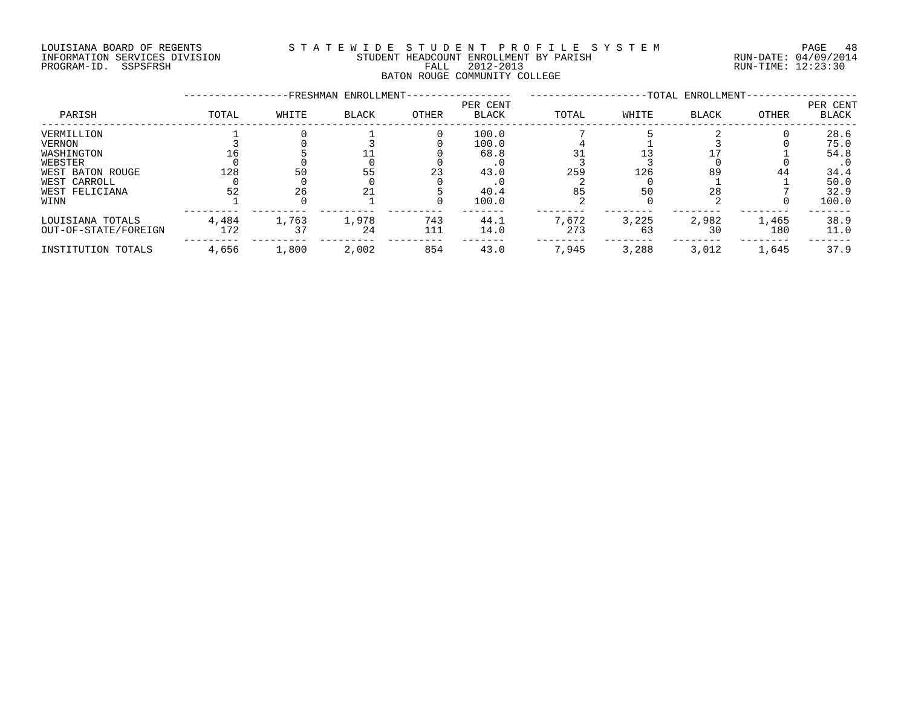#### LOUISIANA BOARD OF REGENTS S T A T E W I D E S T U D E N T P R O F I L E S Y S T E M PAGE 48 INFORMATION SERVICES DIVISION STUDENT HEADCOUNT ENROLLMENT BY PARISH RUN-DATE: 04/09/2014 PROGRAM-ID. SSPSFRSH FALL 2012-2013 RUN-TIME: 12:23:30 BATON ROUGE COMMUNITY COLLEGE

|                      |       |       | -FRESHMAN ENROLLMENT- |       |                   | -TOTAL ENROLLMENT- |       |              |       |                   |
|----------------------|-------|-------|-----------------------|-------|-------------------|--------------------|-------|--------------|-------|-------------------|
| PARISH               | TOTAL | WHITE | BLACK                 | OTHER | PER CENT<br>BLACK | TOTAL              | WHITE | <b>BLACK</b> | OTHER | PER CENT<br>BLACK |
| VERMILLION           |       |       |                       |       | 100.0             |                    |       |              |       | 28.6              |
| <b>VERNON</b>        |       |       |                       |       | 100.0             |                    |       |              |       | 75.0              |
| WASHINGTON           |       |       |                       |       | 68.8              |                    |       |              |       | 54.8              |
| WEBSTER              |       |       |                       |       |                   |                    |       |              |       | . 0               |
| WEST BATON ROUGE     | 128   | 50    | 55                    | 23    | 43.0              | 259                | 126   | 89           | 44    | 34.4              |
| WEST CARROLL         |       |       |                       |       |                   |                    |       |              |       | 50.0              |
| WEST FELICIANA       | 52    | 26    | 21                    |       | 40.4              | 85                 | 50    | 28           |       | 32.9              |
| WINN                 |       |       |                       |       | 100.0             |                    |       |              |       | 100.0             |
| LOUISIANA TOTALS     | 4,484 | 1,763 | 1,978                 | 743   | 44.1              | 7,672              | 3,225 | 2,982        | 1,465 | 38.9              |
| OUT-OF-STATE/FOREIGN | 172   | 37    | 24                    | 111   | 14.0              | 273                | 63    | 30           | 180   | 11.0              |
| INSTITUTION TOTALS   | 4,656 | 1,800 | 2,002                 | 854   | 43.0              | 7,945              | 3,288 | 3,012        | 1,645 | 37.9              |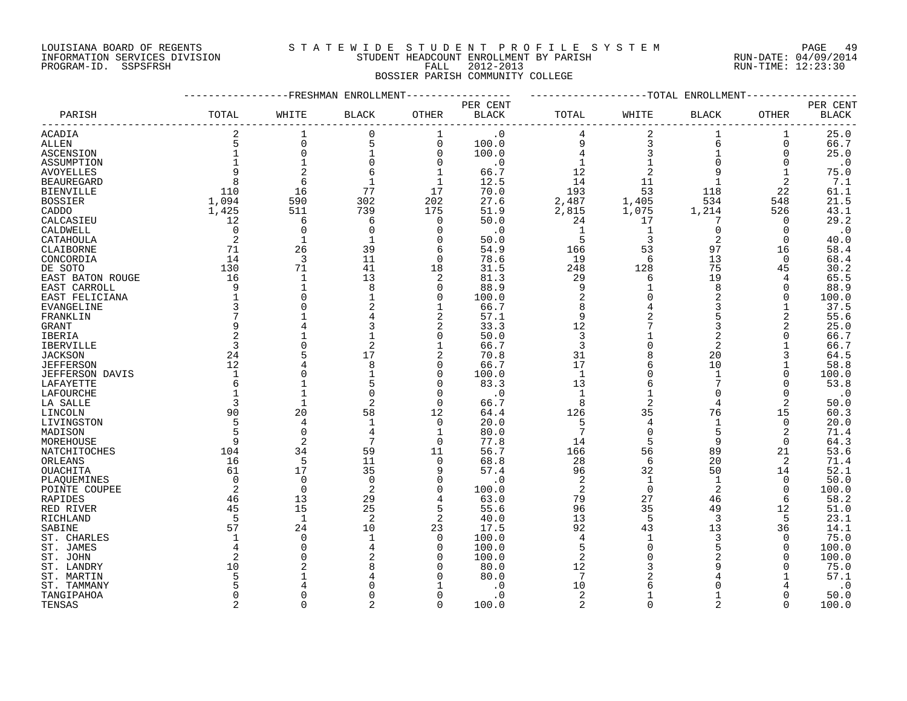## LOUISIANA BOARD OF REGENTS S T A T E W I D E S T U D E N T P R O F I L E S Y S T E M PAGE 49

## INFORMATION SERVICES DIVISION STUDENT HEADCOUNT ENROLLMENT BY PARISH RUN-DATE: 04/09/2014 PROGRAM-ID. SSPSFRSH FALL 2012-2013 RUN-TIME: 12:23:30 BOSSIER PARISH COMMUNITY COLLEGE

|                   |                |                | ----------FRESHMAN ENROLLMENT |                | ------------TOTAL ENROLLMENT |                |                |                |              |                          |
|-------------------|----------------|----------------|-------------------------------|----------------|------------------------------|----------------|----------------|----------------|--------------|--------------------------|
| PARISH            | TOTAL          | WHITE          | <b>BLACK</b>                  | <b>OTHER</b>   | PER CENT<br><b>BLACK</b>     | TOTAL          | WHITE          | BLACK          | <b>OTHER</b> | PER CENT<br><b>BLACK</b> |
| ACADIA            |                |                | $\Omega$                      | 1              | $\cdot$ 0                    |                |                |                |              | 25.0                     |
| ALLEN             |                | $\mathbf 0$    | 5                             | 0              | 100.0                        | 9              | 3              | 6              | 0            | 66.7                     |
| ASCENSION         |                | $\mathbf 0$    |                               | 0              | 100.0                        |                | 3              | $\mathbf{1}$   | 0            | 25.0                     |
| ASSUMPTION        |                | $\mathbf{1}$   |                               | $\Omega$       | $\cdot$ 0                    |                |                |                |              | $\cdot$ 0                |
| AVOYELLES         |                | $\overline{2}$ |                               | $\mathbf 1$    | 66.7                         | 12             | $\overline{c}$ |                |              | 75.0                     |
| <b>BEAUREGARD</b> | 8              | 6              |                               | $\mathbf 1$    | 12.5                         | 14             | 11             |                | 2            | 7.1                      |
| BIENVILLE         | 110            | 16             | 77                            | 17             | 70.0                         | 193            | 53             | 118            | 22           | 61.1                     |
| BOSSIER           | 1,094          | 590            | 302                           | 202            | 27.6                         | 2,487          | 1,405          | 534            | 548          | 21.5                     |
| CADDO             | 1,425          | 511            | 739                           | 175            | 51.9                         | 2,815          | 1,075          | 1,214          | 526          | 43.1                     |
| CALCASIEU         | 12             | 6              | 6                             | $\overline{0}$ | 50.0                         | 24             | 17             | 7              | $\Omega$     | 29.2                     |
| CALDWELL          | $\overline{0}$ | $\mathbf 0$    | $\mathbf 0$                   | $\mathbf 0$    | $\cdot$ 0                    | 1              | 1              | $\overline{0}$ | 0            | $\cdot$ 0                |
| CATAHOULA         | 2              | $\mathbf{1}$   |                               | 0              | 50.0                         | 5              | 3              | $\overline{2}$ | $\Omega$     | 40.0                     |
| CLAIBORNE         | 71             | 26             | 39                            | 6              | 54.9                         | 166            | 53             | 97             | 16           | 58.4                     |
| CONCORDIA         | 14             | 3              | 11                            | $\mathbf 0$    | 78.6                         | 19             | 6              | 13             | 0            | 68.4                     |
| DE SOTO           | 130            | 71             | 41                            | 18             | 31.5                         | 248            | 128            | 75             | 45           | 30.2                     |
| EAST BATON ROUGE  | 16             | $\mathbf 1$    | 13                            | 2              | 81.3                         | 29             | 6              | 19             | 4            | 65.5                     |
| EAST CARROLL      | 9              | $\mathbf{1}$   | 8                             | $\Omega$       | 88.9                         | 9              |                | 8              | O            | 88.9                     |
| EAST FELICIANA    |                | $\Omega$       |                               | $\mathbf 0$    | 100.0                        | $\overline{2}$ |                | $\overline{2}$ | $\Omega$     | 100.0                    |
| EVANGELINE        |                | $\Omega$       |                               | $\mathbf 1$    | 66.7                         | 8              |                | 3              |              | 37.5                     |
| FRANKLIN          |                |                |                               | $\overline{a}$ | 57.1                         | 9              |                |                | 2            | 55.6                     |
| GRANT             | 9              |                |                               | 2              | 33.3                         | 12             |                | 3              | 2            | 25.0                     |
| IBERIA            | 2              |                |                               | 0              | 50.0                         | 3              |                |                |              | 66.7                     |
| IBERVILLE         | 3              | $\Omega$       |                               | $\mathbf 1$    | 66.7                         | 3              |                | $\overline{2}$ |              | 66.7                     |
| <b>JACKSON</b>    | 24             |                | 17                            | 2              | 70.8                         | 31             |                | 20             |              | 64.5                     |
| <b>JEFFERSON</b>  | 12             |                |                               | $\Omega$       | 66.7                         | 17             |                | 10             |              | 58.8                     |
| JEFFERSON DAVIS   |                | $\Omega$       |                               | $\mathbf 0$    | 100.0                        | 1              |                | $\mathbf{1}$   |              | 100.0                    |
| LAFAYETTE         |                |                |                               | 0              | 83.3                         | 13             |                |                | O            | 53.8                     |
| LAFOURCHE         |                | 1              |                               | $\Omega$       | $\cdot$ 0                    | $\mathbf{1}$   |                | $\Omega$       | $\Omega$     | $\cdot$ 0                |
| LA SALLE          | 3              | $\mathbf{1}$   | $\overline{2}$                | $\mathbf 0$    | 66.7                         | 8              | 2              | 4              | 2            | 50.0                     |
| LINCOLN           | 90             | 20             | 58                            | 12             | 64.4                         | 126            | 35             | 76             | 15           | 60.3                     |
| LIVINGSTON        | 5              | 4              | 1                             | $\overline{0}$ | 20.0                         | 5              | 4              | $\mathbf 1$    | $\mathbf 0$  | 20.0                     |
| MADISON           |                | $\Omega$       |                               | 1              | 80.0                         | 7              | $\mathbf 0$    | 5              | 2            | 71.4                     |
| MOREHOUSE         | 9              | $\overline{2}$ |                               | $\Omega$       | 77.8                         | 14             | 5              | 9              | $\Omega$     | 64.3                     |
| NATCHITOCHES      | 104            | 34             | 59                            | 11             | 56.7                         | 166            | 56             | 89             | 21           | 53.6                     |
| ORLEANS           | 16             | 5              | 11                            | $\Omega$       | 68.8                         | 28             | 6              | 20             | 2            | 71.4                     |
| OUACHITA          | 61             | 17             | 35                            | 9              | 57.4                         | 96             | 32             | 50             | 14           | 52.1                     |
| PLAQUEMINES       | $\Omega$       | $\mathbf 0$    | $\Omega$                      | 0              | . 0                          | 2              | 1              | 1              | 0            | 50.0                     |
| POINTE COUPEE     | 2              | $\Omega$       | 2                             | $\Omega$       | 100.0                        | 2              | $\Omega$       | $\overline{2}$ | $\Omega$     | 100.0                    |
| RAPIDES           | 46             | 13             | 29                            | 4              | 63.0                         | 79             | 27             | 46             | 6            | 58.2                     |
| RED RIVER         | 45             | 15             | 25                            | 5              | 55.6                         | 96             | 35             | 49             | 12           | 51.0                     |
| RICHLAND          | -5             | $\mathbf{1}$   | 2                             | $\overline{2}$ | 40.0                         | 13             | 5              | 3              | 5            | 23.1                     |
| SABINE            | 57             | 24             | 10                            | 23             | 17.5                         | 92             | 43             | 13             | 36           | 14.1                     |
| ST. CHARLES       |                | $\Omega$       |                               | 0              | 100.0                        | 4              |                | 3              | O            | 75.0                     |
| ST. JAMES         |                | $\Omega$       |                               | $\Omega$       | 100.0                        | 5              |                | 5              | 0            | 100.0                    |
| ST. JOHN          |                | $\Omega$       |                               | O              | 100.0                        | $\overline{2}$ |                |                |              | 100.0                    |
| ST. LANDRY        | 10             |                |                               | U              | 80.0                         | 12             |                |                |              | 75.0                     |
| ST. MARTIN        |                |                |                               | O              | 80.0                         | 7              |                |                |              | 57.1                     |
| ST. TAMMANY       |                |                |                               |                | . 0                          | 10             |                |                |              | $\cdot$ 0                |
| TANGIPAHOA        | ∩              | $\Omega$       |                               | $\Omega$       | $\cdot$ 0                    | 2              |                |                |              | 50.0                     |
| TENSAS            | $\mathfrak{D}$ | $\cap$         |                               | $\Omega$       | 100.0                        | $\overline{2}$ | $\cap$         | $\mathcal{L}$  |              | 100.0                    |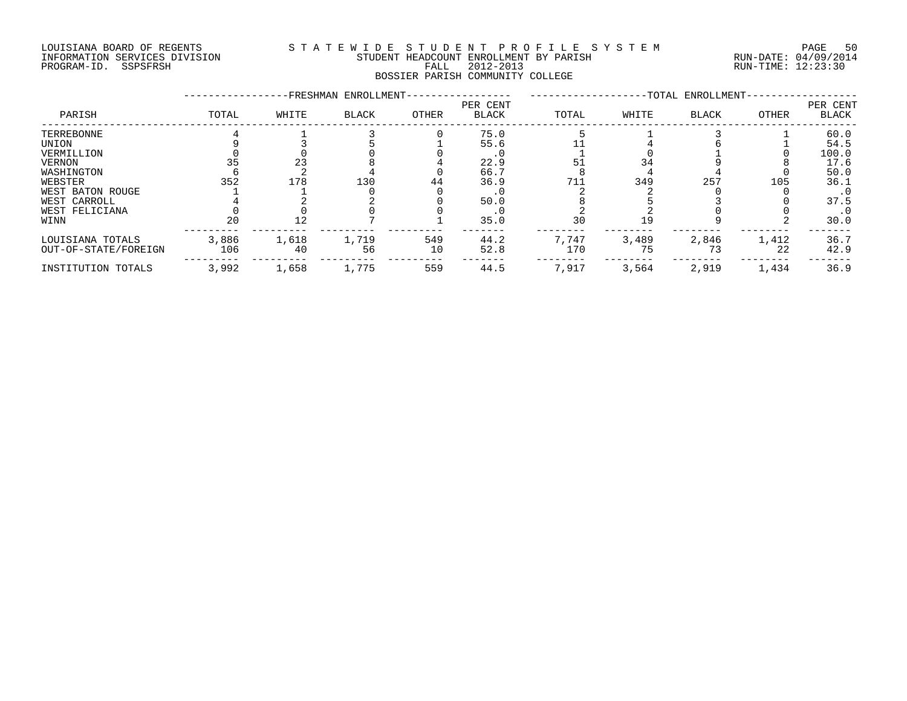#### LOUISIANA BOARD OF REGENTS S T A T E W I D E S T U D E N T P R O F I L E S Y S T E M PAGE 50 INFORMATION SERVICES DIVISION STUDENT HEADCOUNT ENROLLMENT BY PARISH RUN-DATE: 04/09/2014 INFORMATION SERVICES DIVISION CONSULTER STUDENT HEADCOUNT ENROLLMENT BY PARISH CONSULTER THE RUN-DATE: 04/09/2014<br>PROGRAM-ID. SSPSFRSH FALL 2012-2013 FALL 2012-2013 RUN-TIME: 12:23:30 BOSSIER PARISH COMMUNITY COLLEGE

### -----------------FRESHMAN ENROLLMENT----------------- -------------------TOTAL ENROLLMENT------------------ PER CENT PER CENT PARISH TOTAL WHITE BLACK OTHER BLACK TOTAL WHITE BLACK OTHER BLACK ------------------------------------------------------------------------------------------------------------------------------------ TERREBONNE 4 1 3 0 75.0 5 1 3 1 60.0 UNION 9 3 5 1 55.6 11 4 6 1 54.5 VERMILLION 0 0 0 0 .0 1 0 1 0 100.0 VERNON 35 23 8 4 22.9 51 34 9 8 17.6 WASHINGTON 6 2 4 0 66.7 8 4 4 0 50.0 WEBSTER 352 178 130 44 36.9 711 349 257 105 36.1 WEST BATON ROUGE 1 1 0 0 .0 2 2 0 0 .0 WEST CARROLL 4 2 2 0 50.0 8 5 3 0 37.5 WEST FELICIANA 0 0 0 0 .0 2 2 0 0 .0 WINN 20 12 7 1 35.0 30 19 9 2 30.0 --------- --------- --------- --------- ------- -------- -------- -------- -------- ------- LOUISIANA TOTALS 3,886 1,618 1,719 549 44.2 7,747 3,489 2,846 1,412 36.7 OUT-OF-STATE/FOREIGN 106 40 56 10 52.8 170 75 73 22 42.9 --------- --------- --------- --------- ------- -------- -------- -------- -------- ------- INSTITUTION TOTALS 3,992 1,658 1,775 559 44.5 7,917 3,564 2,919 1,434 36.9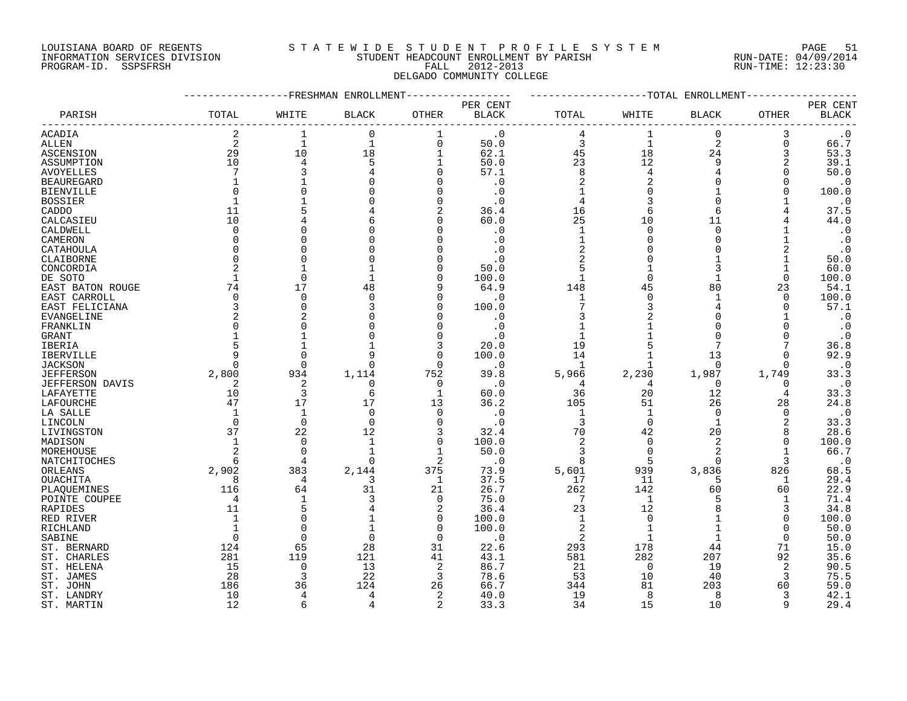## LOUISIANA BOARD OF REGENTS S T A T E W I D E S T U D E N T P R O F I L E S Y S T E M PAGE 51 INFORMATION SERVICES DIVISION STUDENT HEADCOUNT ENROLLMENT BY PARISH RUN-DATE: 04/09/2014 PROGRAM-ID. SSPSFRSH FALL 2012-2013 RUN-TIME: 12:23:30

# DELGADO COMMUNITY COLLEGE

|                   |                | FRESHMAN       | ENROLLMENT   |                |                        |                | -TOTAL         | ENROLLMENT     |                |              |
|-------------------|----------------|----------------|--------------|----------------|------------------------|----------------|----------------|----------------|----------------|--------------|
|                   |                |                |              |                | PER CENT               |                |                |                |                | PER CENT     |
| PARISH            | TOTAL          | WHITE          | <b>BLACK</b> | <b>OTHER</b>   | $\operatorname{BLACK}$ | TOTAL          | WHITE          | BLACK          | OTHER          | <b>BLACK</b> |
| ACADIA            | 2              | 1              | $\mathbf 0$  | 1              | $\cdot$ 0              | 4              | $\mathbf 1$    | 0              | 3              | $\cdot$ 0    |
| ALLEN             | 2              | $\mathbf{1}$   | $\mathbf 1$  | $\overline{0}$ | 50.0                   | 3              | $\mathbf{1}$   | $\overline{a}$ | $\Omega$       | 66.7         |
| ASCENSION         | 29             | 10             | 18           | $\mathbf{1}$   | 62.1                   | 45             | 18             | 24             | 3              | 53.3         |
| ASSUMPTION        | 10             | $\overline{4}$ | 5            |                | 50.0                   | 23             | 12             | 9              | 2              | 39.1         |
| <b>AVOYELLES</b>  |                |                |              | $\Omega$       | 57.1                   | 8              | $\overline{4}$ |                | <sup>n</sup>   | 50.0         |
| <b>BEAUREGARD</b> |                |                |              | O              | $\cdot$ 0              | $\overline{2}$ |                | O              | O              | $\cdot$ 0    |
| <b>BIENVILLE</b>  | n              |                |              | $\Omega$       | $\cdot$ 0              |                |                |                | N              | 100.0        |
| <b>BOSSIER</b>    |                |                |              | $\Omega$       | . 0                    |                |                | O              |                | $\cdot$ 0    |
| CADDO             | 11             |                |              | 2              | 36.4                   | 16             | 6              | 6              |                | 37.5         |
| CALCASIEU         | 10             |                |              | ∩              | 60.0                   | 25             | 10             | 11             |                | 44.0         |
| CALDWELL          | $\Omega$       |                |              | ∩              | . 0                    | $\mathbf{1}$   | $\Omega$       | $\Omega$       |                | $\cdot$ 0    |
| CAMERON           | O              |                |              | ∩              | . 0                    | 1              |                | 0              |                | $\cdot$ 0    |
|                   | $\Omega$       |                |              |                |                        | $\overline{2}$ |                | O              |                |              |
| CATAHOULA         | $\Omega$       |                |              | ∩              | . 0<br>$\cdot$ 0       | $\overline{2}$ |                |                |                | $\cdot$ 0    |
| CLAIBORNE         |                |                |              |                |                        |                |                |                |                | 50.0         |
| CONCORDIA         | 2              |                |              | $\Omega$       | 50.0                   | 5              |                | 3              |                | 60.0         |
| DE SOTO           | 1              | $\Omega$       |              | $\Omega$       | 100.0                  | 1              | $\Omega$       | 1              | 0              | 100.0        |
| EAST BATON ROUGE  | 74             | 17             | 48           | 9              | 64.9                   | 148            | 45             | 80             | 23             | 54.1         |
| EAST CARROLL      | $\mathbf 0$    | $\Omega$       |              | $\Omega$       | . 0                    | 1              | $\Omega$       |                | $\Omega$       | 100.0        |
| EAST FELICIANA    | 3              | $\Omega$       |              | $\Omega$       | 100.0                  |                |                |                | O              | 57.1         |
| <b>EVANGELINE</b> |                |                |              | $\Omega$       | $\cdot$ 0              |                |                |                |                | $\cdot$ 0    |
| FRANKLIN          | $\Omega$       |                |              | $\Omega$       | . 0                    |                |                |                |                | $\cdot$ 0    |
| <b>GRANT</b>      |                |                |              | $\Omega$       | . 0                    |                |                |                |                | $\cdot$ 0    |
| IBERIA            |                |                |              | 3              | 20.0                   | 19             |                |                |                | 36.8         |
| IBERVILLE         | 9              |                |              | $\Omega$       | 100.0                  | 14             |                | 13             | 0              | 92.9         |
| <b>JACKSON</b>    | <sup>n</sup>   | $\cap$         |              | $\Omega$       | $\cdot$ 0              |                |                | $\Omega$       | O              | $\cdot$ 0    |
| <b>JEFFERSON</b>  | 2,800          | 934            | 1,114        | 752            | 39.8                   | 5,966          | 2,230          | 1,987          | 1,749          | 33.3         |
| JEFFERSON DAVIS   | 2              | 2              | 0            | 0              | $\cdot$ 0              | 4              | 4              | $\Omega$       | 0              | $\cdot$ 0    |
| LAFAYETTE         | 10             | 3              | 6            | $\mathbf{1}$   | 60.0                   | 36             | 20             | 12             | 4              | 33.3         |
| LAFOURCHE         | 47             | 17             | 17           | 13             | 36.2                   | 105            | 51             | 26             | 28             | 24.8         |
| LA SALLE          |                | $\mathbf{1}$   | $\Omega$     | $\Omega$       | $\cdot$ 0              | $\mathbf{1}$   | $\mathbf{1}$   | $\Omega$       | $\Omega$       | $\cdot$ 0    |
| LINCOLN           | $\Omega$       | $\Omega$       | $\Omega$     | $\Omega$       | $\cdot$ 0              | 3              | $\Omega$       | $\mathbf{1}$   | $\overline{2}$ | 33.3         |
| LIVINGSTON        | 37             | 22             | 12           | 3              | 32.4                   | 70             | 42             | 20             | 8              | 28.6         |
| MADISON           | 1              | $\Omega$       |              | $\mathbf 0$    | 100.0                  | 2              | $\mathbf 0$    | 2              | $\Omega$       | 100.0        |
| MOREHOUSE         | 2              | $\Omega$       |              | $\mathbf 1$    | 50.0                   | 3              | $\Omega$       | 2              | -1             | 66.7         |
| NATCHITOCHES      | 6              | $\overline{4}$ | $\Omega$     | $\overline{2}$ | . 0                    | 8              | 5              | $\Omega$       | 3              | $\cdot$ 0    |
| ORLEANS           | 2,902          | 383            | 2,144        | 375            | 73.9                   | 5,601          | 939            | 3,836          | 826            | 68.5         |
| OUACHITA          | 8              | 4              | 3            | 1              | 37.5                   | 17             | 11             | 5              | 1              | 29.4         |
| PLAQUEMINES       | 116            | 64             | 31           | 21             | 26.7                   | 262            | 142            | 60             | 60             | 22.9         |
| POINTE COUPEE     | $\overline{4}$ |                | 3            | $\Omega$       | 75.0                   | 7              | 1              | 5              | $\mathbf{1}$   | 71.4         |
| RAPIDES           | 11             | 5              |              | $\overline{2}$ | 36.4                   | 23             | 12             |                | 3              | 34.8         |
| RED RIVER         | 1              |                |              | $\Omega$       | 100.0                  | $\mathbf{1}$   | $\Omega$       |                | $\Omega$       | 100.0        |
| RICHLAND          |                | ∩              |              | 0              | 100.0                  | 2              | -1             |                | 0              | 50.0         |
| SABINE            | $\Omega$       | $\cap$         |              | $\Omega$       | $\cdot$ 0              | 2              | $\mathbf{1}$   | $\mathbf{1}$   | $\Omega$       | 50.0         |
| ST. BERNARD       | 124            | 65             | 28           | 31             | 22.6                   | 293            | 178            | 44             | 71             | 15.0         |
| ST. CHARLES       | 281            | 119            | 121          | 41             | 43.1                   | 581            | 282            | 207            | 92             | 35.6         |
| ST. HELENA        | 15             | $\Omega$       | 13           | 2              | 86.7                   | 21             | $\Omega$       | 19             | 2              | 90.5         |
| ST. JAMES         | 28             | 3              | 22           | 3              | 78.6                   | 53             | 10             | 40             | 3              | 75.5         |
|                   |                | 36             | 124          | 26             | 66.7                   | 344            | 81             | 203            | 60             | 59.0         |
| ST. JOHN          | 186<br>10      | 4              | 4            | $\overline{2}$ | 40.0                   | 19             | 8              | 8              | 3              |              |
| ST. LANDRY        |                | 6              |              |                |                        |                |                |                | q              | 42.1         |
| ST. MARTIN        | 12             |                |              | $\overline{2}$ | 33.3                   | 34             | 15             | 10             |                | 29.4         |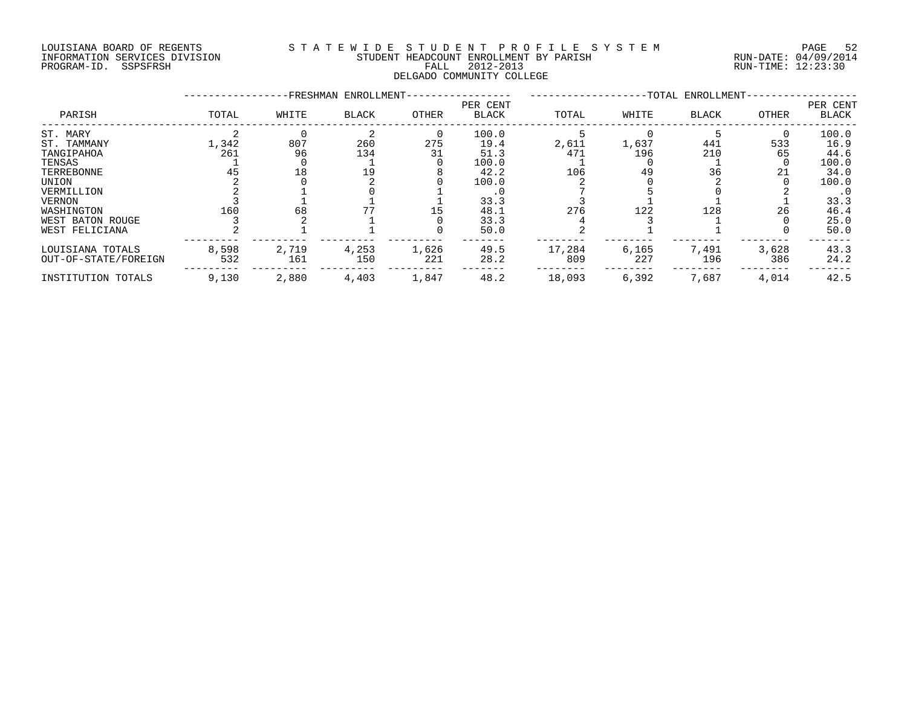#### LOUISIANA BOARD OF REGENTS S T A T E W I D E S T U D E N T P R O F I L E S Y S T E M PAGE 52 INFORMATION SERVICES DIVISION STUDENT HEADCOUNT ENROLLMENT BY PARISH RUN-DATE: 04/09/2014 DOULSIANA BOARD OF REGENIS<br>INFORMATION SERVICES DIVISION STUDENT HEADCOUNT ENROLLMENT BY PARISH RUN-DATE: 04/09/2014<br>PROGRAM-ID. SSPSFRSH FALL 2012-2013 FALL 2012-2013 DELGADO COMMUNITY COLLEGE

|                      |       |       | -FRESHMAN ENROLLMENT- |          |                          | -TOTAL ENROLLMENT- |       |              |       |                          |
|----------------------|-------|-------|-----------------------|----------|--------------------------|--------------------|-------|--------------|-------|--------------------------|
| PARISH               | TOTAL | WHITE | BLACK                 | OTHER    | PER CENT<br><b>BLACK</b> | TOTAL              | WHITE | <b>BLACK</b> | OTHER | PER CENT<br><b>BLACK</b> |
| ST. MARY             |       |       |                       | $\Omega$ | 100.0                    |                    |       |              |       | 100.0                    |
| ST. TAMMANY          | 1,342 | 807   | 260                   | 275      | 19.4                     | 2,611              | 1,637 | 441          | 533   | 16.9                     |
| TANGIPAHOA           | 261   | 96    | 134                   | 31       | 51.3                     | 471                | 196   | 210          | 65    | 44.6                     |
| TENSAS               |       |       |                       |          | 100.0                    |                    |       |              |       | 100.0                    |
| TERREBONNE           | 45    | 18    | 19                    |          | 42.2                     | 106                | 49    | 36           | 21    | 34.0                     |
| UNION                |       |       |                       |          | 100.0                    |                    |       |              |       | 100.0                    |
| VERMILLION           |       |       |                       |          | . 0                      |                    |       |              |       | $\cdot$ 0                |
| <b>VERNON</b>        |       |       |                       |          | 33.3                     |                    |       |              |       | 33.3                     |
| WASHINGTON           | 160   | 68    |                       | 15       | 48.1                     | 276                | 122   | 128          | 26    | 46.4                     |
| WEST BATON ROUGE     |       |       |                       |          | 33.3                     |                    |       |              |       | 25.0                     |
| WEST FELICIANA       |       |       |                       |          | 50.0                     |                    |       |              |       | 50.0                     |
| LOUISIANA TOTALS     | 8,598 | 2,719 | 4,253                 | 1,626    | 49.5                     | 17,284             | 6,165 | 7,491        | 3,628 | 43.3                     |
| OUT-OF-STATE/FOREIGN | 532   | 161   | 150                   | 221      | 28.2                     | 809                | 227   | 196          | 386   | 24.2                     |
| INSTITUTION TOTALS   | 9,130 | 2,880 | 4,403                 | 1,847    | 48.2                     | 18,093             | 6,392 | 7,687        | 4,014 | 42.5                     |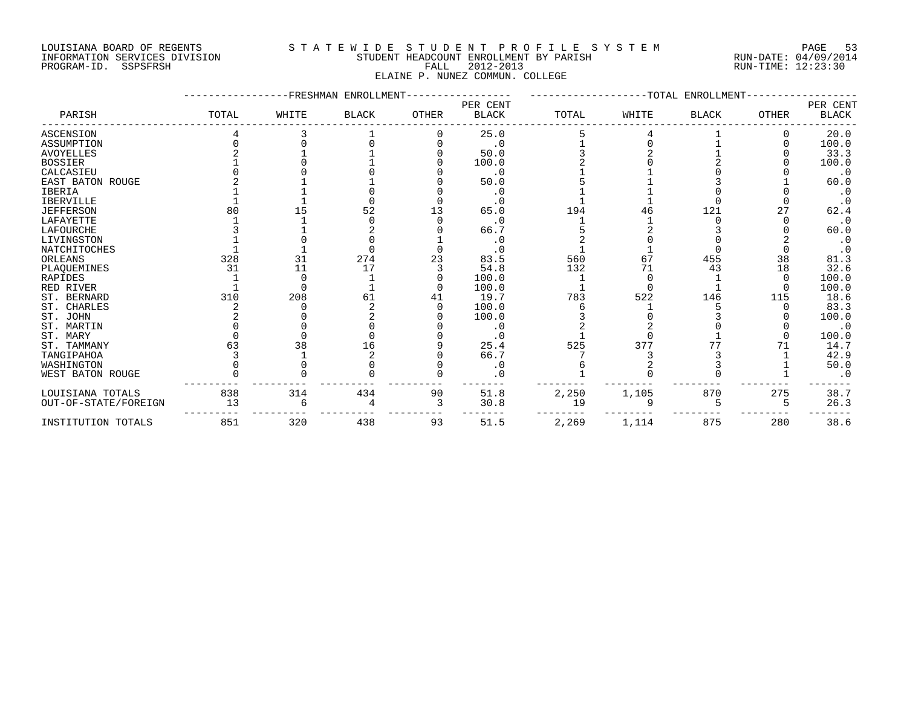#### LOUISIANA BOARD OF REGENTS S T A T E W I D E S T U D E N T P R O F I L E S Y S T E M PAGE 53 INFORMATION SERVICES DIVISION STUDENT HEADCOUNT ENROLLMENT BY PARISH RUN-DATE: 04/09/2014 INFORMATION SERVICES DIVISION CONTRACTOR TRADEOUNT HEADCOUNT ENROLLMENT BY PARISH CONTRACTION SERVICES DIVISION<br>PROGRAM-ID. SSPSFRSH FALL 2012-2013 FALL 2012-2013 RUN-TIME: 12:23:30 ELAINE P. NUNEZ COMMUN. COLLEGE

#### -----------------FRESHMAN ENROLLMENT----------------- -------------------TOTAL ENROLLMENT------------------ PER CENT PER CENT PARISH TOTAL WHITE BLACK OTHER BLACK TOTAL WHITE BLACK OTHER BLACK ------------------------------------------------------------------------------------------------------------------------------------ ASCENSION 4 3 1 0 25.0 5 4 1 0 20.0 ASSUMPTION 0 0 0 0 .0 1 0 1 0 100.0 AVOYELLES 2 1 1 0 50.0 3 2 1 0 33.3 BOSSIER 1 0 1 0 100.0 2 0 2 0 100.0 CALCASIEU 0 0 0 0 .0 1 1 0 0 .0 EAST BATON ROUGE 2 1 1 0 50.0 5 1 3 1 60.0 IBERIA 1 1 0 0 .0 1 1 0 0 .0 IBERVILLE 1 1 0 0 .0 1 1 0 0 .0 JEFFERSON 80 15 52 13 65.0 194 46 121 27 62.4 LAFAYETTE 1 1 0 0 .0 1 1 0 0 .0 LAFOURCHE 3 1 2 0 66.7 5 2 3 0 60.0 LIVINGSTON 1 0 0 1 .0 2 0 0 2 .0 NATCHITOCHES 1 1 0 0 .0 1 1 0 0 .0 ORLEANS 328 31 274 23 83.5 560 67 455 38 81.3 PLAQUEMINES 31 11 17 3 54.8 132 71 43 18 32.6 RAPIDES 1 0 1 0 100.0 1 0 1 0 100.0 RED RIVER 1 0 1 0 100.0 1 0 1 0 100.0 ST. BERNARD 310 208 61 41 19.7 783 522 146 115 18.6 ST. CHARLES 2 0 2 0 100.0 6 1 5 0 83.3 ST. JOHN 2 0 2 0 100.0 3 0 3 0 100.0 ST. MARTIN 0 0 0 0 .0 2 2 0 0 .0 ST.MARY 0 0 0 0 1 0 1 0 100.0 ST. TAMMANY 63 38 16 9 25.4 525 377 77 71 14.7 TANGIPAHOA 3 1 2 0 66.7 7 3 3 1 42.9 WASHINGTON 0 0 0 0 .0 6 2 3 1 50.0 WEST BATON ROUGE 0 0 0 0 .0 1 0 0 1 .0 --------- --------- --------- --------- ------- -------- -------- -------- -------- ------- LOUISIANA TOTALS 838 314 434 90 51.8 2,250 1,105 870 275 38.7 OUT-OF-STATE/FOREIGN 13 6 4 3 30.8 19 9 5 5 26.3 --------- --------- --------- --------- ------- -------- -------- -------- -------- ------- INSTITUTION TOTALS 851 320 438 93 51.5 2,269 1,114 875 280 38.6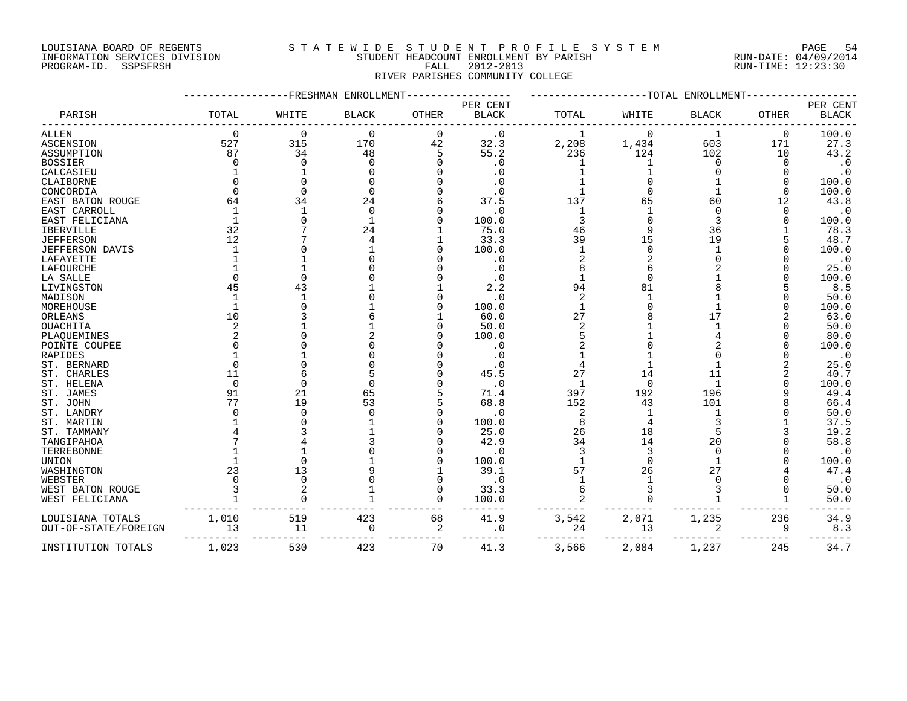INFORMATION SERVICES DIVISION STUDENT HEADCOUNT ENROLLMENT BY PARISH RUN-DATE: 04/09/2014 PROGRAM-ID. SSPSFRSH FALL 2012-2013 RUN-TIME: 12:23:30

## LOUISIANA BOARD OF REGENTS S T A T E W I D E S T U D E N T P R O F I L E S Y S T E M PAGE 54

RIVER PARISHES COMMUNITY COLLEGE

### -----------------FRESHMAN ENROLLMENT----------------- -------------------TOTAL ENROLLMENT------------------ PER CENT PER CENT PARISH TOTAL WHITE BLACK OTHER BLACK TOTAL WHITE BLACK OTHER BLACK ------------------------------------------------------------------------------------------------------------------------------------ ALLEN 0 0 0 0 1 0 1 0 100.0 ASCENSION 527 315 170 42 32.3 2,208 1,434 603 171 27.3 ASSUMPTION 87 34 48 5 55.2 236 124 102 10 43.2 BOSSIER 0 0 0 0 .0 1 1 0 0 .0 CALCASIEU 1 1 0 0 .0 1 1 0 0 .0 CLAIBORNE 0 0 0 0 .0 1 0 1 0 100.0 CONCORDIA 0 0 0 0 .0 1 0 1 0 100.0 EAST BATON ROUGE 64 34 24 6 37.5 137 65 60 12 43.8 EAST CARROLL 1 1 0 0 .0 1 1 0 0 .0 EAST FELICIANA 1 0 1 0 100.0 3 0 3 0 100.0 IBERVILLE 32 7 24 1 75.0 46 9 36 1 78.3 JEFFERSON 12 7 4 1 33.3 39 15 19 5 48.7 JEFFERSON DAVIS 1 0 1 0 100.0 1 0 1 0 100.0 LAFAYETTE 1 1 0 0 .0 2 2 0 0 .0 LAFOURCHE 1 1 0 0 .0 8 6 2 0 25.0 LA SALLE 0 0 0 0 .0 1 0 1 0 100.0 LIVINGSTON 45 43 1 1 2.2 94 81 8 5 8.5 MADISON 1 1 0 0 .0 2 1 1 0 50.0 EAST CRIMERAD<br>
ERENT CRIMERATION AND 12<br>
IBENT INDUSTRIES 1 0 100.0 1<br>
JEPTERSON DAVITS<br>
JEPTERSON DAVITS 12<br>
LAPAVETTE 1 0 10 0 100.0 1<br>
LAPAVETTE 1 0 100.0 1<br>
LAPAVETTE 1 0 100.0 1<br>
LAPAVETTE 1 0 100.0 1<br>
LAPAVETTE 1 1 0 ORLEANS 10 3 6 1 60.0 27 8 17 2 63.0 OUACHITA 2 1 1 0 50.0 2 1 1 0 50.0 PLAQUEMINES 2 0 2 0 100.0 5 1 4 0 80.0 POINTE COUPEE 0 0 0 0 .0 2 0 2 0 100.0 RAPIDES 1 1 0 0 .0 1 1 0 0 .0 ST. BERNARD 0 0 0 0 .0 4 1 1 2 25.0 ST. CHARLES 11 6 5 0 45.5 27 14 11 2 40.7 ST. HELENA 0 0 0 0 .0 1 0 1 0 100.0 ST. JAMES 91 21 65 5 71.4 397 192 196 9 49.4 ST. JOHN 77 19 53 5 68.8 152 43 101 8 66.4 ST. LANDRY 0 0 0 0 .0 2 1 1 0 50.0 ST. MARTIN 1 0 1 0 100.0 8 4 3 1 37.5 ST. TAMMANY 4 3 1 0 25.0 26 18 5 3 19.2 TANGIPAHOA 7 4 3 0 42.9 34 14 20 0 58.8 TERREBONNE 1 1 0 0 .0 3 3 0 0 .0 UNION 1 0 1 0 100.0 1 0 1 0 100.0 <code>WASHINGTON</code> 23 13 9 1 39.1 57 26 27 4 47.4 WEBSTER 0 0 0 0 1 1 0 0 .0 WEST BATON ROUGE 3 2 1 0 33.3 6 3 3 0 50.0 WEST FELICIANA 1 0 1 0 100.0 2 0 1 1 50.0 --------- --------- --------- --------- ------- -------- -------- -------- -------- ------- LOUISIANA TOTALS 1,010 519 423 68 41.9 3,542 2,071 1,235 236 34.9 OUT-OF-STATE/FOREIGN 13 11 0 2 .0 24 13 2 9 8.3 --------- --------- --------- --------- ------- -------- -------- -------- -------- -------

INSTITUTION TOTALS 1,023 530 423 70 41.3 3,566 2,084 1,237 245 34.7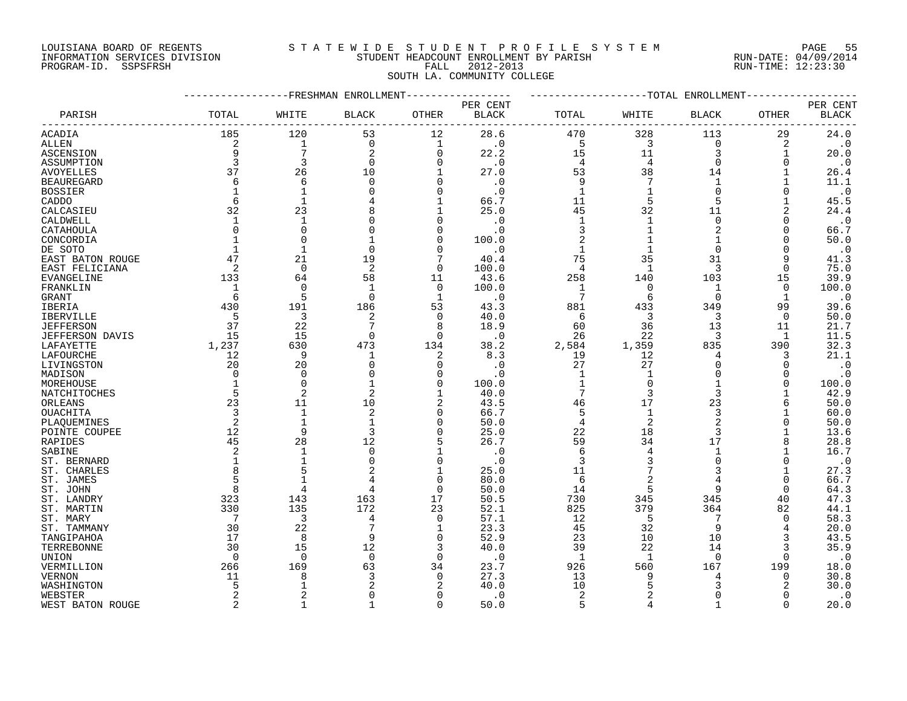#### LOUISIANA BOARD OF REGENTS S T A T E W I D E S T U D E N T P R O F I L E S Y S T E M PAGE 55 INFORMATION SERVICES DIVISION STUDENT HEADCOUNT ENROLLMENT BY PARISH RUN-DATE: 04/09/2014 PAGE 5:<br>PROGRAM-ID. SERVICES DIVISION SANCELLY STUDENT HEADCOUNT EXAMPLE AND INTERNATION SERVICES DIVISION SANCELLY STUDENT<br>FALL 2012-2013 RUN-TIME: 12:23:30

## SOUTH LA. COMMUNITY COLLEGE

PARISH TOTAL WHITE BLACK OTHER BLACK TOTAL WHITE BLACK OTHER BLACK ------------------------------------------------------------------------------------------------------------------------------------ ACADIA 185 120 53 12 28.6 470 328 113 29 24.0 ALLEN 2 1 0 1 .0 5 3 0 2 .0 ASCENSION 9 7 2 0 22.2 15 11 3 1 20.0 ASSUMPTION 3 3 0 0 .0 4 4 0 0 .0 AVOYELLES 37 26 10 1 27.0 53 38 14 1 26.4 BEAUREGARD 6 6 0 0 .0 9 7 1 1 11.1

-----------------FRESHMAN ENROLLMENT----------------- -------------------TOTAL ENROLLMENT------------------

PER CENT PER CENT

| <b>BOSSIER</b>    |       |     |     |     | $\cdot$ 0 |       |       |     |     | . C   |
|-------------------|-------|-----|-----|-----|-----------|-------|-------|-----|-----|-------|
| CADDO             |       |     |     |     | 66.7      | 11    |       |     |     | 45.5  |
| CALCASIEU         |       | 23  |     |     | 25.0      | 45    | 32    |     |     | 24.4  |
| CALDWELL          |       |     |     |     |           |       |       |     |     | . U   |
| CATAHOULA         |       |     |     |     |           |       |       |     |     | 66.7  |
| CONCORDIA         |       |     |     |     | 100.0     |       |       |     |     | 50.0  |
| DE SOTO           |       |     |     |     |           |       |       |     |     | . C   |
| EAST BATON ROUGE  |       | 21  | و ، |     | 40.4      | 75    | 35    |     |     | 41.3  |
| EAST FELICIANA    |       |     |     |     | 100.0     |       |       |     |     | 75.0  |
| <b>EVANGELINE</b> | 133   | 64  | 58  |     | 43.6      | 258   | 140   | 103 | 15  | 39.9  |
| FRANKLIN          |       |     |     |     | 100.0     |       |       |     |     | 100.0 |
| GRANT             |       |     |     |     | $\cdot$ 0 |       |       |     |     | . U   |
| IBERIA            | 430   | 191 | 186 | 53  | 43.3      | 881   | 433   | 349 | 99  | 39.6  |
| <b>IBERVILLE</b>  |       |     |     |     | 40.0      |       |       |     |     | 50.0  |
| <b>JEFFERSON</b>  | 37    | 22  |     |     | 18.9      | 60    | 36    | 13  |     | 21.7  |
| JEFFERSON DAVIS   | 15    | 15  |     |     | $\cdot$ 0 | 26    | 22    |     |     | 11.5  |
| LAFAYETTE         | 1,237 | 630 | 473 | 134 | 38.2      | 2,584 | 1,359 | 835 | 390 | 32.3  |
| LAFOURCHE         | 12    |     |     |     | 8.3       | 19    | 12    |     |     | 21.1  |
| LIVINGSTON        | 20    | 20  |     |     |           | 2.7   |       |     |     | . U   |
| MADISON           |       |     |     |     |           |       |       |     |     | . U   |
| MOREHOUSE         |       |     |     |     | 100.0     |       |       |     |     | 100.0 |
| NATCHITOCHES      |       |     |     |     | 40.0      |       |       |     |     | 42.9  |
| ORLEANS           |       |     |     |     | 43.5      | 46    |       |     |     | 50.0  |
| <b>OUACHITA</b>   |       |     |     |     | 66.7      |       |       |     |     | 60.0  |
| PLAQUEMINES       |       |     |     |     | 50.0      |       |       |     |     | 50.0  |
| POINTE COUPEE     | 12    |     |     |     | 25.0      | 22    | 18    |     |     | 13.6  |
| RAPIDES           | 45    | 28  |     |     | 26.7      | 59    | 34    |     |     | 28.8  |
| SABINE            |       |     |     |     |           |       |       |     |     | 16.7  |
| ST. BERNARD       |       |     |     |     |           |       |       |     |     | . 6   |
| ST. CHARLES       |       |     |     |     | 25.0      |       |       |     |     | 27.3  |

ST. JAMES 5 1 4 0 80.0 6 2 4 0 66.7 ST. JOHN 8 4 4 0 50.0 14 5 9 0 64.3 ST. LANDRY 323 143 163 17 50.5 730 345 345 40 47.3 ST. MARTIN 330 135 172 23 52.1 825 379 364 82 44.1 ST. MARY 7 3 4 0 57.1 12 5 7 0 58.3 ST. TAMMANY 30 22 7 1 23.3 45 32 9 4 20.0 TANGIPAHOA 17 8 9 0 52.9 23 10 10 3 43.5 TERREBONNE 30 15 12 3 40.0 39 22 14 3 35.9 UNION 0 0 0 0 .0 1 1 0 0 .0 VERMILLION 266 169 63 34 23.7 926 560 167 199 18.0 VERNON 11 8 3 0 27.3 13 9 4 0 30.8 WASHINGTON 5 1 2 2 40.0 10 5 3 2 30.0 WEBSTER 2 2 0 0 .0 2 2 0 0 .0 WEST BATON ROUGE 2 1 1 0 50.0 5 4 1 0 20.0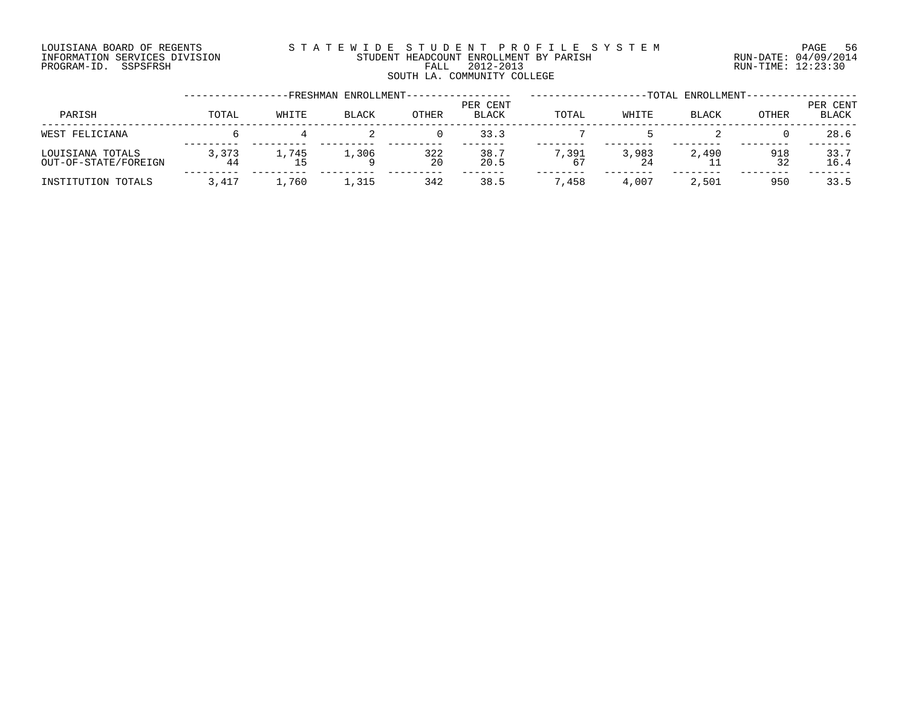#### LOUISIANA BOARD OF REGENTS S T A T E W I D E S T U D E N T P R O F I L E S Y S T E M PAGE 56 INFORMATION SERVICES DIVISION STUDENT HEADCOUNT ENROLLMENT BY PARISH RUN-DATE: 04/09/2014 PROGRAM-ID. SSPSFRSH FALL 2012-2013 RUN-TIME: 12:23:30 FALL 2012-2013<br>SOUTH LA. COMMUNITY COLLEGE

| -FRESHMAN ENROLLMENT-                    |             |       |              |              |                          |             | -TOTAL ENROLLMENT- |              |           |                   |  |  |
|------------------------------------------|-------------|-------|--------------|--------------|--------------------------|-------------|--------------------|--------------|-----------|-------------------|--|--|
| PARISH                                   | TOTAL       | WHITE | <b>BLACK</b> | <b>OTHER</b> | PER CENT<br><b>BLACK</b> | TOTAL       | WHITE              | <b>BLACK</b> | OTHER     | PER CENT<br>BLACK |  |  |
| WEST FELICIANA                           |             |       |              |              | 33.3                     |             |                    |              |           | 28.6              |  |  |
| LOUISIANA TOTALS<br>OUT-OF-STATE/FOREIGN | 3.373<br>44 | 1,745 | 1,306        | 322<br>20    | 38.7<br>20.5             | 7,391<br>67 | 3,983<br>24        | 2,490        | 918<br>32 | 33.7<br>16.4      |  |  |
| INSTITUTION TOTALS                       | 3,417       | 1,760 | 1,315        | 342          | 38.5                     | ,458        | 4,007              | 2,501        | 950       | 33.5              |  |  |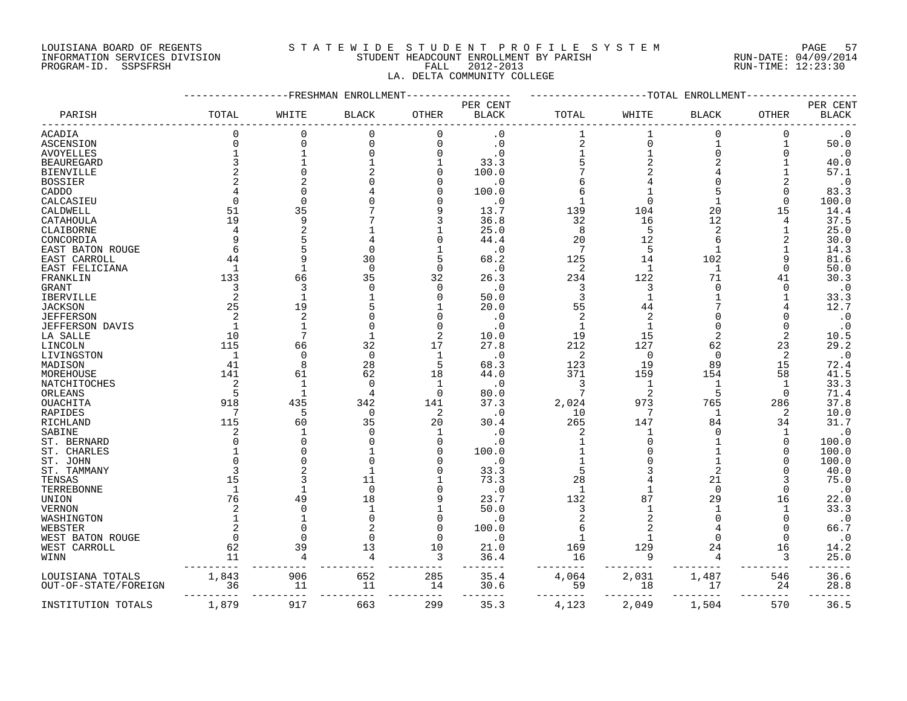#### LOUISIANA BOARD OF REGENTS S T A T E W I D E S T U D E N T P R O F I L E S Y S T E M PAGE 57 INFORMATION SERVICES DIVISION STUDENT HEADCOUNT ENROLLMENT BY PARISH RUN-DATE: 04/09/2014 PROGRAM-ID. SSPSFRSH FALL 2012-2013 RUN-TIME: 12:23:30 LA. DELTA COMMUNITY COLLEGE

#### -----------------FRESHMAN ENROLLMENT----------------- -------------------TOTAL ENROLLMENT------------------ PER CENT PER CENT PARISH TOTAL WHITE BLACK OTHER BLACK TOTAL WHITE BLACK OTHER BLACK ------------------------------------------------------------------------------------------------------------------------------------ ACADIA 0 0 0 0 .0 1 1 0 0 .0 ASCENSION 0 0 0 0 .0 2 0 1 1 50.0 AVOYELLES 1 1 0 0 .0 1 1 0 0 .0 BEAUREGARD 3 1 1 1 33.3 5 2 2 1 40.0 BIENVILLE 2 0 2 0 100.0 7 2 4 1 57.1 BOSSIER 2 2 0 0 .0 6 4 0 2 .0 CADDO 4 0 4 0 100.0 6 1 5 0 83.3 CALCASIEU 0 0 0 0 .0 1 0 1 0 100.0 CALDWELL 51 35 7 9 13.7 139 104 20 15 14.4 CATAHOULA 19 9 7 3 36.8 32 16 12 4 37.5 CLAIBORNE 4 2 1 1 25.0 8 5 2 1 25.0 CONCORDIA 9 5 4 0 44.4 20 12 6 2 30.0 CATHORNE<br>
CATEGORY<br>
CONCORDIA 9 5 4 0 44.4 20 12 6 2 30.0<br>
EAST BATON ROUGE 6 5 0 1 .0 7 5 1 1 14.3<br>
EAST CARROLL 44 9 30 5 68.2 125 14 102 9 81.6<br>
FARSIT FELICIANA 1 1 0 0 0 .0 2 1 1 0 50.0<br>
FRANKLIN 133 66 35 32 26.3 234 EAST CARROLL 44 9 30 5 68.2 125 14 102 9 81.6 EAST FELICIANA 1 1 0 0 .0 2 1 1 0 50.0 FRANKLIN 133 66 35 32 26.3 234 122 71 41 30.3 GRANT 3 3 0 0 .0 3 3 0 0 .0 IBERVILLE 2 1 1 0 50.0 3 1 1 1 33.3 JACKSON 25 19 5 1 20.0 55 44 7 4 12.7 JEFFERSON 2 2 0 0 .0 2 2 0 0 .0 JEFFERSON DAVIS (1992)<br>
JEFFERSON DAVIS 1 1 0 0 .0 1 1 0 0 .0<br>
LA SALLE 10 7 1 2 10.0 19 15 2 2 10.5<br>
LA SALLE 115 66 32 17 27.8 212 127 62 23 29.2<br>
ILIVIMGSTON LA SALLE 10 7 1 2 10.0 19 15 2 2 10.5 LINCOLN 115 66 32 17 27.8 212 127 62 23 29.2 LIVINGSTON 1 0 0 1 .0 2 0 0 2 .0 MADISON 41 8 28 5 68.3 123 19 89 15 72.4 MOREHOUSE 141 61 62 18 44.0 371 159 154 58 41.5 NATCHITOCHES 2 1 0 1 .0 3 1 1 1 33.3 ORLEANS 5 1 4 0 80.0 7 2 5 0 71.4 OUACHITA 918 435 342 141 37.3 2,024 973 765 286 37.8 RAPIDES 7 5 0 2 .0 10 7 1 2 10.0 RICHLAND 115 60 35 20 30.4 265 147 84 34 31.7 SABINE 2 1 0 1 .0 2 1 0 1 .0 ST. BERNARD 0 0 0 0 .0 1 0 1 0 100.0 ST. CHARLES 1 0 0 100.0 1 0 100.0<br>
ST. JOHN 0 0 0 0 0 0 100.0 1 0 100.0<br>
1 0 100.0 ST. JOHN 0 0 0 0 .0 1 0 1 0 100.0 ST. TAMMANY 3 2 1 0 33.3 5 3 2 0 40.0 TENSAS 15 3 11 1 73.3 28 4 21 3 75.0 TERREBONNE 1 1 0 0 .0 1 1 0 0 .0 UNION 76 49 18 9 23.7 132 87 29 16 22.0 VERNON 2 0 1 1 50.0 3 1 1 1 33.3 0 1 0 0 .0 2 2 0 0 .0 0 .0 WEBSTER 2 0 2 0 100.0 6 2 4 0 66.7 WEST BATON ROUGE 0 0 0 0 .0 1 1 0 0 .0 WEST CARROLL 62 39 13 10 21.0 169 129 24 16 14.2 WINN 11 4 4 3 36.4 16 9 4 3 25.0 --------- --------- --------- --------- ------- -------- -------- -------- -------- ------- LOUISIANA TOTALS 1,843 906 652 285 35.4 4,064 2,031 1,487 546 36.6 OUT-OF-STATE/FOREIGN 36 11 --------- --------- --------- --------- ------- -------- -------- -------- -------- -------

INSTITUTION TOTALS 1,879 917 663 299 35.3 4,123 2,049 1,504 570 36.5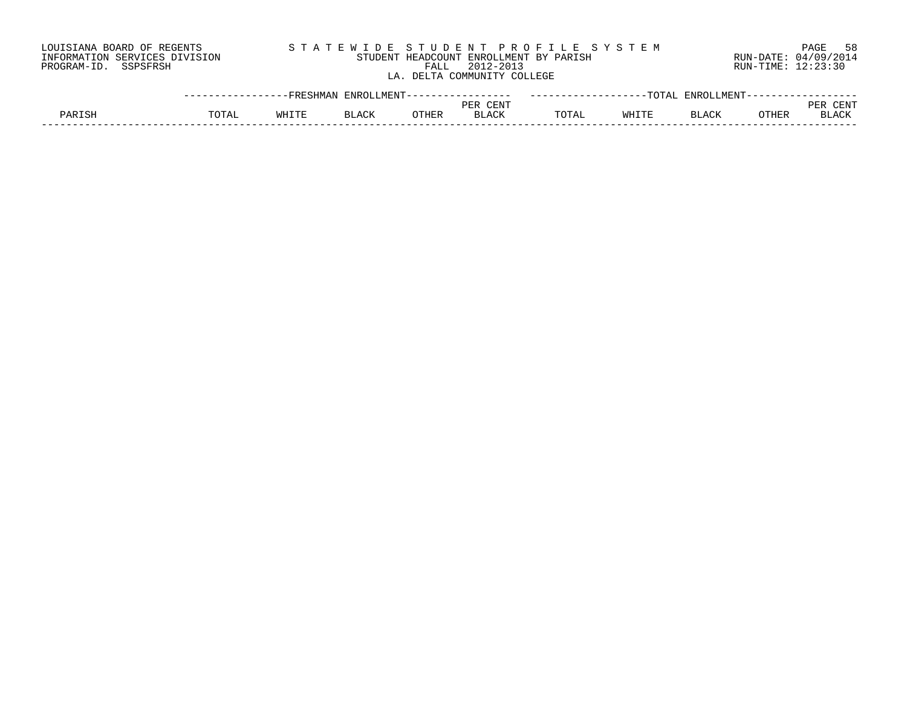| LOUISIANA BOARD OF REGENTS    |       |       |       |       |                             | STATEWIDE STUDENT PROFILE SYSTEM       |       |                              | 58<br>PAGE           |
|-------------------------------|-------|-------|-------|-------|-----------------------------|----------------------------------------|-------|------------------------------|----------------------|
| INFORMATION SERVICES DIVISION |       |       |       |       |                             | STUDENT HEADCOUNT ENROLLMENT BY PARISH |       |                              | RUN-DATE: 04/09/2014 |
| PROGRAM-ID. SSPSFRSH          |       |       |       | FALL  | 2012-2013                   |                                        |       |                              | RUN-TIME: 12:23:30   |
|                               |       |       |       |       | LA. DELTA COMMUNITY COLLEGE |                                        |       |                              |                      |
|                               |       |       |       |       |                             |                                        |       |                              |                      |
|                               |       |       |       |       |                             |                                        |       |                              |                      |
|                               |       |       |       |       | PER CENT                    |                                        |       |                              | PER CENT             |
| PARISH                        | TOTAL | WHITE | BLACK | OTHER | <b>BLACK</b>                | TOTAL                                  | WHITE | <b>OTHER</b><br><b>BLACK</b> | <b>BLACK</b>         |

------------------------------------------------------------------------------------------------------------------------------------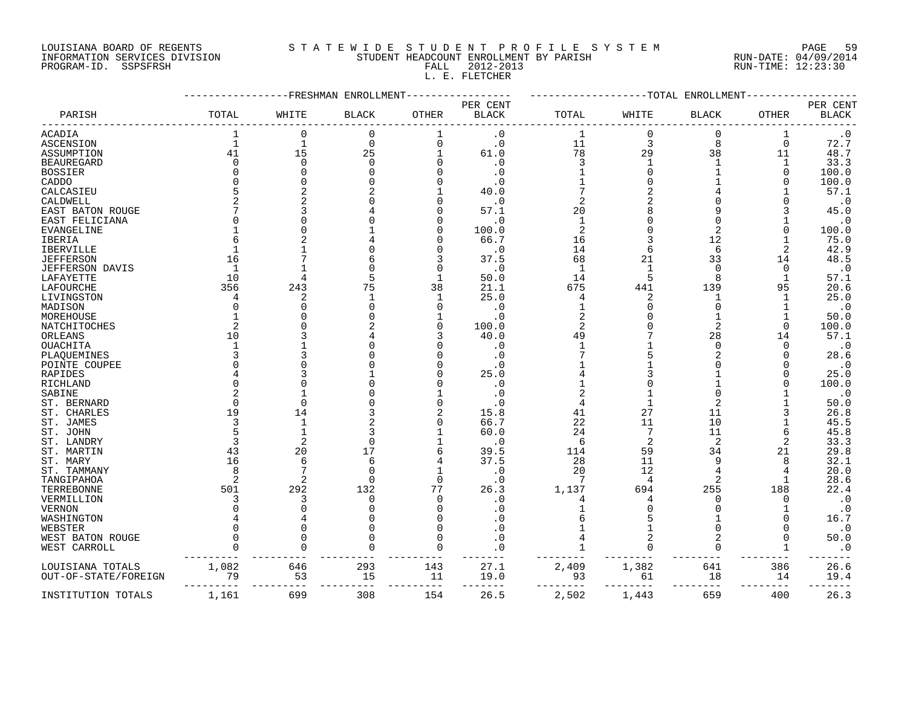#### LOUISIANA BOARD OF REGENTS S T A T E W I D E S T U D E N T P R O F I L E S Y S T E M PAGE 59 INFORMATION SERVICES DIVISION STUDENT HEADCOUNT ENROLLMENT BY PARISH RUN-DATE: 04/09/2014 PROGRAM-ID. SSPSFRSH FALL 2012-2013 RUN-TIME: 12:23:30

L. E. FLETCHER

|                      |                | FRESHMAN     | ENROLLMENT   |          |              | -TOTAL<br>ENROLLMENT |                |                |             |              |  |
|----------------------|----------------|--------------|--------------|----------|--------------|----------------------|----------------|----------------|-------------|--------------|--|
|                      |                |              |              |          | PER CENT     |                      |                |                |             | PER CENT     |  |
| PARISH               | TOTAL          | WHITE        | <b>BLACK</b> | OTHER    | <b>BLACK</b> | TOTAL                | WHITE          | <b>BLACK</b>   | OTHER       | <b>BLACK</b> |  |
| ACADIA               | 1              | 0            | 0            |          | $\cdot$ 0    | $\mathbf{1}$         | $\mathbf 0$    | 0              |             | $\cdot$ 0    |  |
| ASCENSION            | $\mathbf{1}$   | $\mathbf{1}$ | $\mathbf 0$  | $\Omega$ | $\cdot$ 0    | 11                   | 3              | 8              | $\mathbf 0$ | 72.7         |  |
| ASSUMPTION           | 41             | 15           | 25           |          | 61.0         | 78                   | 29             | 38             | 11          | 48.7         |  |
| <b>BEAUREGARD</b>    | $\Omega$       | $\Omega$     | $\Omega$     |          | $\cdot$ 0    | 3                    |                |                | $\mathbf 1$ | 33.3         |  |
| <b>BOSSIER</b>       | O              |              |              |          | $\cdot$ 0    |                      |                |                | $\Omega$    | 100.0        |  |
| CADDO                |                |              |              |          | . 0          |                      |                |                |             | 100.0        |  |
| CALCASIEU            | 5              |              |              |          | 40.0         |                      |                |                |             | 57.1         |  |
| CALDWELL             | $\overline{2}$ |              |              |          | $\cdot$ 0    |                      |                |                |             | $\cdot$ 0    |  |
| EAST BATON ROUGE     |                |              |              |          | 57.1         | 20                   |                |                |             | 45.0         |  |
| EAST FELICIANA       | U              |              |              |          | $\cdot$ 0    | $\mathbf{1}$         |                |                |             | $\cdot$ 0    |  |
| EVANGELINE           |                |              |              |          | 100.0        | $\overline{2}$       |                | $\overline{a}$ |             | 100.0        |  |
| IBERIA               |                |              |              |          | 66.7         | 16                   |                | 12             |             | 75.0         |  |
| <b>IBERVILLE</b>     |                |              |              |          | . 0          | 14                   |                | 6              | 2           | 42.9         |  |
| <b>JEFFERSON</b>     | 16             |              |              |          | 37.5         | 68                   | 21             | 33             | 14          | 48.5         |  |
| JEFFERSON DAVIS      | $\mathbf{1}$   |              |              |          | $\cdot$ 0    | $\mathbf{1}$         |                | $\Omega$       | 0           | $\cdot$ 0    |  |
| LAFAYETTE            | 10             |              |              |          | 50.0         | 14                   |                | $\mathsf{R}$   | 1           | 57.1         |  |
| LAFOURCHE            | 356            | 243          | 75           | 38       | 21.1         | 675                  | 441            | 139            | 95          | 20.6         |  |
| LIVINGSTON           | 4              | 2            |              |          | 25.0         | 4                    | 2              |                |             | 25.0         |  |
| MADISON              | $\Omega$       |              |              |          | $\cdot$ 0    |                      |                | $\Omega$       |             | $\cdot$ 0    |  |
| MOREHOUSE            |                |              |              |          | . 0          | 2                    |                |                |             | 50.0         |  |
| NATCHITOCHES         | $\overline{2}$ |              |              |          | 100.0        | $\overline{2}$       |                | 2              | $\Omega$    | 100.0        |  |
| ORLEANS              | 10             |              |              |          | 40.0         | 49                   |                | 28             | 14          | 57.1         |  |
| OUACHITA             |                |              |              |          | . 0          |                      |                | $\Omega$       | O           | $\cdot$ 0    |  |
| PLAQUEMINES          | 3              |              |              |          | $\cdot$ 0    |                      |                |                |             | 28.6         |  |
| POINTE COUPEE        |                |              |              |          | . 0          |                      |                |                |             | $\cdot$ 0    |  |
| RAPIDES              |                |              |              |          | 25.0         |                      |                |                |             | 25.0         |  |
| RICHLAND             | $\Omega$       |              |              |          | $\cdot$ 0    |                      |                |                |             | 100.0        |  |
| SABINE               |                |              |              |          | . 0          |                      |                |                |             | $\cdot$ 0    |  |
| ST. BERNARD          | $\Omega$       |              |              |          | $\cdot$ 0    |                      |                |                |             | 50.0         |  |
| ST. CHARLES          | 19             | 14           |              |          | 15.8         | 41                   | 27             | 11             |             | 26.8         |  |
| ST. JAMES            | 3              |              |              |          | 66.7         | 22                   | 11             | 10             |             | 45.5         |  |
| ST. JOHN             | 5              |              |              |          | 60.0         | 24                   |                | 11             |             | 45.8         |  |
| ST. LANDRY           | 3              |              | $\Omega$     |          | . 0          | 6                    | $\overline{2}$ | $\overline{2}$ | 2           | 33.3         |  |
| ST. MARTIN           | 43             | 20           | 17           | 6        | 39.5         | 114                  | 59             | 34             | 21          | 29.8         |  |
| ST. MARY             | 16             | 6            | 6            |          | 37.5         | 28                   | 11             | 9              |             | 32.1         |  |
| ST. TAMMANY          | 8              |              | $\Omega$     |          | $\cdot$ 0    | 20                   | 12             |                |             | 20.0         |  |
| TANGIPAHOA           | $\overline{2}$ | 2            | $\Omega$     | $\Omega$ | $\cdot$ 0    | 7                    | $\overline{4}$ | $\overline{a}$ |             | 28.6         |  |
| TERREBONNE           | 501            | 292          | 132          | 77       | 26.3         | 1,137                | 694            | 255            | 188         | 22.4         |  |
| VERMILLION           | 3              | 3            | $\Omega$     | $\Omega$ | . 0          |                      |                |                | $\Omega$    | $\cdot$ 0    |  |
| <b>VERNON</b>        |                |              |              |          |              |                      |                |                |             | $\cdot$ 0    |  |
| WASHINGTON           |                |              |              |          |              |                      |                |                |             | 16.7         |  |
| WEBSTER              |                |              |              |          | . 0          |                      |                |                |             | $\cdot$ 0    |  |
| WEST BATON ROUGE     | 0              |              |              |          | . 0          |                      |                | 2              |             | 50.0         |  |
| WEST CARROLL         | 0              | $\cap$       |              |          | $\cdot$ 0    |                      |                | $\Omega$       |             | $\cdot$ 0    |  |
|                      |                |              |              |          |              |                      |                |                |             |              |  |
| LOUISIANA TOTALS     | 1,082          | 646          | 293          | 143      | 27.1         | 2,409                | 1,382          | 641            | 386         | 26.6         |  |
| OUT-OF-STATE/FOREIGN | 79             | 53           | 15           | 11       | 19.0         | 93                   | 61             | 18             | 14          | 19.4         |  |
|                      |                |              |              |          |              |                      |                |                |             |              |  |
| INSTITUTION TOTALS   | 1,161          | 699          | 308          | 154      | 26.5         | 2,502                | 1,443          | 659            | 400         | 26.3         |  |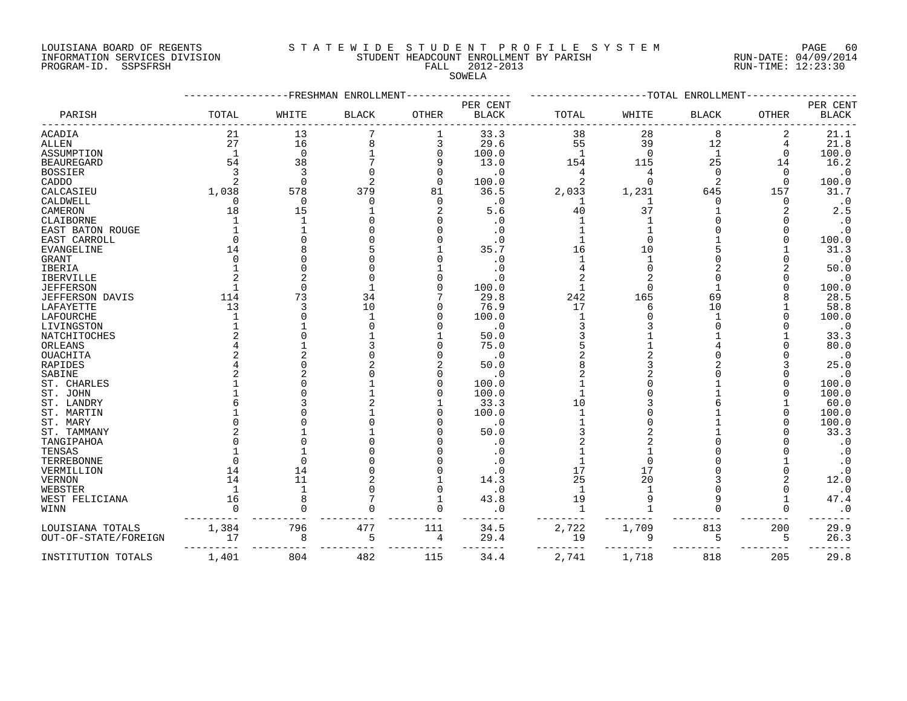#### LOUISIANA BOARD OF REGENTS S T A T E W I D E S T U D E N T P R O F I L E S Y S T E M PAGE 60 INFORMATION SERVICES DIVISION STUDENT HEADCOUNT ENROLLMENT BY PARISH RUN-DATE: 04/09/2014 PROGRAM-ID. SSPSFRSH FALL 2012-2013 RUN-TIME: 12:23:30

## SOWELA

|                        |                | FRESHMAN    | ENROLLMENT   | -TOTAL<br>ENROLLMENT |                          |                |          |              |              |                          |
|------------------------|----------------|-------------|--------------|----------------------|--------------------------|----------------|----------|--------------|--------------|--------------------------|
| PARISH                 | TOTAL          | WHITE       | <b>BLACK</b> | <b>OTHER</b>         | PER CENT<br><b>BLACK</b> | TOTAL          | WHITE    | <b>BLACK</b> | <b>OTHER</b> | PER CENT<br><b>BLACK</b> |
| ACADIA                 | 21             | 13          |              | 1                    | 33.3                     | 38             | 28       | 8            | 2            | 21.1                     |
| <b>ALLEN</b>           | 27             | 16          |              | 3                    | 29.6                     | 55             | 39       | 12           | 4            | 21.8                     |
| ASSUMPTION             | $\overline{1}$ | $\mathbf 0$ |              | $\Omega$             | 100.0                    | $\overline{1}$ | $\Omega$ | $\mathbf{1}$ | $\Omega$     | 100.0                    |
| <b>BEAUREGARD</b>      | 54             | 38          |              | 9                    | 13.0                     | 154            | 115      | 25           | 14           | 16.2                     |
| <b>BOSSIER</b>         | 3              | 3           |              | O                    | $\cdot$ 0                | 4              | 4        | $\Omega$     | $\Omega$     | $\cdot$ 0                |
| CADDO                  |                | $\Omega$    |              | $\Omega$             | 100.0                    | $\mathfrak{D}$ | $\cap$   | 2            | $\Omega$     | 100.0                    |
| CALCASIEU              | 1,038          | 578         | 379          | 81                   | 36.5                     | 2,033          | 1,231    | 645          | 157          | 31.7                     |
| CALDWELL               |                | $\mathbf 0$ |              | $\Omega$             | $\cdot$ 0                |                |          | ∩            | 0            | $\cdot$ 0                |
| CAMERON                | 18             | 15          |              |                      | 5.6                      | 40             | 37       |              |              | 2.5                      |
| CLAIBORNE              |                | 1           |              |                      | . 0                      |                |          |              |              | $\cdot$ 0                |
| EAST BATON ROUGE       |                |             |              |                      | . 0                      |                |          |              |              | $\cdot$ 0                |
| EAST CARROLL           |                |             |              |                      | . 0                      |                |          |              |              | 100.0                    |
| <b>EVANGELINE</b>      | 14             |             |              |                      | 35.7                     | 16             | 10       |              |              | 31.3                     |
| <b>GRANT</b>           |                |             |              |                      | $\cdot$ 0                |                |          |              |              | $\cdot$ 0                |
| IBERIA                 |                |             |              |                      | . 0                      |                |          |              |              | 50.0                     |
| IBERVILLE              |                |             |              |                      | . 0                      |                |          |              |              | $\cdot$ 0                |
| <b>JEFFERSON</b>       |                | $\Omega$    |              |                      | 100.0                    |                |          |              |              | 100.0                    |
| <b>JEFFERSON DAVIS</b> | 114            | 73          | 34           |                      | 29.8                     | 242            | 165      | 69           |              | 28.5                     |
| LAFAYETTE              | 13             | 3           | 10           |                      | 76.9                     | 17             |          | 10           |              | 58.8                     |
| LAFOURCHE              |                |             |              |                      | 100.0                    |                |          |              |              | 100.0                    |
| LIVINGSTON             |                |             |              |                      | $\cdot$ 0                |                |          |              |              | $\cdot$ 0                |
| NATCHITOCHES           |                |             |              |                      | 50.0                     |                |          |              |              | 33.3                     |
| ORLEANS                |                |             |              |                      | 75.0                     |                |          |              |              | 80.0                     |
| OUACHITA               |                |             |              |                      | $\cdot$ 0                |                |          |              |              | $\cdot$ 0                |
| RAPIDES                |                |             |              |                      | 50.0                     |                |          |              |              | 25.0                     |
| SABINE                 |                |             |              |                      | . 0                      |                |          |              |              | $\cdot$ 0                |
| ST. CHARLES            |                |             |              | U                    | 100.0                    |                |          |              |              | 100.0                    |
| ST. JOHN               |                |             |              |                      | 100.0                    |                |          |              |              | 100.0                    |
| ST. LANDRY             |                |             |              |                      | 33.3                     | 10             |          |              |              | 60.0                     |
| ST. MARTIN             |                |             |              |                      | 100.0                    |                |          |              |              | 100.0                    |
| ST. MARY               |                |             |              |                      | $\cdot$ 0                |                |          |              |              | 100.0                    |
| ST. TAMMANY            |                |             |              |                      | 50.0                     |                |          |              |              | 33.3                     |
| TANGIPAHOA             |                |             |              |                      | $\cdot$ 0                |                |          |              |              | $\cdot$ 0                |
| TENSAS                 |                |             |              |                      | . 0                      |                |          |              |              | $\cdot$ 0                |
| TERREBONNE             |                | ∩           |              |                      | $\cdot$ 0                |                |          |              |              | $\cdot$ 0                |
| VERMILLION             | 14             | 14          |              |                      | . 0                      | 17             | 17       |              |              | $\cdot$ 0                |
| <b>VERNON</b>          | 14             | 11          |              |                      | 14.3                     | 25             | 20       |              |              | 12.0                     |
| WEBSTER                |                | 1           |              |                      | $\cdot$ 0                | -1             |          |              |              | $\cdot$ 0                |
| WEST FELICIANA         | 16             | 8           |              |                      | 43.8                     | 19             |          | 9            |              | 47.4                     |
| WINN                   |                | $\cap$      |              | $\Omega$             | . 0                      | $\mathbf{1}$   |          | $\cap$       | ∩            | $\cdot$ 0                |
|                        |                |             |              |                      |                          |                |          |              |              |                          |
| LOUISIANA TOTALS       | 1,384          | 796         | 477          | 111                  | 34.5                     | 2,722          | 1,709    | 813          | 200          | 29.9                     |
| OUT-OF-STATE/FOREIGN   | 17             | 8           | 5            | 4                    | 29.4                     | 19             | 9        | 5            | 5            | 26.3                     |
| INSTITUTION TOTALS     | 1,401          | 804         | 482          | 115                  | 34.4                     | 2,741          | 1,718    | 818          | 205          | 29.8                     |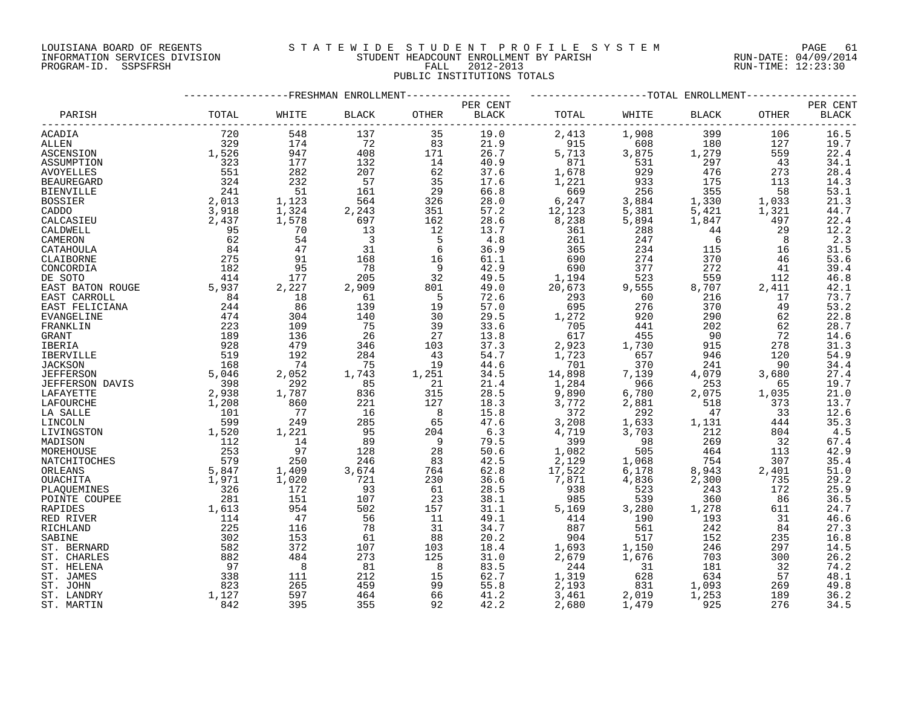#### LOUISIANA BOARD OF REGENTS S T A T E W I D E S T U D E N T P R O F I L E S Y S T E M PAGE 61 INFORMATION SERVICES DIVISION STUDENT HEADCOUNT ENROLLMENT BY PARISH RUN-DATE: 04/09/2014 PROGRAM-ID. SSPSFRSH FALL 2012-2013 RUN-TIME: 12:23:30 PUBLIC INSTITUTIONS TOTALS

## -----------------FRESHMAN ENROLLMENT----------------- -------------------TOTAL ENROLLMENT------------------ PER CENT PER CENT PARISH TOTAL WHITE BLACK OTHER BLACK TOTAL WHITE BLACK OTHER BLACK ------------------------------------------------------------------------------------------------------------------------------------ ACADIA 720 548 137 35 19.0 2,413 1,908 399 106 16.5 ALLEN 329 174 72 83 21.9 915 608 180 127 19.7 ASCENSION 1,526 947 408 171 26.7 5,713 3,875 1,279 559 22.4 ASSUMPTION 323 177 132 14 40.9 871 531 297 43 34.1 AVOYELLES 551 282 207 62 37.6 1,678 929 476 273 28.4 BEAUREGARD 324 232 57 35 17.6 1,221 933 175 113 14.3 BIENVILLE 241 51 161 29 66.8 669 256 355 58 53.1 BOSSIER 2,013 1,123 564 326 28.0 6,247 3,884 1,330 1,033 21.3 CADDO 3,918 1,324 2,243 351 57.2 12,123 5,381 5,421 1,321 44.7 CALCASIEU 2,437 1,578 697 162 28.6 8,238 5,894 1,847 497 22.4 CALDWELL 95 70 13 12 13.7 361 288 44 29 12.2 CAMERON 62 54 3 5 4.8 261 247 6 8 2.3 CATAHOULA 84 47 31 6 36.9 365 234 115 16 31.5 CLAIBORNE 275 91 168 16 61.1 690 274 370 46 53.6 CONCORDIA 182 95 78 9 42.9 690 377 272 41 39.4 DE SOTO 414 177 205 32 49.5 1,194 523 559 112 46.8 EAST BATON ROUGE 5,937 2,227 2,909 801 49.0 20,673 9,555 8,707 2,411 42.1<br>EAST CARROLL 84 18 61 5 72.6 293 60 216 17 73.7 EAST FELICIANA 244 86 139 19 57.0 695 276 370 49 53.2 EVANGELINE 474 304 140 30 29.5 1,272 920 290 62 22.8 FRANKLIN 223 109 75 39 33.6 705 441 202 62 28.7 GRANT 189 136 26 27 13.8 617 455 90 72 14.6 IBERIA 928 479 346 103 37.3 2,923 1,730 915 278 31.3 IBERVILLE 519 192 284 43 54.7 1,723 657 946 120 54.9 JACKSON 168 74 75 19 44.6 701 370 241 90 34.4 JEFFERSON 5,046 2,052 1,743 1,251 34.5 14,898 7,139 4,079 3,680 27.4 JEFFERSON DAVIS 398 292 85 21 21.4 1,284 966 253 65 19.7 LAFAYETTE 2,938 1,787 836 315 28.5 9,890 6,780 2,075 1,035 21.0 LAFOURCHE 1,208 860 221 127 18.3 3,772 2,881 518 373 13.7 LA SALLE 101 77 16 8 15.8 372 292 47 33 12.6 LINCOLN 599 249 285 65 47.6 3,208 1,633 1,131 444 35.3 LIVINGSTON 1,520 1,221 95 204 6.3 4,719 3,703 212 804 4.5 MADISON 112 14 89 9 79.5 399 98 269 32 67.4 MOREHOUSE 253 97 128 28 50.6 1,082 505 464 113 42.9 NATCHITOCHES 579 250 246 83 42.5 2,129 1,068 754 307 35.4 ORLEANS 5,847 1,409 3,674 764 62.8 17,522 6,178 8,943 2,401 51.0 OUACHITA 1,971 1,020 721 230 36.6 7,871 4,836 2,300 735 29.2 PLAQUEMINES 326 172 93 61 28.5 938 523 243 172 25.9 POINTE COUPEE 281 151 107 23 38.1 985 539 360 86 36.5 RAPIDES 1,613 954 502 157 31.1 5,169 3,280 1,278 611 24.7 RED RIVER 114 47 56 11 49.1 414 190 193 31 46.6 RICHLAND 225 116 78 31 34.7 887 561 242 84 27.3 SABINE 302 153 61 88 20.2 904 517 152 235 16.8 ST. BERNARD 582 372 107 103 18.4 1,693 1,150 246 297 14.5 ST. CHARLES 882 484 273 125 31.0 2,679 1,676 703 300 26.2 ST. HELENA 97 8 81 8 83.5 244 31 181 32 74.2 ST. JAMES 338 111 212 15 62.7 1,319 628 634 57 48.1 ST. JOHN 823 265 459 99 55.8 2,193 831 1,093 269 49.8 ST. LANDRY 1,127 597 464 66 41.2 3,461 2,019 1,253 189 36.2

ST. MARTIN 842 395 355 92 42.2 2,680 1,479 925 276 34.5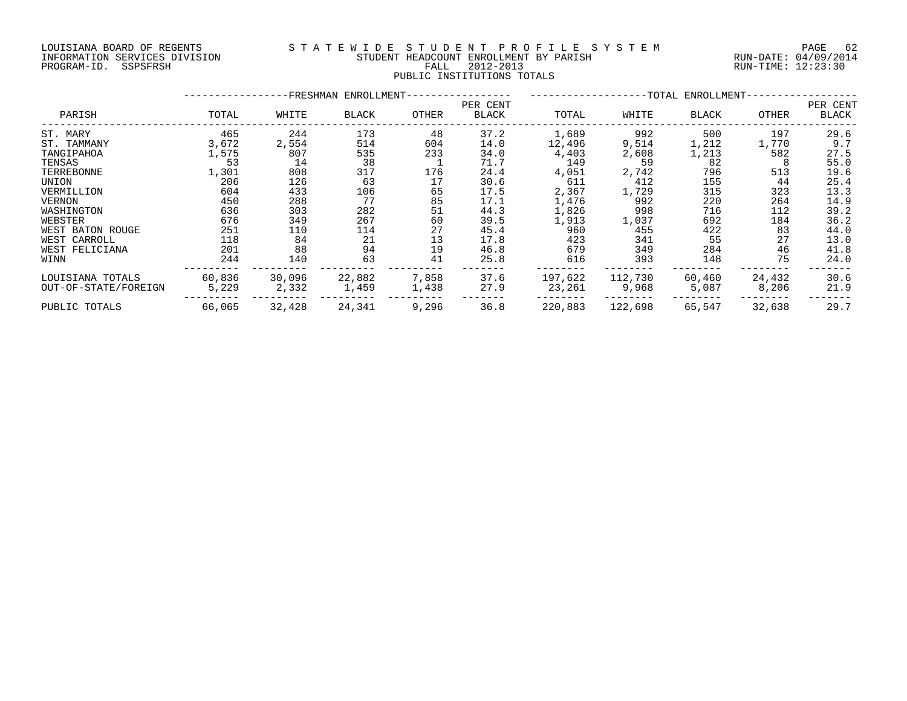#### LOUISIANA BOARD OF REGENTS S T A T E W I D E S T U D E N T P R O F I L E S Y S T E M PAGE 62 INFORMATION SERVICES DIVISION STUDENT HEADCOUNT ENROLLMENT BY PARISH RUN-DATE: 04/09/2014 DOULSIANA BOARD OF REGENIS<br>INFORMATION SERVICES DIVISION STUDENT HEADCOUNT ENROLLMENT BY PARISH RUN-DATE: 04/09/2014<br>PROGRAM-ID. SSPSFRSH FALL 2012-2013 FALL 2012-2013 PUBLIC INSTITUTIONS TOTALS

|                      |        | -FRESHMAN ENROLLMENT- | --TOTAL ENROLLMENT-------- |       |                   |         |         |              |        |                   |
|----------------------|--------|-----------------------|----------------------------|-------|-------------------|---------|---------|--------------|--------|-------------------|
| PARISH               | TOTAL  | WHITE                 | <b>BLACK</b>               | OTHER | PER CENT<br>BLACK | TOTAL   | WHITE   | <b>BLACK</b> | OTHER  | PER CENT<br>BLACK |
| ST. MARY             | 465    | 244                   | 173                        | 48    | 37.2              | 1,689   | 992     | 500          | 197    | 29.6              |
| ST. TAMMANY          | 3,672  | 2,554                 | 514                        | 604   | 14.0              | 12,496  | 9,514   | 1,212        | 1,770  | 9.7               |
| TANGIPAHOA           | 1,575  | 807                   | 535                        | 233   | 34.0              | 4,403   | 2,608   | 1,213        | 582    | 27.5              |
| TENSAS               | 53     | 14                    | 38                         |       | 71.7              | 149     | -59     | 82           | -8     | 55.0              |
| TERREBONNE           | 1,301  | 808                   | 317                        | 176   | 24.4              | 4,051   | 2,742   | 796          | 513    | 19.6              |
| UNION                | 206    | 126                   | 63                         | 17    | 30.6              | 611     | 412     | 155          | 44     | 25.4              |
| VERMILLION           | 604    | 433                   | 106                        | 65    | 17.5              | 2,367   | 1,729   | 315          | 323    | 13.3              |
| VERNON               | 450    | 288                   | 77                         | 85    | 17.1              | 1,476   | 992     | 220          | 264    | 14.9              |
| WASHINGTON           | 636    | 303                   | 282                        | 51    | 44.3              | 1,826   | 998     | 716          | 112    | 39.2              |
| WEBSTER              | 676    | 349                   | 267                        | 60    | 39.5              | 1,913   | 1,037   | 692          | 184    | 36.2              |
| WEST BATON ROUGE     | 251    | 110                   | 114                        | 27    | 45.4              | 960     | 455     | 422          | 83     | 44.0              |
| WEST CARROLL         | 118    | 84                    | 21                         | 13    | 17.8              | 423     | 341     | 55           | 27     | 13.0              |
| WEST FELICIANA       | 201    | 88                    | 94                         | 19    | 46.8              | 679     | 349     | 284          | 46     | 41.8              |
| WINN                 | 244    | 140                   | 63                         | 41    | 25.8              | 616     | 393     | 148          | 75     | 24.0              |
| LOUISIANA TOTALS     | 60,836 | 30,096                | 22,882                     | 7,858 | 37.6              | 197,622 | 112,730 | 60,460       | 24,432 | 30.6              |
| OUT-OF-STATE/FOREIGN | 5,229  | 2,332                 | 1,459                      | 1,438 | 27.9              | 23,261  | 9,968   | 5,087        | 8,206  | 21.9              |
| PUBLIC TOTALS        | 66,065 | 32,428                | 24,341                     | 9,296 | 36.8              | 220,883 | 122,698 | 65,547       | 32,638 | 29.7              |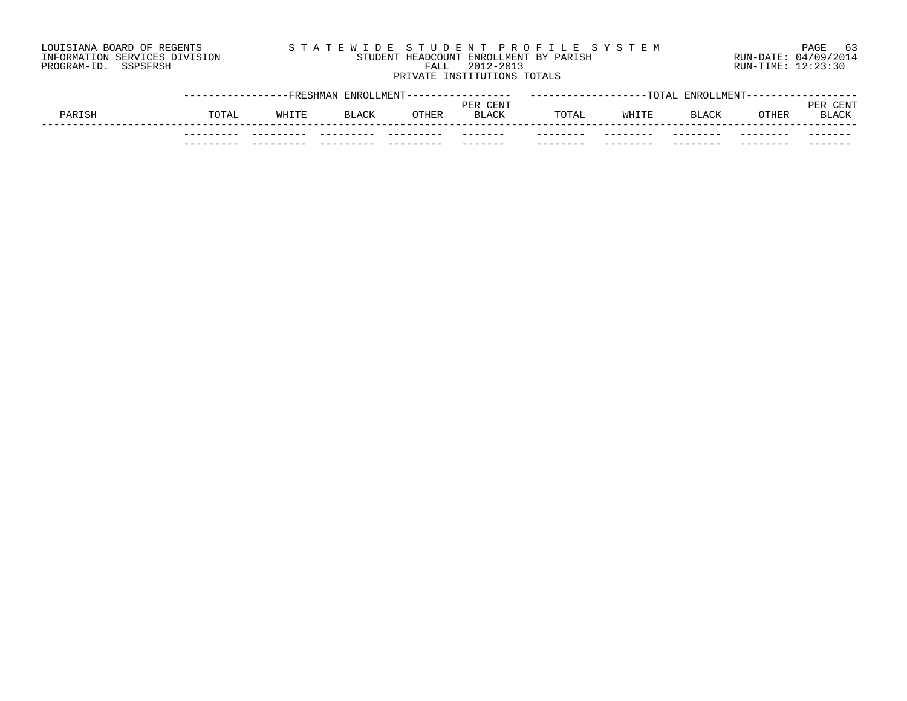## LOUISIANA BOARD OF REGENTS S T A T E W I D E S T U D E N T P R O F I L E S Y S T E M PAGE 63 INFORMATION SERVICES DIVISION STUDENT HEADCOUNT ENROLLMENT BY PARISH RUN-DATE: 04/09/2014 PROGRAM-ID. SSPSFRSH FALL 2012-2013 RUN-TIME: 12:23:30 PRIVATE INSTITUTIONS TOTALS

|        |       |       | --FRESHMAN ENROLLMENT- |       |                   |          | $-{\tt TOTAL}$ | <b>ENROLLMENT</b> |                 |                      |
|--------|-------|-------|------------------------|-------|-------------------|----------|----------------|-------------------|-----------------|----------------------|
| PARISH | TOTAL | WHITE | <b>BLACK</b>           | OTHER | PER CENT<br>BLACK | TOTAL    | WHITE          | <b>BLACK</b>      | OTHER           | CENT<br>PE)<br>BLACK |
|        |       |       |                        |       | -------           | -------- | --------       | --------          | - - - - - - - - | -------              |
|        |       |       |                        |       |                   | -----    |                |                   |                 |                      |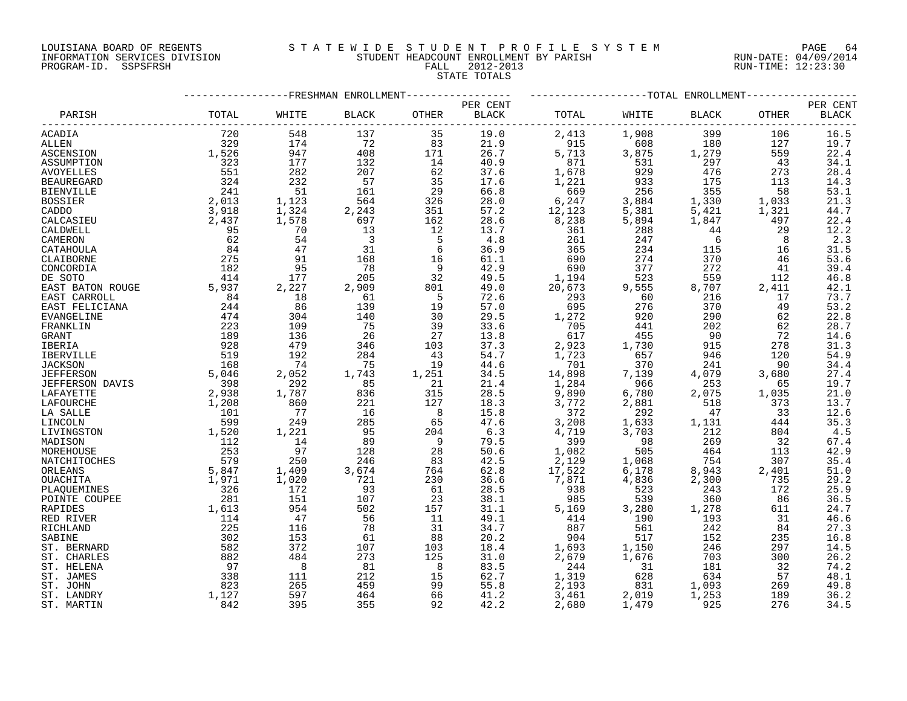#### LOUISIANA BOARD OF REGENTS S T A T E W I D E S T U D E N T P R O F I L E S Y S T E M PAGE 64 INFORMATION SERVICES DIVISION STUDENT HEADCOUNT ENROLLMENT BY PARISH RUN-DATE: 04/09/2014 PROGRAM-ID. SSPSFRSH FALL 2012-2013 RUN-TIME: 12:23:30

STATE TOTALS

|                        |       |            |                | -------------TOTAL ENROLLMENT<br>----------FRESHMAN ENROLLMENT |                            |        |       |              |       |                                    |  |  |
|------------------------|-------|------------|----------------|----------------------------------------------------------------|----------------------------|--------|-------|--------------|-------|------------------------------------|--|--|
| PARISH                 | TOTAL | WHITE      | <b>BLACK</b>   | <b>OTHER</b>                                                   | PER CENT<br>$_{\rm BLACK}$ | TOTAL  | WHITE | <b>BLACK</b> | OTHER | PER CENT<br>$\operatorname{BLACK}$ |  |  |
| ACADIA                 | 720   | 548        | 137            | 35                                                             | 19.0                       | 2,413  | 1,908 | 399          | 106   | 16.5                               |  |  |
| ALLEN                  | 329   | 174        | 72             | 83                                                             | 21.9                       | 915    | 608   | 180          | 127   | 19.7                               |  |  |
| ASCENSION              | 1,526 | 947        | 408            | 171                                                            | 26.7                       | 5,713  | 3,875 | 1,279        | 559   | 22.4                               |  |  |
| ASSUMPTION             | 323   | 177        | 132            | 14                                                             | 40.9                       | 871    | 531   | 297          | 43    | 34.1                               |  |  |
| AVOYELLES              | 551   | 282        | 207            | 62                                                             | 37.6                       | 1,678  | 929   | 476          | 273   | 28.4                               |  |  |
| BEAUREGARD             | 324   | 232        | 57             | 35                                                             | 17.6                       | 1,221  | 933   | 175          | 113   | 14.3                               |  |  |
| <b>BIENVILLE</b>       | 241   | 51         | 161            | 29                                                             | 66.8                       | 669    | 256   | 355          | 58    | 53.1                               |  |  |
| BOSSIER                | 2,013 | 1,123      | 564            | 326                                                            | 28.0                       | 6,247  | 3,884 | 1,330        | 1,033 | $21.3$<br>$44.7$                   |  |  |
| CADDO                  | 3,918 | 1,324      | 2,243          | 351                                                            | 57.2                       | 12,123 | 5,381 | 5,421        | 1,321 |                                    |  |  |
| CALCASIEU              | 2,437 | 1,578      | 697            | 162                                                            | 28.6                       | 8,238  | 5,894 | 1,847        | 497   | 22.4                               |  |  |
| CALDWELL               | 95    | 70         | 13             | 12                                                             | 13.7                       | 361    | 288   | 44           | 29    | $\frac{1}{2}$ . 2<br>2. 3          |  |  |
| CAMERON                | 62    | 54         | $\overline{3}$ | 5                                                              | 4.8                        | 261    | 247   | 6            | 8     |                                    |  |  |
| CATAHOULA              | 84    | 47         | 31             | 6                                                              | 36.9                       | 365    | 234   | 115          | 16    | 31.5                               |  |  |
| CLAIBORNE              | 275   | 91         | 168            | 16                                                             | 61.1                       | 690    | 274   | 370          | 46    | 53.6                               |  |  |
| CONCORDIA              | 182   | 95         | 78             | 9                                                              | 42.9                       | 690    | 377   | 272          | 41    | 39.4                               |  |  |
| DE SOTO                | 414   | 177        | 205            | 32                                                             | 49.5                       | 1,194  | 523   | 559          | 112   | 46.8                               |  |  |
| EAST BATON ROUGE       | 5,937 | 2,227      | 2,909          | 801                                                            | 49.0                       | 20,673 | 9,555 | 8,707        | 2,411 | 42.1                               |  |  |
| EAST CARROLL           | 84    | 18         | 61             | 5                                                              | 72.6                       | 293    | 60    | 216          | 17    | 73.7                               |  |  |
| EAST FELICIANA         | 244   | 86         | 139            | 19                                                             | 57.0                       | 695    | 276   | 370          | 49    | 53.2                               |  |  |
| EVANGELINE             | 474   | 304        | 140            | 30                                                             | 29.5                       | 1,272  | 920   | 290          | 62    | $\frac{22.8}{28.7}$                |  |  |
| FRANKLIN               | 223   | 109        | 75             | 39                                                             | 33.6                       | 705    | 441   | 202          | 62    |                                    |  |  |
| GRANT                  | 189   | 136        | 26             | 27                                                             | 13.8                       | 617    | 455   | 90           | 72    | 14.6                               |  |  |
| IBERIA                 | 928   | 479        | 346            | 103                                                            | 37.3                       | 2,923  | 1,730 | 915          | 278   | 31.3                               |  |  |
| IBERVILLE              | 519   | 192        | 284            | 43                                                             | 54.7                       | 1,723  | 657   | 946          | 120   | 54.9                               |  |  |
| <b>JACKSON</b>         | 168   | 74         | 75             | 19                                                             | 44.6                       | 701    | 370   | 241          | 90    | 34.4                               |  |  |
| <b>JEFFERSON</b>       | 5,046 | 2,052      | 1,743          | 1,251                                                          | 34.5                       | 14,898 | 7,139 | 4,079        | 3,680 |                                    |  |  |
| <b>JEFFERSON DAVIS</b> | 398   | 292        | 85             | 21                                                             | 21.4                       | 1,284  | 966   | 253          | 65    | $27.4$<br>19.7                     |  |  |
| LAFAYETTE              | 2,938 | 1,787      | 836            | 315                                                            | 28.5                       | 9,890  | 6,780 | 2,075        | 1,035 | 21.0                               |  |  |
| LAFOURCHE              | 1,208 | 860        | 221            | 127                                                            | 18.3                       | 3,772  | 2,881 | 518          | 373   | 13.7                               |  |  |
| LA SALLE               | 101   | 77         | 16             | $_{\rm 8}$                                                     | 15.8                       | 372    | 292   | 47           | 33    | 12.6                               |  |  |
| LINCOLN                | 599   | 249        | 285            | 65                                                             | 47.6                       | 3,208  | 1,633 | 1,131        | 444   | 35.3                               |  |  |
| LIVINGSTON             | 1,520 | 1,221      | 95             | 204                                                            | 6.3                        | 4,719  | 3,703 | 212          | 804   | 4.5                                |  |  |
| MADISON                | 112   | 14         | 89             | - 9                                                            | 79.5                       | 399    | 98    | 269          | 32    | 67.4                               |  |  |
| MOREHOUSE              | 253   | 97         | 128            | 28                                                             | 50.6                       | 1,082  | 505   | 464          | 113   | 42.9                               |  |  |
| NATCHITOCHES           | 579   | 250        | 246            | 83                                                             | 42.5                       | 2,129  | 1,068 | 754          | 307   | 35.4                               |  |  |
| ORLEANS                | 5,847 | 1,409      | 3,674          | 764                                                            | 62.8                       | 17,522 | 6,178 | 8,943        | 2,401 | 51.0                               |  |  |
| OUACHITA               | 1,971 | 1,020      | 721            | 230                                                            | 36.6                       | 7,871  | 4,836 | 2,300        | 735   | 29.2                               |  |  |
| PLAOUEMINES            | 326   | 172        | 93             | 61                                                             | 28.5                       | 938    | 523   | 243          | 172   | 25.9                               |  |  |
| POINTE COUPEE          | 281   | 151        | 107            | 23                                                             | 38.1                       | 985    | 539   | 360          | 86    | 36.5                               |  |  |
| RAPIDES                | 1,613 | 954        | 502            | 157                                                            | 31.1                       | 5,169  | 3,280 | 1,278        | 611   | 24.7                               |  |  |
| RED RIVER              | 114   | 47         | 56             | 11                                                             | 49.1                       | 414    | 190   | 193          | 31    | 46.6                               |  |  |
| RICHLAND               | 225   | 116        | 78             | 31                                                             | 34.7                       | 887    | 561   | 242          | 84    | 27.3                               |  |  |
| SABINE                 | 302   | 153        | 61             | 88                                                             | 20.2                       | 904    | 517   | 152          | 235   | 16.8                               |  |  |
| ST. BERNARD            | 582   | 372        | 107            | 103                                                            | 18.4                       | 1,693  | 1,150 | 246          | 297   | 14.5                               |  |  |
| ST. CHARLES            | 882   | 484        | 273            | 125                                                            | 31.0                       | 2,679  | 1,676 | 703          | 300   | 26.2                               |  |  |
| ST. HELENA             | 97    | $_{\rm 8}$ | 81             | 8                                                              | 83.5                       | 244    | 31    | 181          | 32    | 74.2                               |  |  |
| ST. JAMES              | 338   | 111        | 212            | 15                                                             | 62.7                       | 1,319  | 628   | 634          | 57    | 48.1                               |  |  |
| ST. JOHN               | 823   | 265        | 459            | 99                                                             | 55.8                       | 2,193  | 831   | 1,093        | 269   | 49.8                               |  |  |
| ST. LANDRY             | 1,127 | 597        | 464            | 66                                                             | 41.2                       | 3,461  | 2,019 | 1,253        | 189   | 36.2                               |  |  |

ST. MARTIN 842 395 355 92 42.2 2,680 1,479 925 276 34.5